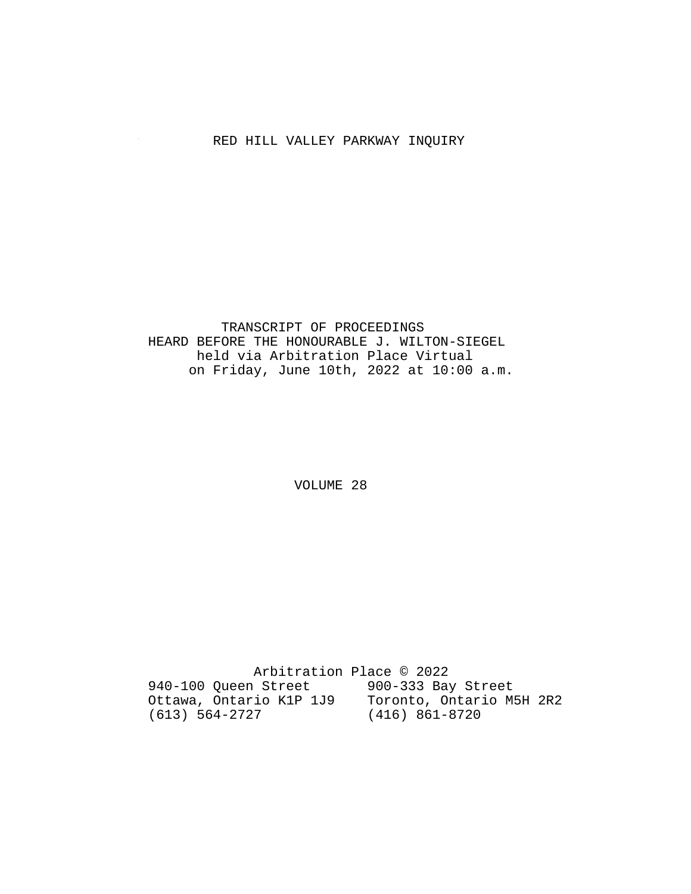# RED HILL VALLEY PARKWAY INQUIRY

## TRANSCRIPT OF PROCEEDINGS HEARD BEFORE THE HONOURABLE J. WILTON-SIEGEL held via Arbitration Place Virtual on Friday, June 10th, 2022 at 10:00 a.m.

VOLUME 28

 Arbitration Place © 2022 940-100 Queen Street 900-333 Bay Street Ottawa, Ontario K1P 1J9 Toronto, Ontario M5H 2R2 (613) 564-2727 (416) 861-8720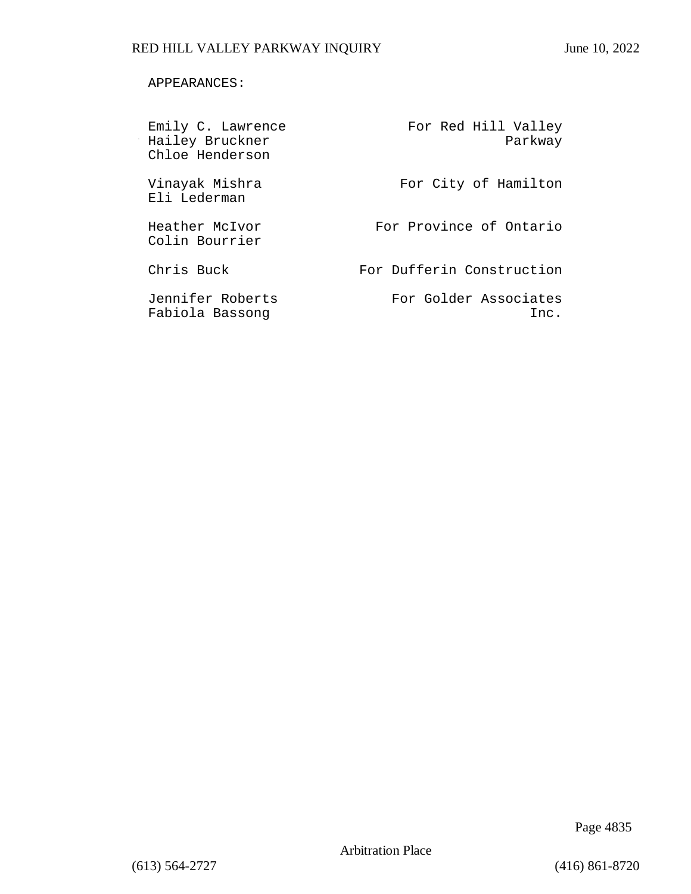## APPEARANCES:

| Emily C. Lawrence<br>Hailey Bruckner<br>Chloe Henderson | For Red Hill Valley<br>Parkway |
|---------------------------------------------------------|--------------------------------|
| Vinayak Mishra<br>Eli Lederman                          | For City of Hamilton           |
| Heather McIvor<br>Colin Bourrier                        | For Province of Ontario        |
| Chris Buck                                              | For Dufferin Construction      |
| Jennifer Roberts<br>Fabiola Bassong                     | For Golder Associates<br>Inc.  |

Page 4835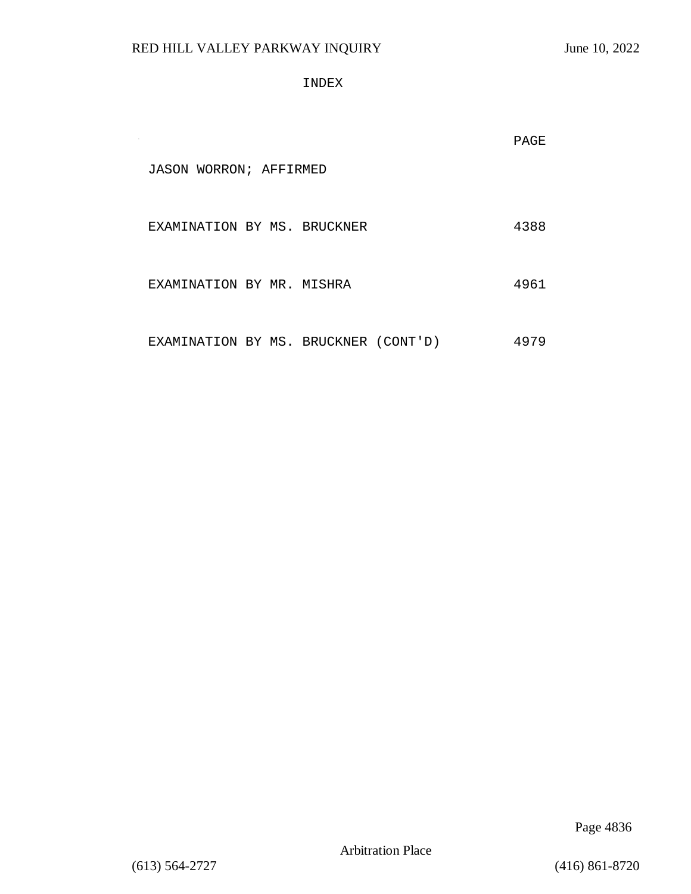INDEX

|                                      |  | PAGE |
|--------------------------------------|--|------|
| JASON WORRON; AFFIRMED               |  |      |
| EXAMINATION BY MS. BRUCKNER          |  | 4388 |
| EXAMINATION BY MR. MISHRA            |  | 4961 |
| EXAMINATION BY MS. BRUCKNER (CONT'D) |  | 4979 |

Page 4836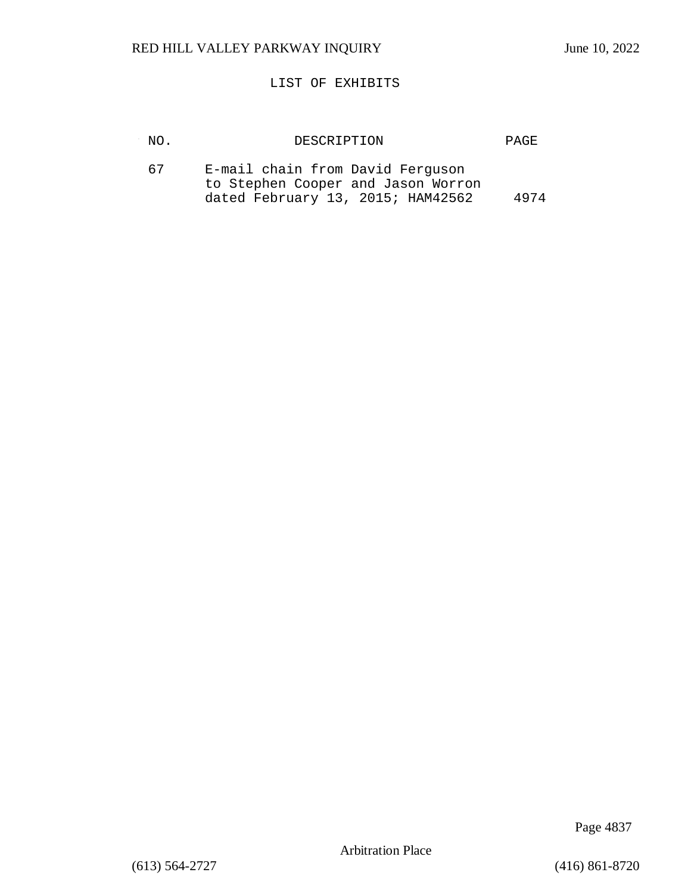## LIST OF EXHIBITS

| NO. | DESCRIPTION                                                                                                 | PAGE. |
|-----|-------------------------------------------------------------------------------------------------------------|-------|
| 67  | E-mail chain from David Ferguson<br>to Stephen Cooper and Jason Worron<br>dated February 13, 2015; HAM42562 | 4974  |

Page 4837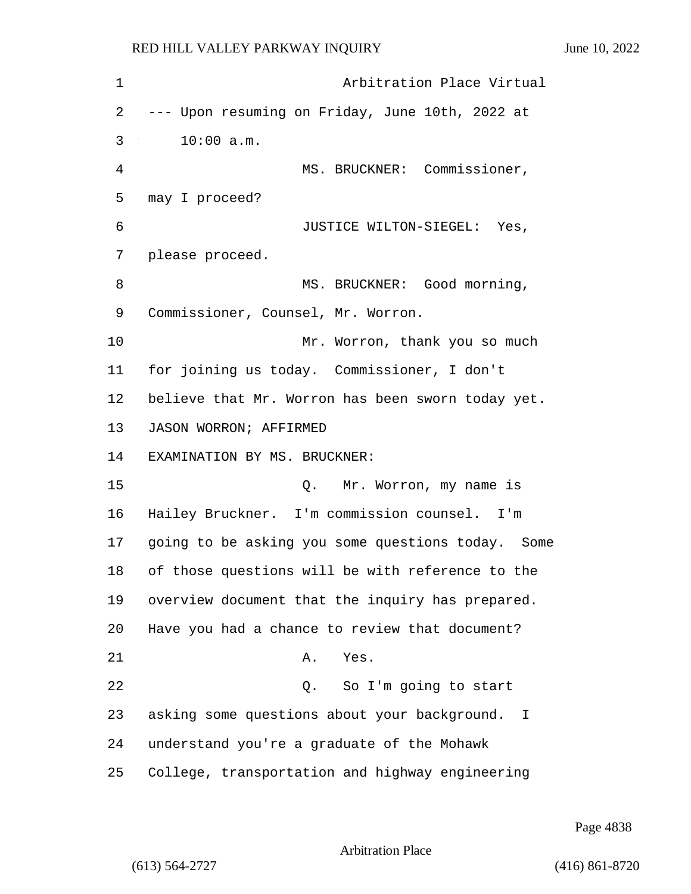| $\mathbf 1$ | Arbitration Place Virtual                         |
|-------------|---------------------------------------------------|
| 2           | --- Upon resuming on Friday, June 10th, 2022 at   |
| 3           | 10:00 a.m.                                        |
| 4           | MS. BRUCKNER: Commissioner,                       |
| 5           | may I proceed?                                    |
| 6           | JUSTICE WILTON-SIEGEL: Yes,                       |
| 7           | please proceed.                                   |
| 8           | MS. BRUCKNER: Good morning,                       |
| 9           | Commissioner, Counsel, Mr. Worron.                |
| 10          | Mr. Worron, thank you so much                     |
| 11          | for joining us today. Commissioner, I don't       |
| 12          | believe that Mr. Worron has been sworn today yet. |
| 13          | JASON WORRON; AFFIRMED                            |
| 14          | EXAMINATION BY MS. BRUCKNER:                      |
| 15          | Q. Mr. Worron, my name is                         |
| 16          | Hailey Bruckner. I'm commission counsel. I'm      |
| 17          | going to be asking you some questions today. Some |
| 18          | of those questions will be with reference to the  |
| 19          | overview document that the inquiry has prepared.  |
| 20          | Have you had a chance to review that document?    |
| 21          | Α.<br>Yes.                                        |
| 22          | So I'm going to start<br>Q.                       |
| 23          | asking some questions about your background. I    |
| 24          | understand you're a graduate of the Mohawk        |
| 25          | College, transportation and highway engineering   |

Page 4838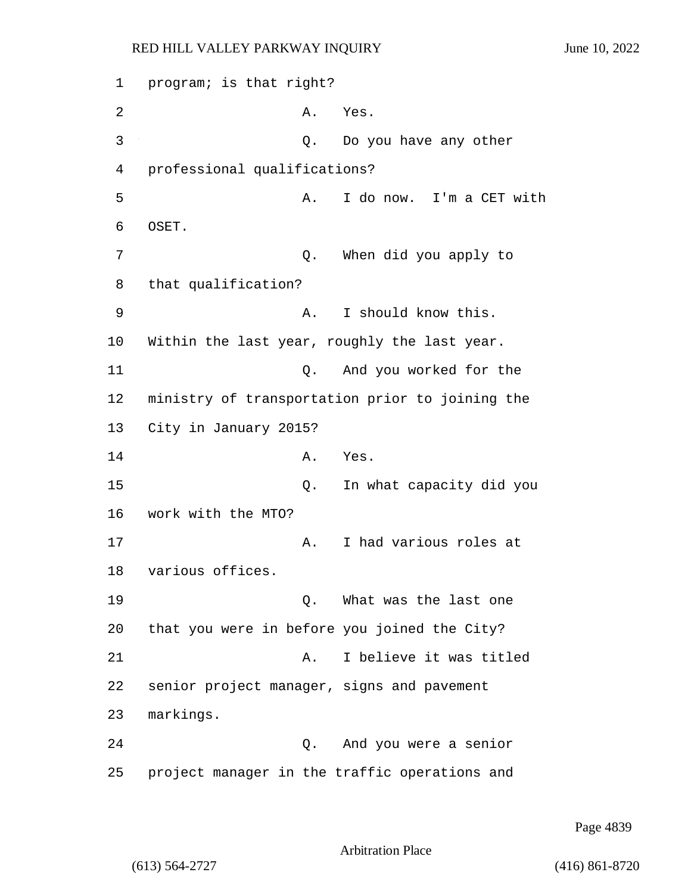1 program; is that right? 2 A. Yes. 3 Q. Do you have any other 4 professional qualifications? 5 A. I do now. I'm a CET with 6 OSET. 7 Q. When did you apply to 8 that qualification? 9 A. I should know this. 10 Within the last year, roughly the last year. 11 Q. And you worked for the 12 ministry of transportation prior to joining the 13 City in January 2015? 14 A. Yes. 15 Q. In what capacity did you 16 work with the MTO? 17 A. I had various roles at 18 various offices. 19 Q. What was the last one 20 that you were in before you joined the City? 21 A. I believe it was titled 22 senior project manager, signs and pavement 23 markings. 24 Q. And you were a senior 25 project manager in the traffic operations and

Page 4839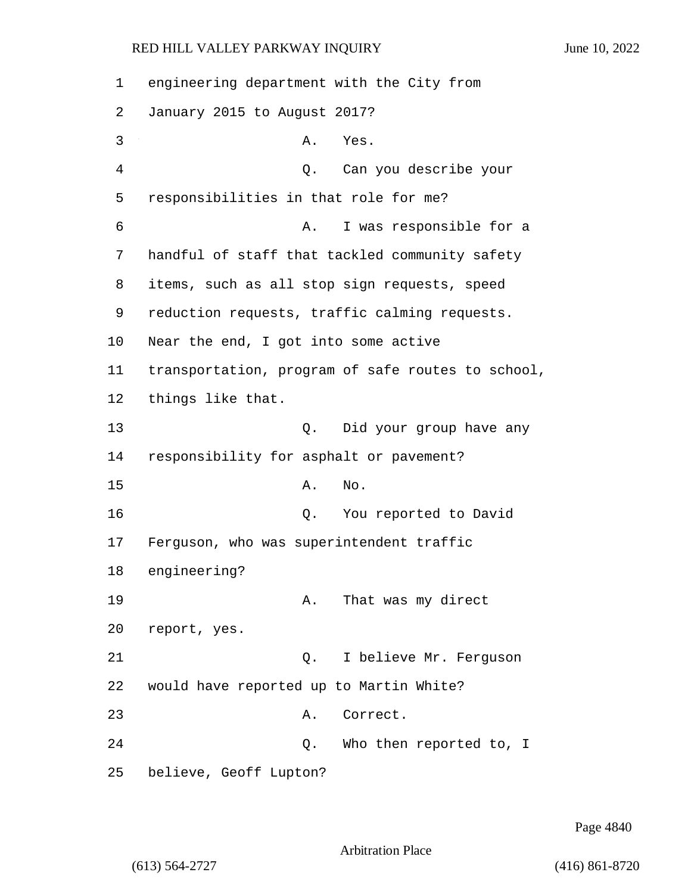| 1  | engineering department with the City from         |
|----|---------------------------------------------------|
| 2  | January 2015 to August 2017?                      |
| 3  | Α.<br>Yes.                                        |
| 4  | Q. Can you describe your                          |
| 5  | responsibilities in that role for me?             |
| 6  | I was responsible for a<br>Α.                     |
| 7  | handful of staff that tackled community safety    |
| 8  | items, such as all stop sign requests, speed      |
| 9  | reduction requests, traffic calming requests.     |
| 10 | Near the end, I got into some active              |
| 11 | transportation, program of safe routes to school, |
| 12 | things like that.                                 |
| 13 | Did your group have any<br>Q.                     |
| 14 | responsibility for asphalt or pavement?           |
| 15 | Α.<br>No.                                         |
| 16 | You reported to David<br>Q.                       |
| 17 | Ferguson, who was superintendent traffic          |
| 18 | engineering?                                      |
| 19 | That was my direct<br>А.                          |
| 20 | report, yes.                                      |
| 21 | I believe Mr. Ferguson<br>Q.                      |
| 22 | would have reported up to Martin White?           |
| 23 | Α.<br>Correct.                                    |
| 24 | Who then reported to, I<br>Q.                     |
| 25 | believe, Geoff Lupton?                            |

Page 4840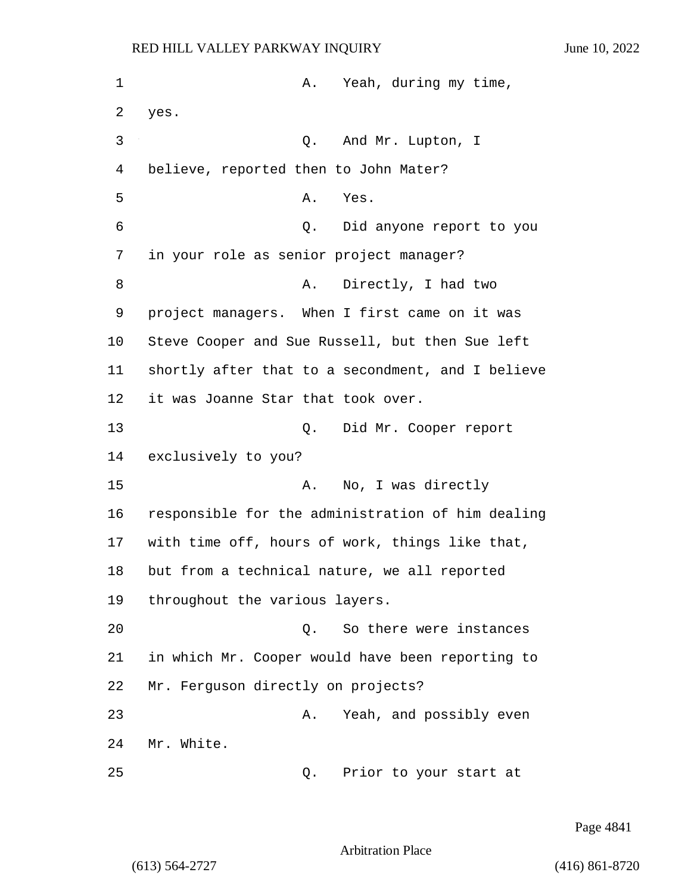1 A. Yeah, during my time, 2 yes. 3 Q. And Mr. Lupton, I 4 believe, reported then to John Mater? 5 A. Yes. 6 Q. Did anyone report to you 7 in your role as senior project manager? 8 A. Directly, I had two 9 project managers. When I first came on it was 10 Steve Cooper and Sue Russell, but then Sue left 11 shortly after that to a secondment, and I believe 12 it was Joanne Star that took over. 13 Q. Did Mr. Cooper report 14 exclusively to you? 15 A. No, I was directly 16 responsible for the administration of him dealing 17 with time off, hours of work, things like that, 18 but from a technical nature, we all reported 19 throughout the various layers. 20 Q. So there were instances 21 in which Mr. Cooper would have been reporting to 22 Mr. Ferguson directly on projects? 23 A. Yeah, and possibly even 24 Mr. White.

25 Q. Prior to your start at

Page 4841

Arbitration Place

(613) 564-2727 (416) 861-8720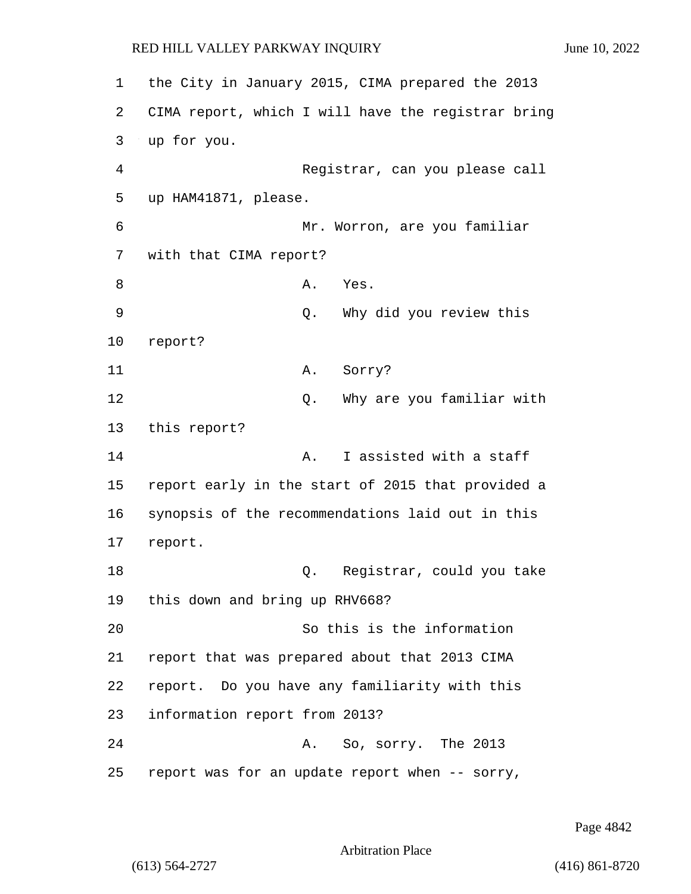1 the City in January 2015, CIMA prepared the 2013 2 CIMA report, which I will have the registrar bring 3 up for you. 4 Registrar, can you please call 5 up HAM41871, please. 6 Mr. Worron, are you familiar 7 with that CIMA report? 8 A. Yes. 9 Q. Why did you review this 10 report? 11 A. Sorry? 12 **12** O. Why are you familiar with 13 this report? 14 **A.** I assisted with a staff 15 report early in the start of 2015 that provided a 16 synopsis of the recommendations laid out in this 17 report. 18 Q. Registrar, could you take 19 this down and bring up RHV668? 20 So this is the information 21 report that was prepared about that 2013 CIMA 22 report. Do you have any familiarity with this 23 information report from 2013? 24 A. So, sorry. The 2013 25 report was for an update report when -- sorry,

Page 4842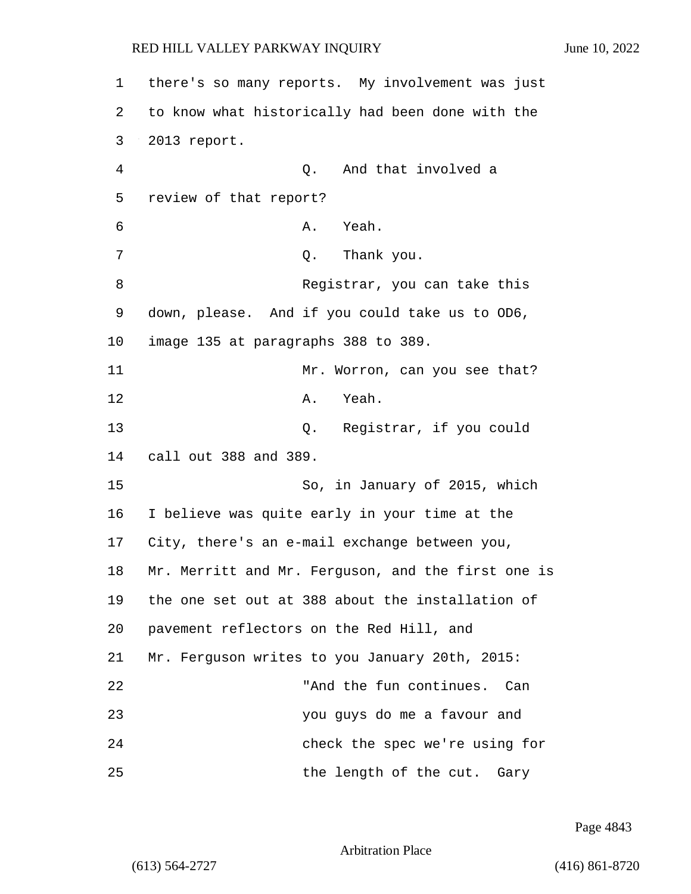| $\mathbf 1$ | there's so many reports. My involvement was just   |
|-------------|----------------------------------------------------|
| 2           | to know what historically had been done with the   |
| 3           | 2013 report.                                       |
| 4           | Q. And that involved a                             |
| 5           | review of that report?                             |
| 6           | A. Yeah.                                           |
| 7           | Thank you.<br>Q.                                   |
| 8           | Registrar, you can take this                       |
| 9           | down, please. And if you could take us to OD6,     |
| 10          | image 135 at paragraphs 388 to 389.                |
| 11          | Mr. Worron, can you see that?                      |
| 12          | Yeah.<br>Α.                                        |
| 13          | Q. Registrar, if you could                         |
| 14          | call out 388 and 389.                              |
| 15          | So, in January of 2015, which                      |
| 16          | I believe was quite early in your time at the      |
| 17          | City, there's an e-mail exchange between you,      |
| 18          | Mr. Merritt and Mr. Ferguson, and the first one is |
| 19          | the one set out at 388 about the installation of   |
| 20          | pavement reflectors on the Red Hill, and           |
| 21          | Mr. Ferguson writes to you January 20th, 2015:     |
| 22          | "And the fun continues. Can                        |
| 23          | you guys do me a favour and                        |
| 24          | check the spec we're using for                     |
| 25          | the length of the cut. Gary                        |

Page 4843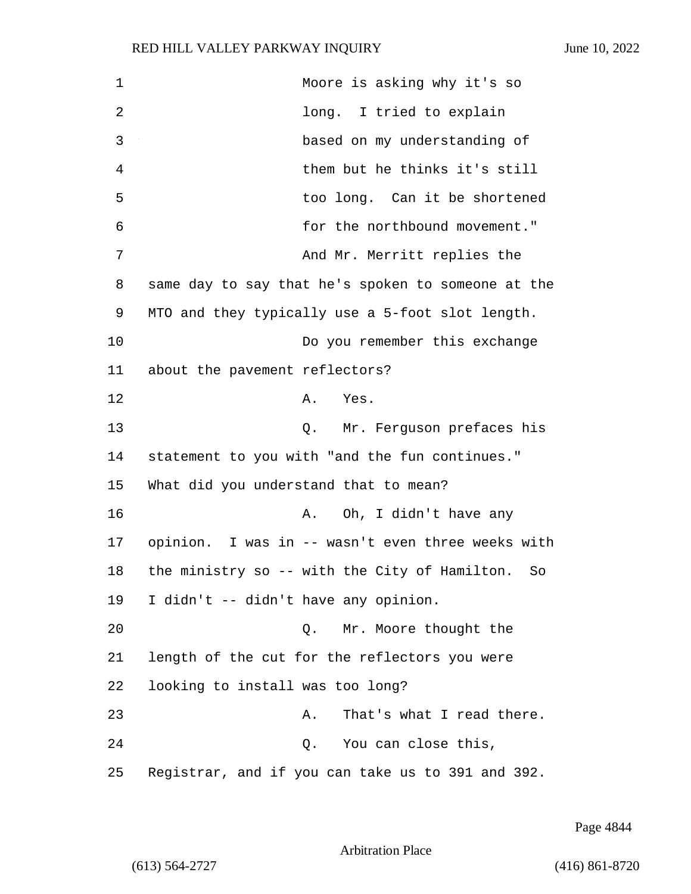1 Moore is asking why it's so 2 long. I tried to explain 3 based on my understanding of 4 them but he thinks it's still 5 too long. Can it be shortened 6 for the northbound movement." 7 And Mr. Merritt replies the 8 same day to say that he's spoken to someone at the 9 MTO and they typically use a 5-foot slot length. 10 Do you remember this exchange 11 about the pavement reflectors? 12 A. Yes. 13 Q. Mr. Ferguson prefaces his 14 statement to you with "and the fun continues." 15 What did you understand that to mean? 16 A. Oh, I didn't have any 17 opinion. I was in -- wasn't even three weeks with 18 the ministry so -- with the City of Hamilton. So 19 I didn't -- didn't have any opinion. 20 Q. Mr. Moore thought the 21 length of the cut for the reflectors you were 22 looking to install was too long? 23 A. That's what I read there. 24 Q. You can close this, 25 Registrar, and if you can take us to 391 and 392.

Page 4844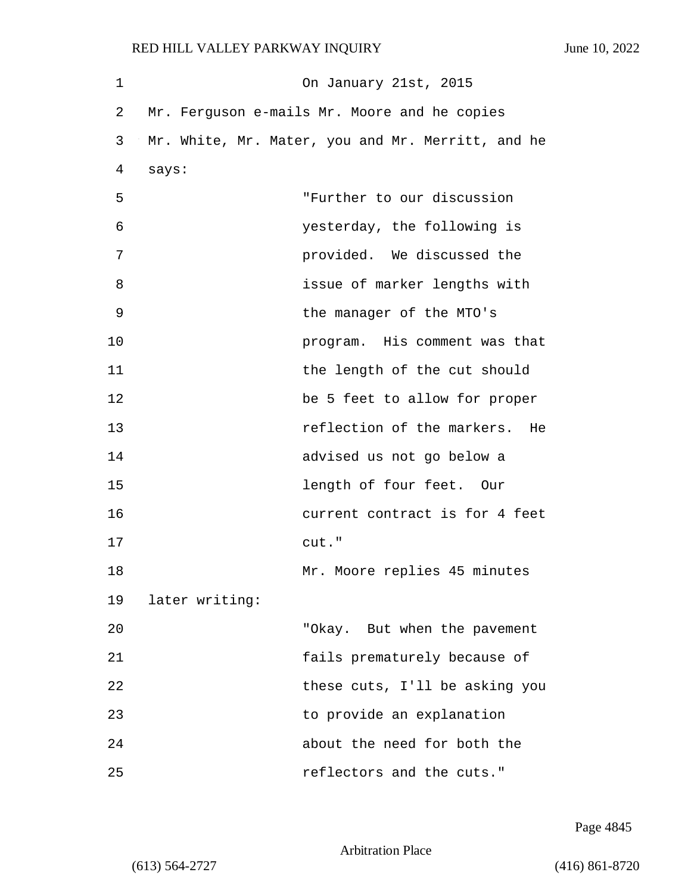| 1  |                | On January 21st, 2015                             |
|----|----------------|---------------------------------------------------|
| 2  |                | Mr. Ferguson e-mails Mr. Moore and he copies      |
| 3  |                | Mr. White, Mr. Mater, you and Mr. Merritt, and he |
| 4  | says:          |                                                   |
| 5  |                | "Further to our discussion                        |
| 6  |                | yesterday, the following is                       |
| 7  |                | provided. We discussed the                        |
| 8  |                | issue of marker lengths with                      |
| 9  |                | the manager of the MTO's                          |
| 10 |                | program. His comment was that                     |
| 11 |                | the length of the cut should                      |
| 12 |                | be 5 feet to allow for proper                     |
| 13 |                | reflection of the markers.<br>He                  |
| 14 |                | advised us not go below a                         |
| 15 |                | length of four feet. Our                          |
| 16 |                | current contract is for 4 feet                    |
| 17 |                | cut."                                             |
| 18 |                | Mr. Moore replies 45 minutes                      |
| 19 | later writing: |                                                   |
| 20 |                | "Okay. But when the pavement                      |
| 21 |                | fails prematurely because of                      |
| 22 |                | these cuts, I'll be asking you                    |
| 23 |                | to provide an explanation                         |
| 24 |                | about the need for both the                       |
| 25 |                | reflectors and the cuts."                         |

Page 4845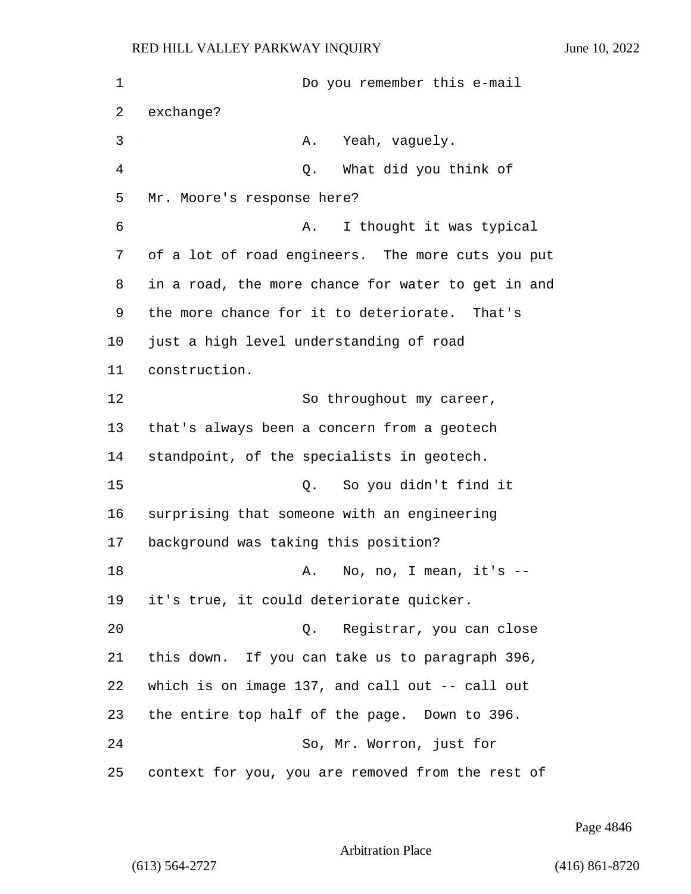| $\mathbf 1$ | Do you remember this e-mail                        |
|-------------|----------------------------------------------------|
| 2           | exchange?                                          |
| 3           | Yeah, vaguely.<br>Α.                               |
| 4           | What did you think of<br>Q.                        |
| 5           | Mr. Moore's response here?                         |
| 6           | I thought it was typical<br>Α.                     |
| 7           | of a lot of road engineers. The more cuts you put  |
| 8           | in a road, the more chance for water to get in and |
| 9           | the more chance for it to deteriorate. That's      |
| 10          | just a high level understanding of road            |
| 11          | construction.                                      |
| 12          | So throughout my career,                           |
| 13          | that's always been a concern from a geotech        |
| 14          | standpoint, of the specialists in geotech.         |
| 15          | So you didn't find it<br>Q.                        |
| 16          | surprising that someone with an engineering        |
| 17          | background was taking this position?               |
| 18          | No, no, I mean, $it's$ --<br>Α.                    |
| 19          | it's true, it could deteriorate quicker.           |
| 20          | Q. Registrar, you can close                        |
| 21          | this down. If you can take us to paragraph 396,    |
| 22          | which is on image 137, and call out -- call out    |
| 23          | the entire top half of the page. Down to 396.      |
| 24          | So, Mr. Worron, just for                           |
| 25          | context for you, you are removed from the rest of  |

Page 4846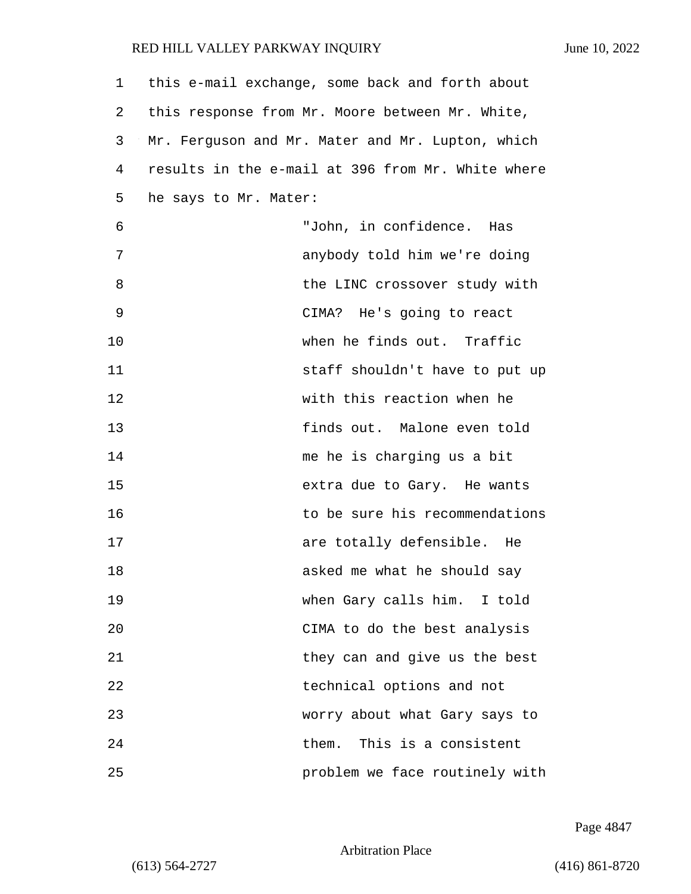| 1  | this e-mail exchange, some back and forth about   |
|----|---------------------------------------------------|
| 2  | this response from Mr. Moore between Mr. White,   |
| 3  | Mr. Ferguson and Mr. Mater and Mr. Lupton, which  |
| 4  | results in the e-mail at 396 from Mr. White where |
| 5  | he says to Mr. Mater:                             |
| 6  | "John, in confidence. Has                         |
| 7  | anybody told him we're doing                      |
| 8  | the LINC crossover study with                     |
| 9  | CIMA? He's going to react                         |
| 10 | when he finds out. Traffic                        |
| 11 | staff shouldn't have to put up                    |
| 12 | with this reaction when he                        |
| 13 | finds out. Malone even told                       |
| 14 | me he is charging us a bit                        |
| 15 | extra due to Gary. He wants                       |
| 16 | to be sure his recommendations                    |
| 17 | are totally defensible. He                        |
| 18 | asked me what he should say                       |
| 19 | when Gary calls him. I told                       |
| 20 | CIMA to do the best analysis                      |
| 21 | they can and give us the best                     |
| 22 | technical options and not                         |
| 23 | worry about what Gary says to                     |
| 24 | This is a consistent<br>them.                     |
| 25 | problem we face routinely with                    |

Page 4847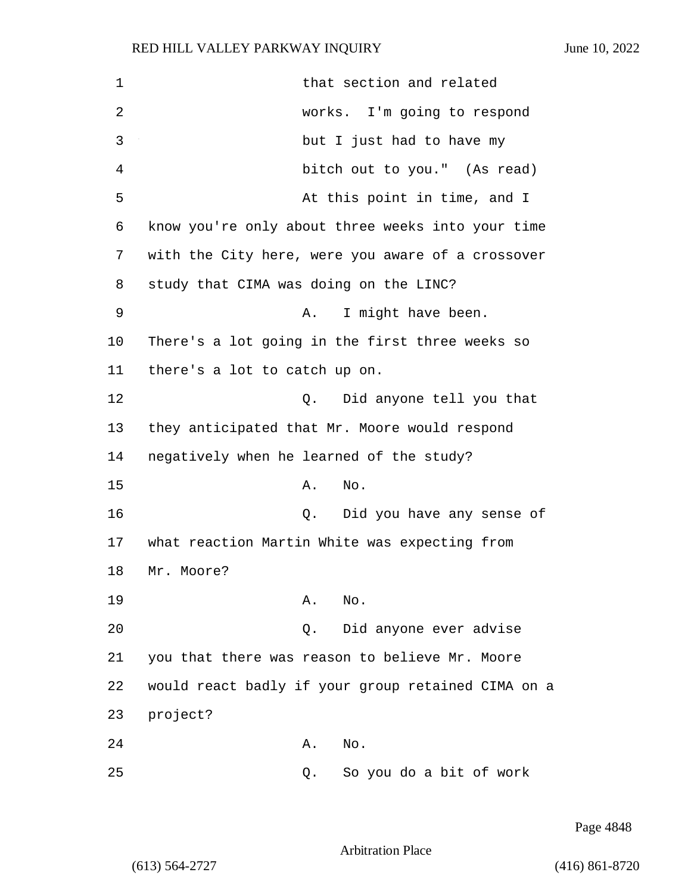| $\mathbf 1$ | that section and related                           |
|-------------|----------------------------------------------------|
| 2           | works. I'm going to respond                        |
| 3           | but I just had to have my                          |
| 4           | bitch out to you." (As read)                       |
| 5           | At this point in time, and I                       |
| 6           | know you're only about three weeks into your time  |
| 7           | with the City here, were you aware of a crossover  |
| 8           | study that CIMA was doing on the LINC?             |
| 9           | I might have been.<br>Α.                           |
| 10          | There's a lot going in the first three weeks so    |
| 11          | there's a lot to catch up on.                      |
| 12          | Did anyone tell you that<br>Q.                     |
| 13          | they anticipated that Mr. Moore would respond      |
| 14          | negatively when he learned of the study?           |
| 15          | No.<br>Α.                                          |
| 16          | Did you have any sense of<br>Q.                    |
| 17          | what reaction Martin White was expecting from      |
| 18          | Mr. Moore?                                         |
| 19          | No.<br>Α.                                          |
| 20          | Did anyone ever advise<br>Q.                       |
| 21          | you that there was reason to believe Mr. Moore     |
| 22          | would react badly if your group retained CIMA on a |
| 23          | project?                                           |
| 24          | No.<br>Α.                                          |
| 25          | So you do a bit of work<br>Q.                      |

Page 4848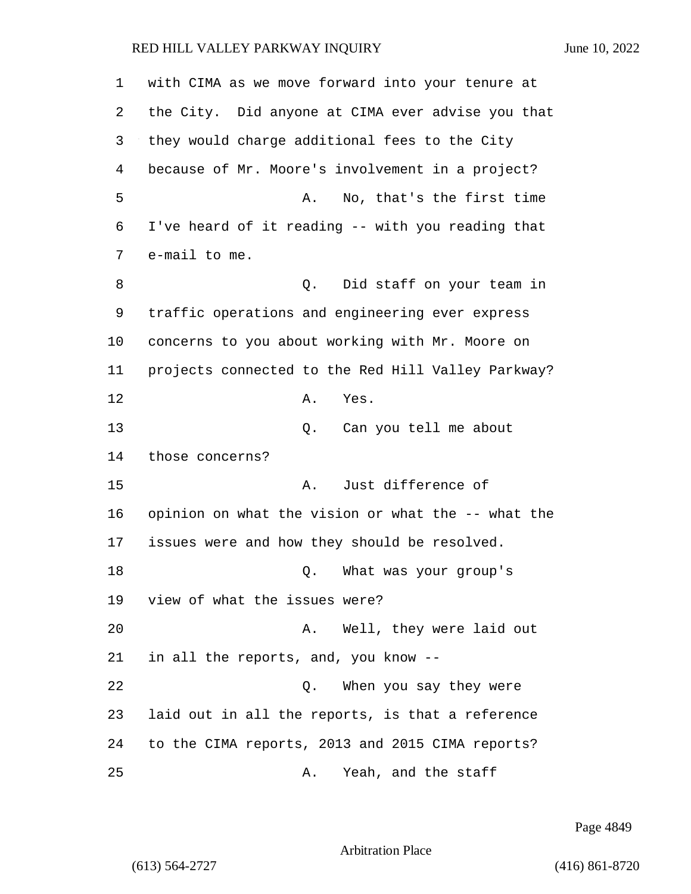| 1  | with CIMA as we move forward into your tenure at   |
|----|----------------------------------------------------|
| 2  | the City. Did anyone at CIMA ever advise you that  |
| 3  | they would charge additional fees to the City      |
| 4  | because of Mr. Moore's involvement in a project?   |
| 5  | No, that's the first time<br>Α.                    |
| 6  | I've heard of it reading -- with you reading that  |
| 7  | e-mail to me.                                      |
| 8  | Did staff on your team in<br>Q.                    |
| 9  | traffic operations and engineering ever express    |
| 10 | concerns to you about working with Mr. Moore on    |
| 11 | projects connected to the Red Hill Valley Parkway? |
| 12 | Α.<br>Yes.                                         |
| 13 | Q.<br>Can you tell me about                        |
| 14 | those concerns?                                    |
| 15 | Just difference of<br>Α.                           |
| 16 | opinion on what the vision or what the -- what the |
| 17 | issues were and how they should be resolved.       |
| 18 | What was your group's<br>Q.                        |
| 19 | view of what the issues were?                      |
| 20 | Well, they were laid out<br>Α.                     |
| 21 | in all the reports, and, you know --               |
| 22 | When you say they were<br>$Q$ .                    |
| 23 | laid out in all the reports, is that a reference   |
| 24 | to the CIMA reports, 2013 and 2015 CIMA reports?   |
| 25 | Yeah, and the staff<br>Α.                          |

Page 4849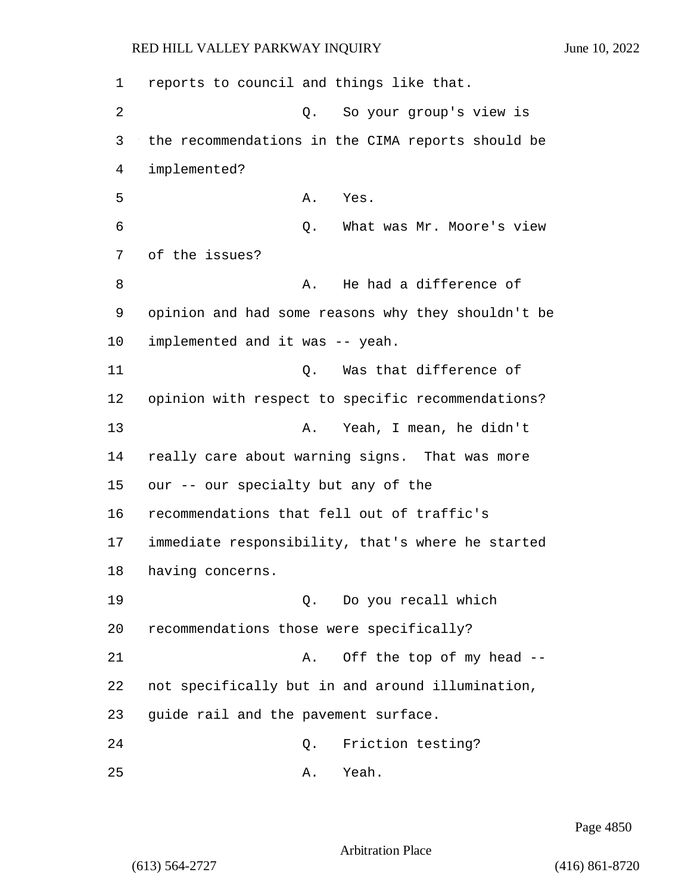1 reports to council and things like that. 2 Q. So your group's view is 3 the recommendations in the CIMA reports should be 4 implemented? 5 A. Yes. 6 Q. What was Mr. Moore's view 7 of the issues? 8 a. He had a difference of 9 opinion and had some reasons why they shouldn't be 10 implemented and it was -- yeah. 11 Q. Was that difference of 12 opinion with respect to specific recommendations? 13 A. Yeah, I mean, he didn't 14 really care about warning signs. That was more 15 our -- our specialty but any of the 16 recommendations that fell out of traffic's 17 immediate responsibility, that's where he started 18 having concerns. 19 Q. Do you recall which 20 recommendations those were specifically? 21 A. Off the top of my head --22 not specifically but in and around illumination, 23 guide rail and the pavement surface. 24 Q. Friction testing? 25 A. Yeah.

Page 4850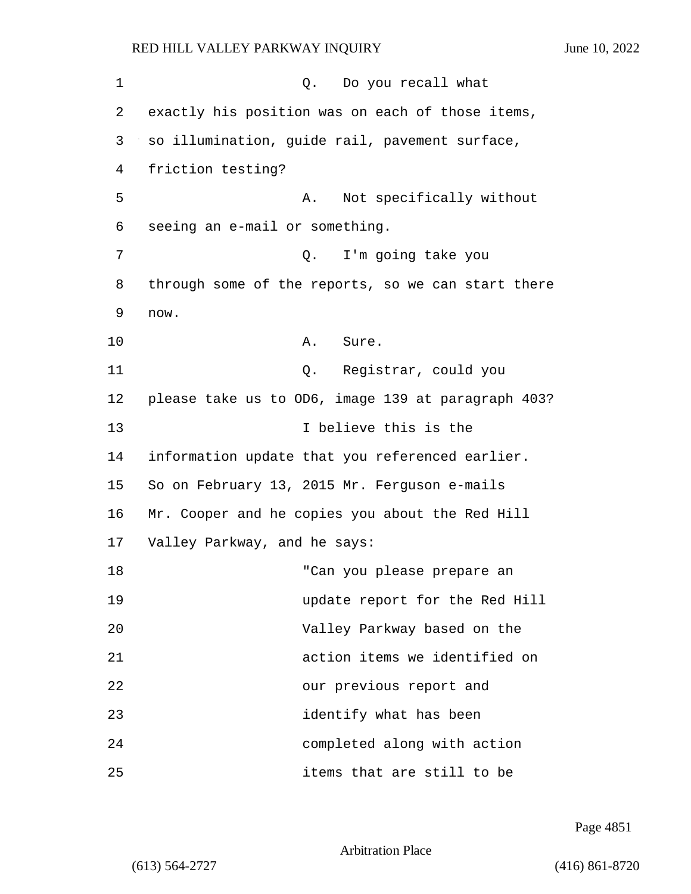| 1  | Do you recall what<br>Q.                           |
|----|----------------------------------------------------|
| 2  | exactly his position was on each of those items,   |
| 3  | so illumination, guide rail, pavement surface,     |
| 4  | friction testing?                                  |
| 5  | Not specifically without<br>Α.                     |
| 6  | seeing an e-mail or something.                     |
| 7  | I'm going take you<br>Q.                           |
| 8  | through some of the reports, so we can start there |
| 9  | now.                                               |
| 10 | Α.<br>Sure.                                        |
| 11 | Q. Registrar, could you                            |
| 12 | please take us to OD6, image 139 at paragraph 403? |
| 13 | I believe this is the                              |
| 14 | information update that you referenced earlier.    |
| 15 | So on February 13, 2015 Mr. Ferguson e-mails       |
| 16 | Mr. Cooper and he copies you about the Red Hill    |
| 17 | Valley Parkway, and he says:                       |
| 18 | "Can you please prepare an                         |
| 19 | update report for the Red Hill                     |
| 20 | Valley Parkway based on the                        |
| 21 | action items we identified on                      |
| 22 | our previous report and                            |
| 23 | identify what has been                             |
| 24 | completed along with action                        |
| 25 | items that are still to be                         |

Page 4851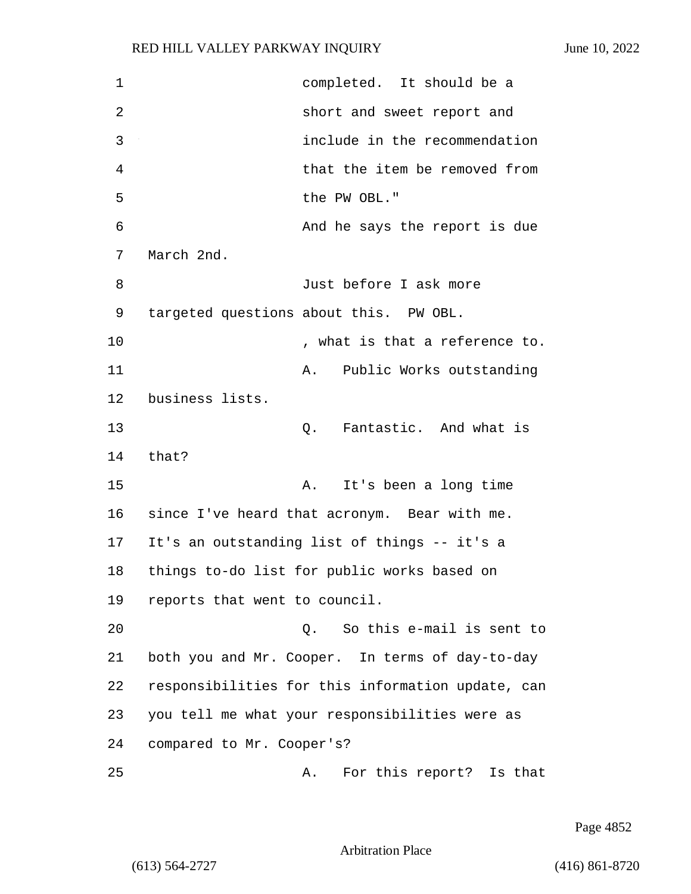1 completed. It should be a 2 short and sweet report and 3 include in the recommendation 4 that the item be removed from 5 the PW OBL." 6 And he says the report is due 7 March 2nd. 8 Just before I ask more 9 targeted questions about this. PW OBL. 10  $\blacksquare$  , what is that a reference to. 11 A. Public Works outstanding 12 business lists. 13 C. Fantastic. And what is 14 that? 15 A. It's been a long time 16 since I've heard that acronym. Bear with me. 17 It's an outstanding list of things -- it's a 18 things to-do list for public works based on 19 reports that went to council. 20 Q. So this e-mail is sent to 21 both you and Mr. Cooper. In terms of day-to-day 22 responsibilities for this information update, can 23 you tell me what your responsibilities were as 24 compared to Mr. Cooper's? 25 A. For this report? Is that

Page 4852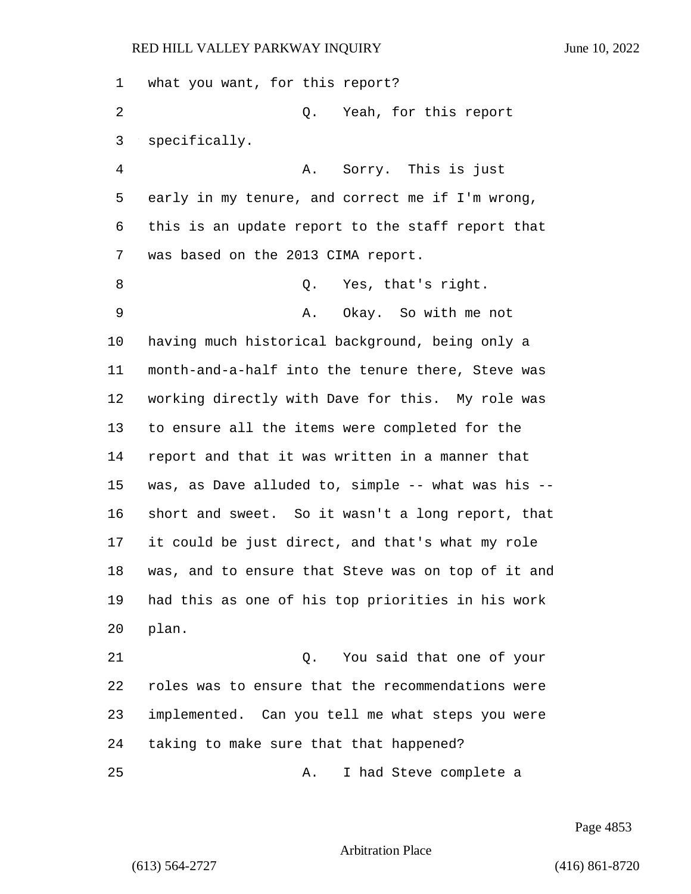what you want, for this report? 2 Q. Yeah, for this report specifically. 4 A. Sorry. This is just early in my tenure, and correct me if I'm wrong, this is an update report to the staff report that was based on the 2013 CIMA report. 8 Q. Yes, that's right. 9 A. Okay. So with me not having much historical background, being only a month-and-a-half into the tenure there, Steve was working directly with Dave for this. My role was to ensure all the items were completed for the report and that it was written in a manner that was, as Dave alluded to, simple -- what was his -- short and sweet. So it wasn't a long report, that it could be just direct, and that's what my role was, and to ensure that Steve was on top of it and had this as one of his top priorities in his work plan. 21 Q. You said that one of your roles was to ensure that the recommendations were implemented. Can you tell me what steps you were taking to make sure that that happened? 25 A. I had Steve complete a

Page 4853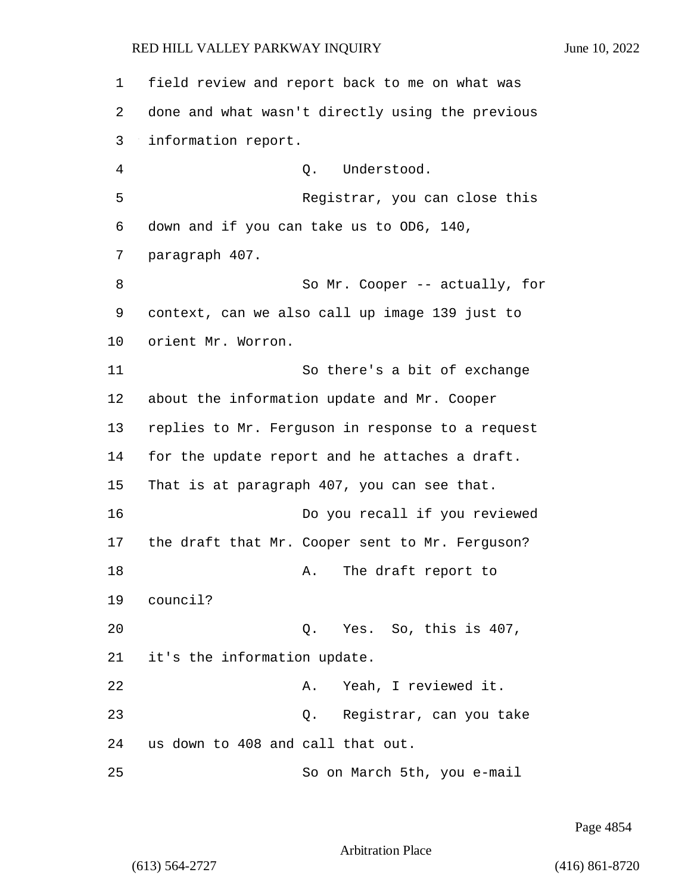1 field review and report back to me on what was 2 done and what wasn't directly using the previous 3 information report. 4 Q. Understood. 5 Registrar, you can close this 6 down and if you can take us to OD6, 140, 7 paragraph 407. 8 So Mr. Cooper -- actually, for 9 context, can we also call up image 139 just to 10 orient Mr. Worron. 11 So there's a bit of exchange 12 about the information update and Mr. Cooper 13 replies to Mr. Ferguson in response to a request 14 for the update report and he attaches a draft. 15 That is at paragraph 407, you can see that. 16 Do you recall if you reviewed 17 the draft that Mr. Cooper sent to Mr. Ferguson? 18 A. The draft report to 19 council? 20 Q. Yes. So, this is 407, 21 it's the information update. 22 A. Yeah, I reviewed it. 23 Q. Registrar, can you take 24 us down to 408 and call that out. 25 So on March 5th, you e-mail

Page 4854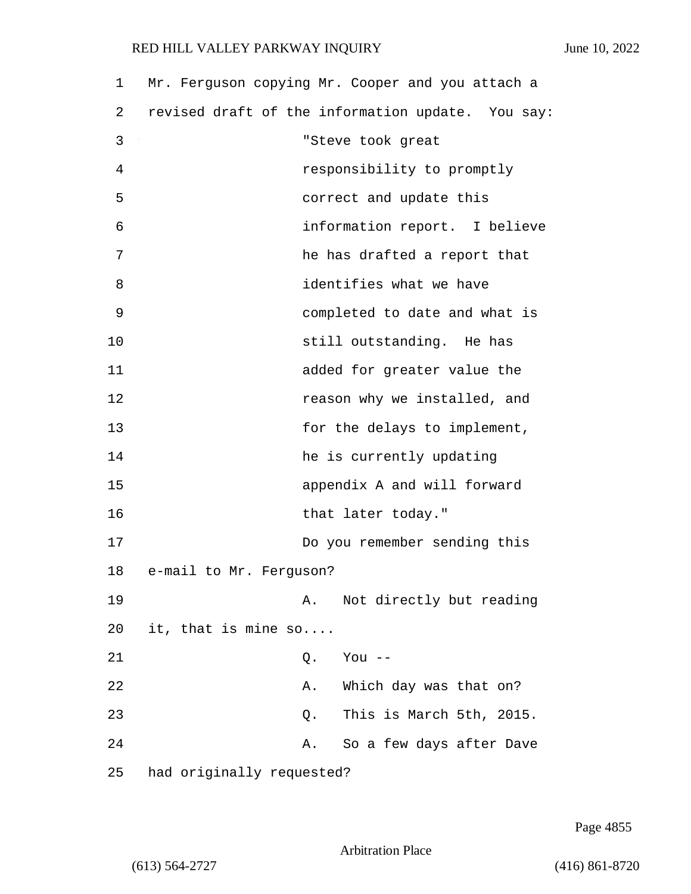| 1  | Mr. Ferguson copying Mr. Cooper and you attach a  |
|----|---------------------------------------------------|
| 2  | revised draft of the information update. You say: |
| 3  | "Steve took great                                 |
| 4  | responsibility to promptly                        |
| 5  | correct and update this                           |
| 6  | information report. I believe                     |
| 7  | he has drafted a report that                      |
| 8  | identifies what we have                           |
| 9  | completed to date and what is                     |
| 10 | still outstanding. He has                         |
| 11 | added for greater value the                       |
| 12 | reason why we installed, and                      |
| 13 | for the delays to implement,                      |
| 14 | he is currently updating                          |
| 15 | appendix A and will forward                       |
| 16 | that later today."                                |
| 17 | Do you remember sending this                      |
| 18 | e-mail to Mr. Ferguson?                           |
| 19 | Not directly but reading<br>Α.                    |
| 20 | it, that is mine $so$                             |
| 21 | You --<br>Q.                                      |
| 22 | Which day was that on?<br>Α.                      |
| 23 | This is March 5th, 2015.<br>Q.                    |
| 24 | So a few days after Dave<br>Α.                    |
| 25 | had originally requested?                         |

Page 4855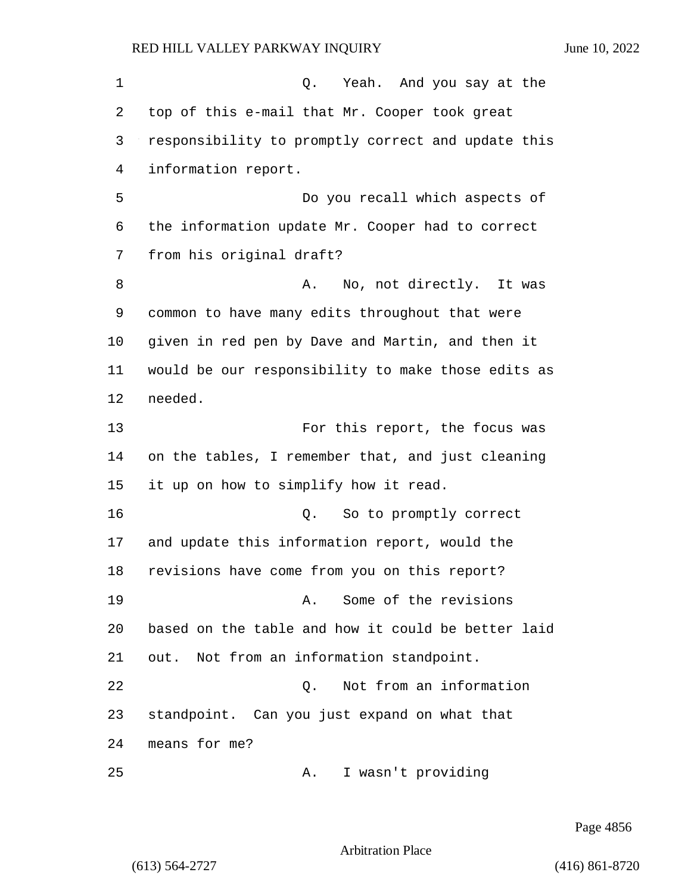| 1  | Q. Yeah. And you say at the                        |
|----|----------------------------------------------------|
| 2  | top of this e-mail that Mr. Cooper took great      |
| 3  | responsibility to promptly correct and update this |
| 4  | information report.                                |
| 5  | Do you recall which aspects of                     |
| 6  | the information update Mr. Cooper had to correct   |
| 7  | from his original draft?                           |
| 8  | No, not directly. It was<br>Α.                     |
| 9  | common to have many edits throughout that were     |
| 10 | given in red pen by Dave and Martin, and then it   |
| 11 | would be our responsibility to make those edits as |
| 12 | needed.                                            |
| 13 | For this report, the focus was                     |
| 14 | on the tables, I remember that, and just cleaning  |
| 15 | it up on how to simplify how it read.              |
| 16 | So to promptly correct<br>Q.                       |
| 17 | and update this information report, would the      |
| 18 | revisions have come from you on this report?       |
| 19 | Some of the revisions<br>Α.                        |
| 20 | based on the table and how it could be better laid |
| 21 | out. Not from an information standpoint.           |
| 22 | Not from an information<br>Q.                      |
| 23 | standpoint. Can you just expand on what that       |
| 24 | means for me?                                      |
| 25 | I wasn't providing<br>Α.                           |

Page 4856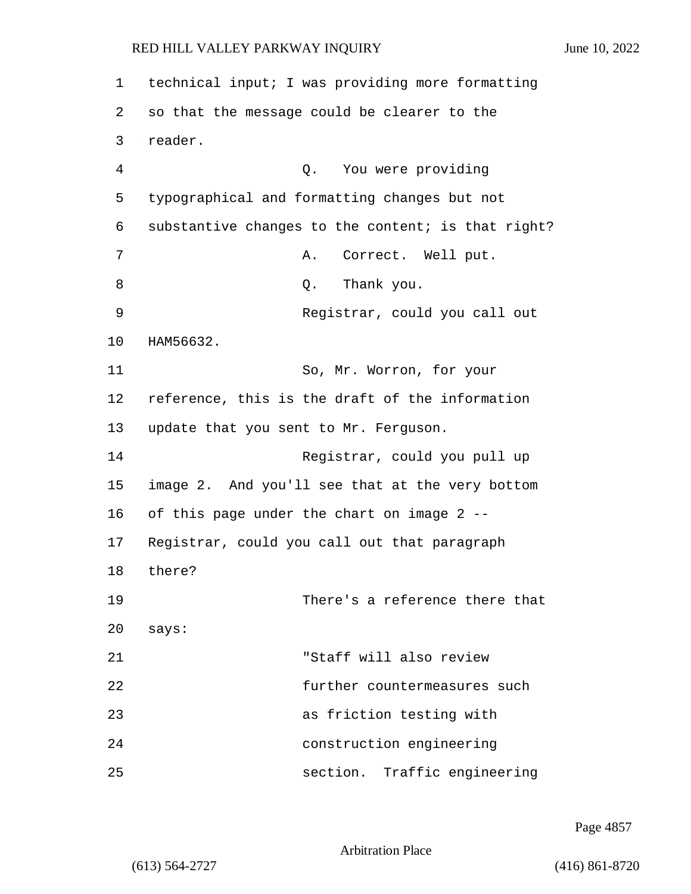| $\mathbf 1$ | technical input; I was providing more formatting   |
|-------------|----------------------------------------------------|
| 2           | so that the message could be clearer to the        |
| 3           | reader.                                            |
| 4           | Q. You were providing                              |
| 5           | typographical and formatting changes but not       |
| 6           | substantive changes to the content; is that right? |
| 7           | Correct. Well put.<br>Α.                           |
| 8           | Thank you.<br>Q.                                   |
| 9           | Registrar, could you call out                      |
| 10          | HAM56632.                                          |
| 11          | So, Mr. Worron, for your                           |
| 12          | reference, this is the draft of the information    |
| 13          | update that you sent to Mr. Ferguson.              |
| 14          | Registrar, could you pull up                       |
| 15          | image 2. And you'll see that at the very bottom    |
| 16          | of this page under the chart on image 2 --         |
| 17          | Registrar, could you call out that paragraph       |
| 18          | there?                                             |
| 19          | There's a reference there that                     |
| 20          | says:                                              |
| 21          | "Staff will also review                            |
| 22          | further countermeasures such                       |
| 23          | as friction testing with                           |
| 24          | construction engineering                           |
| 25          | section. Traffic engineering                       |

Page 4857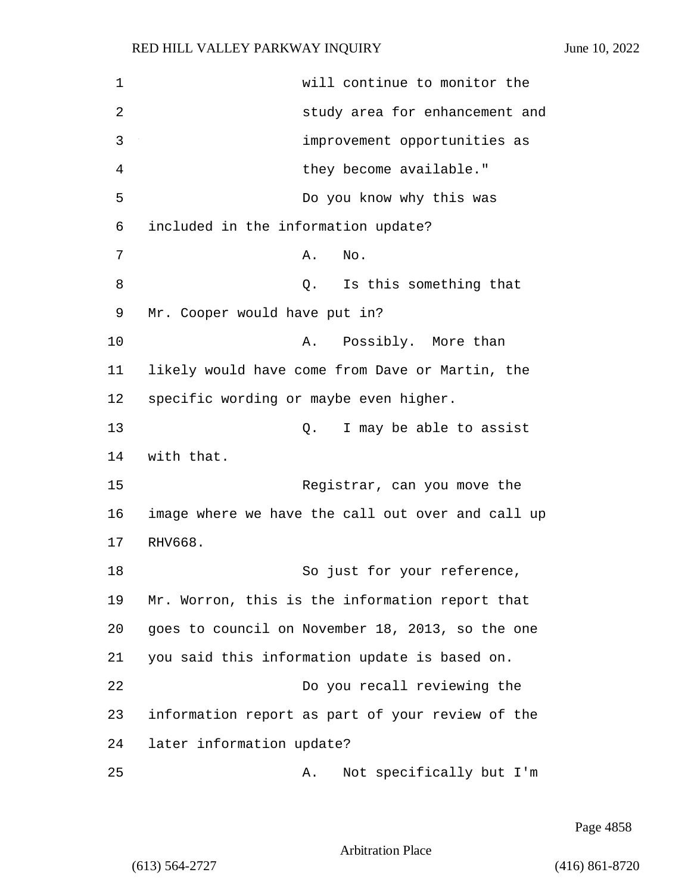1 will continue to monitor the 2 study area for enhancement and 3 improvement opportunities as 4 they become available." 5 Do you know why this was 6 included in the information update? 7 **A.** No. 8 a Q. Is this something that 9 Mr. Cooper would have put in? 10 A. Possibly. More than 11 likely would have come from Dave or Martin, the 12 specific wording or maybe even higher. 13 Q. I may be able to assist 14 with that. 15 Registrar, can you move the 16 image where we have the call out over and call up 17 RHV668. 18 So just for your reference, 19 Mr. Worron, this is the information report that 20 goes to council on November 18, 2013, so the one 21 you said this information update is based on. 22 Do you recall reviewing the 23 information report as part of your review of the 24 later information update? 25 A. Not specifically but I'm

Page 4858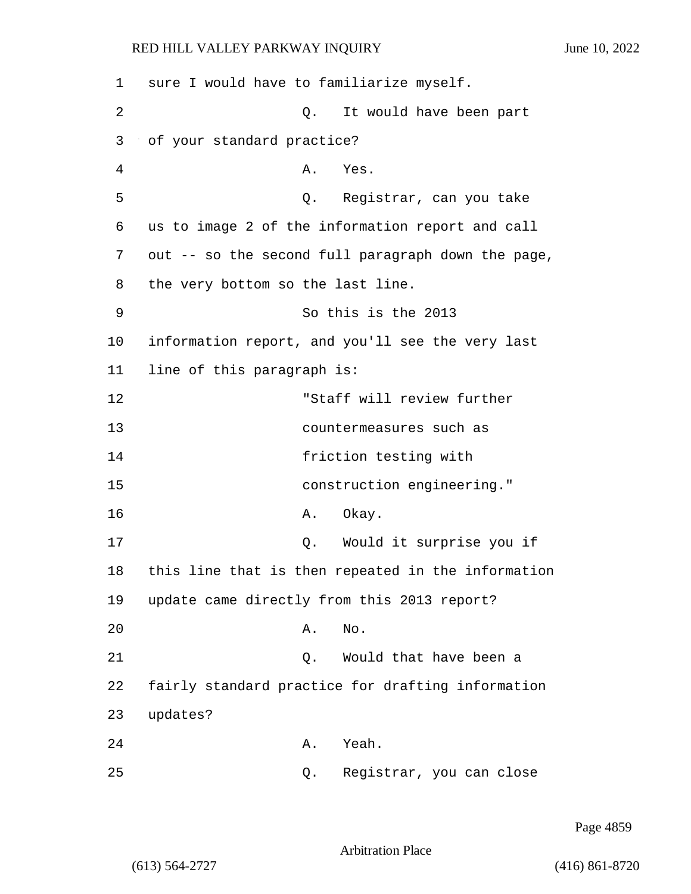| 1  | sure I would have to familiarize myself.           |
|----|----------------------------------------------------|
| 2  | It would have been part<br>Q.                      |
| 3  | of your standard practice?                         |
| 4  | Α.<br>Yes.                                         |
| 5  | Q. Registrar, can you take                         |
| 6  | us to image 2 of the information report and call   |
| 7  | out -- so the second full paragraph down the page, |
| 8  | the very bottom so the last line.                  |
| 9  | So this is the 2013                                |
| 10 | information report, and you'll see the very last   |
| 11 | line of this paragraph is:                         |
| 12 | "Staff will review further                         |
| 13 | countermeasures such as                            |
| 14 | friction testing with                              |
| 15 | construction engineering."                         |
| 16 | Okay.<br>Α.                                        |
| 17 | Would it surprise you if<br>Q.                     |
| 18 | this line that is then repeated in the information |
| 19 | update came directly from this 2013 report?        |
| 20 | No.<br>Α.                                          |
| 21 | Would that have been a<br>Q.                       |
| 22 | fairly standard practice for drafting information  |
| 23 | updates?                                           |
| 24 | Yeah.<br>Α.                                        |
| 25 | Registrar, you can close<br>Q.                     |

Page 4859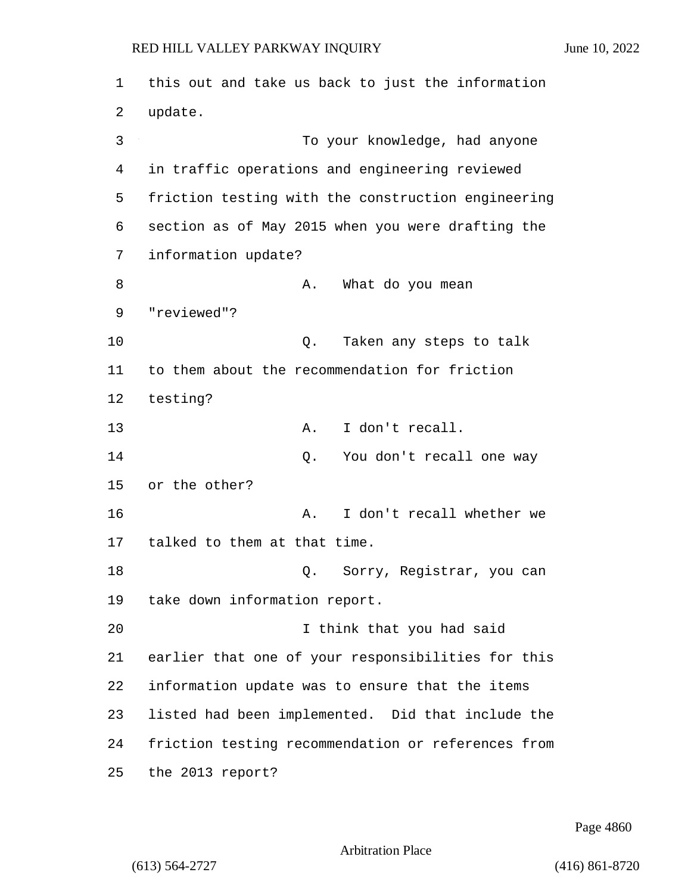1 this out and take us back to just the information 2 update. 3 To your knowledge, had anyone 4 in traffic operations and engineering reviewed 5 friction testing with the construction engineering 6 section as of May 2015 when you were drafting the 7 information update? 8 A. What do you mean 9 "reviewed"? 10 Q. Taken any steps to talk 11 to them about the recommendation for friction 12 testing? 13 A. I don't recall. 14 Q. You don't recall one way 15 or the other? 16 A. I don't recall whether we 17 talked to them at that time. 18 Q. Sorry, Registrar, you can 19 take down information report. 20 I think that you had said 21 earlier that one of your responsibilities for this 22 information update was to ensure that the items 23 listed had been implemented. Did that include the 24 friction testing recommendation or references from 25 the 2013 report?

Page 4860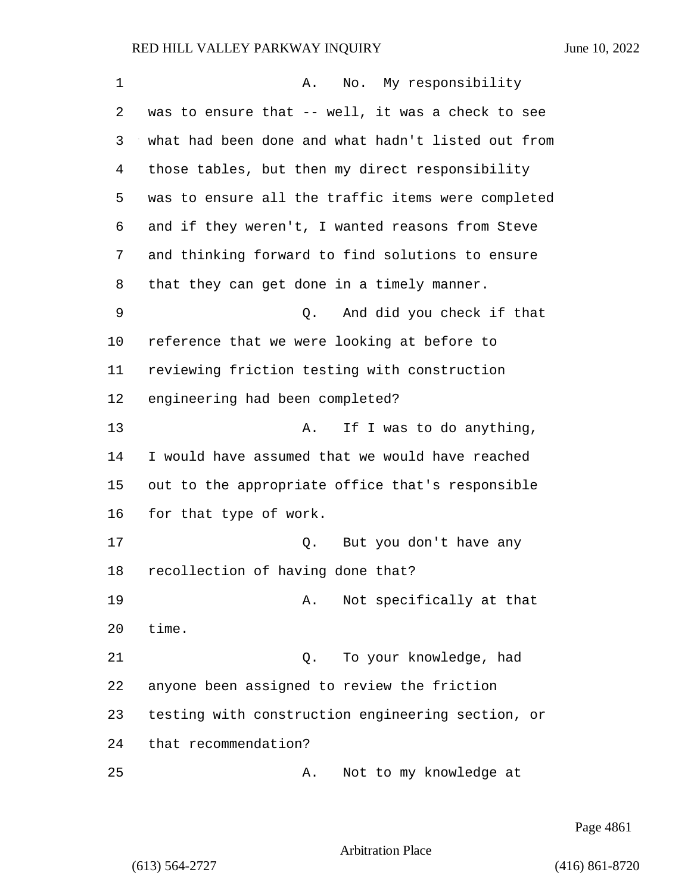| 1  | No. My responsibility<br>Α.                        |
|----|----------------------------------------------------|
| 2  | was to ensure that -- well, it was a check to see  |
| 3  | what had been done and what hadn't listed out from |
| 4  | those tables, but then my direct responsibility    |
| 5  | was to ensure all the traffic items were completed |
| 6  | and if they weren't, I wanted reasons from Steve   |
| 7  | and thinking forward to find solutions to ensure   |
| 8  | that they can get done in a timely manner.         |
| 9  | And did you check if that<br>Q.                    |
| 10 | reference that we were looking at before to        |
| 11 | reviewing friction testing with construction       |
| 12 | engineering had been completed?                    |
| 13 | If I was to do anything,<br>Α.                     |
| 14 | I would have assumed that we would have reached    |
| 15 | out to the appropriate office that's responsible   |
| 16 | for that type of work.                             |
| 17 | Q. But you don't have any                          |
| 18 | recollection of having done that?                  |
| 19 | Not specifically at that<br>Α.                     |
| 20 | time.                                              |
| 21 | To your knowledge, had<br>Q.                       |
| 22 | anyone been assigned to review the friction        |
| 23 | testing with construction engineering section, or  |
| 24 | that recommendation?                               |
| 25 | Not to my knowledge at<br>Α.                       |

Page 4861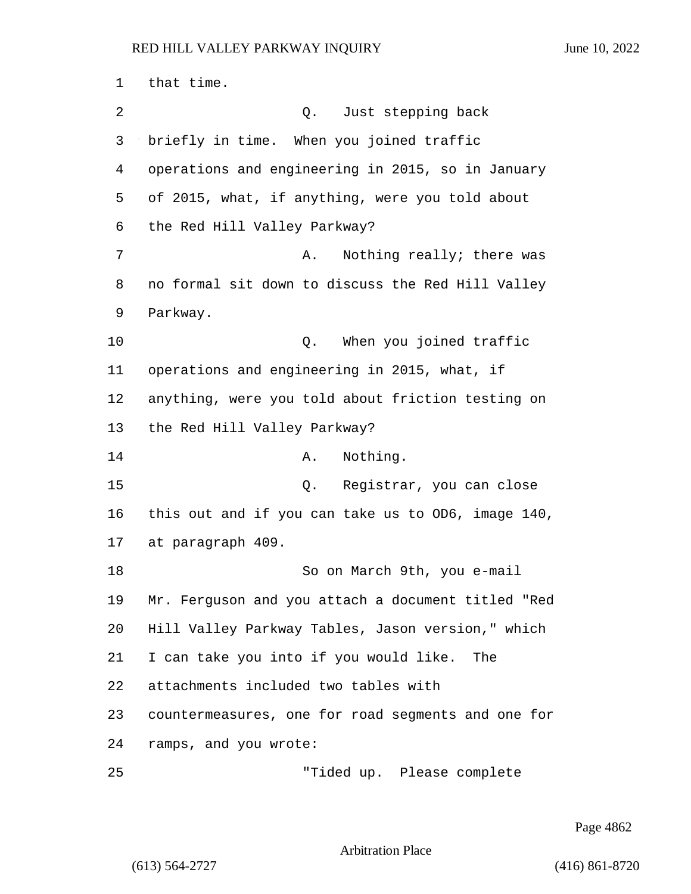that time. 2 Q. Just stepping back briefly in time. When you joined traffic operations and engineering in 2015, so in January of 2015, what, if anything, were you told about the Red Hill Valley Parkway? 7 A. Nothing really; there was no formal sit down to discuss the Red Hill Valley Parkway. **Q.** When you joined traffic operations and engineering in 2015, what, if anything, were you told about friction testing on the Red Hill Valley Parkway? 14 A. Nothing. 15 Q. Registrar, you can close this out and if you can take us to OD6, image 140, at paragraph 409. 18 So on March 9th, you e-mail Mr. Ferguson and you attach a document titled "Red Hill Valley Parkway Tables, Jason version," which I can take you into if you would like. The attachments included two tables with countermeasures, one for road segments and one for ramps, and you wrote: 25 "Tided up. Please complete

Page 4862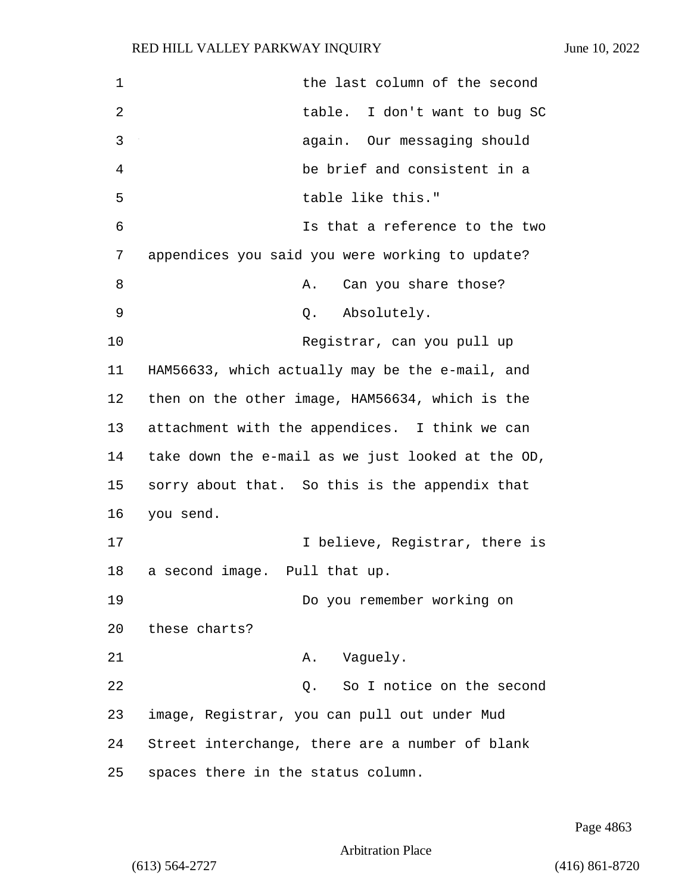| 1  | the last column of the second                     |
|----|---------------------------------------------------|
| 2  | I don't want to bug SC<br>table.                  |
| 3  | again. Our messaging should                       |
| 4  | be brief and consistent in a                      |
| 5  | table like this."                                 |
| 6  | Is that a reference to the two                    |
| 7  | appendices you said you were working to update?   |
| 8  | Can you share those?<br>Α.                        |
| 9  | Q. Absolutely.                                    |
| 10 | Registrar, can you pull up                        |
| 11 | HAM56633, which actually may be the e-mail, and   |
| 12 | then on the other image, HAM56634, which is the   |
| 13 | attachment with the appendices. I think we can    |
| 14 | take down the e-mail as we just looked at the OD, |
| 15 | sorry about that. So this is the appendix that    |
| 16 | you send.                                         |
| 17 | I believe, Registrar, there is                    |
| 18 | a second image. Pull that up.                     |
| 19 | Do you remember working on                        |
| 20 | these charts?                                     |
| 21 | Vaguely.<br>Α.                                    |
| 22 | So I notice on the second<br>Q.                   |
| 23 | image, Registrar, you can pull out under Mud      |
| 24 | Street interchange, there are a number of blank   |
| 25 | spaces there in the status column.                |

Page 4863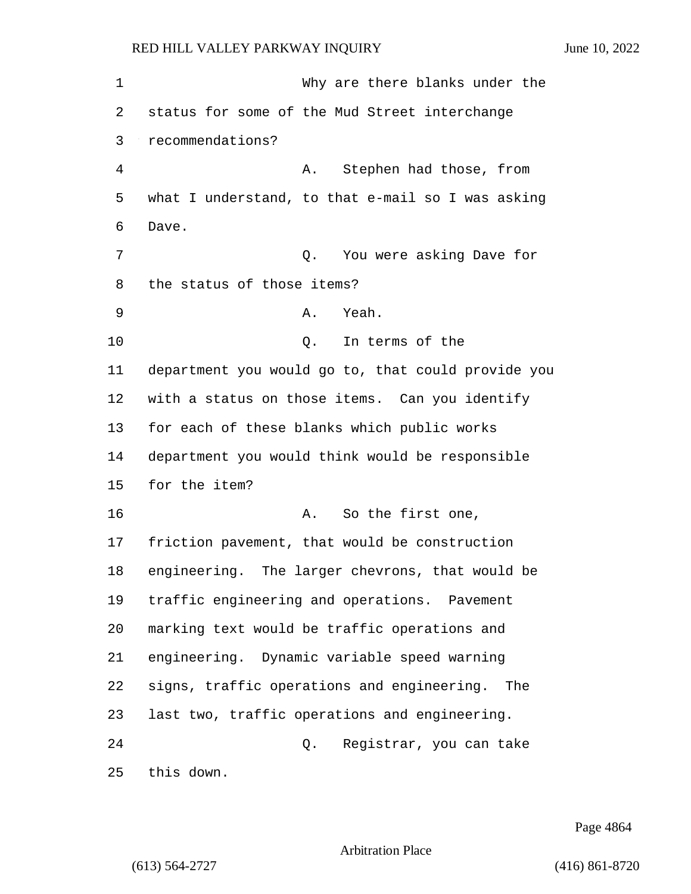1 Why are there blanks under the status for some of the Mud Street interchange recommendations? 4 A. Stephen had those, from what I understand, to that e-mail so I was asking Dave. 7 C. You were asking Dave for the status of those items? 9 A. Yeah. 10 Q. In terms of the department you would go to, that could provide you with a status on those items. Can you identify for each of these blanks which public works department you would think would be responsible for the item? 16 A. So the first one, friction pavement, that would be construction engineering. The larger chevrons, that would be traffic engineering and operations. Pavement marking text would be traffic operations and engineering. Dynamic variable speed warning signs, traffic operations and engineering. The last two, traffic operations and engineering. 24 Q. Registrar, you can take this down.

Page 4864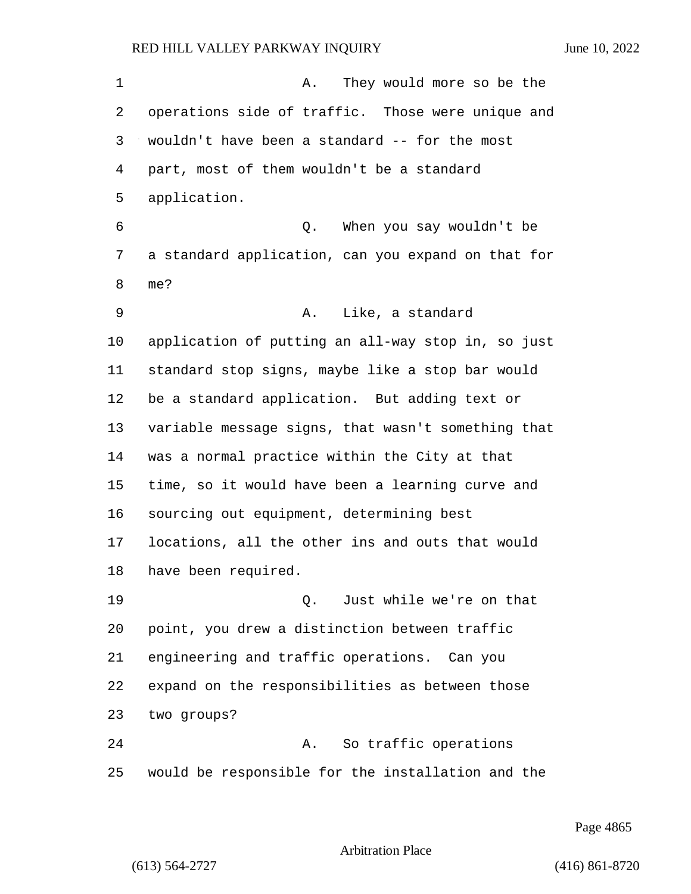1 A. They would more so be the operations side of traffic. Those were unique and wouldn't have been a standard -- for the most part, most of them wouldn't be a standard application. 6 Q. When you say wouldn't be a standard application, can you expand on that for me? 9 A. Like, a standard application of putting an all-way stop in, so just standard stop signs, maybe like a stop bar would be a standard application. But adding text or variable message signs, that wasn't something that was a normal practice within the City at that time, so it would have been a learning curve and sourcing out equipment, determining best locations, all the other ins and outs that would have been required. 19 Q. Just while we're on that point, you drew a distinction between traffic engineering and traffic operations. Can you expand on the responsibilities as between those two groups? 24 A. So traffic operations would be responsible for the installation and the

Page 4865

Arbitration Place

(613) 564-2727 (416) 861-8720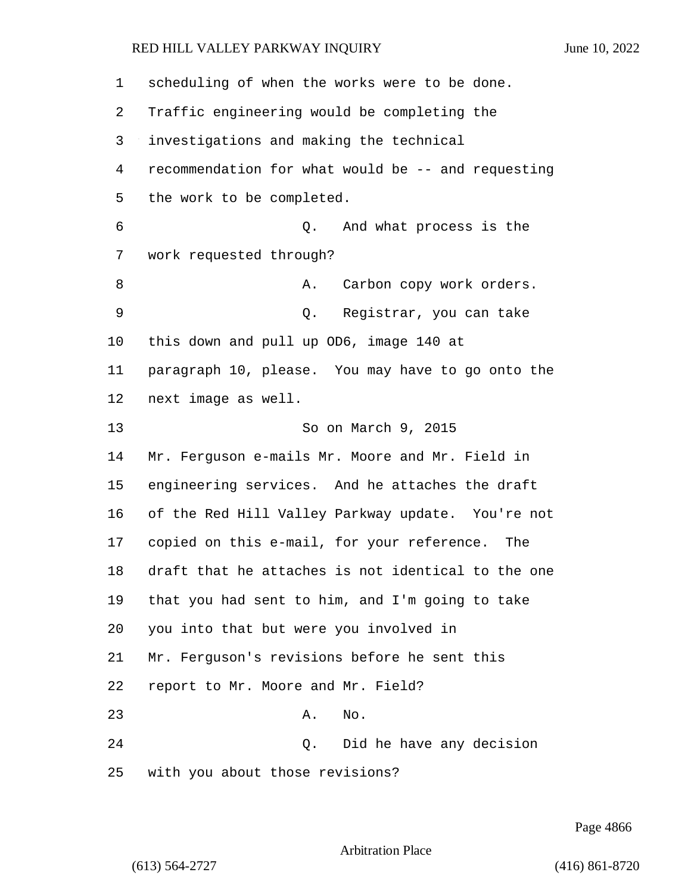| $\mathbf{1}$ | scheduling of when the works were to be done.      |
|--------------|----------------------------------------------------|
| 2            | Traffic engineering would be completing the        |
| 3            | investigations and making the technical            |
| 4            | recommendation for what would be -- and requesting |
| 5            | the work to be completed.                          |
| 6            | And what process is the<br>Q.                      |
| 7            | work requested through?                            |
| 8            | Carbon copy work orders.<br>Α.                     |
| 9            | Registrar, you can take<br>Q.                      |
| 10           | this down and pull up OD6, image 140 at            |
| 11           | paragraph 10, please. You may have to go onto the  |
| 12           | next image as well.                                |
| 13           | So on March 9, 2015                                |
| 14           | Mr. Ferguson e-mails Mr. Moore and Mr. Field in    |
| 15           | engineering services. And he attaches the draft    |
| 16           | of the Red Hill Valley Parkway update. You're not  |
| 17           | copied on this e-mail, for your reference. The     |
| 18           | draft that he attaches is not identical to the one |
| 19           | that you had sent to him, and I'm going to take    |
| 20           | you into that but were you involved in             |
| 21           | Mr. Ferguson's revisions before he sent this       |
| 22           | report to Mr. Moore and Mr. Field?                 |
| 23           | No.<br>Α.                                          |
| 24           | Q. Did he have any decision                        |
| 25           | with you about those revisions?                    |

Page 4866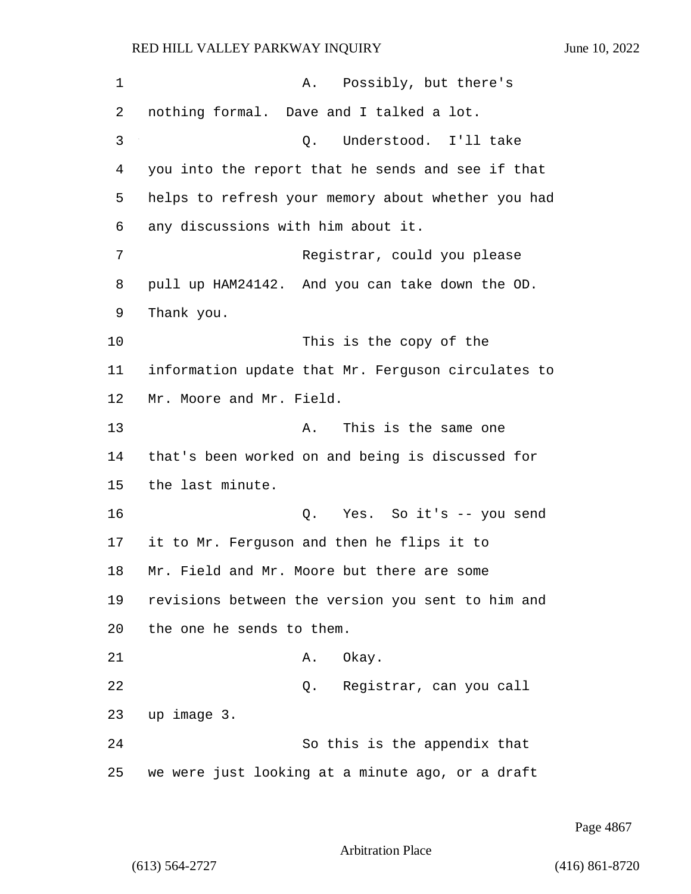| 1  | A. Possibly, but there's                           |
|----|----------------------------------------------------|
| 2  | nothing formal. Dave and I talked a lot.           |
| 3  | Understood. I'll take<br>Q.                        |
| 4  | you into the report that he sends and see if that  |
| 5  | helps to refresh your memory about whether you had |
| 6  | any discussions with him about it.                 |
| 7  | Registrar, could you please                        |
| 8  | pull up HAM24142. And you can take down the OD.    |
| 9  | Thank you.                                         |
| 10 | This is the copy of the                            |
| 11 | information update that Mr. Ferguson circulates to |
| 12 | Mr. Moore and Mr. Field.                           |
| 13 | This is the same one<br>Α.                         |
| 14 | that's been worked on and being is discussed for   |
| 15 | the last minute.                                   |
| 16 | Q. Yes. So it's -- you send                        |
| 17 | it to Mr. Ferguson and then he flips it to         |
| 18 | Mr. Field and Mr. Moore but there are some         |
| 19 | revisions between the version you sent to him and  |
| 20 | the one he sends to them.                          |
| 21 | A. Okay.                                           |
| 22 | Q. Registrar, can you call                         |
| 23 | up image 3.                                        |
| 24 | So this is the appendix that                       |
| 25 | we were just looking at a minute ago, or a draft   |

Page 4867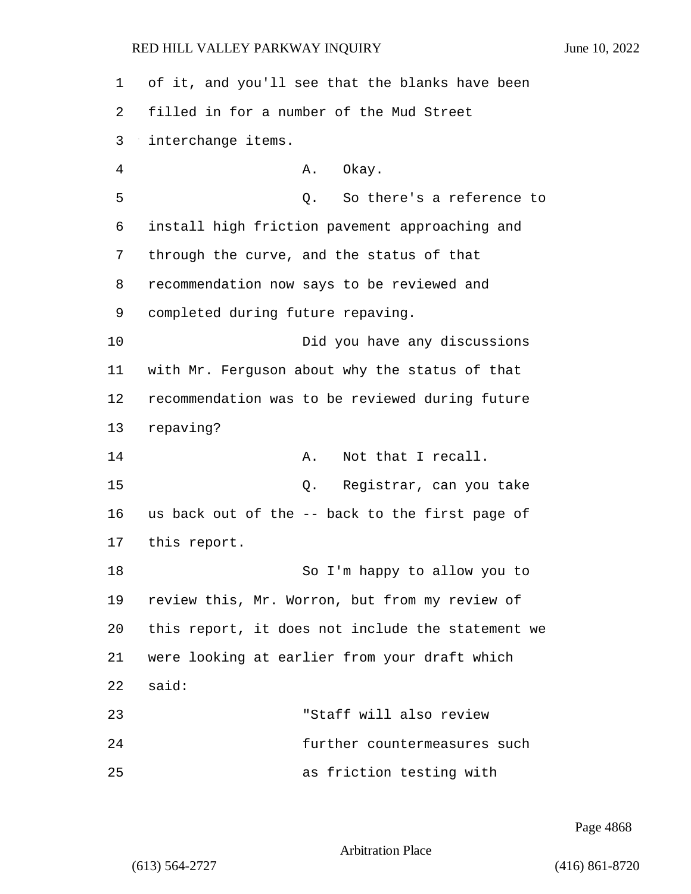of it, and you'll see that the blanks have been filled in for a number of the Mud Street interchange items. 4 A. Okay. 5 Q. So there's a reference to install high friction pavement approaching and through the curve, and the status of that recommendation now says to be reviewed and completed during future repaving. 10 Did you have any discussions with Mr. Ferguson about why the status of that recommendation was to be reviewed during future repaving? **A.** Not that I recall. 15 Q. Registrar, can you take us back out of the -- back to the first page of this report. 18 So I'm happy to allow you to review this, Mr. Worron, but from my review of this report, it does not include the statement we were looking at earlier from your draft which 22 said: 23 "Staff will also review 24 further countermeasures such 25 as friction testing with

Page 4868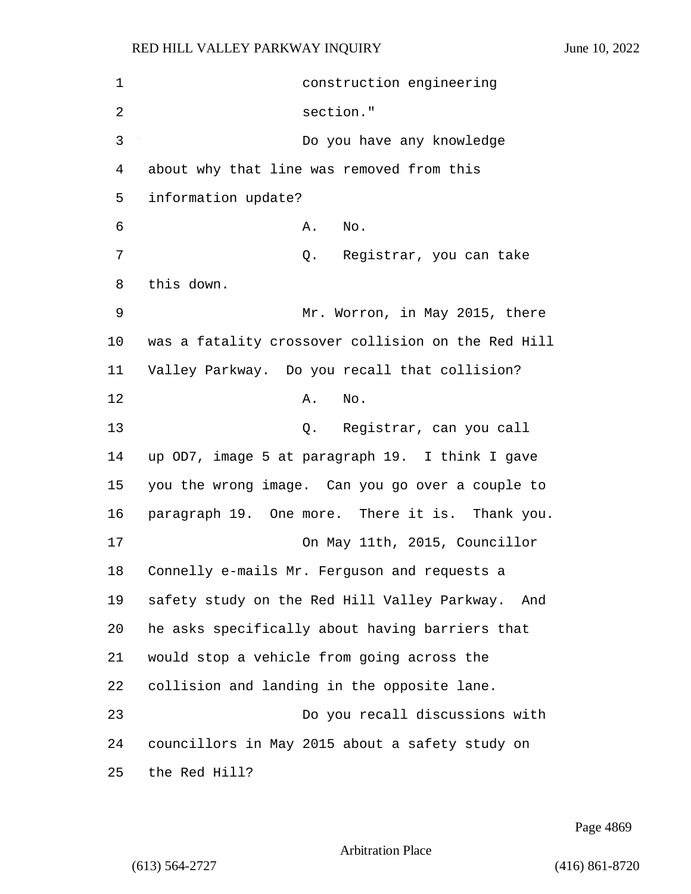| 1  | construction engineering                            |
|----|-----------------------------------------------------|
| 2  | section."                                           |
| 3  | Do you have any knowledge                           |
| 4  | about why that line was removed from this           |
| 5  | information update?                                 |
| 6  | Α.<br>No.                                           |
| 7  | Q. Registrar, you can take                          |
| 8  | this down.                                          |
| 9  | Mr. Worron, in May 2015, there                      |
| 10 | was a fatality crossover collision on the Red Hill  |
| 11 | Valley Parkway. Do you recall that collision?       |
| 12 | No.<br>Α.                                           |
| 13 | Q. Registrar, can you call                          |
| 14 | up OD7, image 5 at paragraph 19. I think I gave     |
| 15 | you the wrong image. Can you go over a couple to    |
| 16 | paragraph 19. One more. There it is. Thank you.     |
| 17 | On May 11th, 2015, Councillor                       |
| 18 | Connelly e-mails Mr. Ferguson and requests a        |
| 19 | safety study on the Red Hill Valley Parkway.<br>And |
| 20 | he asks specifically about having barriers that     |
| 21 | would stop a vehicle from going across the          |
| 22 | collision and landing in the opposite lane.         |
| 23 | Do you recall discussions with                      |
| 24 | councillors in May 2015 about a safety study on     |
| 25 | the Red Hill?                                       |

Page 4869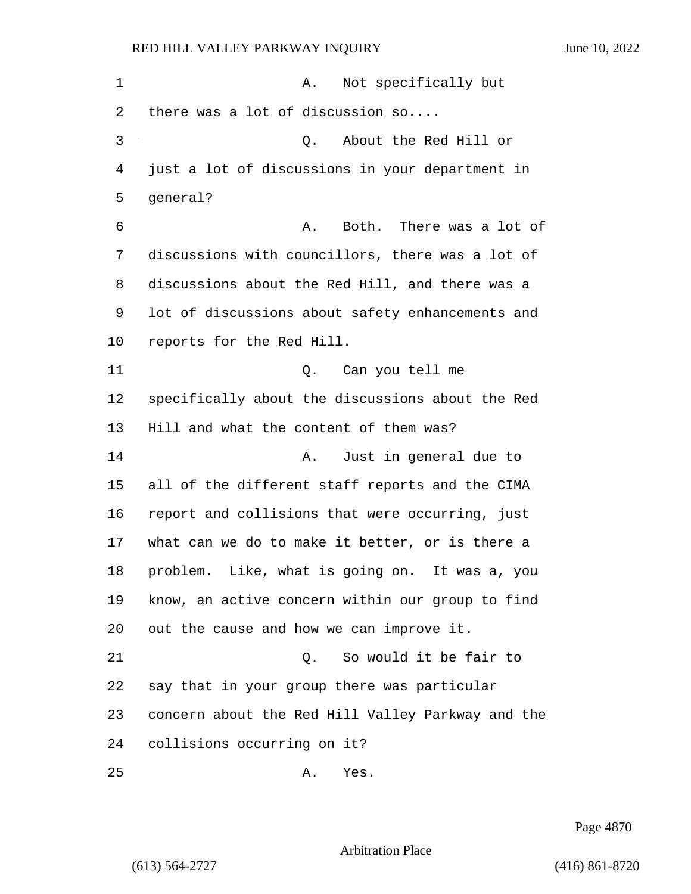1 A. Not specifically but there was a lot of discussion so.... 3 Q. About the Red Hill or just a lot of discussions in your department in general? 6 A. Both. There was a lot of discussions with councillors, there was a lot of discussions about the Red Hill, and there was a lot of discussions about safety enhancements and reports for the Red Hill. 11 Q. Can you tell me specifically about the discussions about the Red Hill and what the content of them was? 14 A. Just in general due to all of the different staff reports and the CIMA report and collisions that were occurring, just what can we do to make it better, or is there a problem. Like, what is going on. It was a, you know, an active concern within our group to find out the cause and how we can improve it. 21 Q. So would it be fair to say that in your group there was particular concern about the Red Hill Valley Parkway and the collisions occurring on it? 25 A. Yes.

Page 4870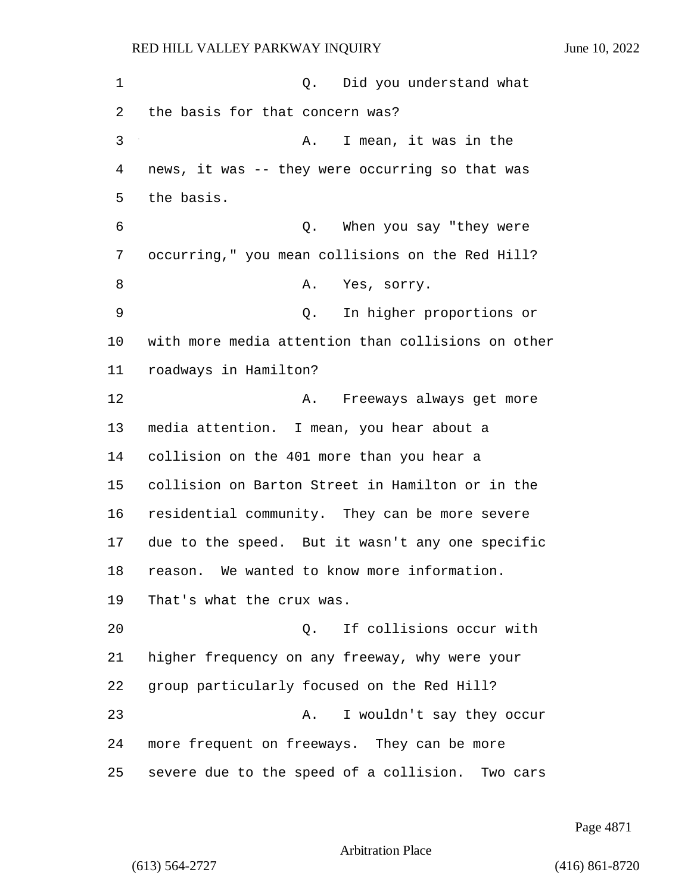1 and 0. Did you understand what the basis for that concern was? 3 A. I mean, it was in the news, it was -- they were occurring so that was the basis. 6 Q. When you say "they were occurring," you mean collisions on the Red Hill? 8 A. Yes, sorry. 9 Q. In higher proportions or with more media attention than collisions on other roadways in Hamilton? 12 A. Freeways always get more media attention. I mean, you hear about a collision on the 401 more than you hear a collision on Barton Street in Hamilton or in the residential community. They can be more severe due to the speed. But it wasn't any one specific reason. We wanted to know more information. That's what the crux was. 20 Q. If collisions occur with higher frequency on any freeway, why were your group particularly focused on the Red Hill? 23 A. I wouldn't say they occur more frequent on freeways. They can be more severe due to the speed of a collision. Two cars

Page 4871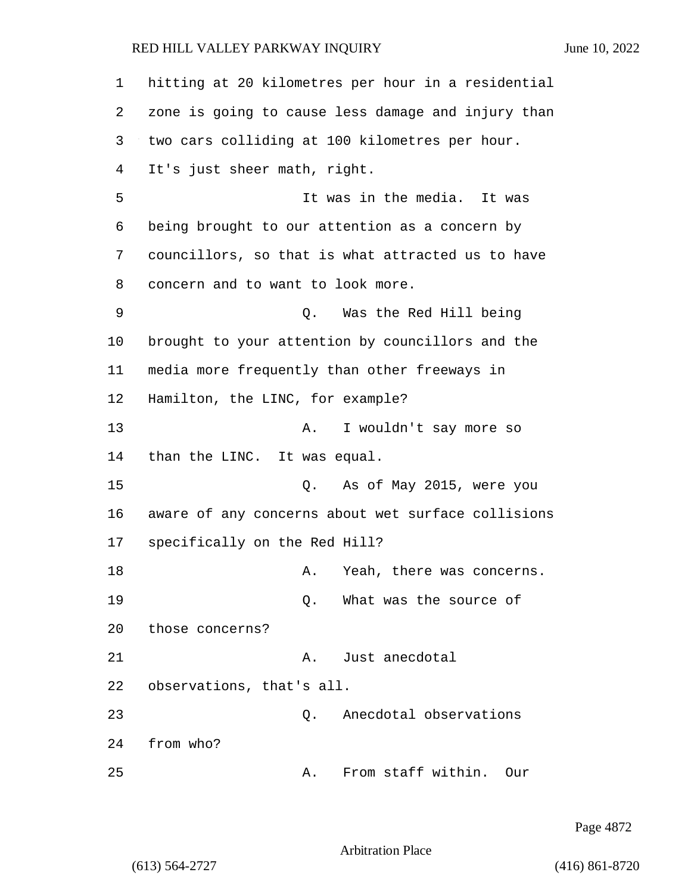| $\mathbf 1$ | hitting at 20 kilometres per hour in a residential |
|-------------|----------------------------------------------------|
| 2           | zone is going to cause less damage and injury than |
| 3           | two cars colliding at 100 kilometres per hour.     |
| 4           | It's just sheer math, right.                       |
| 5           | It was in the media. It was                        |
| 6           | being brought to our attention as a concern by     |
| 7           | councillors, so that is what attracted us to have  |
| 8           | concern and to want to look more.                  |
| 9           | Was the Red Hill being<br>Q.                       |
| 10          | brought to your attention by councillors and the   |
| 11          | media more frequently than other freeways in       |
| 12          | Hamilton, the LINC, for example?                   |
| 13          | I wouldn't say more so<br>Α.                       |
| 14          | than the LINC. It was equal.                       |
| 15          | Q. As of May 2015, were you                        |
| 16          | aware of any concerns about wet surface collisions |
| 17          | specifically on the Red Hill?                      |
| 18          | Yeah, there was concerns.<br>Α.                    |
| 19          | What was the source of<br>Q.                       |
| 20          | those concerns?                                    |
| 21          | Just anecdotal<br>Α.                               |
| 22          | observations, that's all.                          |
| 23          | Anecdotal observations<br>Q.                       |
| 24          | from who?                                          |
| 25          | From staff within.<br>Our<br>Α.                    |

Page 4872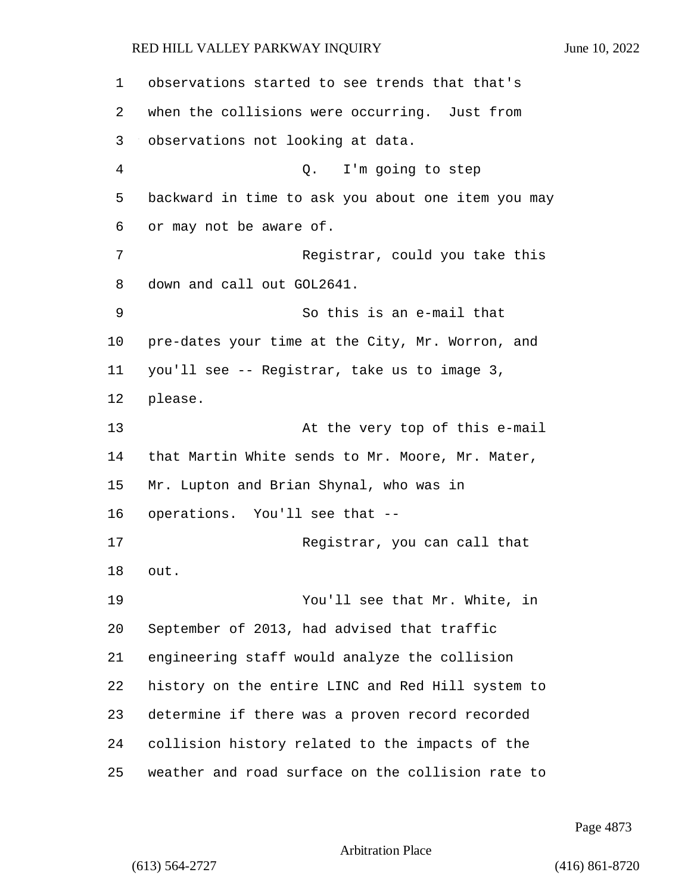observations started to see trends that that's when the collisions were occurring. Just from observations not looking at data. 4 Q. I'm going to step backward in time to ask you about one item you may or may not be aware of. 7 Registrar, could you take this down and call out GOL2641. 9 So this is an e-mail that pre-dates your time at the City, Mr. Worron, and you'll see -- Registrar, take us to image 3, please. 13 At the very top of this e-mail that Martin White sends to Mr. Moore, Mr. Mater, Mr. Lupton and Brian Shynal, who was in operations. You'll see that -- 17 Registrar, you can call that out. 19 You'll see that Mr. White, in September of 2013, had advised that traffic engineering staff would analyze the collision history on the entire LINC and Red Hill system to determine if there was a proven record recorded collision history related to the impacts of the weather and road surface on the collision rate to

Page 4873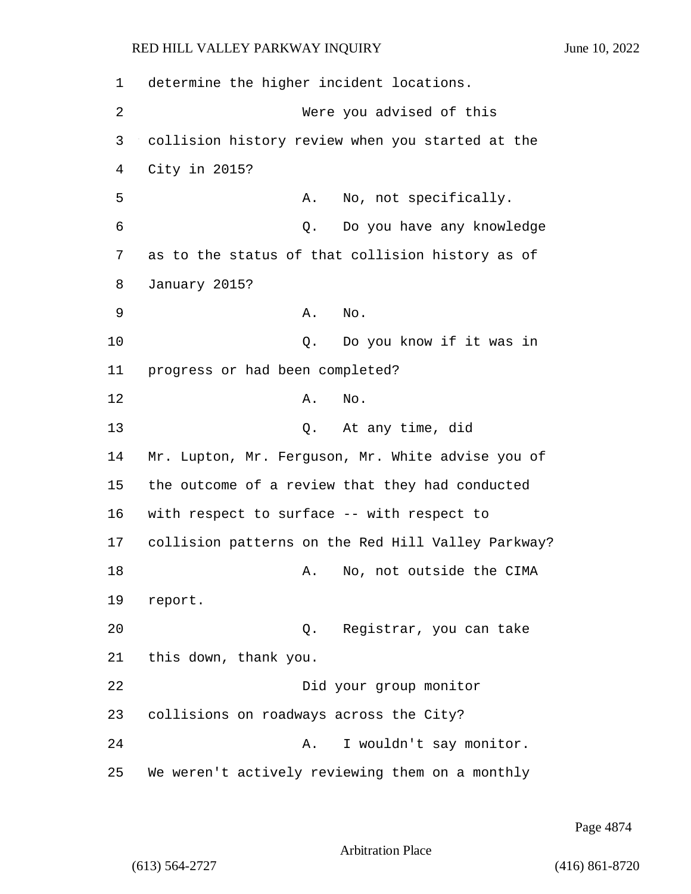1 determine the higher incident locations. 2 Were you advised of this 3 collision history review when you started at the 4 City in 2015? 5 A. No, not specifically. 6 Q. Do you have any knowledge 7 as to the status of that collision history as of 8 January 2015? 9 A. No. 10 Q. Do you know if it was in 11 progress or had been completed? 12 A. No. 13 Q. At any time, did 14 Mr. Lupton, Mr. Ferguson, Mr. White advise you of 15 the outcome of a review that they had conducted 16 with respect to surface -- with respect to 17 collision patterns on the Red Hill Valley Parkway? 18 A. No, not outside the CIMA 19 report. 20 Q. Registrar, you can take 21 this down, thank you. 22 Did your group monitor 23 collisions on roadways across the City? 24 A. I wouldn't say monitor. 25 We weren't actively reviewing them on a monthly

Page 4874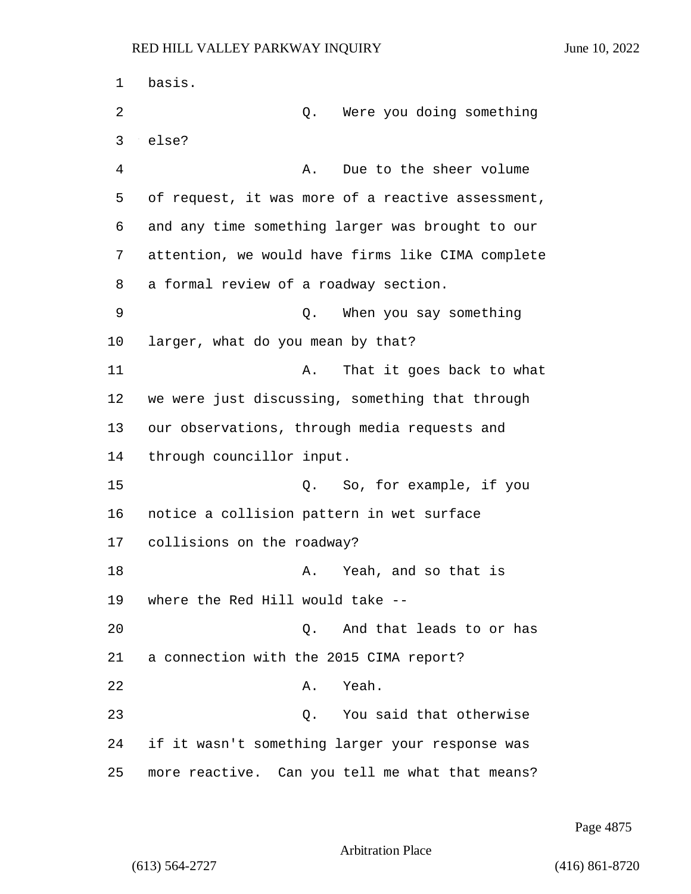1 basis. 2 Q. Were you doing something 3 else? 4 A. Due to the sheer volume 5 of request, it was more of a reactive assessment, 6 and any time something larger was brought to our 7 attention, we would have firms like CIMA complete 8 a formal review of a roadway section. 9 Q. When you say something 10 larger, what do you mean by that? 11 A. That it goes back to what 12 we were just discussing, something that through 13 our observations, through media requests and 14 through councillor input. 15 Q. So, for example, if you 16 notice a collision pattern in wet surface 17 collisions on the roadway? 18 A. Yeah, and so that is 19 where the Red Hill would take -- 20 Q. And that leads to or has 21 a connection with the 2015 CIMA report? 22 A. Yeah. 23 Q. You said that otherwise 24 if it wasn't something larger your response was 25 more reactive. Can you tell me what that means?

Page 4875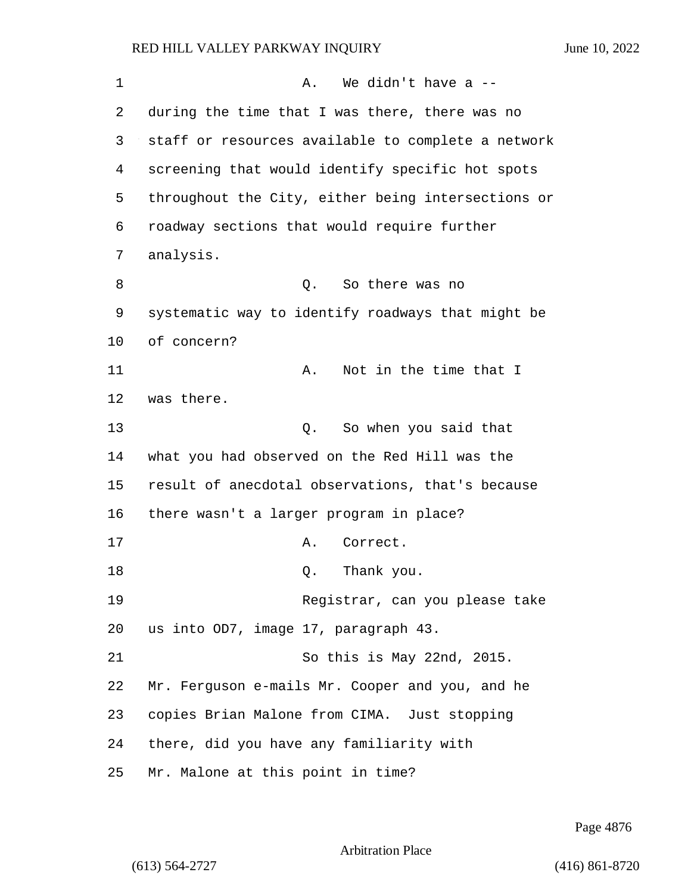| 1  | We didn't have a $-$<br>Α.                         |
|----|----------------------------------------------------|
| 2  | during the time that I was there, there was no     |
| 3  | staff or resources available to complete a network |
| 4  | screening that would identify specific hot spots   |
| 5  | throughout the City, either being intersections or |
| 6  | roadway sections that would require further        |
| 7  | analysis.                                          |
| 8  | So there was no<br>Q.                              |
| 9  | systematic way to identify roadways that might be  |
| 10 | of concern?                                        |
| 11 | Not in the time that I<br>Α.                       |
| 12 | was there.                                         |
| 13 | So when you said that<br>Q.                        |
| 14 | what you had observed on the Red Hill was the      |
| 15 | result of anecdotal observations, that's because   |
| 16 | there wasn't a larger program in place?            |
| 17 | Correct.<br>Α.                                     |
| 18 | Thank you.<br>Q.                                   |
| 19 | Registrar, can you please take                     |
| 20 | us into OD7, image 17, paragraph 43.               |
| 21 | So this is May 22nd, 2015.                         |
| 22 | Mr. Ferguson e-mails Mr. Cooper and you, and he    |
| 23 | copies Brian Malone from CIMA. Just stopping       |
| 24 | there, did you have any familiarity with           |
| 25 | Mr. Malone at this point in time?                  |

Page 4876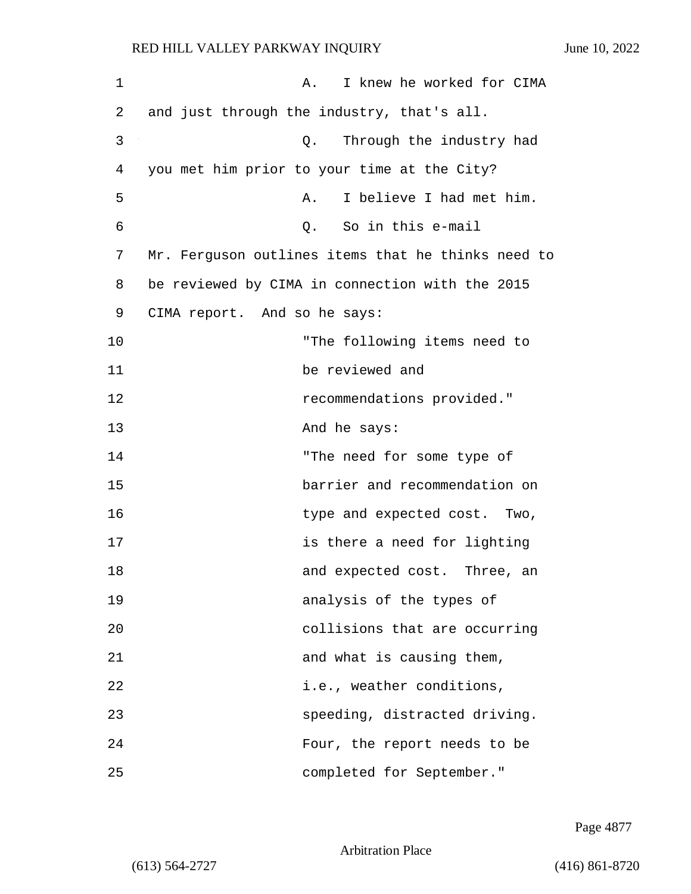| 1  | I knew he worked for CIMA<br>Α.                    |
|----|----------------------------------------------------|
| 2  | and just through the industry, that's all.         |
| 3  | Through the industry had<br>Q.                     |
| 4  | you met him prior to your time at the City?        |
| 5  | I believe I had met him.<br>Α.                     |
| 6  | So in this e-mail<br>$Q$ .                         |
| 7  | Mr. Ferguson outlines items that he thinks need to |
| 8  | be reviewed by CIMA in connection with the 2015    |
| 9  | CIMA report. And so he says:                       |
| 10 | "The following items need to                       |
| 11 | be reviewed and                                    |
| 12 | recommendations provided."                         |
| 13 | And he says:                                       |
| 14 | "The need for some type of                         |
| 15 | barrier and recommendation on                      |
| 16 | type and expected cost. Two,                       |
| 17 | is there a need for lighting                       |
| 18 | and expected cost. Three, an                       |
| 19 | analysis of the types of                           |
| 20 | collisions that are occurring                      |
| 21 | and what is causing them,                          |
| 22 | i.e., weather conditions,                          |
| 23 | speeding, distracted driving.                      |
| 24 | Four, the report needs to be                       |
| 25 | completed for September."                          |

Page 4877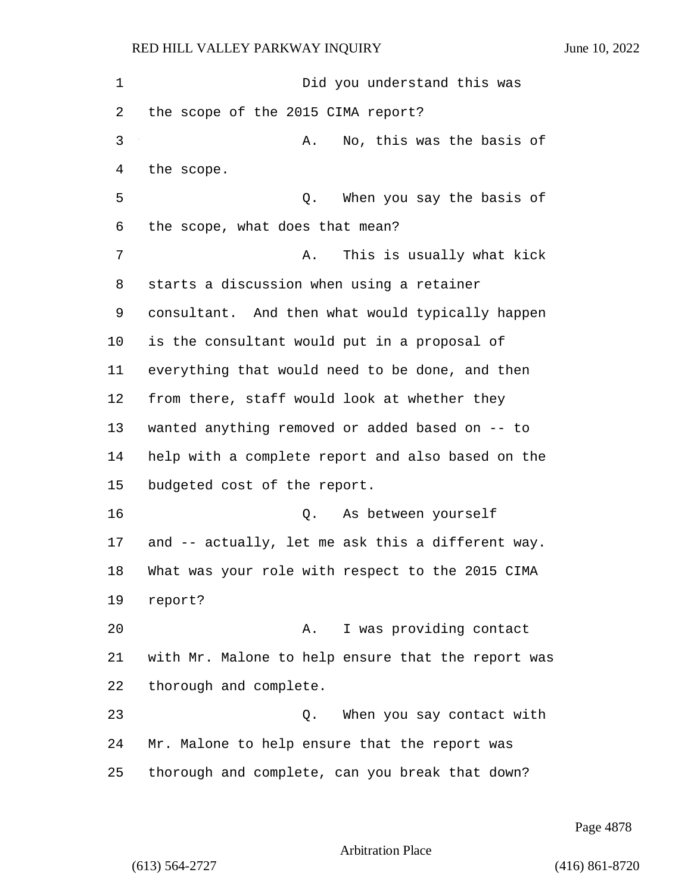the scope.

RED HILL VALLEY PARKWAY INQUIRY June 10, 2022 1 Did you understand this was the scope of the 2015 CIMA report? 3 A. No, this was the basis of 5 Q. When you say the basis of the scope, what does that mean? 7 A. This is usually what kick starts a discussion when using a retainer consultant. And then what would typically happen is the consultant would put in a proposal of everything that would need to be done, and then from there, staff would look at whether they wanted anything removed or added based on -- to help with a complete report and also based on the budgeted cost of the report. 16 Q. As between yourself and -- actually, let me ask this a different way. What was your role with respect to the 2015 CIMA 20 A. I was providing contact with Mr. Malone to help ensure that the report was

thorough and complete.

23 Q. When you say contact with Mr. Malone to help ensure that the report was thorough and complete, can you break that down?

Page 4878

Arbitration Place

report?

(613) 564-2727 (416) 861-8720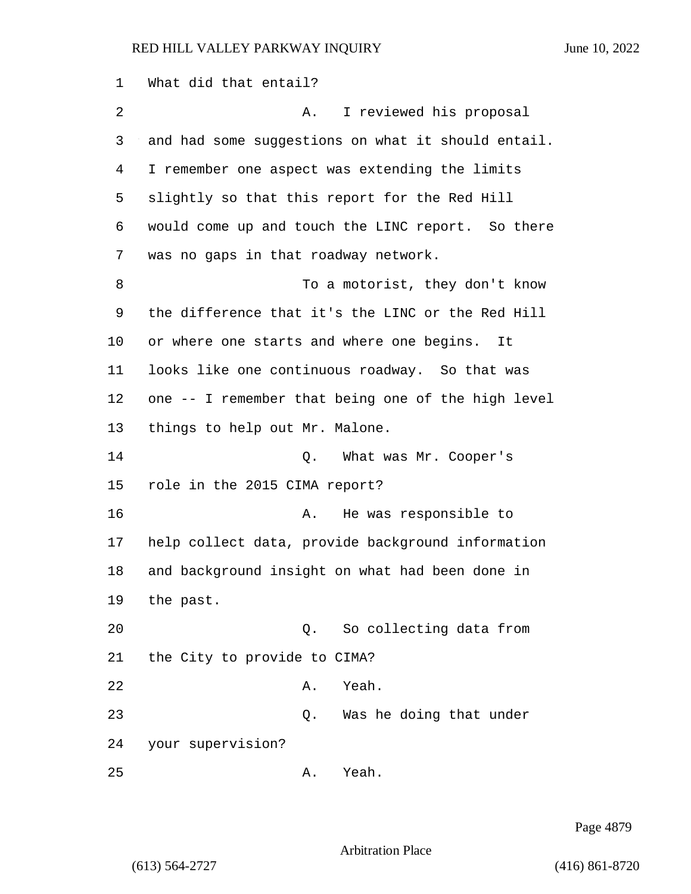What did that entail? 2 A. I reviewed his proposal and had some suggestions on what it should entail. I remember one aspect was extending the limits slightly so that this report for the Red Hill would come up and touch the LINC report. So there was no gaps in that roadway network. 8 To a motorist, they don't know the difference that it's the LINC or the Red Hill or where one starts and where one begins. It looks like one continuous roadway. So that was one -- I remember that being one of the high level things to help out Mr. Malone. 14 Q. What was Mr. Cooper's role in the 2015 CIMA report? 16 A. He was responsible to help collect data, provide background information and background insight on what had been done in the past. 20 Q. So collecting data from the City to provide to CIMA? 22 A. Yeah. 23 Q. Was he doing that under your supervision? 25 A. Yeah.

Page 4879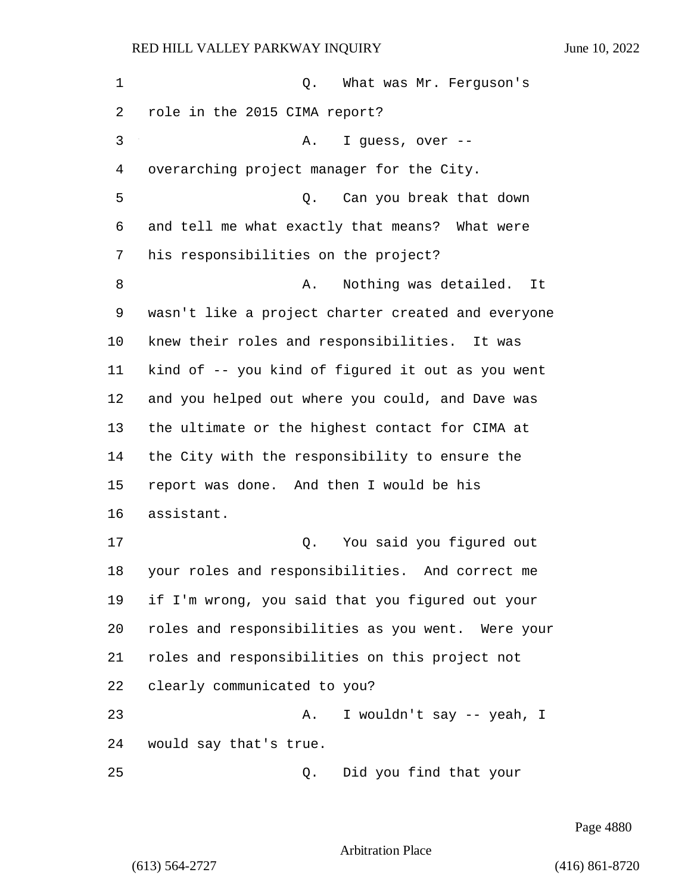| 1  | Q. What was Mr. Ferguson's                         |
|----|----------------------------------------------------|
| 2  | role in the 2015 CIMA report?                      |
| 3  | I guess, over --<br>Α.                             |
| 4  | overarching project manager for the City.          |
| 5  | Can you break that down<br>О.                      |
| 6  | and tell me what exactly that means? What were     |
| 7  | his responsibilities on the project?               |
| 8  | Nothing was detailed.<br>Α.<br>It                  |
| 9  | wasn't like a project charter created and everyone |
| 10 | knew their roles and responsibilities. It was      |
| 11 | kind of -- you kind of figured it out as you went  |
| 12 | and you helped out where you could, and Dave was   |
| 13 | the ultimate or the highest contact for CIMA at    |
| 14 | the City with the responsibility to ensure the     |
| 15 | report was done. And then I would be his           |
| 16 | assistant.                                         |
| 17 | You said you figured out<br>Q.                     |
| 18 | your roles and responsibilities. And correct me    |
| 19 | if I'm wrong, you said that you figured out your   |
| 20 | roles and responsibilities as you went. Were your  |
| 21 | roles and responsibilities on this project not     |
| 22 | clearly communicated to you?                       |
| 23 | I wouldn't say -- yeah, I<br>Α.                    |
| 24 | would say that's true.                             |
| 25 | Did you find that your<br>Q.                       |

Page 4880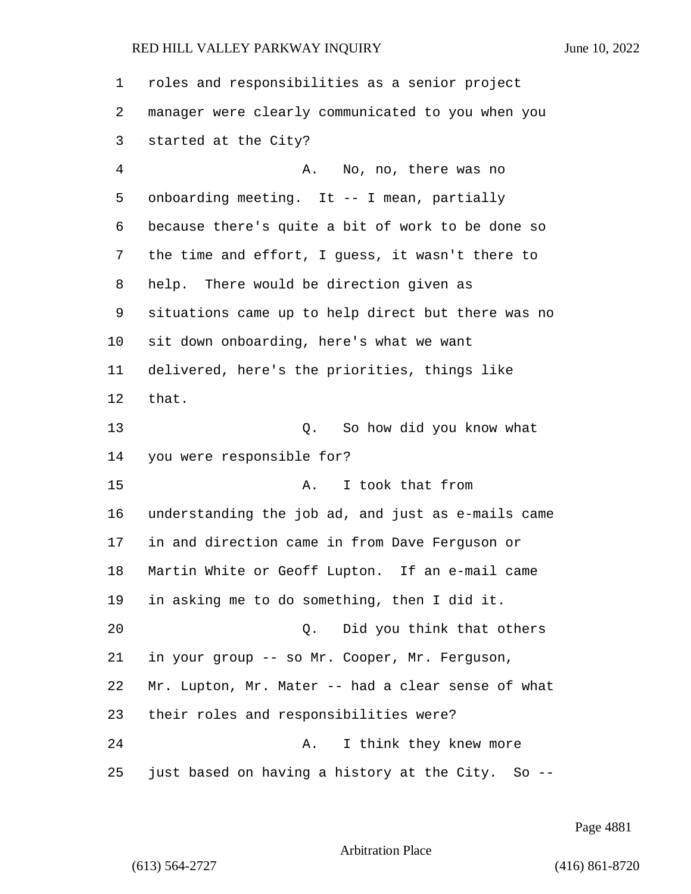| 1  | roles and responsibilities as a senior project         |
|----|--------------------------------------------------------|
| 2  | manager were clearly communicated to you when you      |
| 3  | started at the City?                                   |
| 4  | No, no, there was no<br>Α.                             |
| 5  | onboarding meeting. It -- I mean, partially            |
| 6  | because there's quite a bit of work to be done so      |
| 7  | the time and effort, I guess, it wasn't there to       |
| 8  | help. There would be direction given as                |
| 9  | situations came up to help direct but there was no     |
| 10 | sit down onboarding, here's what we want               |
| 11 | delivered, here's the priorities, things like          |
| 12 | that.                                                  |
| 13 | So how did you know what<br>Q.                         |
| 14 | you were responsible for?                              |
| 15 | I took that from<br>Α.                                 |
| 16 | understanding the job ad, and just as e-mails came     |
| 17 | in and direction came in from Dave Ferguson or         |
| 18 | Martin White or Geoff Lupton. If an e-mail came        |
| 19 | in asking me to do something, then I did it.           |
| 20 | Did you think that others<br>Q.                        |
| 21 | in your group -- so Mr. Cooper, Mr. Ferguson,          |
| 22 | Mr. Lupton, Mr. Mater -- had a clear sense of what     |
| 23 | their roles and responsibilities were?                 |
| 24 | I think they knew more<br>Α.                           |
| 25 | just based on having a history at the City.<br>$So --$ |

Page 4881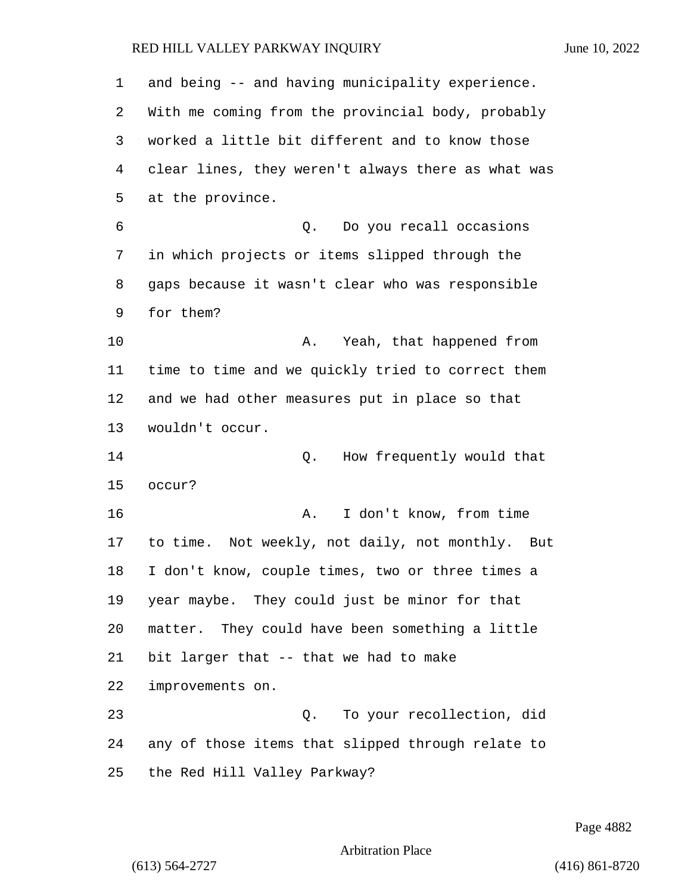| 1  | and being -- and having municipality experience.   |
|----|----------------------------------------------------|
| 2  | With me coming from the provincial body, probably  |
| 3  | worked a little bit different and to know those    |
| 4  | clear lines, they weren't always there as what was |
| 5  | at the province.                                   |
| 6  | Do you recall occasions<br>Q.                      |
| 7  | in which projects or items slipped through the     |
| 8  | gaps because it wasn't clear who was responsible   |
| 9  | for them?                                          |
| 10 | Yeah, that happened from<br>Α.                     |
| 11 | time to time and we quickly tried to correct them  |
| 12 | and we had other measures put in place so that     |
| 13 | wouldn't occur.                                    |
| 14 | How frequently would that<br>Q.                    |
| 15 | occur?                                             |
| 16 | I don't know, from time<br>Α.                      |
| 17 | to time. Not weekly, not daily, not monthly. But   |
| 18 | I don't know, couple times, two or three times a   |
| 19 | year maybe. They could just be minor for that      |
| 20 | matter. They could have been something a little    |
| 21 | bit larger that -- that we had to make             |
| 22 | improvements on.                                   |
| 23 | Q. To your recollection, did                       |
| 24 | any of those items that slipped through relate to  |
| 25 | the Red Hill Valley Parkway?                       |

Page 4882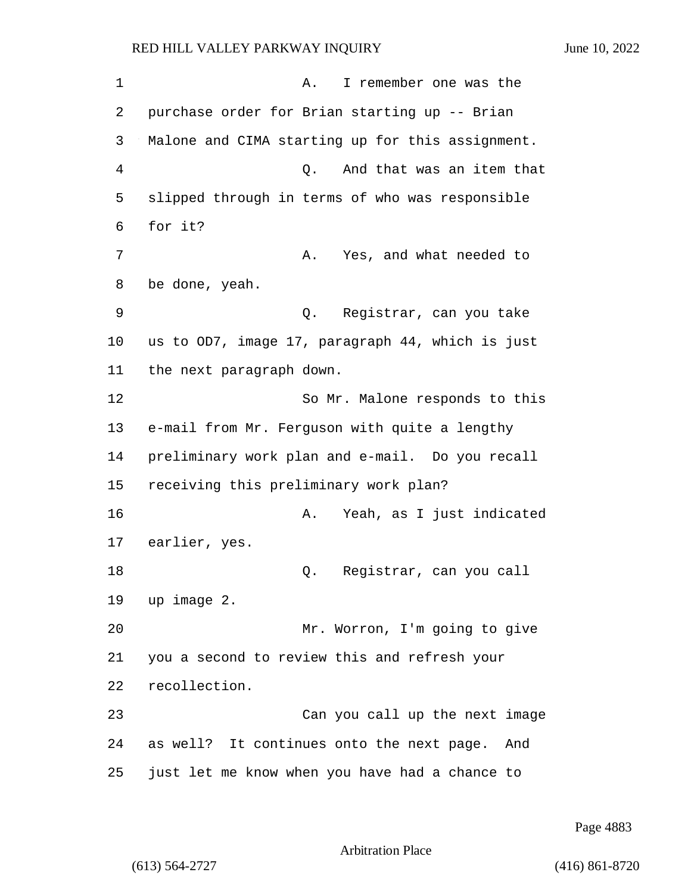1 A. I remember one was the 2 purchase order for Brian starting up -- Brian 3 Malone and CIMA starting up for this assignment. 4 Q. And that was an item that 5 slipped through in terms of who was responsible 6 for it? 7 A. Yes, and what needed to 8 be done, yeah. 9 Q. Registrar, can you take 10 us to OD7, image 17, paragraph 44, which is just 11 the next paragraph down. 12 So Mr. Malone responds to this 13 e-mail from Mr. Ferguson with quite a lengthy 14 preliminary work plan and e-mail. Do you recall 15 receiving this preliminary work plan? 16 A. Yeah, as I just indicated 17 earlier, yes. 18 Q. Registrar, can you call 19 up image 2. 20 Mr. Worron, I'm going to give 21 you a second to review this and refresh your 22 recollection. 23 Can you call up the next image 24 as well? It continues onto the next page. And 25 just let me know when you have had a chance to

Page 4883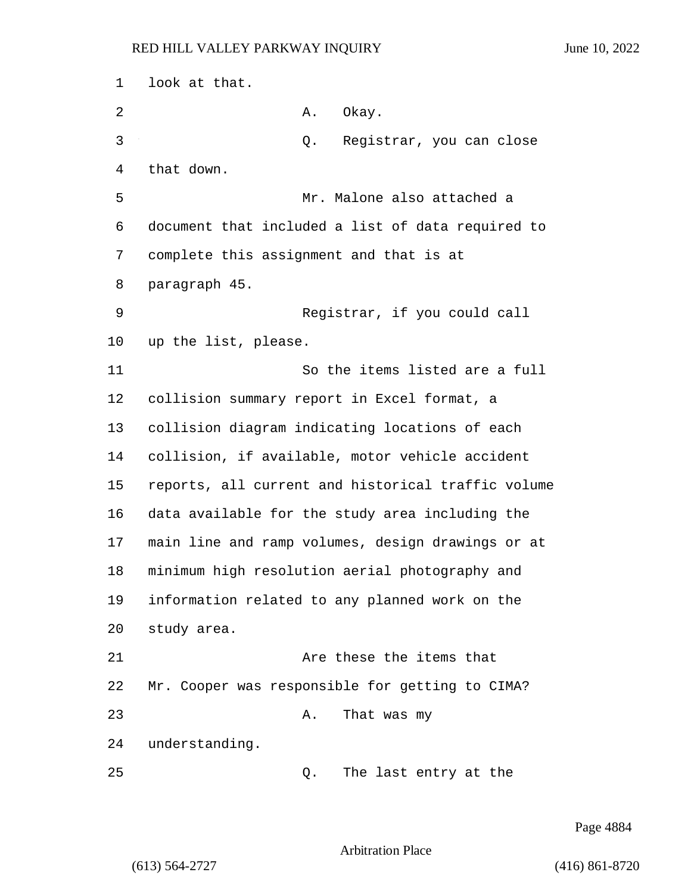look at that. 2 A. Okay. 3 Q. Registrar, you can close that down. 5 Mr. Malone also attached a document that included a list of data required to complete this assignment and that is at paragraph 45. 9 Registrar, if you could call up the list, please. 11 So the items listed are a full collision summary report in Excel format, a collision diagram indicating locations of each collision, if available, motor vehicle accident reports, all current and historical traffic volume data available for the study area including the main line and ramp volumes, design drawings or at minimum high resolution aerial photography and information related to any planned work on the study area. 21 Are these the items that Mr. Cooper was responsible for getting to CIMA? 23 A. That was my understanding. 25 Q. The last entry at the

Page 4884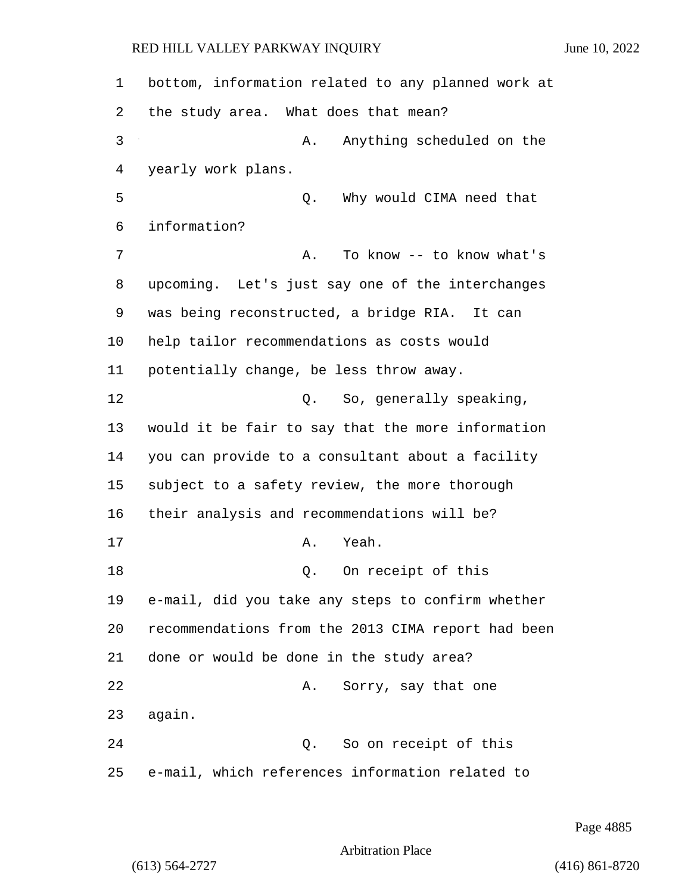bottom, information related to any planned work at the study area. What does that mean? 3 A. Anything scheduled on the yearly work plans. 5 Q. Why would CIMA need that information? 7 A. To know -- to know what's upcoming. Let's just say one of the interchanges was being reconstructed, a bridge RIA. It can help tailor recommendations as costs would potentially change, be less throw away. 12 O. So, generally speaking, would it be fair to say that the more information you can provide to a consultant about a facility subject to a safety review, the more thorough their analysis and recommendations will be? 17 A. Yeah. 18 Q. On receipt of this e-mail, did you take any steps to confirm whether recommendations from the 2013 CIMA report had been done or would be done in the study area? 22 A. Sorry, say that one 23 again. 24 Q. So on receipt of this e-mail, which references information related to

Page 4885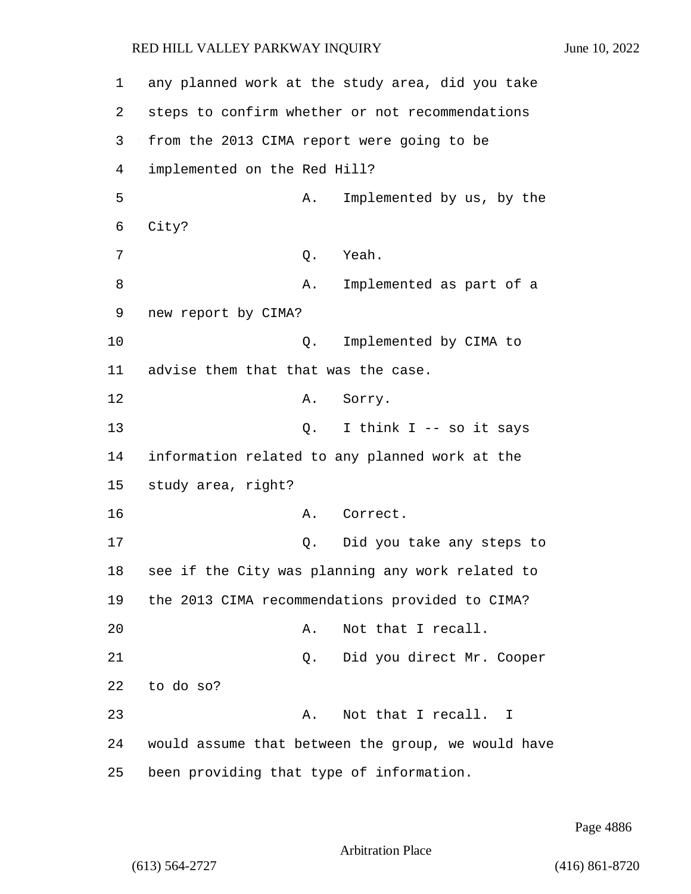| 1  | any planned work at the study area, did you take   |                           |
|----|----------------------------------------------------|---------------------------|
| 2  | steps to confirm whether or not recommendations    |                           |
| 3  | from the 2013 CIMA report were going to be         |                           |
| 4  | implemented on the Red Hill?                       |                           |
| 5  | Α.                                                 | Implemented by us, by the |
| 6  | City?                                              |                           |
| 7  | Q.                                                 | Yeah.                     |
| 8  | Α.                                                 | Implemented as part of a  |
| 9  | new report by CIMA?                                |                           |
| 10 | Q.                                                 | Implemented by CIMA to    |
| 11 | advise them that that was the case.                |                           |
| 12 | Α.                                                 | Sorry.                    |
| 13 | Q.                                                 | I think I -- so it says   |
| 14 | information related to any planned work at the     |                           |
| 15 | study area, right?                                 |                           |
| 16 | Α.                                                 | Correct.                  |
| 17 | Q.                                                 | Did you take any steps to |
| 18 | see if the City was planning any work related to   |                           |
| 19 | the 2013 CIMA recommendations provided to CIMA?    |                           |
| 20 | Α.                                                 | Not that I recall.        |
| 21 | Q.                                                 | Did you direct Mr. Cooper |
| 22 | to do so?                                          |                           |
| 23 | Α.                                                 | Not that I recall. I      |
| 24 | would assume that between the group, we would have |                           |
| 25 | been providing that type of information.           |                           |

Page 4886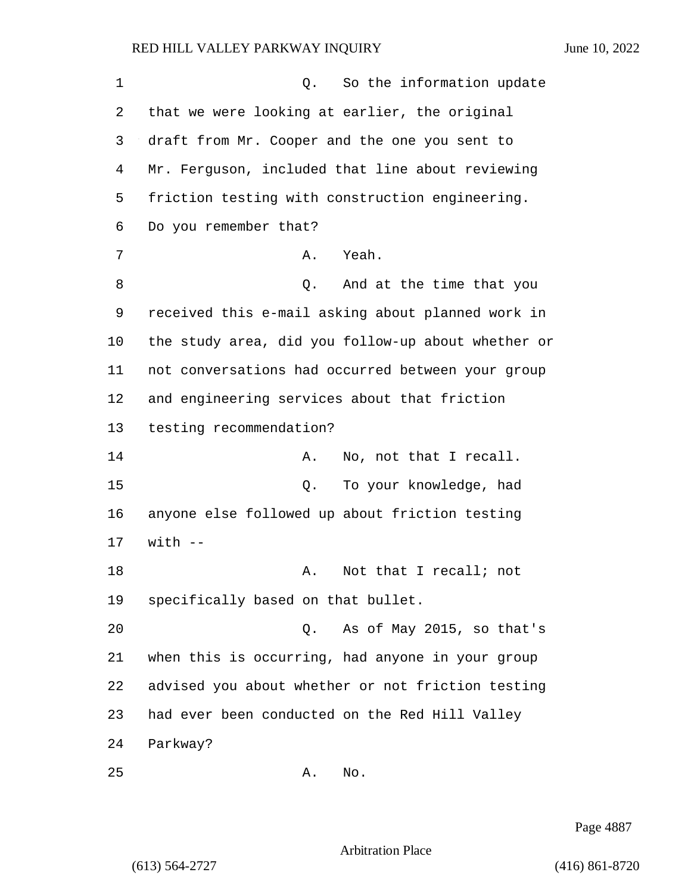| $\mathbf 1$ | So the information update<br>Q.                    |
|-------------|----------------------------------------------------|
| 2           | that we were looking at earlier, the original      |
| 3           | draft from Mr. Cooper and the one you sent to      |
| 4           | Mr. Ferguson, included that line about reviewing   |
| 5           | friction testing with construction engineering.    |
| 6           | Do you remember that?                              |
| 7           | Yeah.<br>Α.                                        |
| 8           | And at the time that you<br>Q.                     |
| 9           | received this e-mail asking about planned work in  |
| 10          | the study area, did you follow-up about whether or |
| 11          | not conversations had occurred between your group  |
| 12          | and engineering services about that friction       |
| 13          | testing recommendation?                            |
| 14          | No, not that I recall.<br>Α.                       |
| 15          | To your knowledge, had<br>Q.                       |
| 16          | anyone else followed up about friction testing     |
| 17          | $with$ $-$                                         |
| 18          | Not that I recall; not<br>А.                       |
| 19          | specifically based on that bullet.                 |
| 20          | As of May 2015, so that's<br>Q.                    |
| 21          | when this is occurring, had anyone in your group   |
| 22          | advised you about whether or not friction testing  |
| 23          | had ever been conducted on the Red Hill Valley     |
| 24          | Parkway?                                           |
| 25          | No.<br>Α.                                          |

Page 4887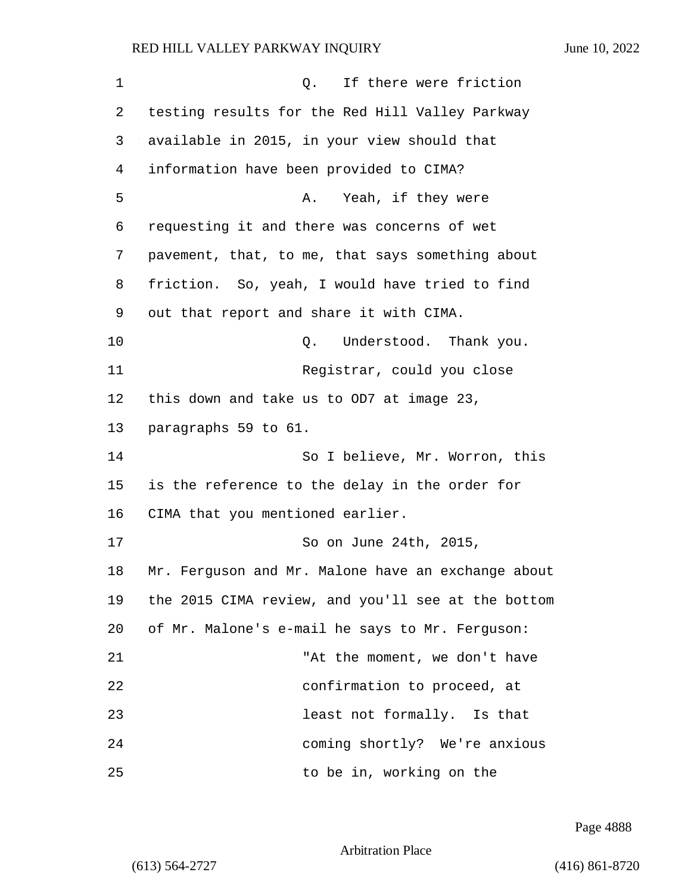| 1  | If there were friction<br>Q.                       |
|----|----------------------------------------------------|
| 2  | testing results for the Red Hill Valley Parkway    |
| 3  | available in 2015, in your view should that        |
| 4  | information have been provided to CIMA?            |
| 5  | Yeah, if they were<br>Α.                           |
| 6  | requesting it and there was concerns of wet        |
| 7  | pavement, that, to me, that says something about   |
| 8  | friction. So, yeah, I would have tried to find     |
| 9  | out that report and share it with CIMA.            |
| 10 | Understood. Thank you.<br>Q.                       |
| 11 | Registrar, could you close                         |
| 12 | this down and take us to OD7 at image 23,          |
| 13 | paragraphs 59 to 61.                               |
| 14 | So I believe, Mr. Worron, this                     |
| 15 | is the reference to the delay in the order for     |
| 16 | CIMA that you mentioned earlier.                   |
| 17 | So on June 24th, 2015,                             |
| 18 | Mr. Ferguson and Mr. Malone have an exchange about |
| 19 | the 2015 CIMA review, and you'll see at the bottom |
| 20 | of Mr. Malone's e-mail he says to Mr. Ferguson:    |
| 21 | "At the moment, we don't have                      |
| 22 | confirmation to proceed, at                        |
| 23 | least not formally. Is that                        |
| 24 | coming shortly? We're anxious                      |
| 25 | to be in, working on the                           |

Page 4888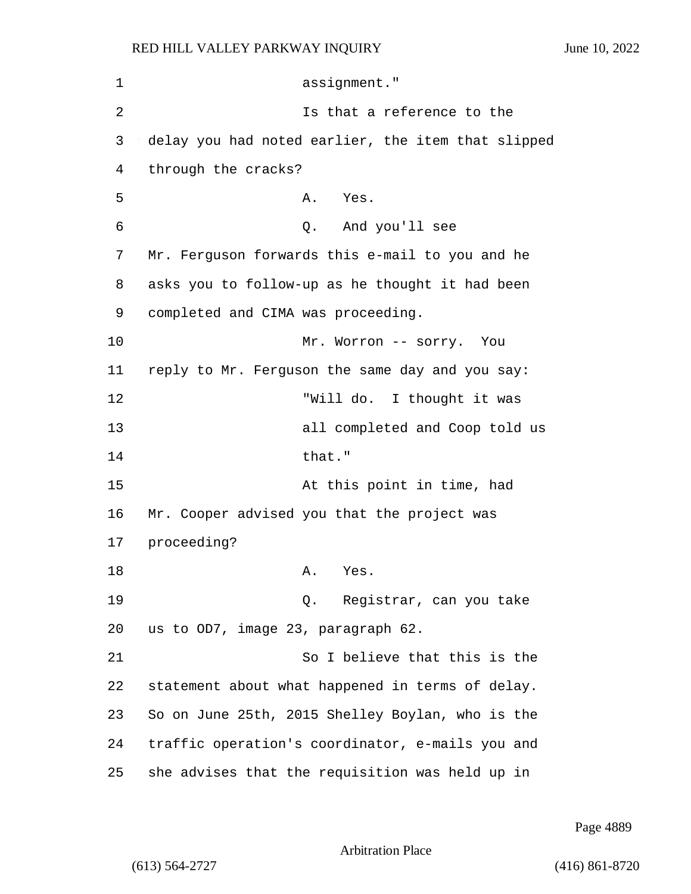1 assignment." 2 Is that a reference to the 3 delay you had noted earlier, the item that slipped 4 through the cracks? 5 A. Yes. 6 Q. And you'll see 7 Mr. Ferguson forwards this e-mail to you and he 8 asks you to follow-up as he thought it had been 9 completed and CIMA was proceeding. 10 Mr. Worron -- sorry. You 11 reply to Mr. Ferguson the same day and you say: 12 "Will do. I thought it was 13 all completed and Coop told us 14 that." 15 At this point in time, had 16 Mr. Cooper advised you that the project was 17 proceeding? 18 A. Yes. 19 Q. Registrar, can you take 20 us to OD7, image 23, paragraph 62. 21 So I believe that this is the 22 statement about what happened in terms of delay. 23 So on June 25th, 2015 Shelley Boylan, who is the 24 traffic operation's coordinator, e-mails you and 25 she advises that the requisition was held up in

Page 4889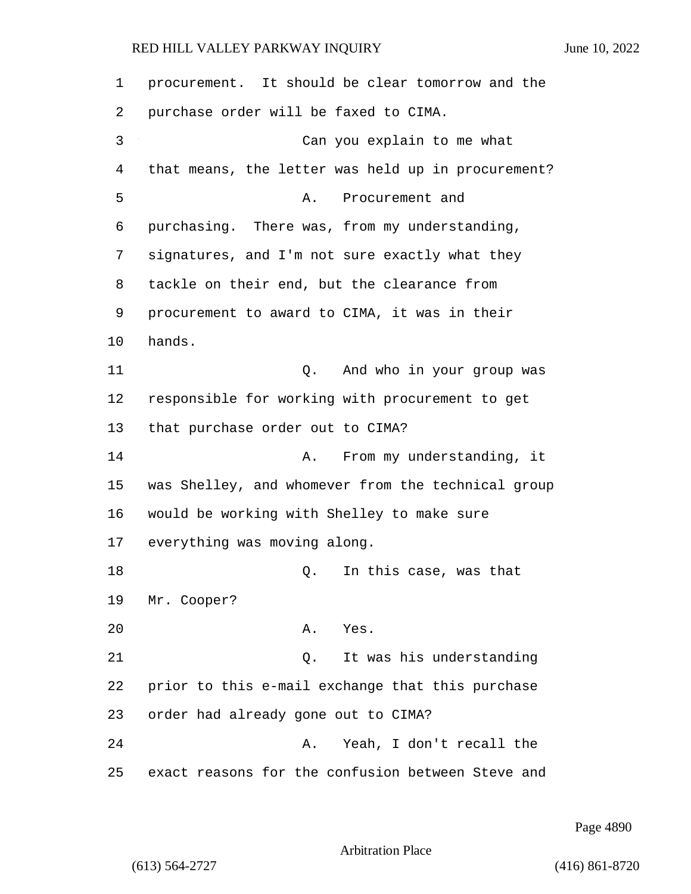| 1  | procurement. It should be clear tomorrow and the   |
|----|----------------------------------------------------|
| 2  | purchase order will be faxed to CIMA.              |
| 3  | Can you explain to me what                         |
| 4  | that means, the letter was held up in procurement? |
| 5  | Α.<br>Procurement and                              |
| 6  | purchasing. There was, from my understanding,      |
| 7  | signatures, and I'm not sure exactly what they     |
| 8  | tackle on their end, but the clearance from        |
| 9  | procurement to award to CIMA, it was in their      |
| 10 | hands.                                             |
| 11 | And who in your group was<br>Q.                    |
| 12 | responsible for working with procurement to get    |
| 13 | that purchase order out to CIMA?                   |
| 14 | From my understanding, it<br>Α.                    |
| 15 | was Shelley, and whomever from the technical group |
| 16 | would be working with Shelley to make sure         |
| 17 | everything was moving along.                       |
| 18 | In this case, was that<br>Q.                       |
| 19 | Mr. Cooper?                                        |
| 20 | Yes.<br>Α.                                         |
| 21 | It was his understanding<br>Q.                     |
| 22 | prior to this e-mail exchange that this purchase   |
| 23 | order had already gone out to CIMA?                |
| 24 | Yeah, I don't recall the<br>Α.                     |
| 25 | exact reasons for the confusion between Steve and  |

Page 4890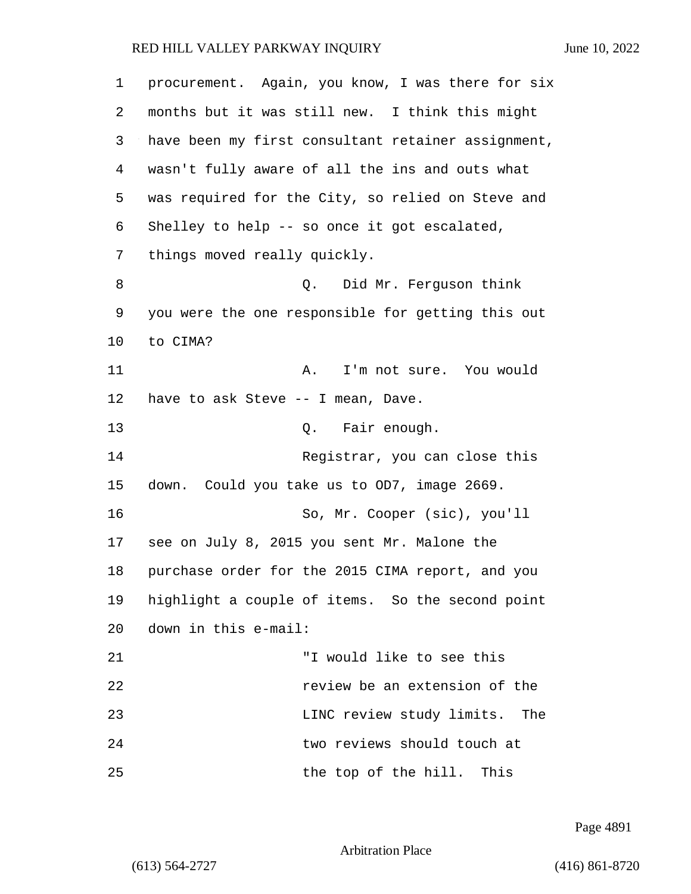| 1  | procurement. Again, you know, I was there for six  |
|----|----------------------------------------------------|
| 2  | months but it was still new. I think this might    |
| 3  | have been my first consultant retainer assignment, |
| 4  | wasn't fully aware of all the ins and outs what    |
| 5  | was required for the City, so relied on Steve and  |
| 6  | Shelley to help -- so once it got escalated,       |
| 7  | things moved really quickly.                       |
| 8  | Did Mr. Ferguson think<br>Q.                       |
| 9  | you were the one responsible for getting this out  |
| 10 | to CIMA?                                           |
| 11 | I'm not sure. You would<br>Α.                      |
| 12 | have to ask Steve -- I mean, Dave.                 |
| 13 | Q. Fair enough.                                    |
| 14 | Registrar, you can close this                      |
| 15 | down. Could you take us to OD7, image 2669.        |
| 16 | So, Mr. Cooper (sic), you'll                       |
| 17 | see on July 8, 2015 you sent Mr. Malone the        |
| 18 | purchase order for the 2015 CIMA report, and you   |
| 19 | highlight a couple of items. So the second point   |
| 20 | down in this e-mail:                               |
| 21 | "I would like to see this                          |
| 22 | review be an extension of the                      |
| 23 | LINC review study limits.<br>The                   |
| 24 | two reviews should touch at                        |
| 25 | the top of the hill. This                          |

Page 4891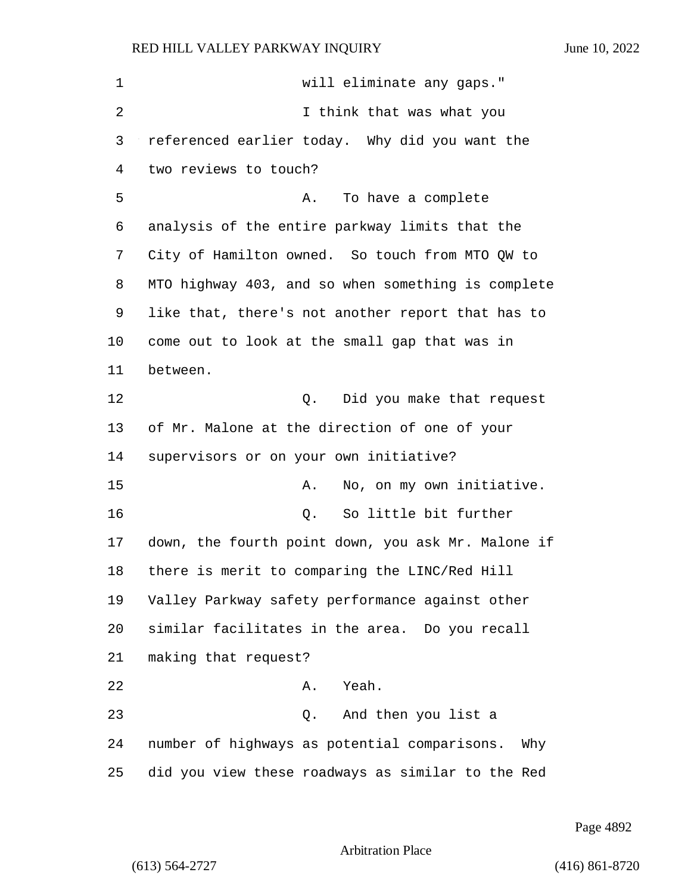1 will eliminate any gaps." 2 I think that was what you referenced earlier today. Why did you want the two reviews to touch? 5 A. To have a complete analysis of the entire parkway limits that the City of Hamilton owned. So touch from MTO QW to MTO highway 403, and so when something is complete like that, there's not another report that has to come out to look at the small gap that was in between. **12** O. Did you make that request of Mr. Malone at the direction of one of your supervisors or on your own initiative? 15 A. No, on my own initiative. 16 Q. So little bit further down, the fourth point down, you ask Mr. Malone if there is merit to comparing the LINC/Red Hill Valley Parkway safety performance against other similar facilitates in the area. Do you recall making that request? 22 A. Yeah. 23 Q. And then you list a number of highways as potential comparisons. Why did you view these roadways as similar to the Red

Page 4892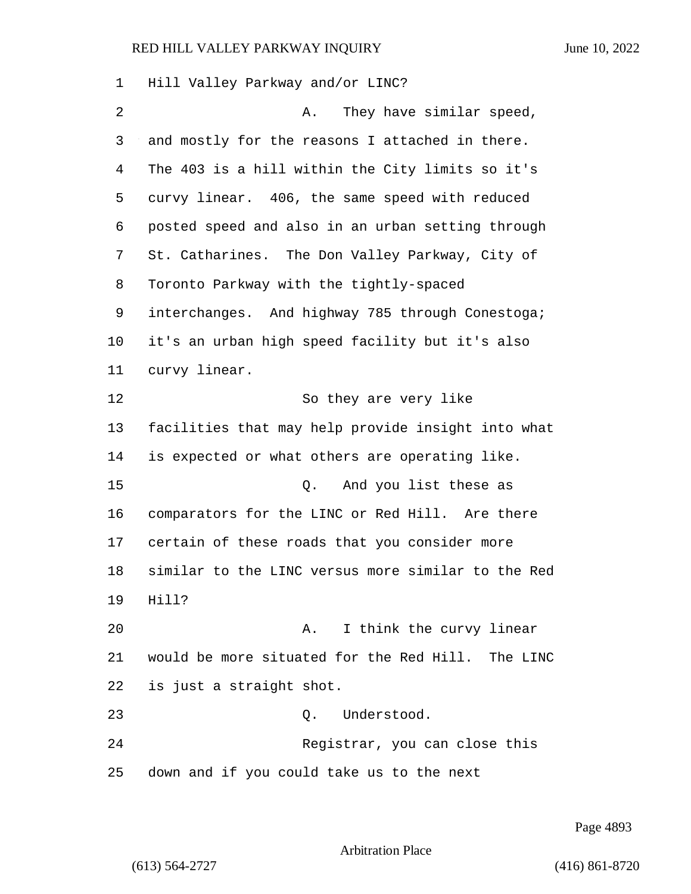| 1  | Hill Valley Parkway and/or LINC?                   |
|----|----------------------------------------------------|
| 2  | They have similar speed,<br>Α.                     |
| 3  | and mostly for the reasons I attached in there.    |
| 4  | The 403 is a hill within the City limits so it's   |
| 5  | curvy linear. 406, the same speed with reduced     |
| 6  | posted speed and also in an urban setting through  |
| 7  | St. Catharines. The Don Valley Parkway, City of    |
| 8  | Toronto Parkway with the tightly-spaced            |
| 9  | interchanges. And highway 785 through Conestoga;   |
| 10 | it's an urban high speed facility but it's also    |
| 11 | curvy linear.                                      |
| 12 | So they are very like                              |
| 13 | facilities that may help provide insight into what |
| 14 | is expected or what others are operating like.     |
| 15 | And you list these as<br>Q.                        |
| 16 | comparators for the LINC or Red Hill. Are there    |
| 17 | certain of these roads that you consider more      |
| 18 | similar to the LINC versus more similar to the Red |
| 19 | Hill?                                              |
| 20 | I think the curvy linear<br>Α.                     |
| 21 | would be more situated for the Red Hill. The LINC  |
| 22 | is just a straight shot.                           |
| 23 | Understood.<br>Q.                                  |
| 24 | Registrar, you can close this                      |
| 25 | down and if you could take us to the next          |

Page 4893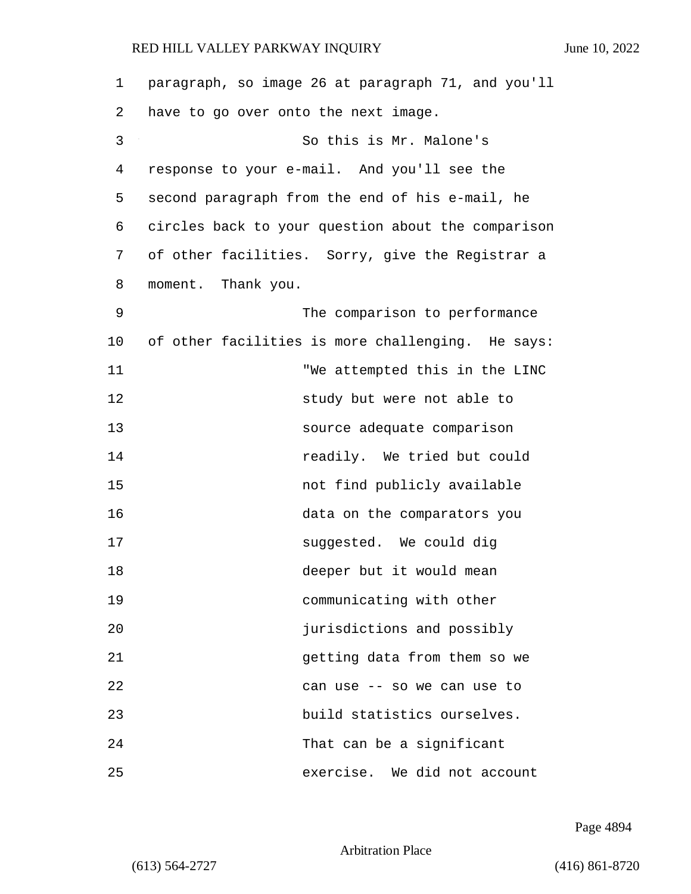| 1  | paragraph, so image 26 at paragraph 71, and you'll |
|----|----------------------------------------------------|
| 2  | have to go over onto the next image.               |
| 3  | So this is Mr. Malone's                            |
| 4  | response to your e-mail. And you'll see the        |
| 5  | second paragraph from the end of his e-mail, he    |
| 6  | circles back to your question about the comparison |
| 7  | of other facilities. Sorry, give the Registrar a   |
| 8  | moment. Thank you.                                 |
| 9  | The comparison to performance                      |
| 10 | of other facilities is more challenging. He says:  |
| 11 | "We attempted this in the LINC                     |
| 12 | study but were not able to                         |
| 13 | source adequate comparison                         |
| 14 | readily. We tried but could                        |
| 15 | not find publicly available                        |
| 16 | data on the comparators you                        |
| 17 | suggested. We could dig                            |
| 18 | deeper but it would mean                           |
| 19 | communicating with other                           |
| 20 | jurisdictions and possibly                         |
| 21 | getting data from them so we                       |
| 22 | can use -- so we can use to                        |
| 23 | build statistics ourselves.                        |
| 24 | That can be a significant                          |
| 25 | exercise. We did not account                       |

Page 4894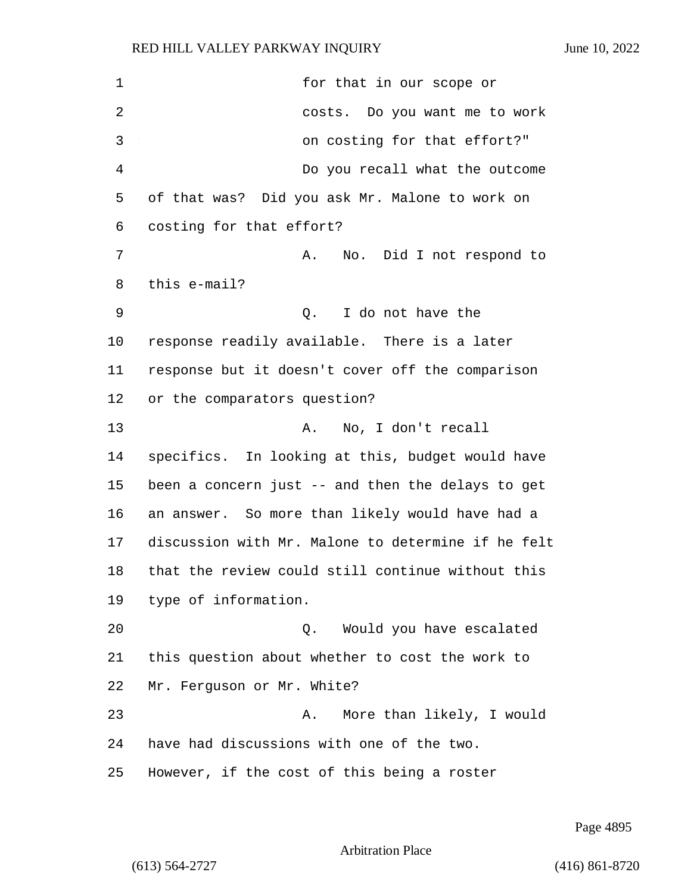1 for that in our scope or 2 costs. Do you want me to work 3 on costing for that effort?" 4 Do you recall what the outcome of that was? Did you ask Mr. Malone to work on costing for that effort? 7 A. No. Did I not respond to this e-mail? 9 Q. I do not have the response readily available. There is a later response but it doesn't cover off the comparison or the comparators question? 13 A. No, I don't recall specifics. In looking at this, budget would have been a concern just -- and then the delays to get an answer. So more than likely would have had a discussion with Mr. Malone to determine if he felt that the review could still continue without this type of information. 20 Q. Would you have escalated this question about whether to cost the work to Mr. Ferguson or Mr. White? 23 A. More than likely, I would have had discussions with one of the two. However, if the cost of this being a roster

Page 4895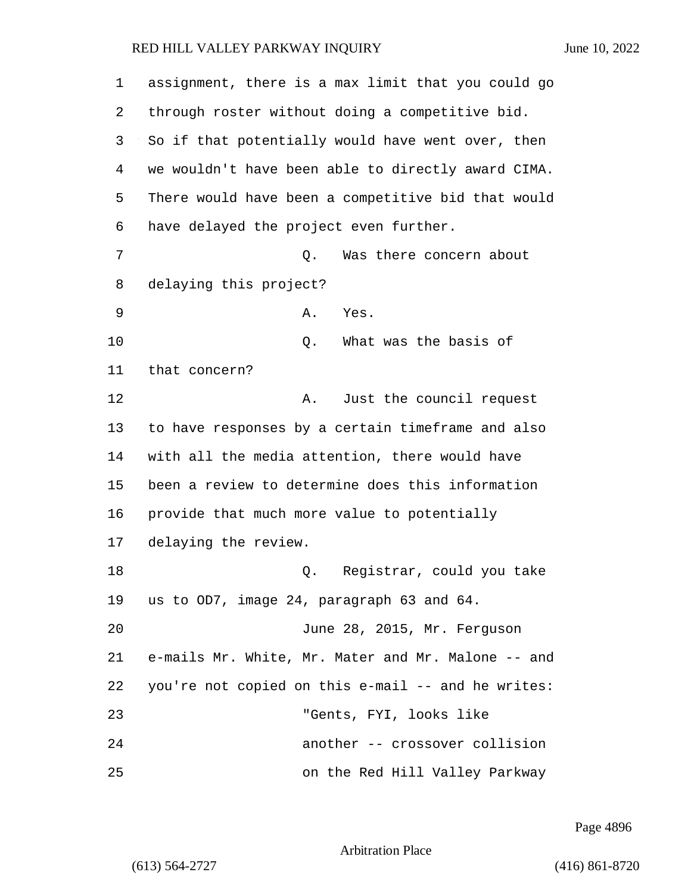| 1  | assignment, there is a max limit that you could go |
|----|----------------------------------------------------|
| 2  | through roster without doing a competitive bid.    |
| 3  | So if that potentially would have went over, then  |
| 4  | we wouldn't have been able to directly award CIMA. |
| 5  | There would have been a competitive bid that would |
| 6  | have delayed the project even further.             |
| 7  | Was there concern about<br>Q.                      |
| 8  | delaying this project?                             |
| 9  | Α.<br>Yes.                                         |
| 10 | What was the basis of<br>Q.                        |
| 11 | that concern?                                      |
| 12 | Just the council request<br>Α.                     |
| 13 | to have responses by a certain timeframe and also  |
| 14 | with all the media attention, there would have     |
| 15 | been a review to determine does this information   |
| 16 | provide that much more value to potentially        |
| 17 | delaying the review.                               |
| 18 | Registrar, could you take<br>Q.                    |
| 19 | us to OD7, image 24, paragraph 63 and 64.          |
| 20 | June 28, 2015, Mr. Ferguson                        |
| 21 | e-mails Mr. White, Mr. Mater and Mr. Malone -- and |
| 22 | you're not copied on this e-mail -- and he writes: |
| 23 | "Gents, FYI, looks like                            |
| 24 | another -- crossover collision                     |
| 25 | on the Red Hill Valley Parkway                     |

Page 4896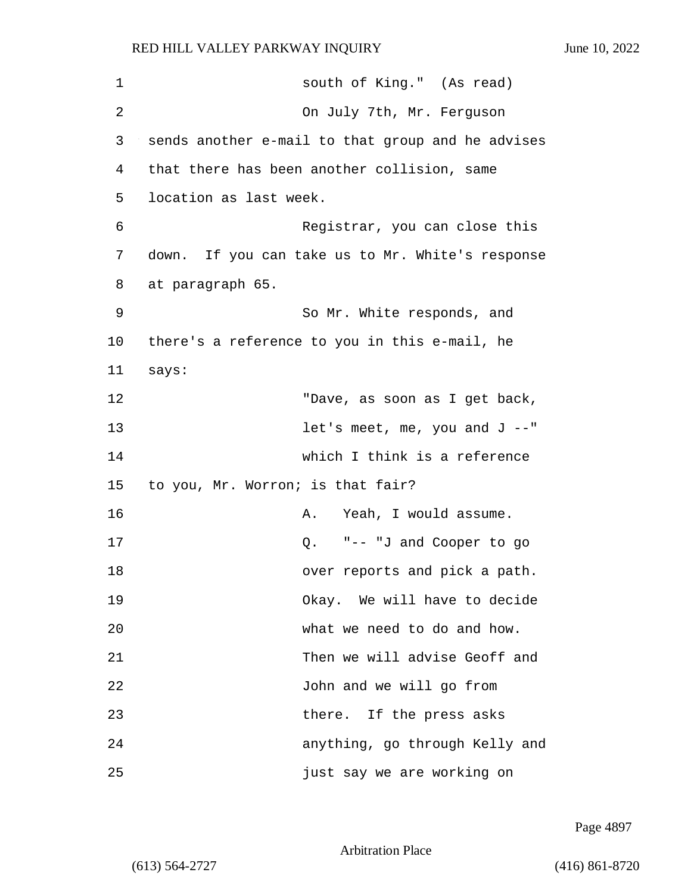| $\mathbf 1$ | south of King." (As read)                         |
|-------------|---------------------------------------------------|
| 2           | On July 7th, Mr. Ferguson                         |
| 3           | sends another e-mail to that group and he advises |
| 4           | that there has been another collision, same       |
| 5           | location as last week.                            |
| 6           | Registrar, you can close this                     |
| 7           | down. If you can take us to Mr. White's response  |
| 8           | at paragraph 65.                                  |
| 9           | So Mr. White responds, and                        |
| 10          | there's a reference to you in this e-mail, he     |
| 11          | says:                                             |
| 12          | "Dave, as soon as I get back,                     |
| 13          | let's meet, me, you and $J$ --"                   |
| 14          | which I think is a reference                      |
| 15          | to you, Mr. Worron; is that fair?                 |
| 16          | Yeah, I would assume.<br>Α.                       |
| 17          | "-- "J and Cooper to go<br>Q.                     |
| 18          | over reports and pick a path.                     |
| 19          | Okay. We will have to decide                      |
| 20          | what we need to do and how.                       |
| 21          | Then we will advise Geoff and                     |
| 22          | John and we will go from                          |
| 23          | there. If the press asks                          |
| 24          | anything, go through Kelly and                    |
| 25          | just say we are working on                        |

Page 4897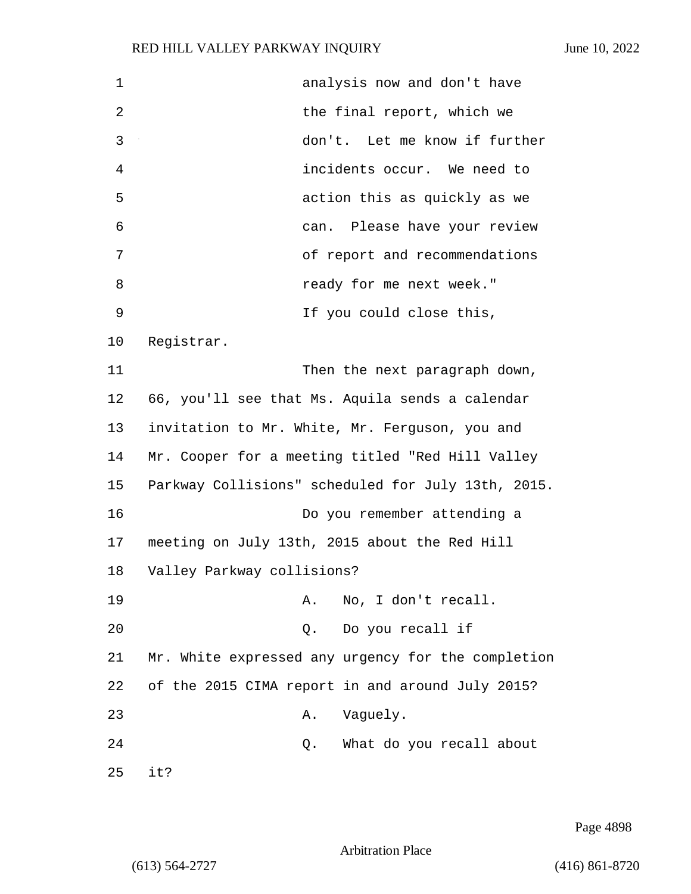| $\mathbf 1$ | analysis now and don't have                        |
|-------------|----------------------------------------------------|
| 2           | the final report, which we                         |
| 3           | don't. Let me know if further                      |
| 4           | incidents occur. We need to                        |
| 5           | action this as quickly as we                       |
| 6           | can. Please have your review                       |
| 7           | of report and recommendations                      |
| 8           | ready for me next week."                           |
| 9           | If you could close this,                           |
| 10          | Registrar.                                         |
| 11          | Then the next paragraph down,                      |
| 12          | 66, you'll see that Ms. Aquila sends a calendar    |
| 13          | invitation to Mr. White, Mr. Ferguson, you and     |
| 14          | Mr. Cooper for a meeting titled "Red Hill Valley   |
| 15          | Parkway Collisions" scheduled for July 13th, 2015. |
| 16          | Do you remember attending a                        |
| 17          | meeting on July 13th, 2015 about the Red Hill      |
| 18          | Valley Parkway collisions?                         |
| 19          | No, I don't recall.<br>Α.                          |
| 20          | Do you recall if<br>Q.                             |
| 21          | Mr. White expressed any urgency for the completion |
| 22          | of the 2015 CIMA report in and around July 2015?   |
| 23          | Vaguely.<br>Α.                                     |
| 24          | What do you recall about<br>Q.                     |
| 25          | it?                                                |

Page 4898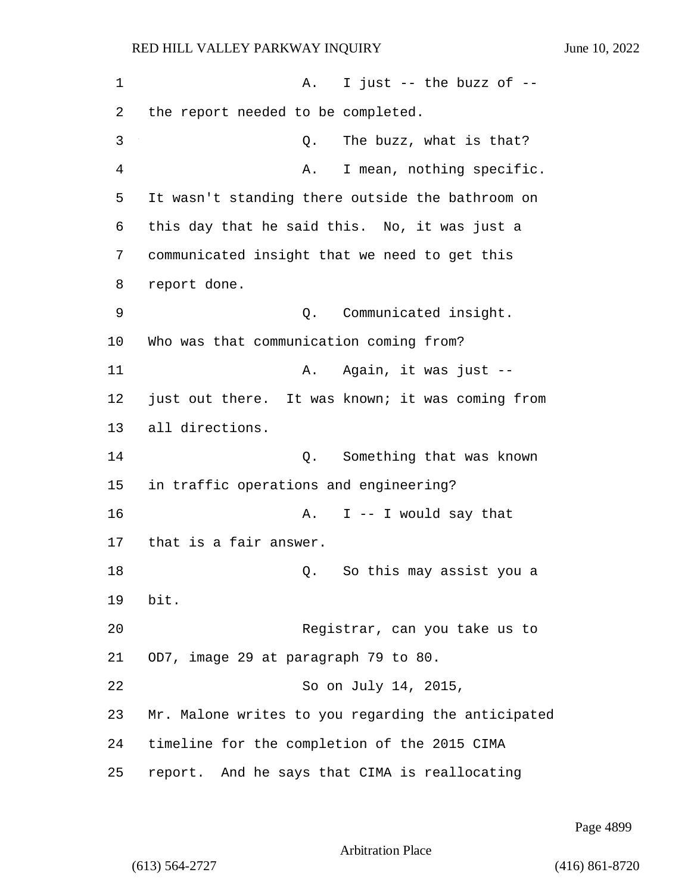1 A. I just -- the buzz of --2 the report needed to be completed. 3 Q. The buzz, what is that? 4 A. I mean, nothing specific. 5 It wasn't standing there outside the bathroom on 6 this day that he said this. No, it was just a 7 communicated insight that we need to get this 8 report done. 9 Q. Communicated insight. 10 Who was that communication coming from? 11 A. Again, it was just --12 just out there. It was known; it was coming from 13 all directions. 14 Q. Something that was known 15 in traffic operations and engineering? 16 A. I -- I would say that 17 that is a fair answer. 18 C. So this may assist you a 19 bit. 20 Registrar, can you take us to 21 OD7, image 29 at paragraph 79 to 80. 22 So on July 14, 2015, 23 Mr. Malone writes to you regarding the anticipated 24 timeline for the completion of the 2015 CIMA 25 report. And he says that CIMA is reallocating

Page 4899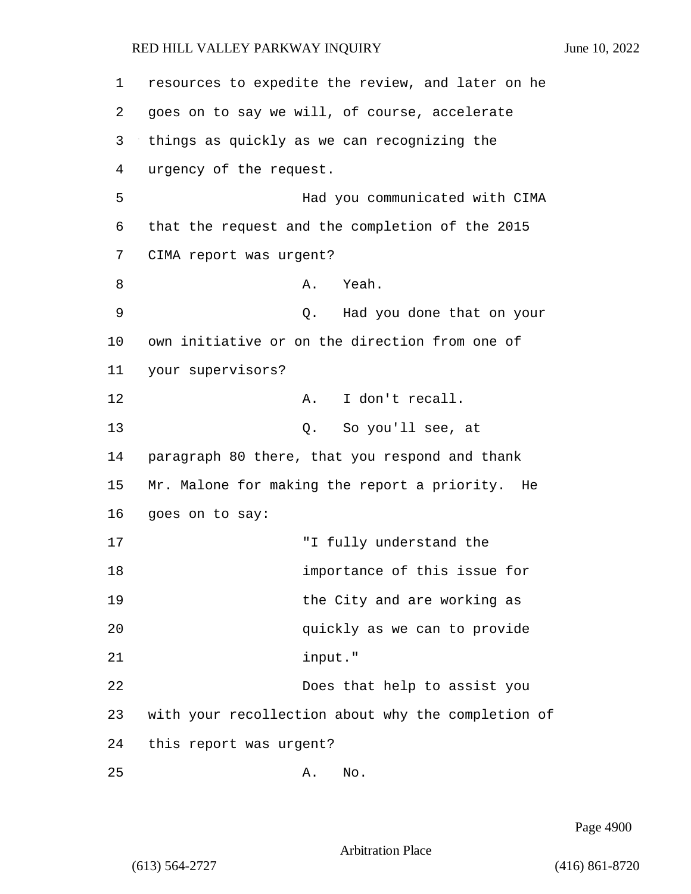| 1  | resources to expedite the review, and later on he  |
|----|----------------------------------------------------|
| 2  | goes on to say we will, of course, accelerate      |
| 3  | things as quickly as we can recognizing the        |
| 4  | urgency of the request.                            |
| 5  | Had you communicated with CIMA                     |
| 6  | that the request and the completion of the 2015    |
| 7  | CIMA report was urgent?                            |
| 8  | Yeah.<br>Α.                                        |
| 9  | Had you done that on your<br>Q.                    |
| 10 | own initiative or on the direction from one of     |
| 11 | your supervisors?                                  |
| 12 | I don't recall.<br>Α.                              |
| 13 | So you'll see, at<br>Q.                            |
| 14 | paragraph 80 there, that you respond and thank     |
| 15 | Mr. Malone for making the report a priority.<br>He |
| 16 | goes on to say:                                    |
| 17 | "I fully understand the                            |
| 18 | importance of this issue for                       |
| 19 | the City and are working as                        |
| 20 | quickly as we can to provide                       |
| 21 | input."                                            |
| 22 | Does that help to assist you                       |
| 23 | with your recollection about why the completion of |
| 24 | this report was urgent?                            |
| 25 | No.<br>Α.                                          |

Page 4900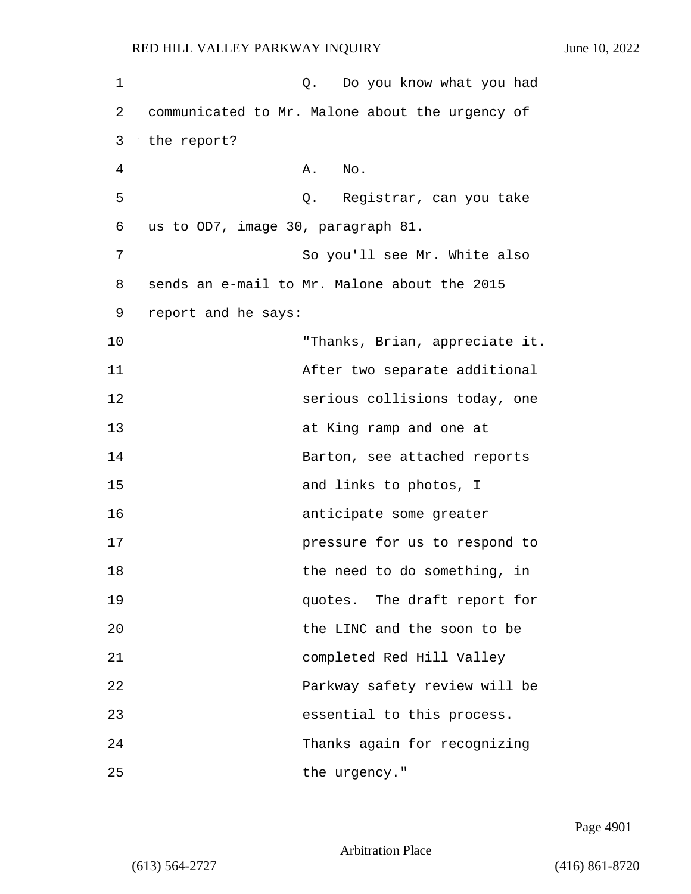| $\mathbf 1$ | Q. Do you know what you had                     |
|-------------|-------------------------------------------------|
| 2           | communicated to Mr. Malone about the urgency of |
| 3           | the report?                                     |
| 4           | Α.<br>No.                                       |
| 5           | Q. Registrar, can you take                      |
| 6           | us to OD7, image 30, paragraph 81.              |
| 7           | So you'll see Mr. White also                    |
| 8           | sends an e-mail to Mr. Malone about the 2015    |
| 9           | report and he says:                             |
| 10          | "Thanks, Brian, appreciate it.                  |
| 11          | After two separate additional                   |
| 12          | serious collisions today, one                   |
| 13          | at King ramp and one at                         |
| 14          | Barton, see attached reports                    |
| 15          | and links to photos, I                          |
| 16          | anticipate some greater                         |
| 17          | pressure for us to respond to                   |
| 18          | the need to do something, in                    |
| 19          | quotes. The draft report for                    |
| 20          | the LINC and the soon to be                     |
| 21          | completed Red Hill Valley                       |
| 22          | Parkway safety review will be                   |
| 23          | essential to this process.                      |
| 24          | Thanks again for recognizing                    |
| 25          | the urgency."                                   |

Page 4901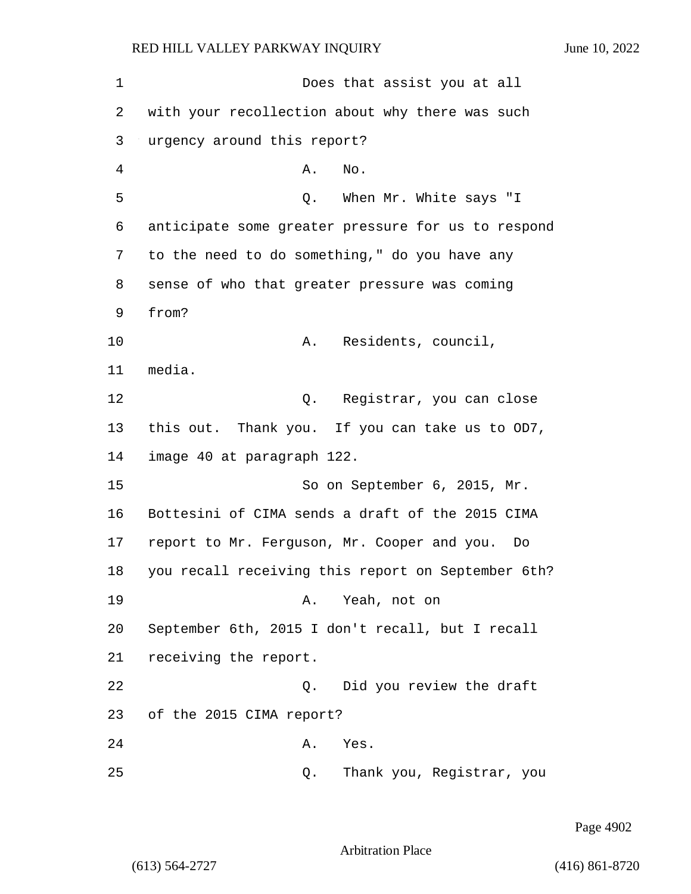1 Does that assist you at all 2 with your recollection about why there was such 3 urgency around this report? 4 A. No. 5 Q. When Mr. White says "I 6 anticipate some greater pressure for us to respond 7 to the need to do something," do you have any 8 sense of who that greater pressure was coming 9 from? 10 A. Residents, council, 11 media. 12 Q. Registrar, you can close 13 this out. Thank you. If you can take us to OD7, 14 image 40 at paragraph 122. 15 So on September 6, 2015, Mr. 16 Bottesini of CIMA sends a draft of the 2015 CIMA 17 report to Mr. Ferguson, Mr. Cooper and you. Do 18 you recall receiving this report on September 6th? 19 A. Yeah, not on 20 September 6th, 2015 I don't recall, but I recall 21 receiving the report. 22 Q. Did you review the draft 23 of the 2015 CIMA report? 24 A. Yes. 25 Q. Thank you, Registrar, you

Page 4902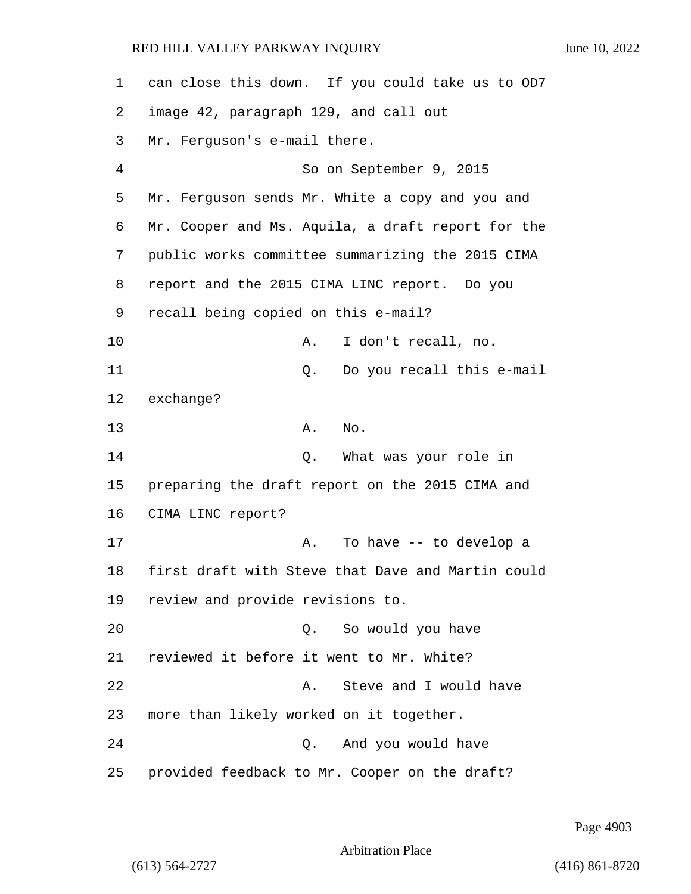can close this down. If you could take us to OD7 image 42, paragraph 129, and call out Mr. Ferguson's e-mail there. 4 So on September 9, 2015 Mr. Ferguson sends Mr. White a copy and you and Mr. Cooper and Ms. Aquila, a draft report for the public works committee summarizing the 2015 CIMA report and the 2015 CIMA LINC report. Do you recall being copied on this e-mail? 10 A. I don't recall, no. 11 Q. Do you recall this e-mail exchange? 13 A. No. 14 Q. What was your role in preparing the draft report on the 2015 CIMA and CIMA LINC report? 17 A. To have -- to develop a first draft with Steve that Dave and Martin could review and provide revisions to. 20 Q. So would you have reviewed it before it went to Mr. White? 22 A. Steve and I would have more than likely worked on it together. 24 Q. And you would have provided feedback to Mr. Cooper on the draft?

Page 4903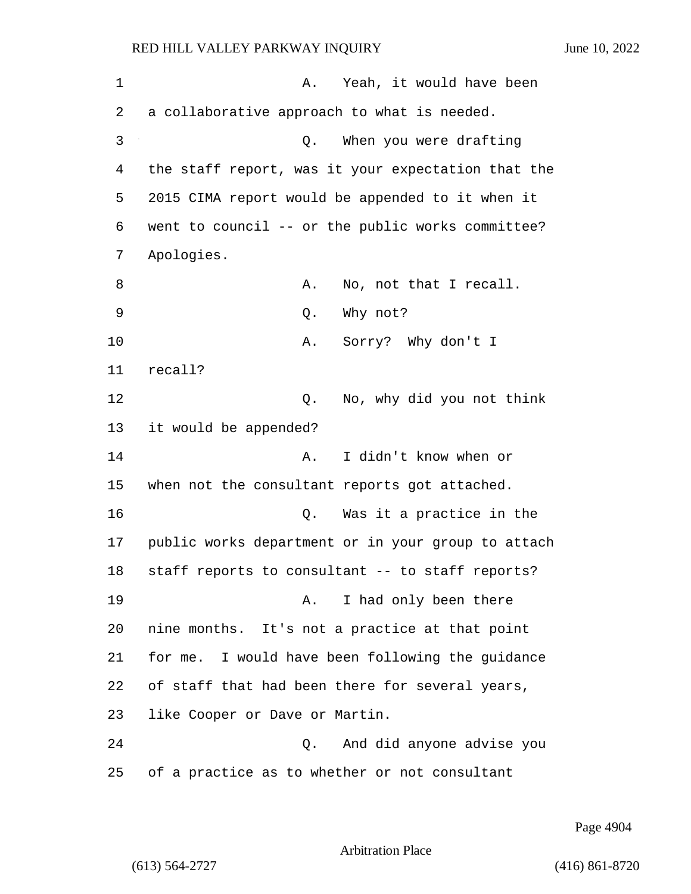| $\mathbf 1$ | Yeah, it would have been<br>Α.                     |
|-------------|----------------------------------------------------|
| 2           | a collaborative approach to what is needed.        |
| 3           | When you were drafting<br>Q.                       |
| 4           | the staff report, was it your expectation that the |
| 5           | 2015 CIMA report would be appended to it when it   |
| 6           | went to council -- or the public works committee?  |
| 7           | Apologies.                                         |
| 8           | No, not that I recall.<br>Α.                       |
| 9           | Why not?<br>Q.                                     |
| 10          | Sorry? Why don't I<br>Α.                           |
| 11          | recall?                                            |
| 12          | No, why did you not think<br>Q.                    |
| 13          | it would be appended?                              |
| 14          | I didn't know when or<br>Α.                        |
| 15          | when not the consultant reports got attached.      |
| 16          | Was it a practice in the<br>Q.                     |
| 17          | public works department or in your group to attach |
| 18          | staff reports to consultant -- to staff reports?   |
| 19          | I had only been there<br>Α.                        |
| 20          | nine months. It's not a practice at that point     |
| 21          | for me. I would have been following the guidance   |
| 22          | of staff that had been there for several years,    |
| 23          | like Cooper or Dave or Martin.                     |
| 24          | And did anyone advise you<br>$\circ$ .             |
| 25          | of a practice as to whether or not consultant      |

Page 4904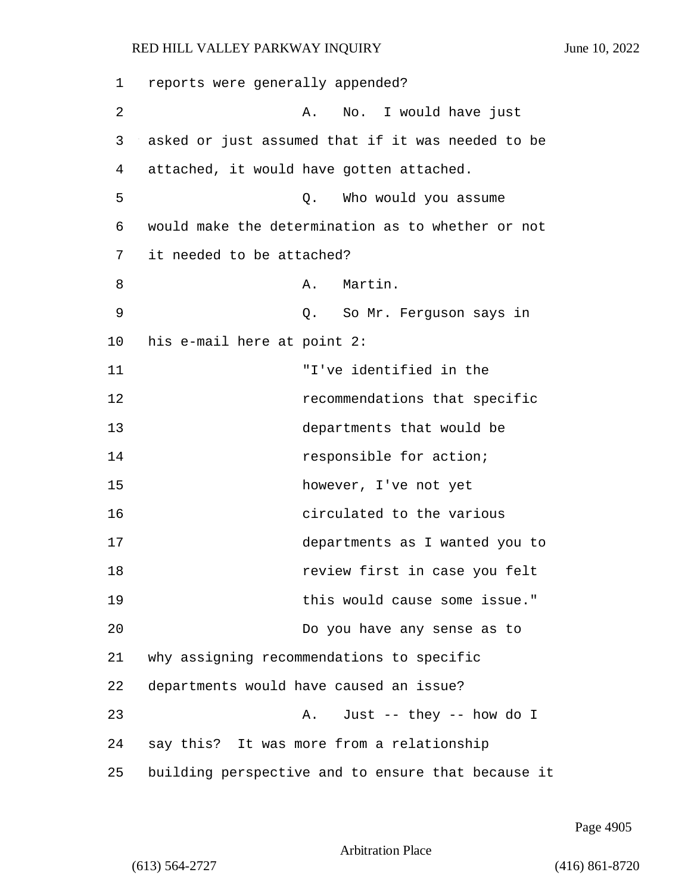| 1  | reports were generally appended?                   |
|----|----------------------------------------------------|
| 2  | No. I would have just<br>Α.                        |
| 3  | asked or just assumed that if it was needed to be  |
| 4  | attached, it would have gotten attached.           |
| 5  | Who would you assume<br>Q.                         |
| 6  | would make the determination as to whether or not  |
| 7  | it needed to be attached?                          |
| 8  | Martin.<br>Α.                                      |
| 9  | Q. So Mr. Ferguson says in                         |
| 10 | his e-mail here at point 2:                        |
| 11 | "I've identified in the                            |
| 12 | recommendations that specific                      |
| 13 | departments that would be                          |
| 14 | responsible for action;                            |
| 15 | however, I've not yet                              |
| 16 | circulated to the various                          |
| 17 | departments as I wanted you to                     |
| 18 | review first in case you felt                      |
| 19 | this would cause some issue."                      |
| 20 | Do you have any sense as to                        |
| 21 | why assigning recommendations to specific          |
| 22 | departments would have caused an issue?            |
| 23 | Just -- they -- how do I<br>Α.                     |
| 24 | say this? It was more from a relationship          |
| 25 | building perspective and to ensure that because it |

Page 4905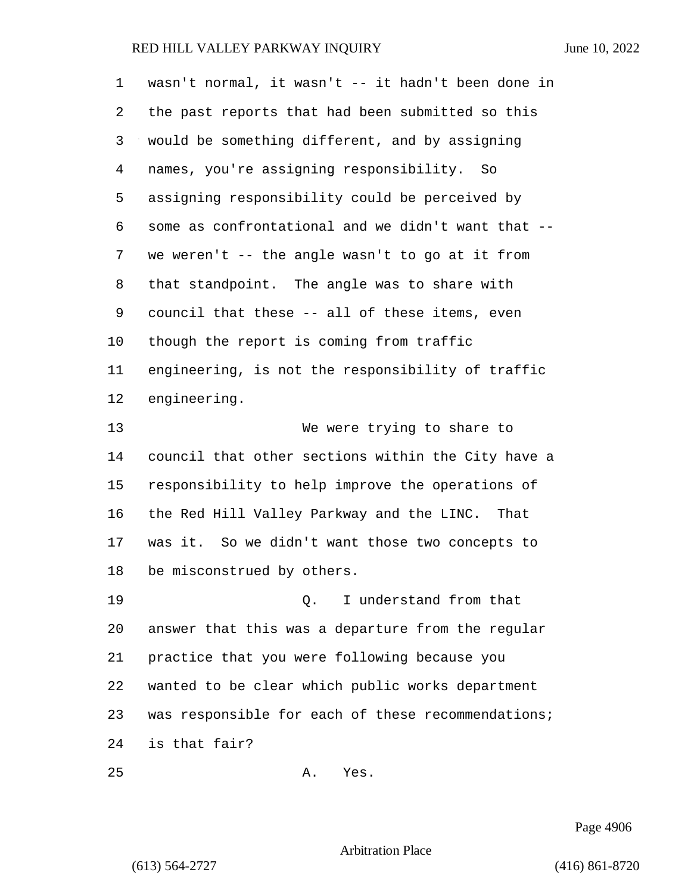| 1  | wasn't normal, it wasn't -- it hadn't been done in |
|----|----------------------------------------------------|
| 2  | the past reports that had been submitted so this   |
| 3  | would be something different, and by assigning     |
| 4  | names, you're assigning responsibility. So         |
| 5  | assigning responsibility could be perceived by     |
| 6  | some as confrontational and we didn't want that -- |
| 7  | we weren't -- the angle wasn't to go at it from    |
| 8  | that standpoint. The angle was to share with       |
| 9  | council that these -- all of these items, even     |
| 10 | though the report is coming from traffic           |
| 11 | engineering, is not the responsibility of traffic  |
| 12 | engineering.                                       |
| 13 | We were trying to share to                         |
| 14 | council that other sections within the City have a |
| 15 | responsibility to help improve the operations of   |
| 16 | the Red Hill Valley Parkway and the LINC. That     |
| 17 | was it. So we didn't want those two concepts to    |
| 18 | be misconstrued by others.                         |
| 19 | I understand from that<br>О.                       |
| 20 | answer that this was a departure from the regular  |
| 21 | practice that you were following because you       |
| 22 | wanted to be clear which public works department   |
| 23 | was responsible for each of these recommendations; |
| 24 | is that fair?                                      |
| 25 | Yes.<br>Α.                                         |

Page 4906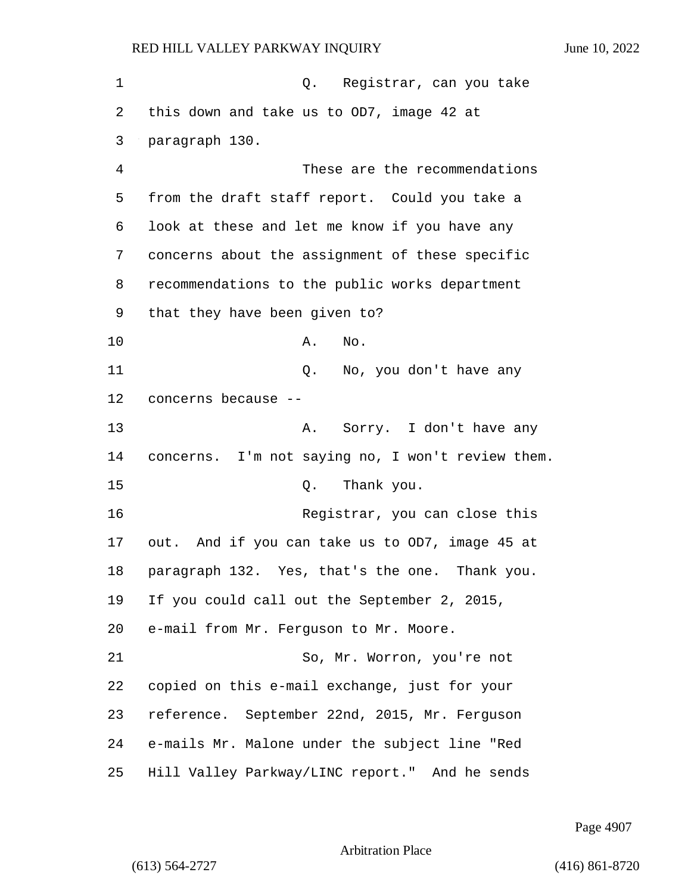1 Q. Registrar, can you take this down and take us to OD7, image 42 at paragraph 130. 4 These are the recommendations from the draft staff report. Could you take a look at these and let me know if you have any concerns about the assignment of these specific recommendations to the public works department that they have been given to? 10 A. No. 11 Q. No, you don't have any concerns because -- 13 A. Sorry. I don't have any concerns. I'm not saying no, I won't review them. 15 C. Thank you. 16 Registrar, you can close this out. And if you can take us to OD7, image 45 at paragraph 132. Yes, that's the one. Thank you. If you could call out the September 2, 2015, e-mail from Mr. Ferguson to Mr. Moore. 21 So, Mr. Worron, you're not copied on this e-mail exchange, just for your reference. September 22nd, 2015, Mr. Ferguson e-mails Mr. Malone under the subject line "Red Hill Valley Parkway/LINC report." And he sends

Page 4907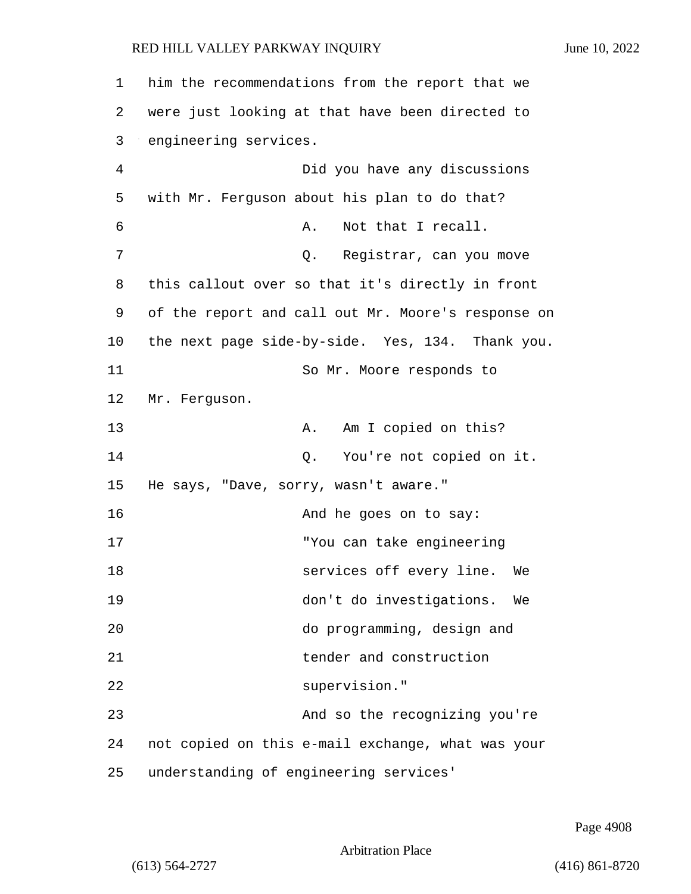| 1              | him the recommendations from the report that we    |
|----------------|----------------------------------------------------|
| 2              | were just looking at that have been directed to    |
| 3              | engineering services.                              |
| $\overline{4}$ | Did you have any discussions                       |
| 5              | with Mr. Ferguson about his plan to do that?       |
| 6              | Not that I recall.<br>Α.                           |
| 7              | Q. Registrar, can you move                         |
| 8              | this callout over so that it's directly in front   |
| 9              | of the report and call out Mr. Moore's response on |
| 10             | the next page side-by-side. Yes, 134. Thank you.   |
| 11             | So Mr. Moore responds to                           |
| 12             | Mr. Ferguson.                                      |
| 13             | Am I copied on this?<br>Α.                         |
| 14             | You're not copied on it.<br>Q.                     |
| 15             | He says, "Dave, sorry, wasn't aware."              |
| 16             | And he goes on to say:                             |
| 17             | "You can take engineering                          |
| 18             | services off every line. We                        |
| 19             | don't do investigations. We                        |
| 20             | do programming, design and                         |
| 21             | tender and construction                            |
| 22             | supervision."                                      |
| 23             | And so the recognizing you're                      |
| 24             | not copied on this e-mail exchange, what was your  |
| 25             | understanding of engineering services'             |

Page 4908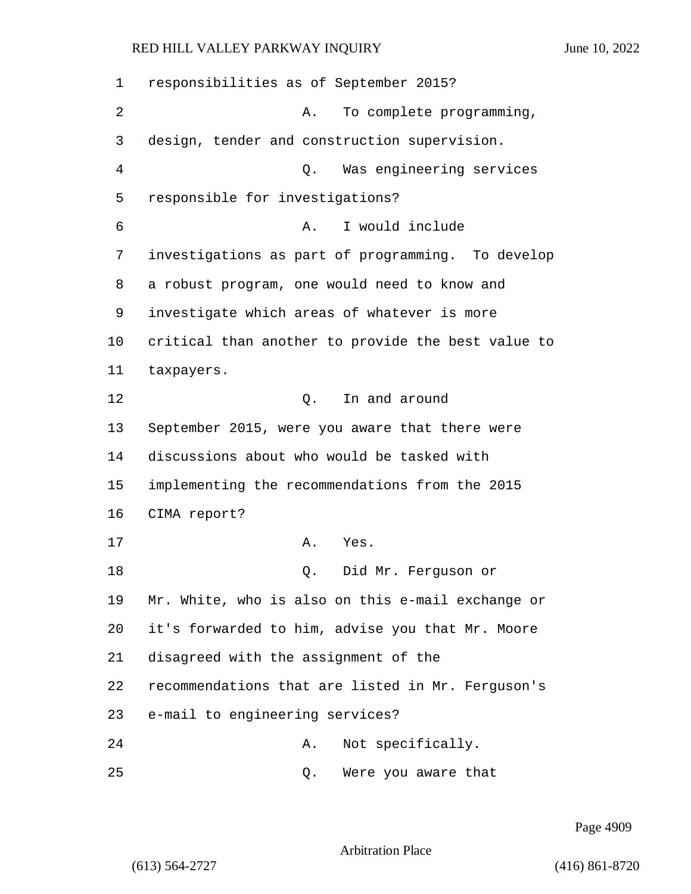| 1  | responsibilities as of September 2015?             |
|----|----------------------------------------------------|
| 2  | To complete programming,<br>Α.                     |
| 3  | design, tender and construction supervision.       |
| 4  | Was engineering services<br>Q.                     |
| 5  | responsible for investigations?                    |
| 6  | I would include<br>Α.                              |
| 7  | investigations as part of programming. To develop  |
| 8  | a robust program, one would need to know and       |
| 9  | investigate which areas of whatever is more        |
| 10 | critical than another to provide the best value to |
| 11 | taxpayers.                                         |
| 12 | In and around<br>Q.                                |
| 13 | September 2015, were you aware that there were     |
| 14 | discussions about who would be tasked with         |
| 15 | implementing the recommendations from the 2015     |
| 16 | CIMA report?                                       |
| 17 | Α.<br>Yes.                                         |
| 18 | Did Mr. Ferguson or<br>Q.                          |
| 19 | Mr. White, who is also on this e-mail exchange or  |
| 20 | it's forwarded to him, advise you that Mr. Moore   |
| 21 | disagreed with the assignment of the               |
| 22 | recommendations that are listed in Mr. Ferguson's  |
| 23 | e-mail to engineering services?                    |
| 24 | Not specifically.<br>Α.                            |
| 25 | Were you aware that<br>Q.                          |

Page 4909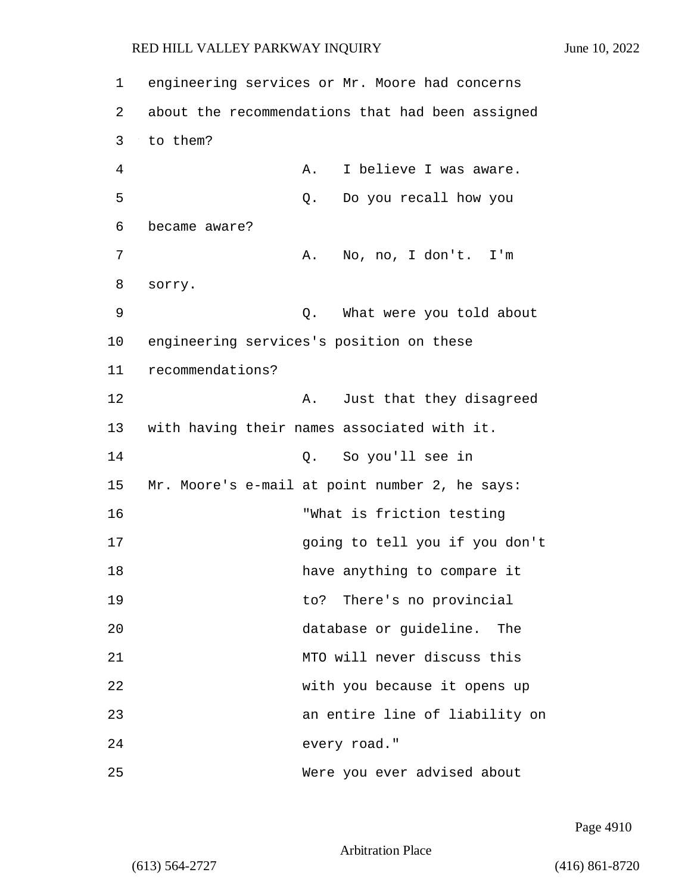| $\mathbf 1$ |                                          |    | engineering services or Mr. Moore had concerns   |
|-------------|------------------------------------------|----|--------------------------------------------------|
| 2           |                                          |    | about the recommendations that had been assigned |
| 3           | to them?                                 |    |                                                  |
| 4           |                                          | Α. | I believe I was aware.                           |
| 5           |                                          | Q. | Do you recall how you                            |
| 6           | became aware?                            |    |                                                  |
| 7           |                                          | Α. | No, no, I don't. I'm                             |
| 8           | sorry.                                   |    |                                                  |
| 9           |                                          | Q. | What were you told about                         |
| 10          | engineering services's position on these |    |                                                  |
| 11          | recommendations?                         |    |                                                  |
| 12          |                                          | Α. | Just that they disagreed                         |
| 13          |                                          |    | with having their names associated with it.      |
| 14          |                                          | О. | So you'll see in                                 |
| 15          |                                          |    | Mr. Moore's e-mail at point number 2, he says:   |
| 16          |                                          |    | "What is friction testing                        |
| 17          |                                          |    | going to tell you if you don't                   |
| 18          |                                          |    | have anything to compare it                      |
| 19          |                                          |    | to? There's no provincial                        |
| 20          |                                          |    | database or guideline.<br>The                    |
| 21          |                                          |    | MTO will never discuss this                      |
| 22          |                                          |    | with you because it opens up                     |
| 23          |                                          |    | an entire line of liability on                   |
| 24          |                                          |    | every road."                                     |
| 25          |                                          |    | Were you ever advised about                      |

Page 4910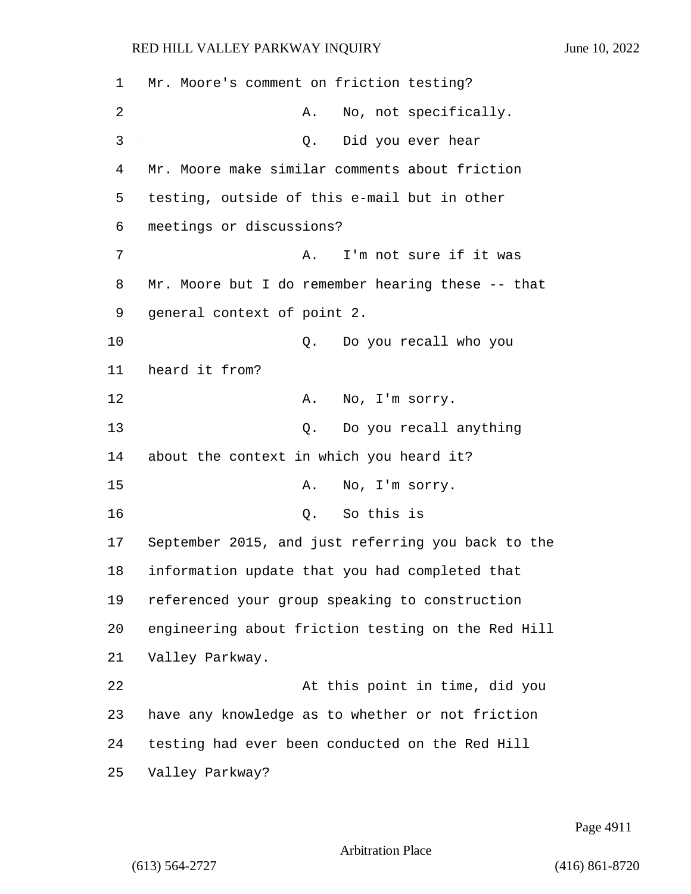Mr. Moore's comment on friction testing? 2 A. No, not specifically. 3 Q. Did you ever hear Mr. Moore make similar comments about friction testing, outside of this e-mail but in other meetings or discussions? 7 A. I'm not sure if it was Mr. Moore but I do remember hearing these -- that general context of point 2. 10 Q. Do you recall who you heard it from? 12 A. No, I'm sorry. 13 Q. Do you recall anything about the context in which you heard it? 15 A. No, I'm sorry. 16 Q. So this is September 2015, and just referring you back to the information update that you had completed that referenced your group speaking to construction engineering about friction testing on the Red Hill Valley Parkway. 22 At this point in time, did you have any knowledge as to whether or not friction testing had ever been conducted on the Red Hill Valley Parkway?

Page 4911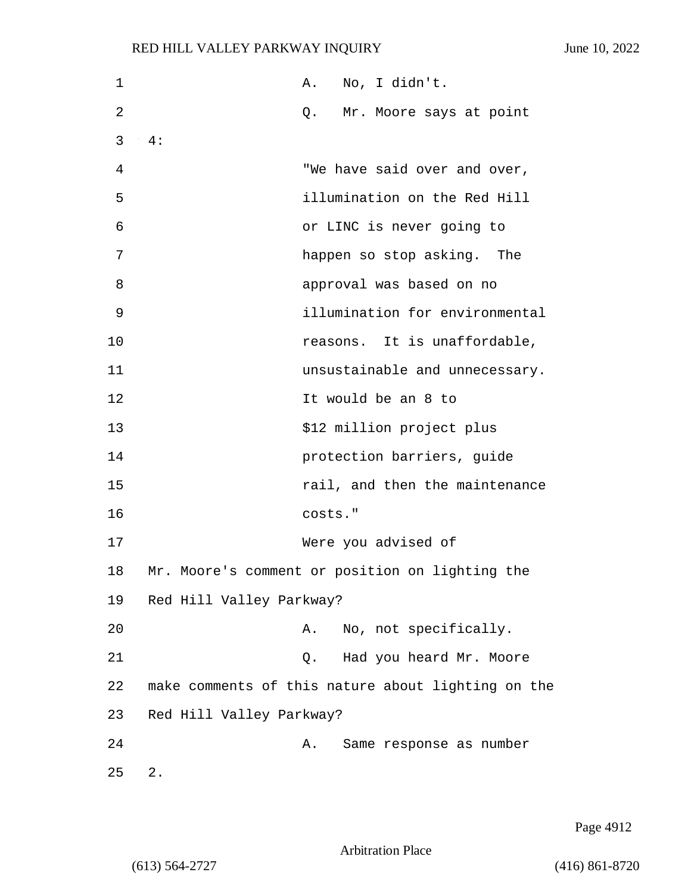| 1  | No, I didn't.<br>Α.                                |  |
|----|----------------------------------------------------|--|
| 2  | Q. Mr. Moore says at point                         |  |
| 3  | 4:                                                 |  |
| 4  | "We have said over and over,                       |  |
| 5  | illumination on the Red Hill                       |  |
| 6  | or LINC is never going to                          |  |
| 7  | happen so stop asking. The                         |  |
| 8  | approval was based on no                           |  |
| 9  | illumination for environmental                     |  |
| 10 | reasons. It is unaffordable,                       |  |
| 11 | unsustainable and unnecessary.                     |  |
| 12 | It would be an 8 to                                |  |
| 13 | \$12 million project plus                          |  |
| 14 | protection barriers, guide                         |  |
| 15 | rail, and then the maintenance                     |  |
| 16 | costs."                                            |  |
| 17 | Were you advised of                                |  |
| 18 | Mr. Moore's comment or position on lighting the    |  |
| 19 | Red Hill Valley Parkway?                           |  |
| 20 | No, not specifically.<br>Α.                        |  |
| 21 | Had you heard Mr. Moore<br>Q.                      |  |
| 22 | make comments of this nature about lighting on the |  |
| 23 | Red Hill Valley Parkway?                           |  |
| 24 | Same response as number<br>Α.                      |  |
| 25 | $2$ .                                              |  |

Page 4912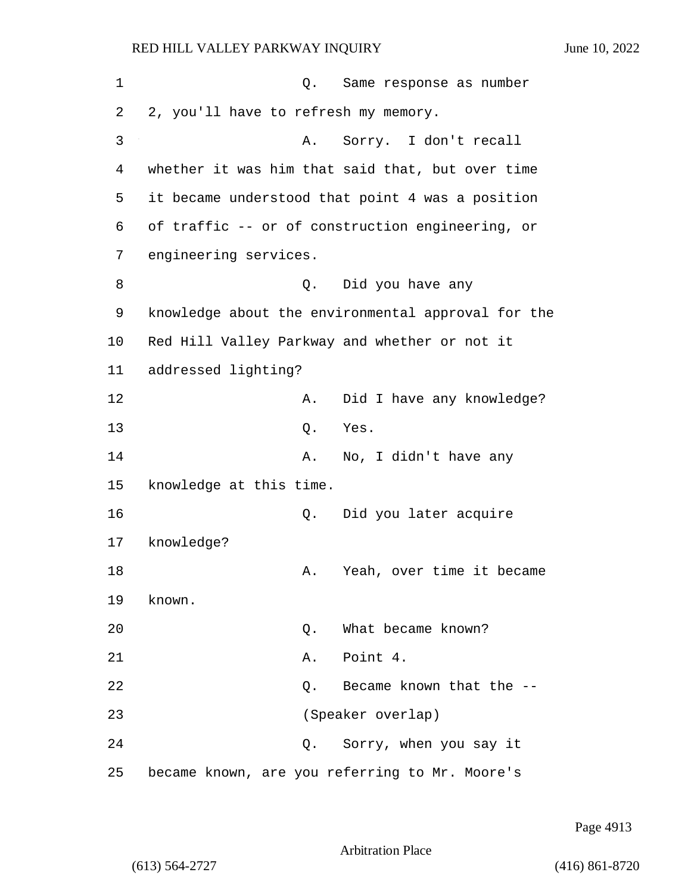| 1  | Same response as number<br>Q.                      |  |
|----|----------------------------------------------------|--|
| 2  | 2, you'll have to refresh my memory.               |  |
| 3  | Sorry. I don't recall<br>Α.                        |  |
| 4  | whether it was him that said that, but over time   |  |
| 5  | it became understood that point 4 was a position   |  |
| 6  | of traffic -- or of construction engineering, or   |  |
| 7  | engineering services.                              |  |
| 8  | Q. Did you have any                                |  |
| 9  | knowledge about the environmental approval for the |  |
| 10 | Red Hill Valley Parkway and whether or not it      |  |
| 11 | addressed lighting?                                |  |
| 12 | Did I have any knowledge?<br>Α.                    |  |
| 13 | Q.<br>Yes.                                         |  |
| 14 | No, I didn't have any<br>Α.                        |  |
| 15 | knowledge at this time.                            |  |
| 16 | Did you later acquire<br>Q.                        |  |
| 17 | knowledge?                                         |  |
| 18 | Yeah, over time it became<br>Α.                    |  |
| 19 | known.                                             |  |
| 20 | What became known?<br>Q.                           |  |
| 21 | Point 4.<br>Α.                                     |  |
| 22 | Became known that the --<br>Q.                     |  |
| 23 | (Speaker overlap)                                  |  |
| 24 | Sorry, when you say it<br>Q.                       |  |
| 25 | became known, are you referring to Mr. Moore's     |  |

Page 4913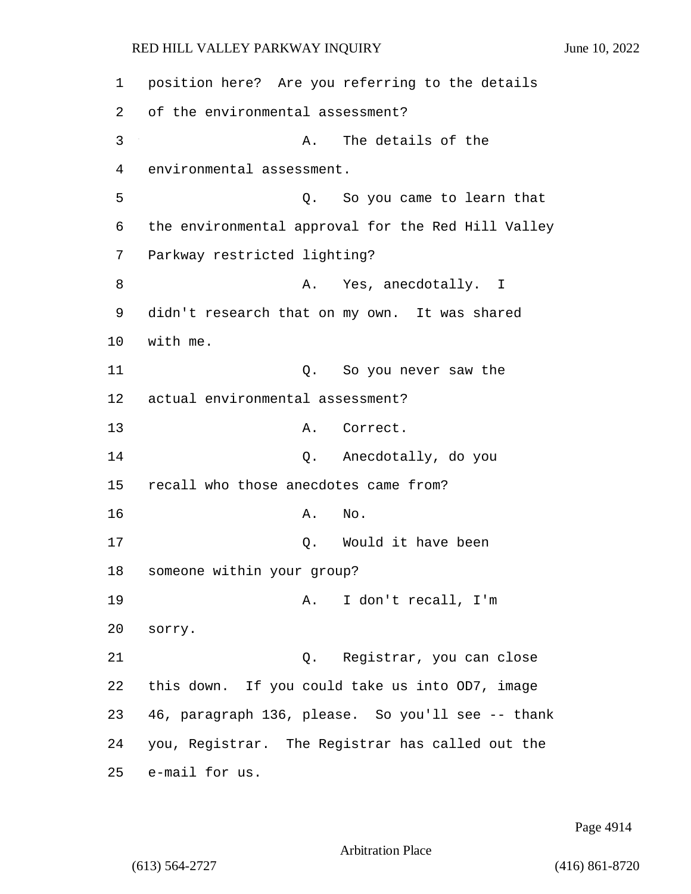| 1  | position here? Are you referring to the details    |                           |
|----|----------------------------------------------------|---------------------------|
| 2  | of the environmental assessment?                   |                           |
| 3  | Α.                                                 | The details of the        |
| 4  | environmental assessment.                          |                           |
| 5  | Q.                                                 | So you came to learn that |
| 6  | the environmental approval for the Red Hill Valley |                           |
| 7  | Parkway restricted lighting?                       |                           |
| 8  | Α.                                                 | Yes, anecdotally. I       |
| 9  | didn't research that on my own. It was shared      |                           |
| 10 | with me.                                           |                           |
| 11 | Q.                                                 | So you never saw the      |
| 12 | actual environmental assessment?                   |                           |
| 13 | Α.                                                 | Correct.                  |
| 14 |                                                    | Q. Anecdotally, do you    |
| 15 | recall who those anecdotes came from?              |                           |
| 16 | Α.<br>No.                                          |                           |
| 17 | Q.                                                 | Would it have been        |
| 18 | someone within your group?                         |                           |
| 19 | Α.                                                 | I don't recall, I'm       |
| 20 | sorry.                                             |                           |
| 21 | Q.                                                 | Registrar, you can close  |
| 22 | this down. If you could take us into OD7, image    |                           |
| 23 | 46, paragraph 136, please. So you'll see -- thank  |                           |
| 24 | you, Registrar. The Registrar has called out the   |                           |
| 25 | e-mail for us.                                     |                           |

Page 4914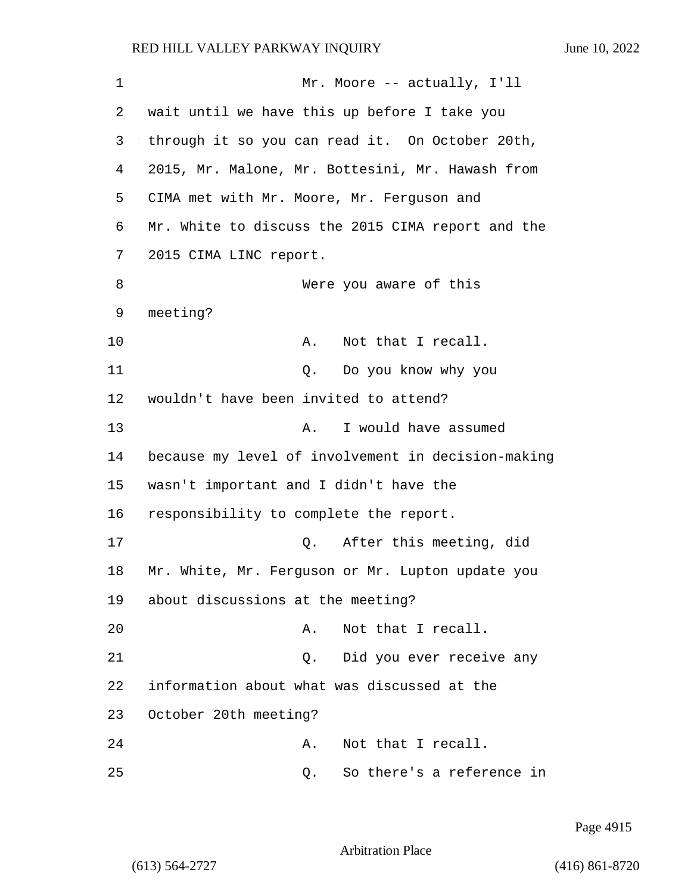| 1  | Mr. Moore -- actually, I'll                        |
|----|----------------------------------------------------|
| 2  | wait until we have this up before I take you       |
| 3  | through it so you can read it. On October 20th,    |
| 4  | 2015, Mr. Malone, Mr. Bottesini, Mr. Hawash from   |
| 5  | CIMA met with Mr. Moore, Mr. Ferguson and          |
| 6  | Mr. White to discuss the 2015 CIMA report and the  |
| 7  | 2015 CIMA LINC report.                             |
| 8  | Were you aware of this                             |
| 9  | meeting?                                           |
| 10 | Α.<br>Not that I recall.                           |
| 11 | Do you know why you<br>Q.                          |
| 12 | wouldn't have been invited to attend?              |
| 13 | I would have assumed<br>Α.                         |
| 14 | because my level of involvement in decision-making |
| 15 | wasn't important and I didn't have the             |
| 16 | responsibility to complete the report.             |
| 17 | After this meeting, did<br>Q.                      |
| 18 | Mr. White, Mr. Ferguson or Mr. Lupton update you   |
| 19 | about discussions at the meeting?                  |
| 20 | Not that I recall.<br>Α.                           |
| 21 | Did you ever receive any<br>Q.                     |
| 22 | information about what was discussed at the        |
| 23 | October 20th meeting?                              |
| 24 | Not that I recall.<br>Α.                           |
| 25 | So there's a reference in<br>Q.                    |

Page 4915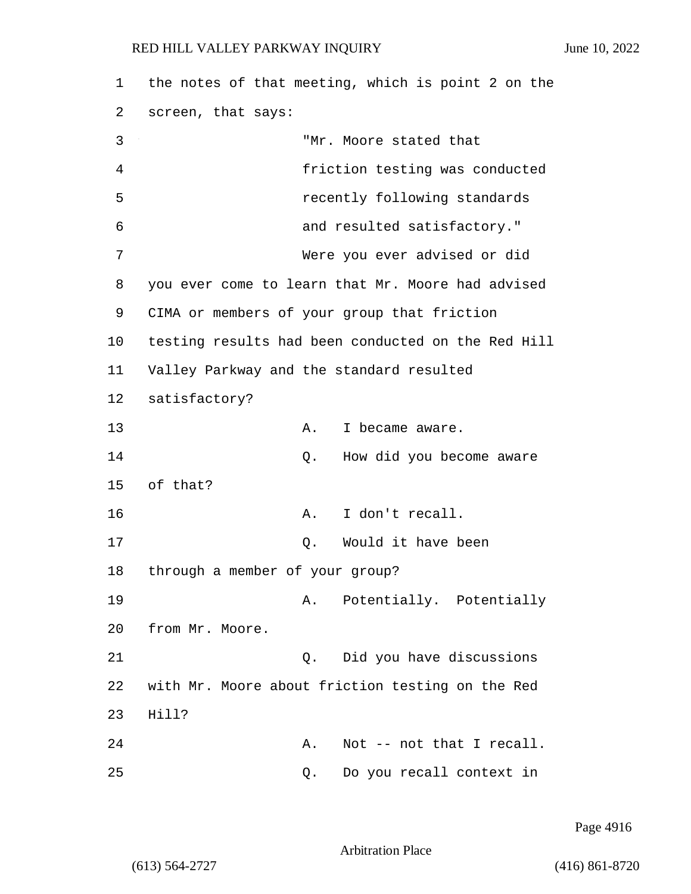1 the notes of that meeting, which is point 2 on the 2 screen, that says: 3 "Mr. Moore stated that 4 friction testing was conducted 5 recently following standards 6 and resulted satisfactory." 7 Were you ever advised or did 8 you ever come to learn that Mr. Moore had advised 9 CIMA or members of your group that friction 10 testing results had been conducted on the Red Hill 11 Valley Parkway and the standard resulted 12 satisfactory? 13 A. I became aware. 14 Q. How did you become aware 15 of that? 16 A. I don't recall. 17 Q. Would it have been 18 through a member of your group? 19 A. Potentially. Potentially 20 from Mr. Moore. 21 Q. Did you have discussions 22 with Mr. Moore about friction testing on the Red 23 Hill? 24 A. Not -- not that I recall. 25 Q. Do you recall context in

Page 4916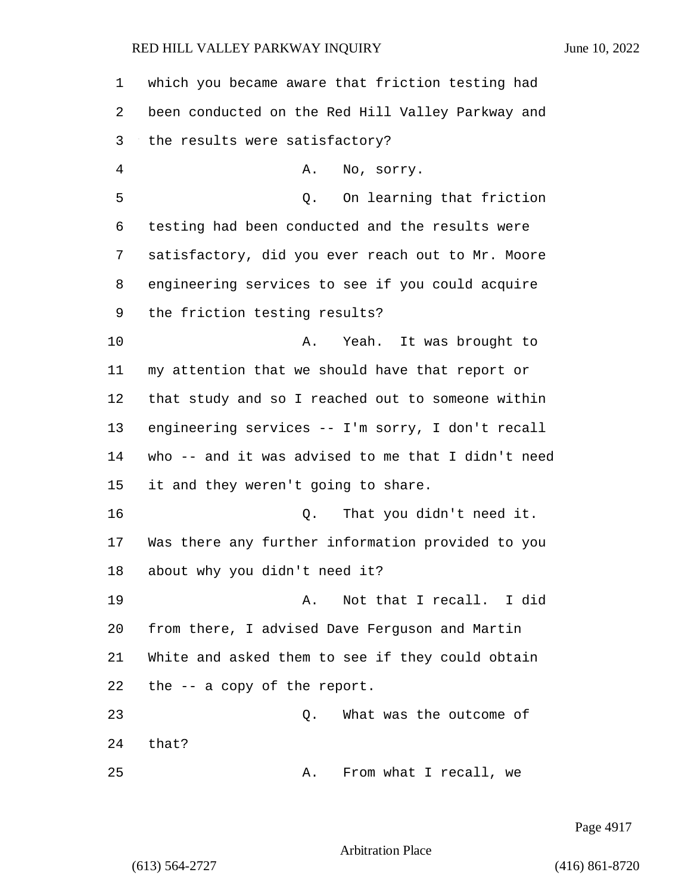| 1  | which you became aware that friction testing had   |
|----|----------------------------------------------------|
| 2  | been conducted on the Red Hill Valley Parkway and  |
| 3  | the results were satisfactory?                     |
| 4  | No, sorry.<br>Α.                                   |
| 5  | On learning that friction<br>Q.                    |
| 6  | testing had been conducted and the results were    |
| 7  | satisfactory, did you ever reach out to Mr. Moore  |
| 8  | engineering services to see if you could acquire   |
| 9  | the friction testing results?                      |
| 10 | Yeah. It was brought to<br>Α.                      |
| 11 | my attention that we should have that report or    |
| 12 | that study and so I reached out to someone within  |
| 13 | engineering services -- I'm sorry, I don't recall  |
| 14 | who -- and it was advised to me that I didn't need |
| 15 | it and they weren't going to share.                |
| 16 | That you didn't need it.<br>Q.                     |
| 17 | Was there any further information provided to you  |
| 18 | about why you didn't need it?                      |
| 19 | Not that I recall. I did<br>Α.                     |
| 20 | from there, I advised Dave Ferguson and Martin     |
| 21 | White and asked them to see if they could obtain   |
| 22 | the $-$ a copy of the report.                      |
| 23 | What was the outcome of<br>Q.                      |
| 24 | that?                                              |
| 25 | From what I recall, we<br>Α.                       |

Page 4917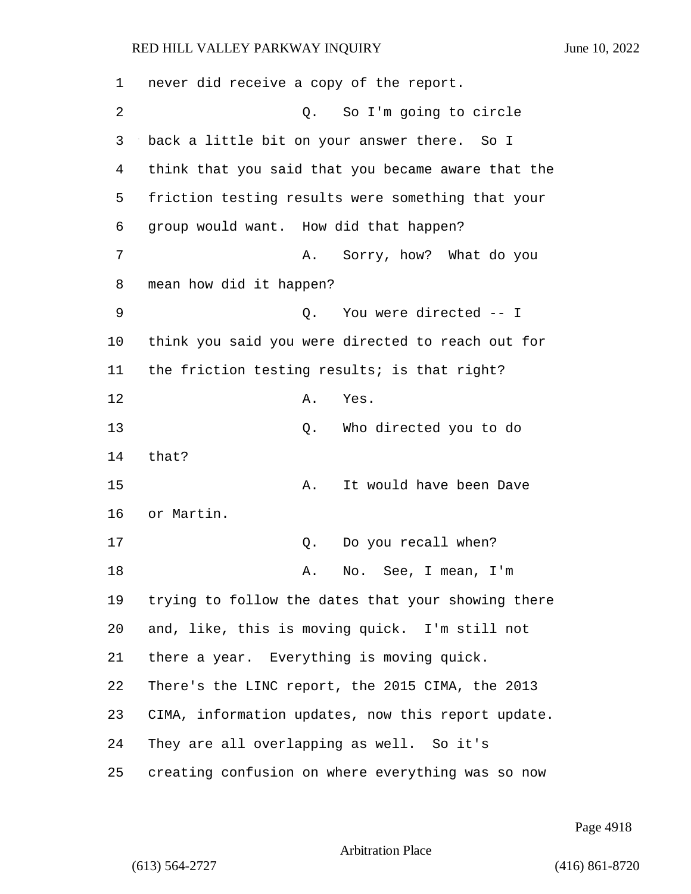never did receive a copy of the report. 2 Q. So I'm going to circle back a little bit on your answer there. So I think that you said that you became aware that the friction testing results were something that your group would want. How did that happen? 7 A. Sorry, how? What do you mean how did it happen? 9 Q. You were directed -- I think you said you were directed to reach out for the friction testing results; is that right? 12 A. Yes. 13 Q. Who directed you to do 14 that? 15 A. It would have been Dave or Martin. 17 C. Do you recall when? 18 A. No. See, I mean, I'm trying to follow the dates that your showing there and, like, this is moving quick. I'm still not there a year. Everything is moving quick. There's the LINC report, the 2015 CIMA, the 2013 CIMA, information updates, now this report update. They are all overlapping as well. So it's creating confusion on where everything was so now

Page 4918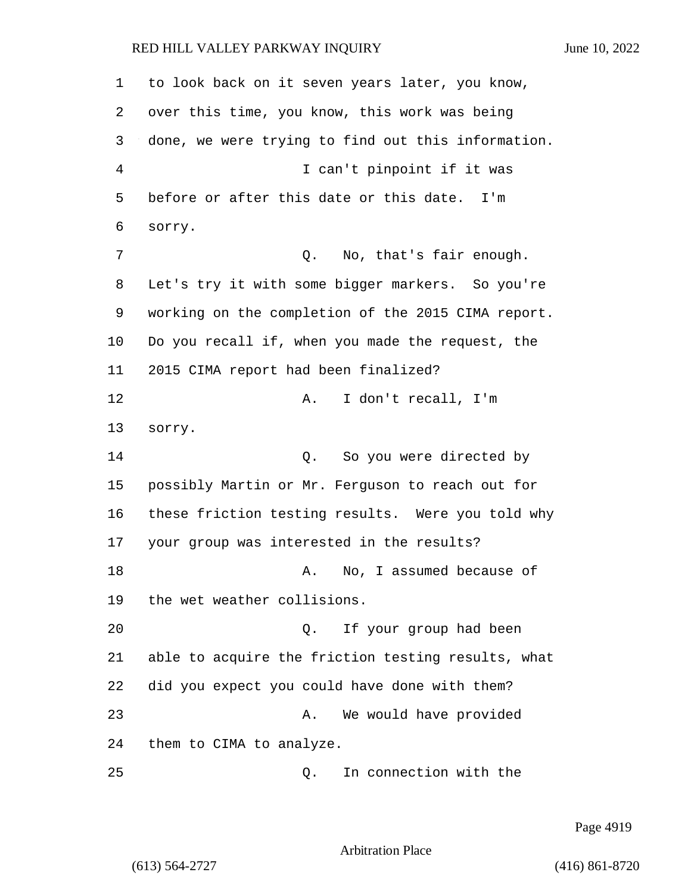1 to look back on it seven years later, you know, 2 over this time, you know, this work was being 3 done, we were trying to find out this information. 4 I can't pinpoint if it was 5 before or after this date or this date. I'm 6 sorry. 7 0. No, that's fair enough. 8 Let's try it with some bigger markers. So you're 9 working on the completion of the 2015 CIMA report. 10 Do you recall if, when you made the request, the 11 2015 CIMA report had been finalized? 12 A. I don't recall, I'm 13 sorry. 14 C. So you were directed by 15 possibly Martin or Mr. Ferguson to reach out for 16 these friction testing results. Were you told why 17 your group was interested in the results? 18 A. No, I assumed because of 19 the wet weather collisions. 20 Q. If your group had been 21 able to acquire the friction testing results, what 22 did you expect you could have done with them? 23 A. We would have provided 24 them to CIMA to analyze. 25 Q. In connection with the

Page 4919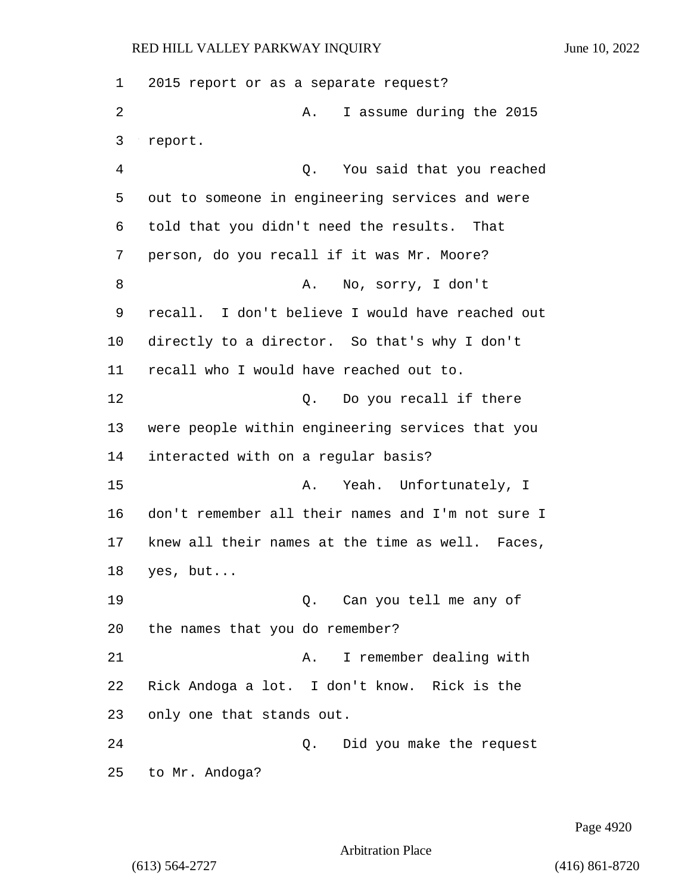2015 report or as a separate request? 2 A. I assume during the 2015 3 report. 4 Q. You said that you reached out to someone in engineering services and were told that you didn't need the results. That person, do you recall if it was Mr. Moore? 8 A. No, sorry, I don't recall. I don't believe I would have reached out directly to a director. So that's why I don't recall who I would have reached out to. 12 0. Do you recall if there were people within engineering services that you interacted with on a regular basis? 15 A. Yeah. Unfortunately, I don't remember all their names and I'm not sure I knew all their names at the time as well. Faces, yes, but... 19 Q. Can you tell me any of the names that you do remember? 21 A. I remember dealing with Rick Andoga a lot. I don't know. Rick is the only one that stands out. 24 Q. Did you make the request to Mr. Andoga?

Page 4920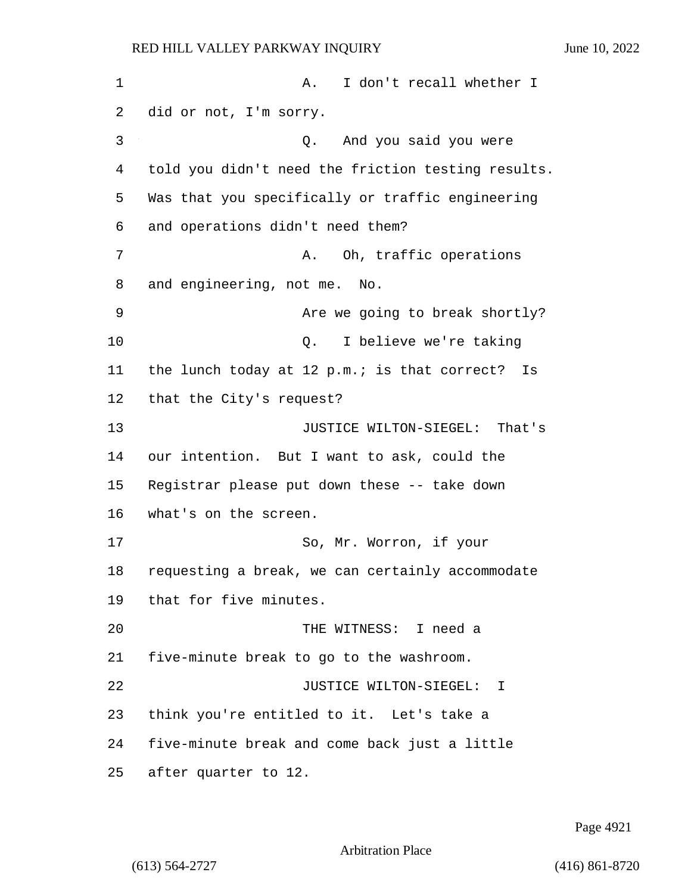1 A. I don't recall whether I did or not, I'm sorry. 3 Q. And you said you were told you didn't need the friction testing results. Was that you specifically or traffic engineering and operations didn't need them? 7 A. Oh, traffic operations and engineering, not me. No. 9 Are we going to break shortly? 10 Q. I believe we're taking the lunch today at 12 p.m.; is that correct? Is that the City's request? 13 JUSTICE WILTON-SIEGEL: That's our intention. But I want to ask, could the Registrar please put down these -- take down what's on the screen. 17 So, Mr. Worron, if your requesting a break, we can certainly accommodate that for five minutes. 20 THE WITNESS: I need a five-minute break to go to the washroom. 22 JUSTICE WILTON-SIEGEL: I think you're entitled to it. Let's take a five-minute break and come back just a little after quarter to 12.

Page 4921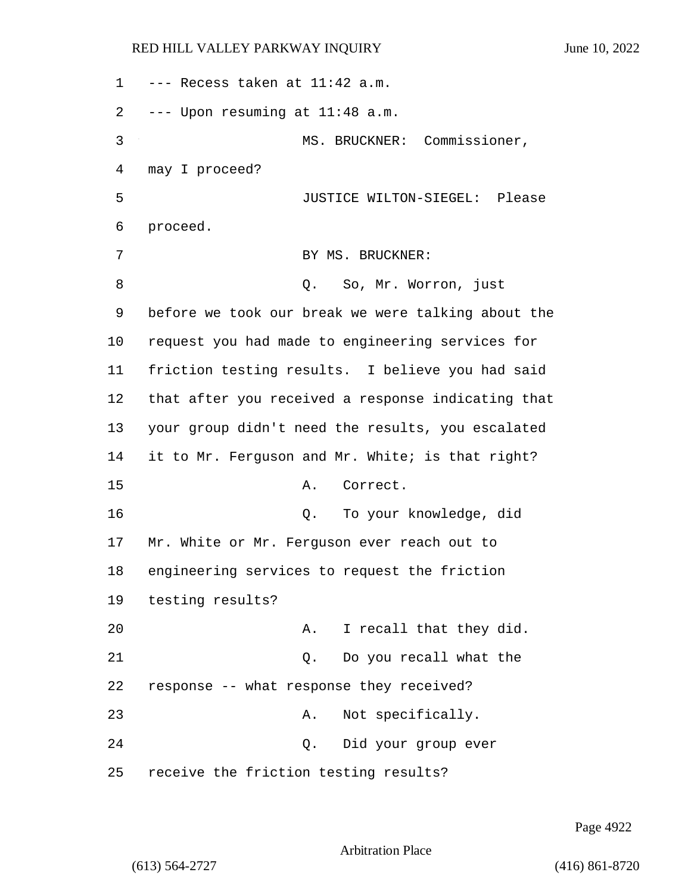| 1  | --- Recess taken at 11:42 a.m.                     |
|----|----------------------------------------------------|
| 2  | --- Upon resuming at 11:48 a.m.                    |
| 3  | MS. BRUCKNER: Commissioner,                        |
| 4  | may I proceed?                                     |
| 5  | JUSTICE WILTON-SIEGEL: Please                      |
| 6  | proceed.                                           |
| 7  | BY MS. BRUCKNER:                                   |
| 8  | Q. So, Mr. Worron, just                            |
| 9  | before we took our break we were talking about the |
| 10 | request you had made to engineering services for   |
| 11 | friction testing results. I believe you had said   |
| 12 | that after you received a response indicating that |
| 13 | your group didn't need the results, you escalated  |
| 14 | it to Mr. Ferguson and Mr. White; is that right?   |
| 15 | Correct.<br>Α.                                     |
| 16 | To your knowledge, did<br>Q.                       |
| 17 | Mr. White or Mr. Ferguson ever reach out to        |
| 18 | engineering services to request the friction       |
| 19 | testing results?                                   |
| 20 | I recall that they did.<br>Α.                      |
| 21 | Do you recall what the<br>$Q$ .                    |
| 22 | response -- what response they received?           |
| 23 | Not specifically.<br>Α.                            |
| 24 | Did your group ever<br>Q.                          |
| 25 | receive the friction testing results?              |

Page 4922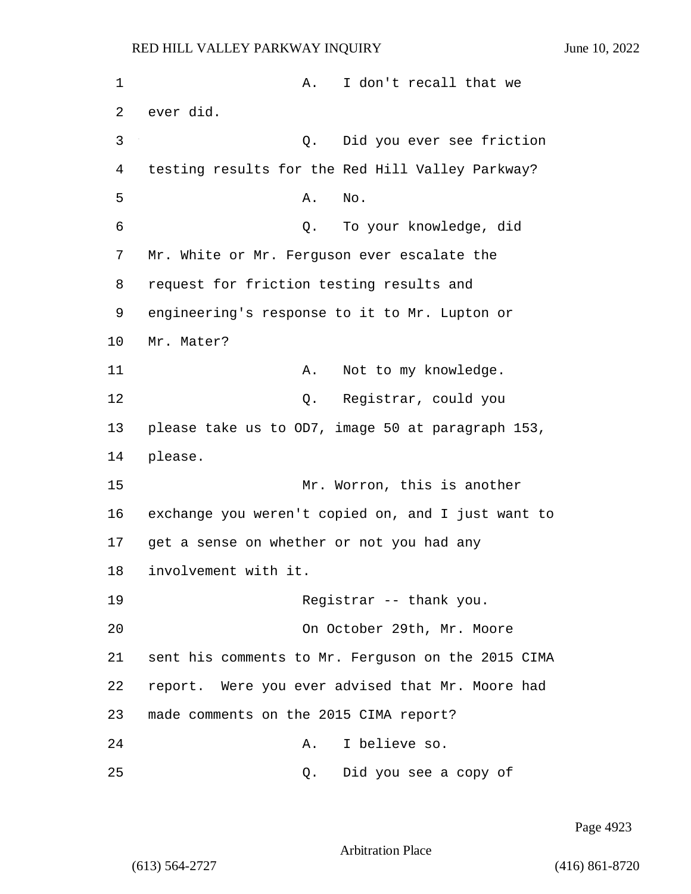1 A. I don't recall that we 2 ever did. 3 Q. Did you ever see friction 4 testing results for the Red Hill Valley Parkway?  $5$  A. No. 6 Q. To your knowledge, did 7 Mr. White or Mr. Ferguson ever escalate the 8 request for friction testing results and 9 engineering's response to it to Mr. Lupton or 10 Mr. Mater? 11 A. Not to my knowledge. 12 O. Registrar, could you 13 please take us to OD7, image 50 at paragraph 153, 14 please. 15 Mr. Worron, this is another 16 exchange you weren't copied on, and I just want to 17 get a sense on whether or not you had any 18 involvement with it. 19 Registrar -- thank you. 20 On October 29th, Mr. Moore 21 sent his comments to Mr. Ferguson on the 2015 CIMA 22 report. Were you ever advised that Mr. Moore had 23 made comments on the 2015 CIMA report? 24 A. I believe so. 25 Q. Did you see a copy of

Page 4923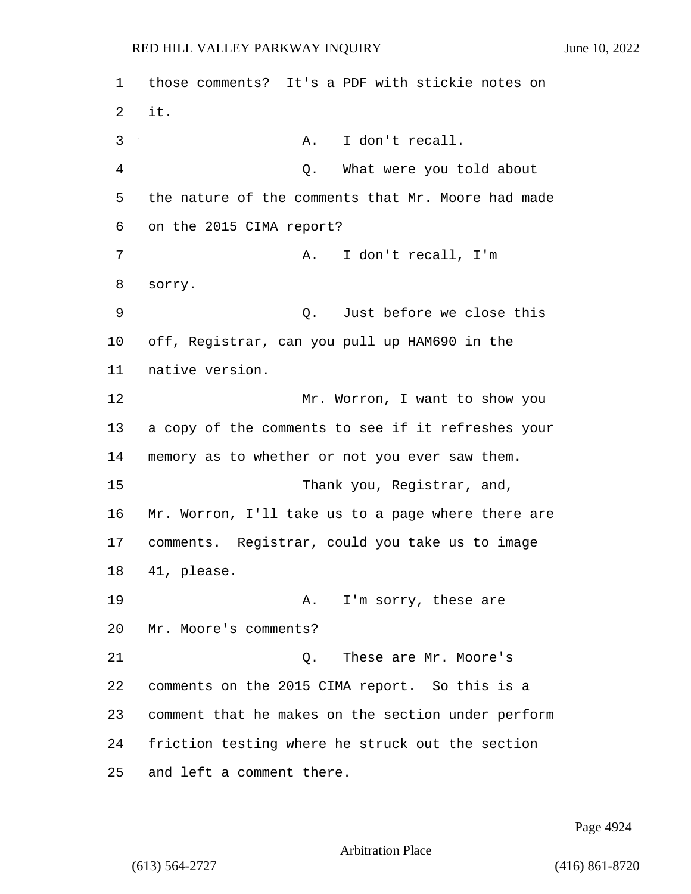1 those comments? It's a PDF with stickie notes on 2 it. 3 A. I don't recall. 4 Q. What were you told about 5 the nature of the comments that Mr. Moore had made 6 on the 2015 CIMA report? 7 A. I don't recall, I'm 8 sorry. 9 Q. Just before we close this 10 off, Registrar, can you pull up HAM690 in the 11 native version. 12 Mr. Worron, I want to show you 13 a copy of the comments to see if it refreshes your 14 memory as to whether or not you ever saw them. 15 Thank you, Reqistrar, and, 16 Mr. Worron, I'll take us to a page where there are 17 comments. Registrar, could you take us to image 18 41, please. 19 A. I'm sorry, these are 20 Mr. Moore's comments? 21 C. These are Mr. Moore's 22 comments on the 2015 CIMA report. So this is a 23 comment that he makes on the section under perform 24 friction testing where he struck out the section 25 and left a comment there.

Page 4924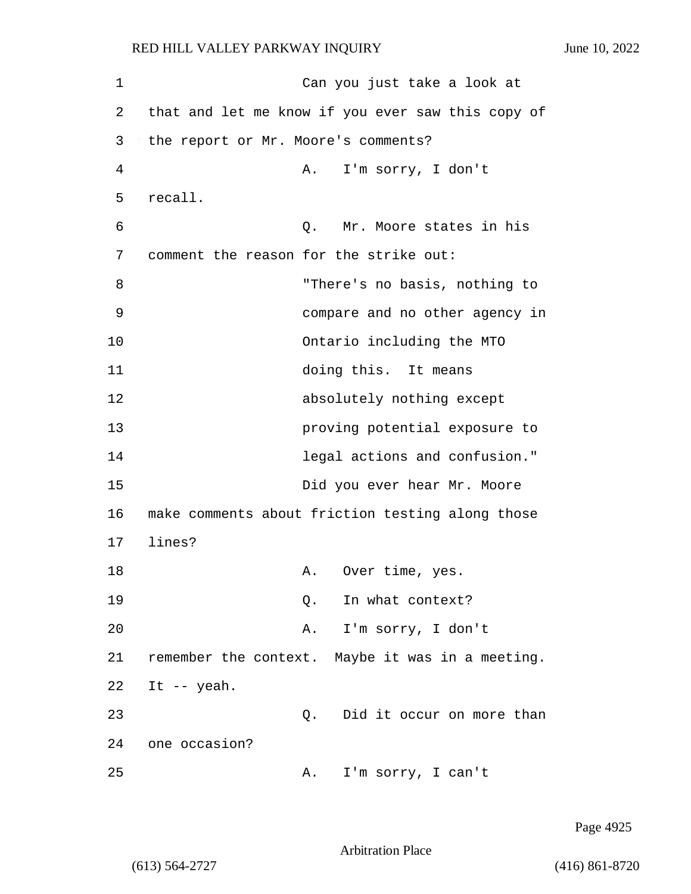1 Can you just take a look at 2 that and let me know if you ever saw this copy of 3 the report or Mr. Moore's comments? 4 A. I'm sorry, I don't 5 recall. 6 Q. Mr. Moore states in his 7 comment the reason for the strike out: 8 "There's no basis, nothing to 9 compare and no other agency in 10 Ontario including the MTO 11 doing this. It means 12 absolutely nothing except 13 proving potential exposure to 14 legal actions and confusion." 15 Did you ever hear Mr. Moore 16 make comments about friction testing along those 17 lines? 18 A. Over time, yes. 19 O. In what context? 20 A. I'm sorry, I don't 21 remember the context. Maybe it was in a meeting. 22 It -- yeah. 23 Q. Did it occur on more than 24 one occasion? 25 A. I'm sorry, I can't

Page 4925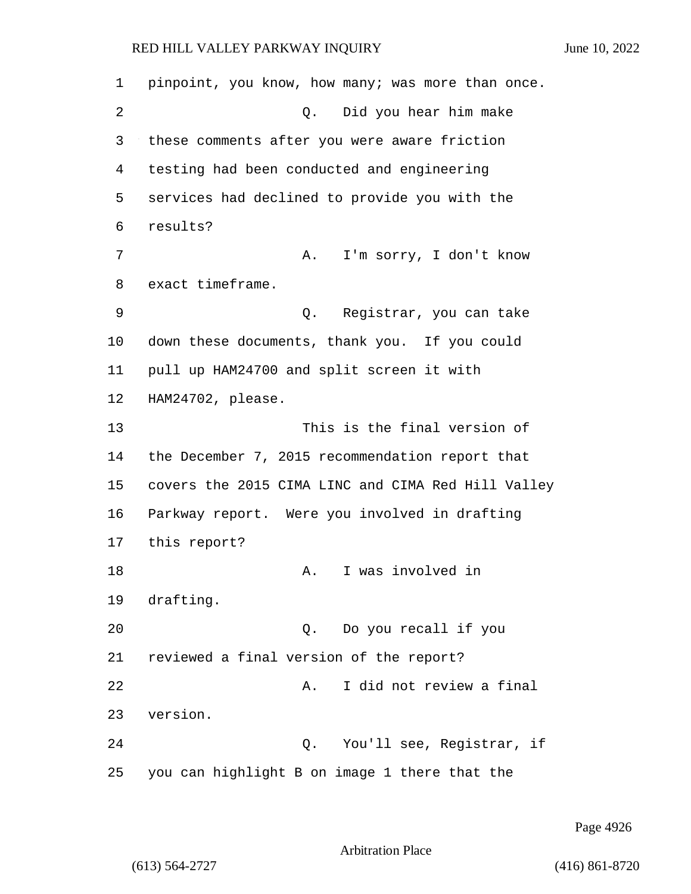1 pinpoint, you know, how many; was more than once. 2 Q. Did you hear him make 3 these comments after you were aware friction 4 testing had been conducted and engineering 5 services had declined to provide you with the 6 results? 7 A. I'm sorry, I don't know 8 exact timeframe. 9 Q. Registrar, you can take 10 down these documents, thank you. If you could 11 pull up HAM24700 and split screen it with 12 HAM24702, please. 13 This is the final version of 14 the December 7, 2015 recommendation report that 15 covers the 2015 CIMA LINC and CIMA Red Hill Valley 16 Parkway report. Were you involved in drafting 17 this report? 18 A. I was involved in 19 drafting. 20 Q. Do you recall if you 21 reviewed a final version of the report? 22 A. I did not review a final 23 version. 24 Q. You'll see, Registrar, if 25 you can highlight B on image 1 there that the

Page 4926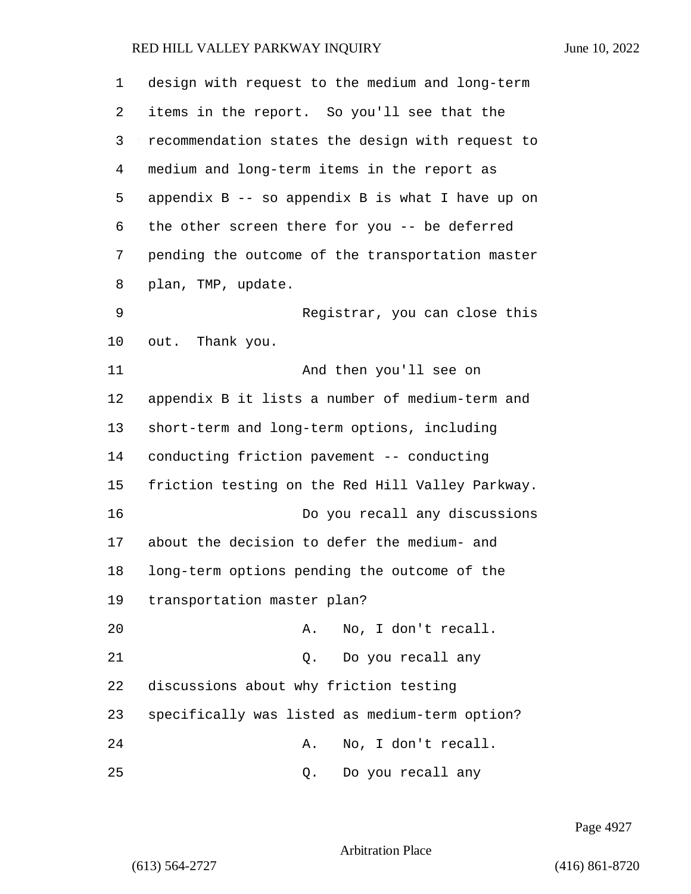| 1  | design with request to the medium and long-term      |
|----|------------------------------------------------------|
| 2  | items in the report. So you'll see that the          |
| 3  | recommendation states the design with request to     |
| 4  | medium and long-term items in the report as          |
| 5  | appendix $B$ -- so appendix $B$ is what I have up on |
| 6  | the other screen there for you -- be deferred        |
| 7  | pending the outcome of the transportation master     |
| 8  | plan, TMP, update.                                   |
| 9  | Registrar, you can close this                        |
| 10 | out. Thank you.                                      |
| 11 | And then you'll see on                               |
| 12 | appendix B it lists a number of medium-term and      |
| 13 | short-term and long-term options, including          |
| 14 | conducting friction pavement -- conducting           |
| 15 | friction testing on the Red Hill Valley Parkway.     |
| 16 | Do you recall any discussions                        |
| 17 | about the decision to defer the medium- and          |
| 18 | long-term options pending the outcome of the         |
| 19 | transportation master plan?                          |
| 20 | No, I don't recall.<br>Α.                            |
| 21 | Do you recall any<br>$Q$ .                           |
| 22 | discussions about why friction testing               |
| 23 | specifically was listed as medium-term option?       |
| 24 | No, I don't recall.<br>Α.                            |
| 25 | Do you recall any<br>Q.                              |

Page 4927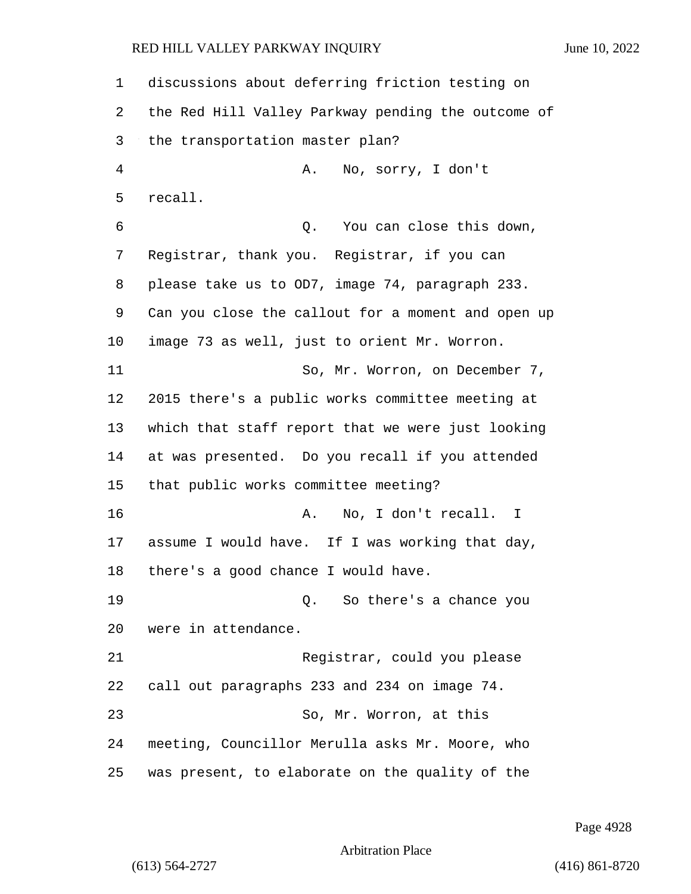discussions about deferring friction testing on the Red Hill Valley Parkway pending the outcome of the transportation master plan? 4 A. No, sorry, I don't recall. 6 Q. You can close this down, Registrar, thank you. Registrar, if you can please take us to OD7, image 74, paragraph 233. Can you close the callout for a moment and open up image 73 as well, just to orient Mr. Worron. 11 So, Mr. Worron, on December 7, 2015 there's a public works committee meeting at which that staff report that we were just looking at was presented. Do you recall if you attended that public works committee meeting? 16 A. No, I don't recall. I assume I would have. If I was working that day, there's a good chance I would have. 19 Q. So there's a chance you were in attendance. 21 Registrar, could you please call out paragraphs 233 and 234 on image 74. 23 So, Mr. Worron, at this meeting, Councillor Merulla asks Mr. Moore, who was present, to elaborate on the quality of the

Page 4928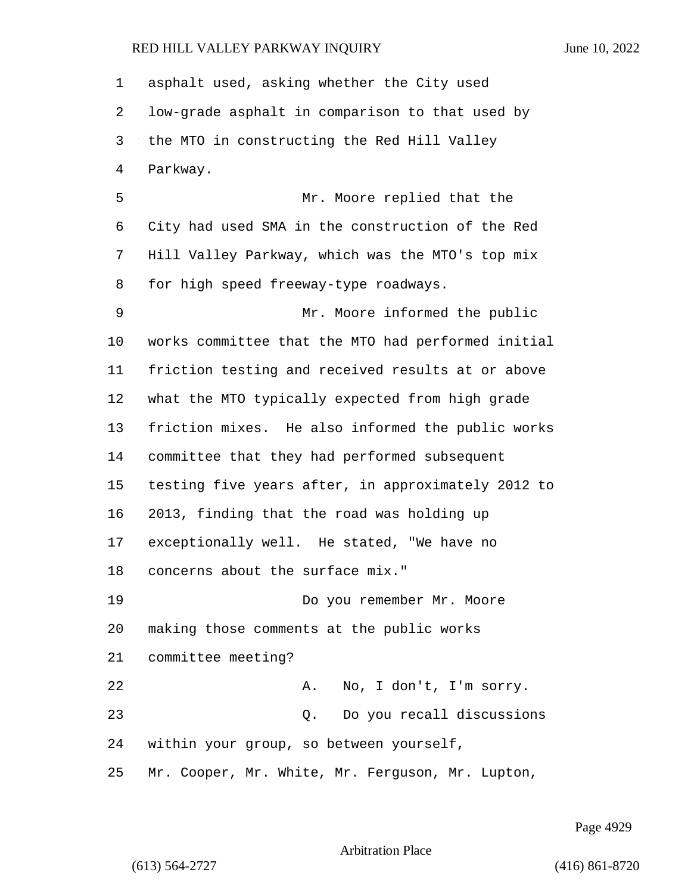| 1  | asphalt used, asking whether the City used         |
|----|----------------------------------------------------|
| 2  | low-grade asphalt in comparison to that used by    |
| 3  | the MTO in constructing the Red Hill Valley        |
| 4  | Parkway.                                           |
| 5  | Mr. Moore replied that the                         |
| 6  | City had used SMA in the construction of the Red   |
| 7  | Hill Valley Parkway, which was the MTO's top mix   |
| 8  | for high speed freeway-type roadways.              |
| 9  | Mr. Moore informed the public                      |
| 10 | works committee that the MTO had performed initial |
| 11 | friction testing and received results at or above  |
| 12 | what the MTO typically expected from high grade    |
| 13 | friction mixes. He also informed the public works  |
| 14 | committee that they had performed subsequent       |
| 15 | testing five years after, in approximately 2012 to |
| 16 | 2013, finding that the road was holding up         |
| 17 | exceptionally well. He stated, "We have no         |
| 18 | concerns about the surface mix."                   |
| 19 | Do you remember Mr. Moore                          |
| 20 | making those comments at the public works          |
| 21 | committee meeting?                                 |
| 22 | No, I don't, I'm sorry.<br>Α.                      |
| 23 | Do you recall discussions<br>Q.                    |
| 24 | within your group, so between yourself,            |
| 25 | Mr. Cooper, Mr. White, Mr. Ferguson, Mr. Lupton,   |

Page 4929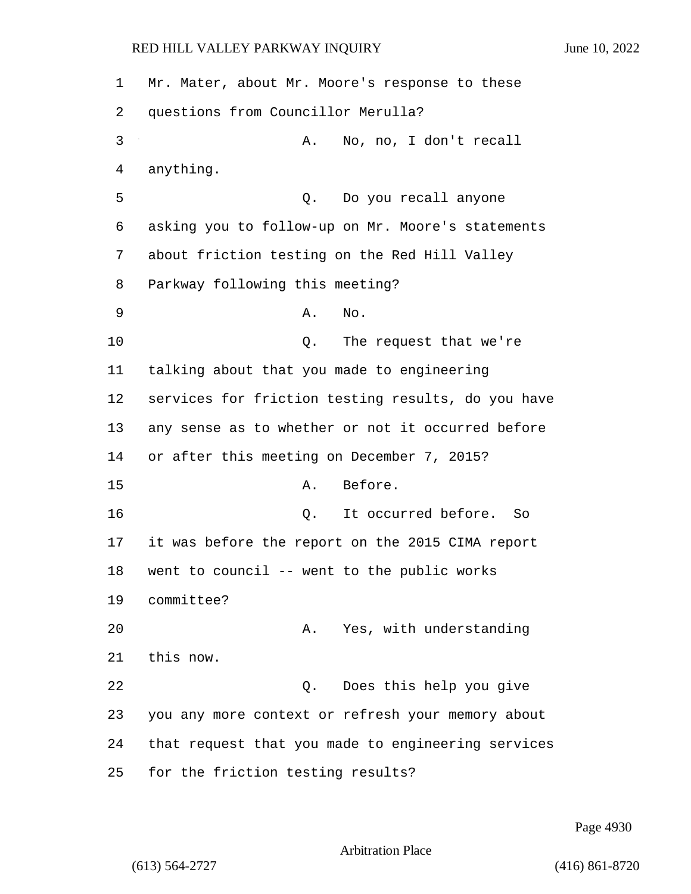Mr. Mater, about Mr. Moore's response to these questions from Councillor Merulla? 3 A. No, no, I don't recall anything. 5 Q. Do you recall anyone asking you to follow-up on Mr. Moore's statements about friction testing on the Red Hill Valley Parkway following this meeting? 9 A. No. 10 Q. The request that we're talking about that you made to engineering services for friction testing results, do you have any sense as to whether or not it occurred before or after this meeting on December 7, 2015? 15 A. Before. 16 Q. It occurred before. So it was before the report on the 2015 CIMA report went to council -- went to the public works committee? 20 A. Yes, with understanding this now. 22 Q. Does this help you give you any more context or refresh your memory about that request that you made to engineering services for the friction testing results?

Page 4930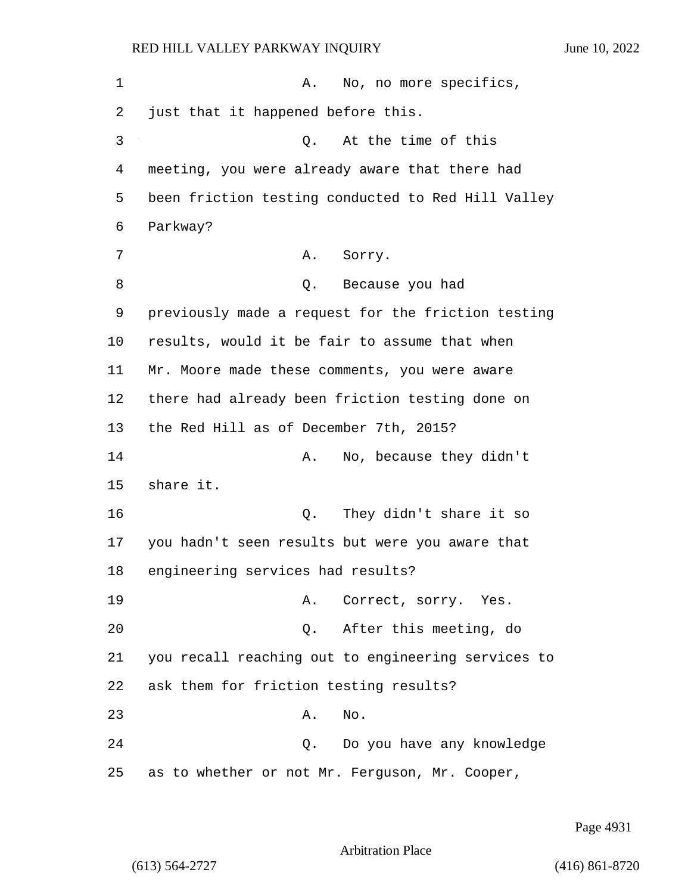| 1  | No, no more specifics,<br>Α.                       |
|----|----------------------------------------------------|
| 2  | just that it happened before this.                 |
| 3  | At the time of this<br>О.                          |
| 4  | meeting, you were already aware that there had     |
| 5  | been friction testing conducted to Red Hill Valley |
| 6  | Parkway?                                           |
| 7  | Α.<br>Sorry.                                       |
| 8  | Q. Because you had                                 |
| 9  | previously made a request for the friction testing |
| 10 | results, would it be fair to assume that when      |
| 11 | Mr. Moore made these comments, you were aware      |
| 12 | there had already been friction testing done on    |
| 13 | the Red Hill as of December 7th, 2015?             |
| 14 | No, because they didn't<br>Α.                      |
| 15 | share it.                                          |
| 16 | They didn't share it so<br>Q.                      |
| 17 | you hadn't seen results but were you aware that    |
| 18 | engineering services had results?                  |
| 19 | A. Correct, sorry. Yes.                            |
| 20 | Q. After this meeting, do                          |
| 21 | you recall reaching out to engineering services to |
| 22 | ask them for friction testing results?             |
| 23 | No.<br>Α.                                          |
| 24 | Do you have any knowledge<br>Q.                    |
| 25 | as to whether or not Mr. Ferguson, Mr. Cooper,     |

Page 4931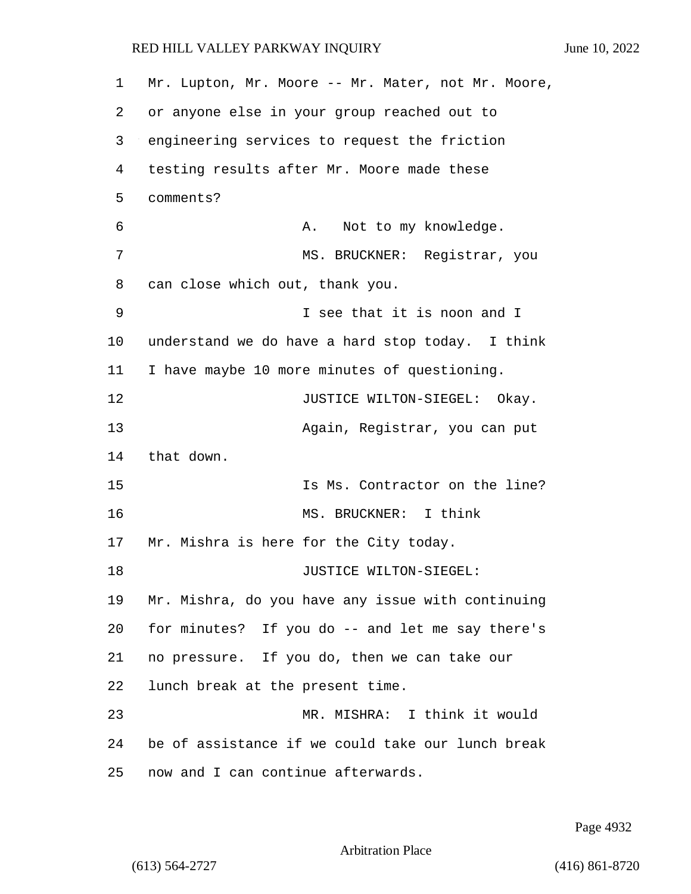Mr. Lupton, Mr. Moore -- Mr. Mater, not Mr. Moore, or anyone else in your group reached out to engineering services to request the friction testing results after Mr. Moore made these comments? 6 A. Not to my knowledge. 7 MS. BRUCKNER: Reqistrar, you can close which out, thank you. 9 I see that it is noon and I understand we do have a hard stop today. I think I have maybe 10 more minutes of questioning. **JUSTICE WILTON-SIEGEL:** Okay. 13 Again, Registrar, you can put that down. 15 Is Ms. Contractor on the line? 16 MS. BRUCKNER: I think Mr. Mishra is here for the City today. 18 JUSTICE WILTON-SIEGEL: Mr. Mishra, do you have any issue with continuing for minutes? If you do -- and let me say there's no pressure. If you do, then we can take our lunch break at the present time. 23 MR. MISHRA: I think it would be of assistance if we could take our lunch break now and I can continue afterwards.

Page 4932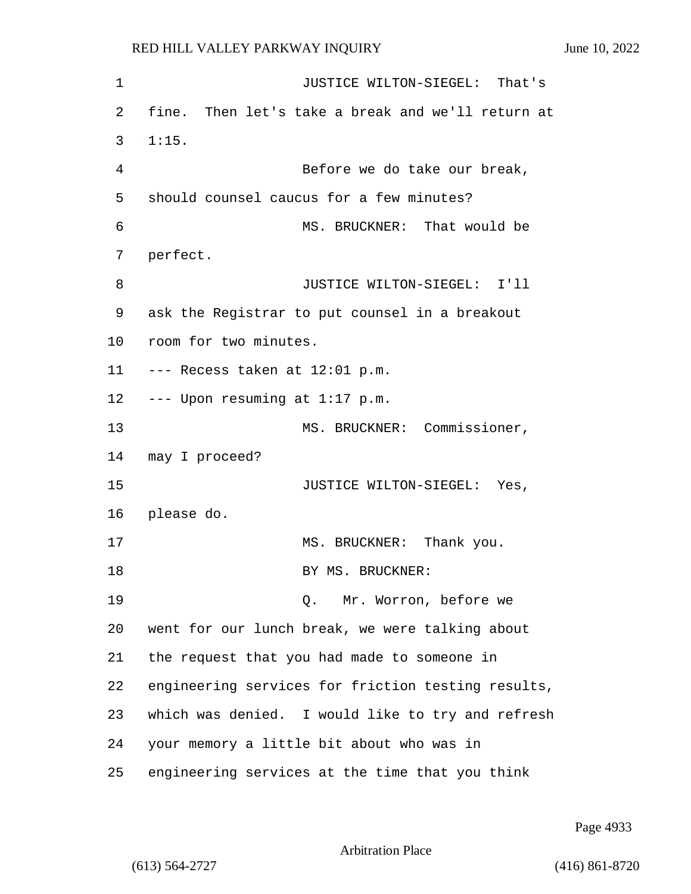1 JUSTICE WILTON-SIEGEL: That's 2 fine. Then let's take a break and we'll return at 3 1:15. 4 Before we do take our break, 5 should counsel caucus for a few minutes? 6 MS. BRUCKNER: That would be 7 perfect. 8 JUSTICE WILTON-SIEGEL: I'll 9 ask the Registrar to put counsel in a breakout 10 room for two minutes. 11 --- Recess taken at 12:01 p.m. 12 --- Upon resuming at 1:17 p.m. 13 MS. BRUCKNER: Commissioner, 14 may I proceed? 15 JUSTICE WILTON-SIEGEL: Yes, 16 please do. 17 MS. BRUCKNER: Thank you. 18 BY MS. BRUCKNER: 19 Q. Mr. Worron, before we 20 went for our lunch break, we were talking about 21 the request that you had made to someone in 22 engineering services for friction testing results, 23 which was denied. I would like to try and refresh 24 your memory a little bit about who was in 25 engineering services at the time that you think

Page 4933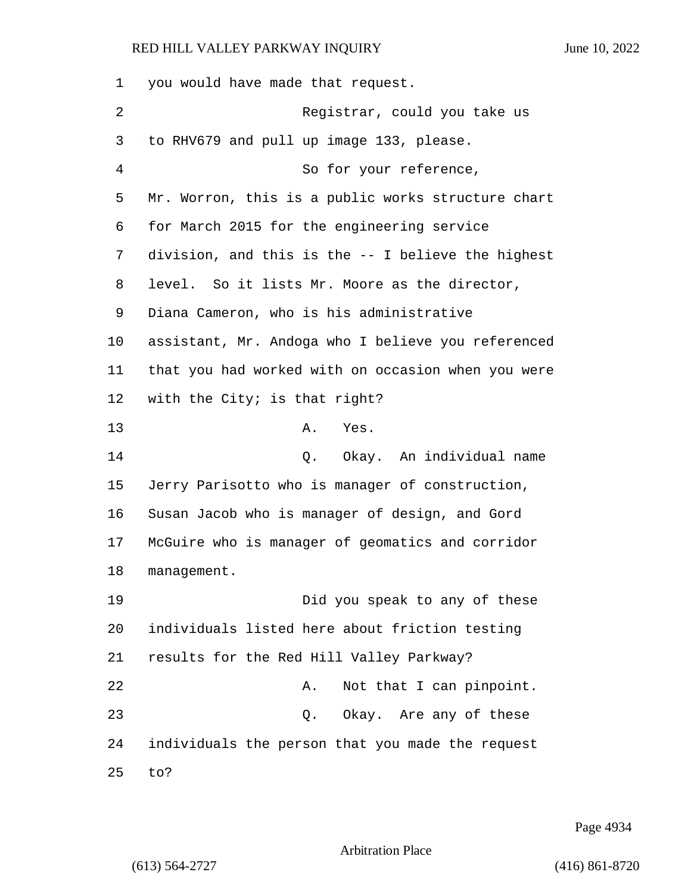| 1  | you would have made that request.                  |
|----|----------------------------------------------------|
| 2  | Registrar, could you take us                       |
| 3  | to RHV679 and pull up image 133, please.           |
| 4  | So for your reference,                             |
| 5  | Mr. Worron, this is a public works structure chart |
| 6  | for March 2015 for the engineering service         |
| 7  | division, and this is the -- I believe the highest |
| 8  | level. So it lists Mr. Moore as the director,      |
| 9  | Diana Cameron, who is his administrative           |
| 10 | assistant, Mr. Andoga who I believe you referenced |
| 11 | that you had worked with on occasion when you were |
| 12 | with the City; is that right?                      |
| 13 | Yes.<br>Α.                                         |
| 14 | Q. Okay. An individual name                        |
| 15 | Jerry Parisotto who is manager of construction,    |
| 16 | Susan Jacob who is manager of design, and Gord     |
| 17 | McGuire who is manager of geomatics and corridor   |
| 18 | management.                                        |
| 19 | Did you speak to any of these                      |
| 20 | individuals listed here about friction testing     |
| 21 | results for the Red Hill Valley Parkway?           |
| 22 | Not that I can pinpoint.<br>Α.                     |
| 23 | Okay. Are any of these<br>Q.                       |
| 24 | individuals the person that you made the request   |
| 25 | to?                                                |

Page 4934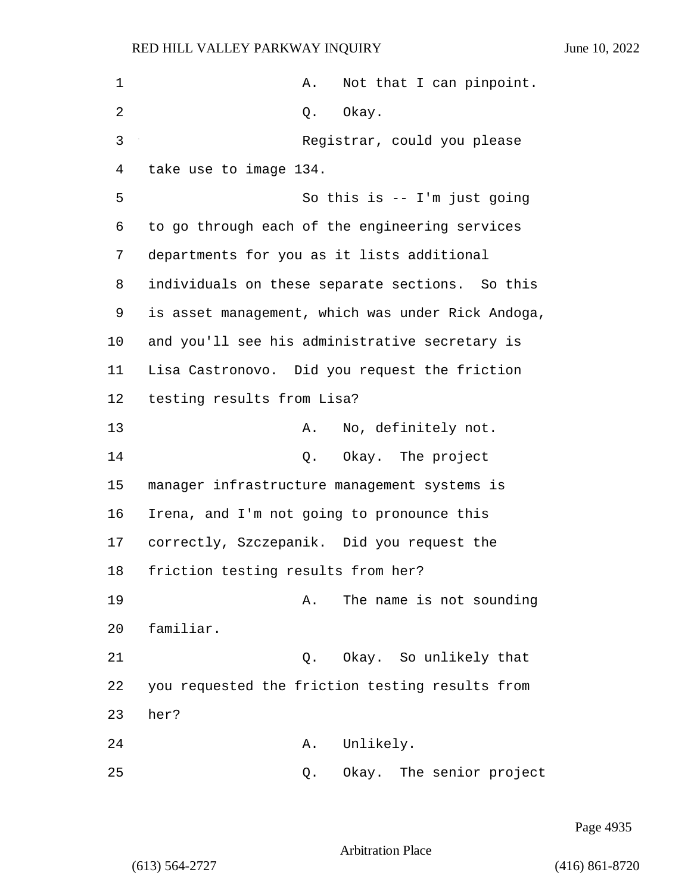| $\mathbf 1$ | Not that I can pinpoint.<br>Α.                    |
|-------------|---------------------------------------------------|
| 2           | Okay.<br>Q.                                       |
| 3           | Registrar, could you please                       |
| 4           | take use to image 134.                            |
| 5           | So this is $-$ I'm just going                     |
| 6           | to go through each of the engineering services    |
| 7           | departments for you as it lists additional        |
| 8           | individuals on these separate sections. So this   |
| 9           | is asset management, which was under Rick Andoga, |
| 10          | and you'll see his administrative secretary is    |
| 11          | Lisa Castronovo. Did you request the friction     |
| 12          | testing results from Lisa?                        |
| 13          | No, definitely not.<br>Α.                         |
| 14          | Q. Okay. The project                              |
| 15          | manager infrastructure management systems is      |
| 16          | Irena, and I'm not going to pronounce this        |
| 17          | correctly, Szczepanik. Did you request the        |
| 18          | friction testing results from her?                |
| 19          | The name is not sounding<br>Α.                    |
| 20          | familiar.                                         |
| 21          | Okay. So unlikely that<br>Q.                      |
| 22          | you requested the friction testing results from   |
| 23          | her?                                              |
| 24          | Unlikely.<br>Α.                                   |
| 25          | Okay. The senior project<br>Q.                    |

Page 4935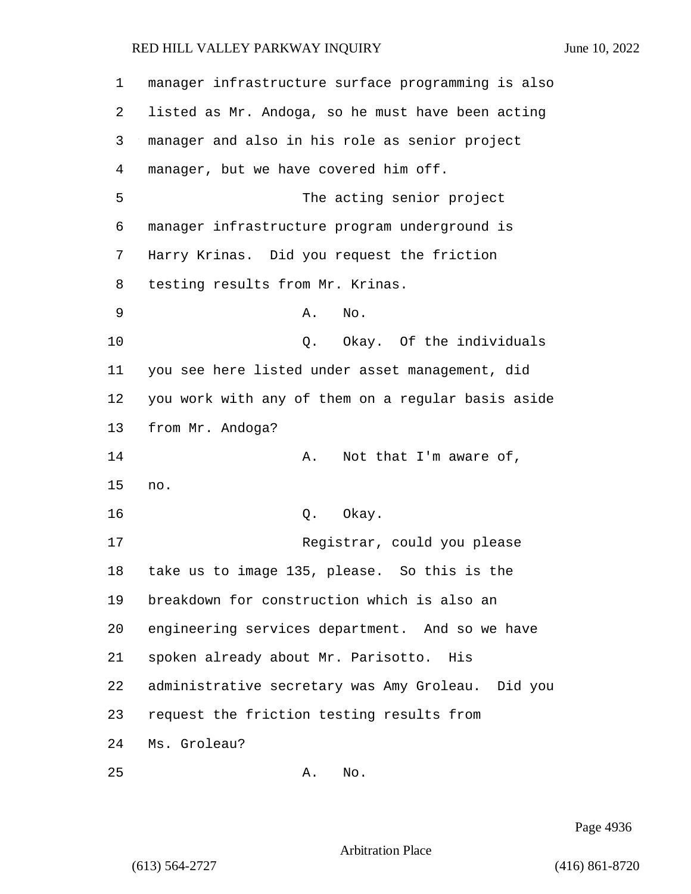| $\mathbf 1$ | manager infrastructure surface programming is also |
|-------------|----------------------------------------------------|
| 2           | listed as Mr. Andoga, so he must have been acting  |
| 3           | manager and also in his role as senior project     |
| 4           | manager, but we have covered him off.              |
| 5           | The acting senior project                          |
| 6           | manager infrastructure program underground is      |
| 7           | Harry Krinas. Did you request the friction         |
| 8           | testing results from Mr. Krinas.                   |
| 9           | No.<br>Α.                                          |
| 10          | Q. Okay. Of the individuals                        |
| 11          | you see here listed under asset management, did    |
| 12          | you work with any of them on a regular basis aside |
| 13          | from Mr. Andoga?                                   |
| 14          | Not that I'm aware of,<br>Α.                       |
| 15          | no.                                                |
| 16          | Okay.<br>Q.                                        |
| 17          | Registrar, could you please                        |
| 18          | take us to image 135, please. So this is the       |
| 19          | breakdown for construction which is also an        |
| 20          | engineering services department. And so we have    |
| 21          | spoken already about Mr. Parisotto. His            |
| 22          | administrative secretary was Amy Groleau. Did you  |
| 23          | request the friction testing results from          |
| 24          | Ms. Groleau?                                       |
| 25          | No.<br>Α.                                          |

Page 4936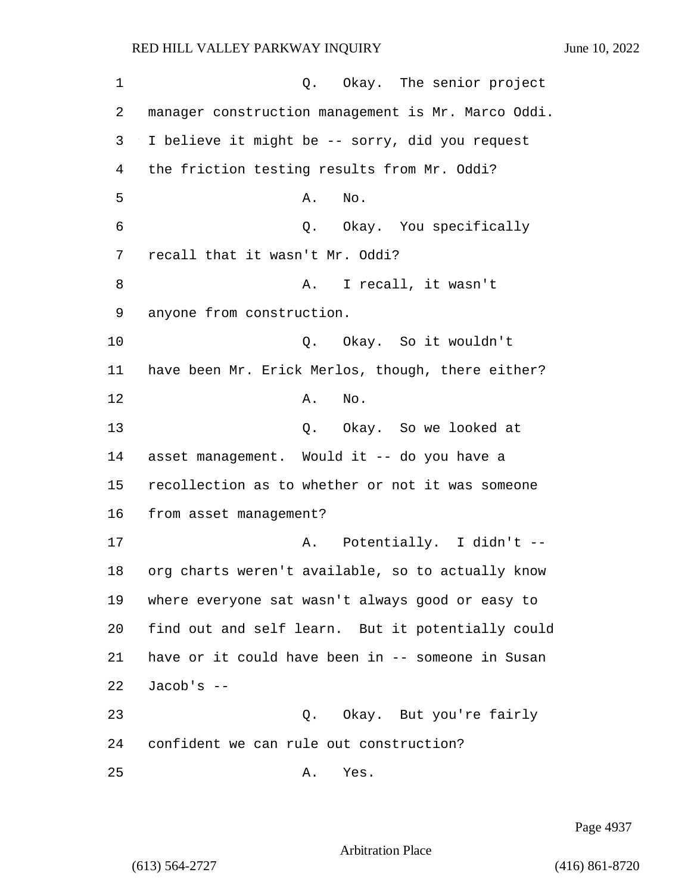1 Q. Okay. The senior project 2 manager construction management is Mr. Marco Oddi. 3 I believe it might be -- sorry, did you request 4 the friction testing results from Mr. Oddi?  $5$  A. No. 6 Q. Okay. You specifically 7 recall that it wasn't Mr. Oddi? 8 A. I recall, it wasn't 9 anyone from construction. 10 Q. Okay. So it wouldn't 11 have been Mr. Erick Merlos, though, there either? 12 A. No. 13 Q. Okay. So we looked at 14 asset management. Would it -- do you have a 15 recollection as to whether or not it was someone 16 from asset management? 17 A. Potentially. I didn't --18 org charts weren't available, so to actually know 19 where everyone sat wasn't always good or easy to 20 find out and self learn. But it potentially could 21 have or it could have been in -- someone in Susan 22 Jacob's -- 23 Q. Okay. But you're fairly 24 confident we can rule out construction? 25 A. Yes.

Page 4937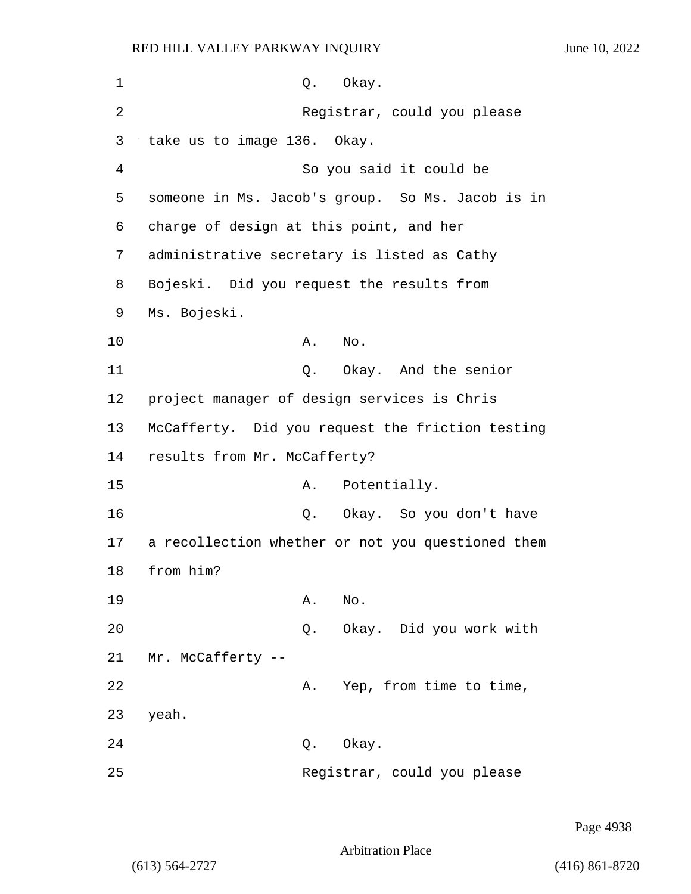| 1              | Okay.<br>Q.                                       |
|----------------|---------------------------------------------------|
| $\overline{2}$ | Registrar, could you please                       |
| 3              | take us to image 136. Okay.                       |
| 4              | So you said it could be                           |
| 5              | someone in Ms. Jacob's group. So Ms. Jacob is in  |
| 6              | charge of design at this point, and her           |
| 7              | administrative secretary is listed as Cathy       |
| 8              | Bojeski. Did you request the results from         |
| 9              | Ms. Bojeski.                                      |
| 10             | No.<br>Α.                                         |
| 11             | 0. Okay. And the senior                           |
| 12             | project manager of design services is Chris       |
| 13             | McCafferty. Did you request the friction testing  |
| 14             | results from Mr. McCafferty?                      |
| 15             | Potentially.<br>Α.                                |
| 16             | Q. Okay. So you don't have                        |
| 17             | a recollection whether or not you questioned them |
| 18             | from him?                                         |
| 19             | Α.<br>No.                                         |
| 20             | Okay. Did you work with<br>Q.                     |
| 21             | Mr. McCafferty --                                 |
| 22             | Yep, from time to time,<br>Α.                     |
| 23             | yeah.                                             |
| 24             | Okay.<br>Q.                                       |
| 25             | Registrar, could you please                       |

Page 4938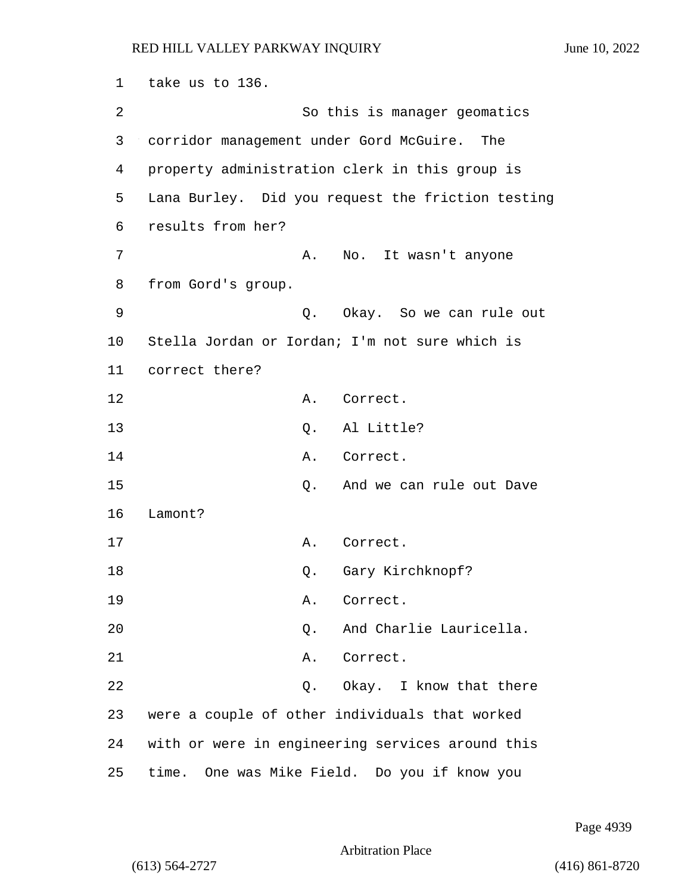1 take us to 136. 2 So this is manager geomatics 3 corridor management under Gord McGuire. The 4 property administration clerk in this group is 5 Lana Burley. Did you request the friction testing 6 results from her? 7 A. No. It wasn't anyone 8 from Gord's group. 9 Q. Okay. So we can rule out 10 Stella Jordan or Iordan; I'm not sure which is 11 correct there? 12 A. Correct. 13 O. Al Little? 14 A. Correct. 15 Q. And we can rule out Dave 16 Lamont? 17 A. Correct. 18 Q. Gary Kirchknopf? 19 A. Correct. 20 Q. And Charlie Lauricella. 21 A. Correct. 22 Q. Okay. I know that there 23 were a couple of other individuals that worked 24 with or were in engineering services around this 25 time. One was Mike Field. Do you if know you

Page 4939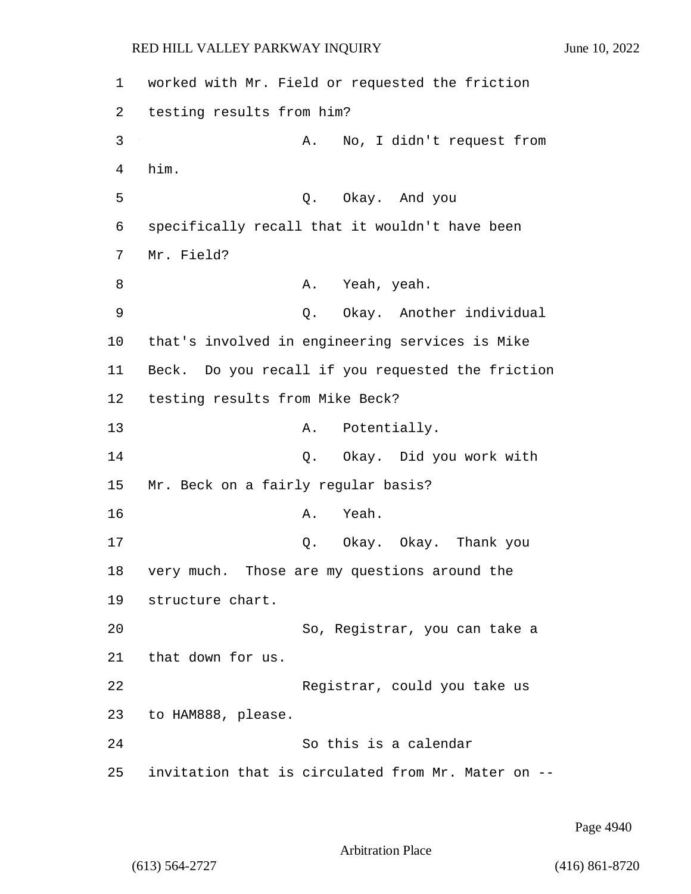1 worked with Mr. Field or requested the friction 2 testing results from him? 3 A. No, I didn't request from 4 him. 5 Q. Okay. And you 6 specifically recall that it wouldn't have been 7 Mr. Field? 8 A. Yeah, yeah. 9 Q. Okay. Another individual 10 that's involved in engineering services is Mike 11 Beck. Do you recall if you requested the friction 12 testing results from Mike Beck? 13 A. Potentially. 14 Q. Okay. Did you work with 15 Mr. Beck on a fairly regular basis? 16 A. Yeah. 17 Q. Okay. Okay. Thank you 18 very much. Those are my questions around the 19 structure chart. 20 So, Registrar, you can take a 21 that down for us. 22 Registrar, could you take us 23 to HAM888, please. 24 So this is a calendar 25 invitation that is circulated from Mr. Mater on --

Page 4940

Arbitration Place

(613) 564-2727 (416) 861-8720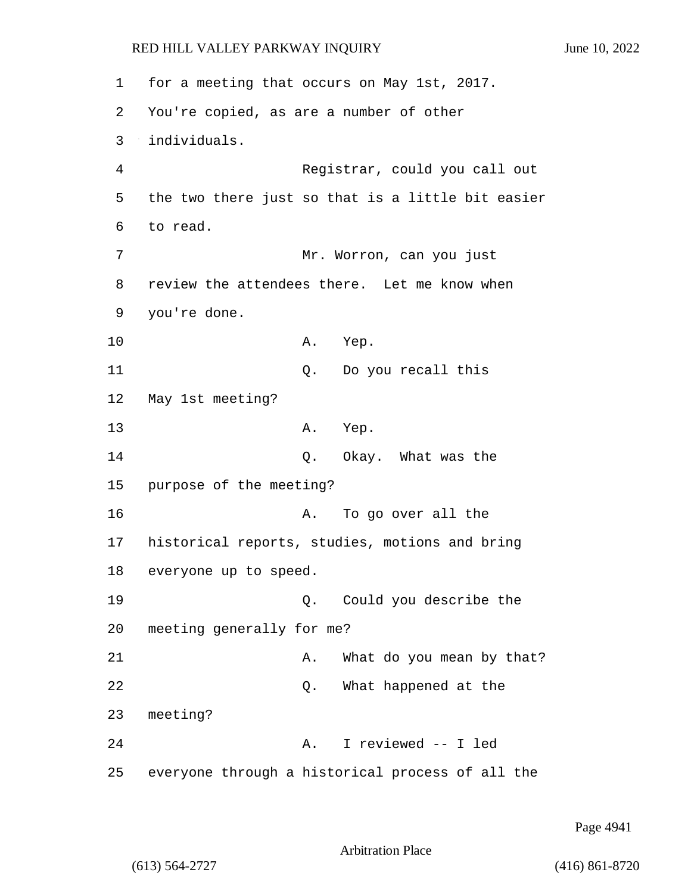1 for a meeting that occurs on May 1st, 2017. 2 You're copied, as are a number of other 3 individuals. 4 Registrar, could you call out 5 the two there just so that is a little bit easier 6 to read. 7 Mr. Worron, can you just 8 review the attendees there. Let me know when 9 you're done. 10 A. Yep. 11 Q. Do you recall this 12 May 1st meeting? 13 A. Yep. 14 Q. Okay. What was the 15 purpose of the meeting? 16 A. To go over all the 17 historical reports, studies, motions and bring 18 everyone up to speed. 19 Q. Could you describe the 20 meeting generally for me? 21 A. What do you mean by that? 22 and 2. What happened at the 23 meeting? 24 A. I reviewed -- I led 25 everyone through a historical process of all the

Page 4941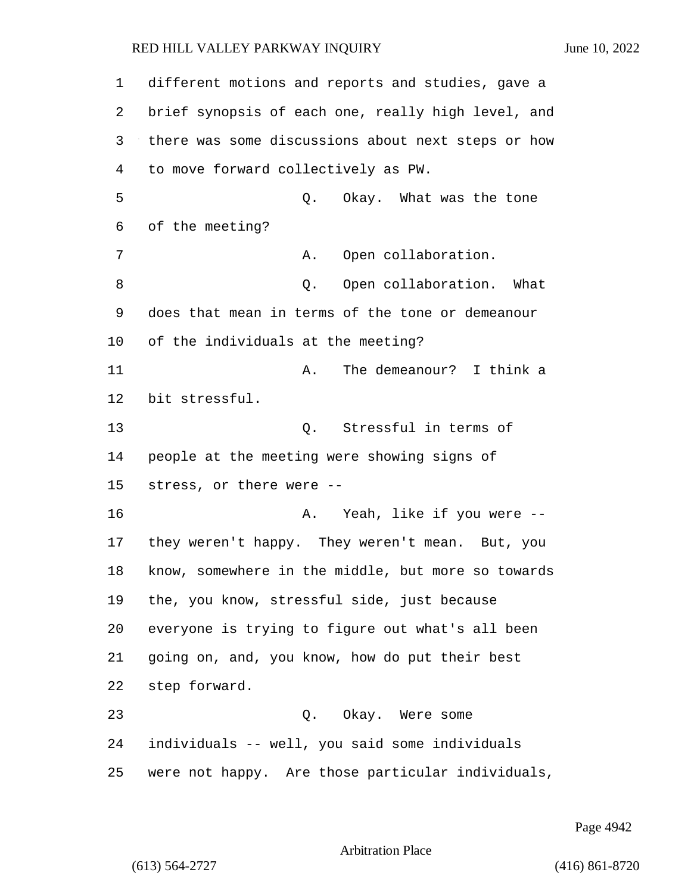| 1  | different motions and reports and studies, gave a  |
|----|----------------------------------------------------|
| 2  | brief synopsis of each one, really high level, and |
| 3  | there was some discussions about next steps or how |
| 4  | to move forward collectively as PW.                |
| 5  | Q.<br>Okay. What was the tone                      |
| 6  | of the meeting?                                    |
| 7  | Open collaboration.<br>Α.                          |
| 8  | Open collaboration. What<br>Q.                     |
| 9  | does that mean in terms of the tone or demeanour   |
| 10 | of the individuals at the meeting?                 |
| 11 | The demeanour? I think a<br>Α.                     |
| 12 | bit stressful.                                     |
| 13 | Stressful in terms of<br>Q.                        |
| 14 | people at the meeting were showing signs of        |
| 15 | stress, or there were --                           |
| 16 | Yeah, like if you were --<br>Α.                    |
| 17 | they weren't happy. They weren't mean. But, you    |
| 18 | know, somewhere in the middle, but more so towards |
| 19 | the, you know, stressful side, just because        |
| 20 | everyone is trying to figure out what's all been   |
| 21 | going on, and, you know, how do put their best     |
| 22 | step forward.                                      |
| 23 | Q. Okay. Were some                                 |
| 24 | individuals -- well, you said some individuals     |
| 25 | were not happy. Are those particular individuals,  |

Page 4942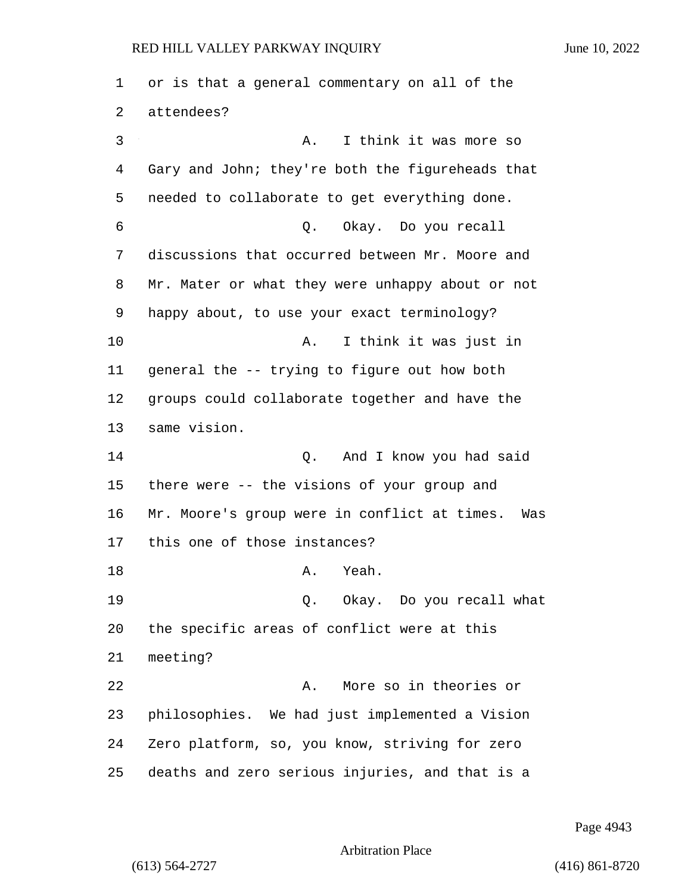or is that a general commentary on all of the attendees? 3 A. I think it was more so Gary and John; they're both the figureheads that needed to collaborate to get everything done. 6 Q. Okay. Do you recall discussions that occurred between Mr. Moore and Mr. Mater or what they were unhappy about or not happy about, to use your exact terminology? 10 A. I think it was just in general the -- trying to figure out how both groups could collaborate together and have the same vision. 14 Q. And I know you had said there were -- the visions of your group and Mr. Moore's group were in conflict at times. Was this one of those instances? 18 A. Yeah. 19 Q. Okay. Do you recall what the specific areas of conflict were at this meeting? 22 A. More so in theories or philosophies. We had just implemented a Vision Zero platform, so, you know, striving for zero deaths and zero serious injuries, and that is a

Page 4943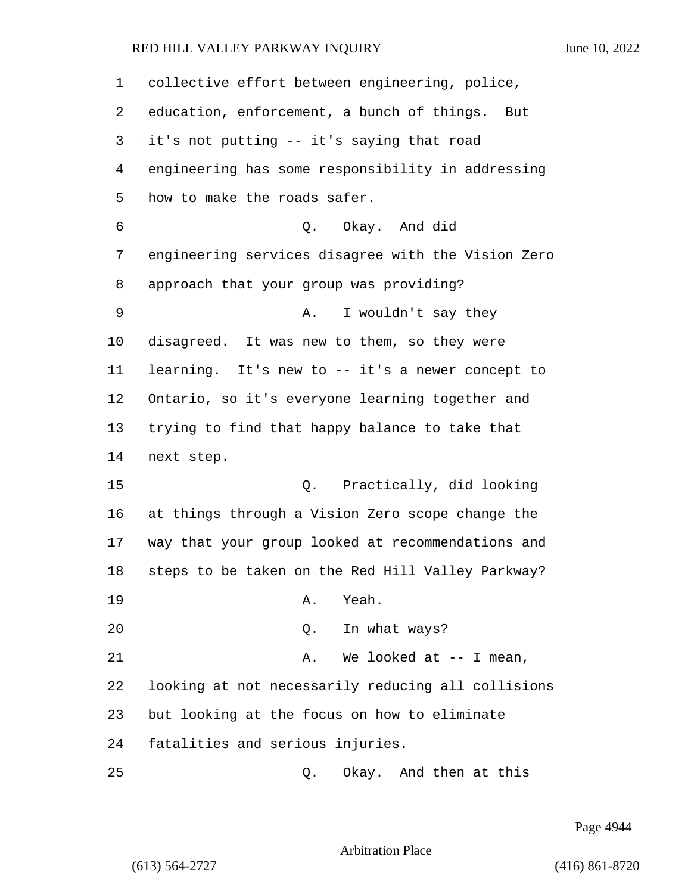| 1  | collective effort between engineering, police,     |
|----|----------------------------------------------------|
| 2  | education, enforcement, a bunch of things.<br>But  |
| 3  | it's not putting -- it's saying that road          |
| 4  | engineering has some responsibility in addressing  |
| 5  | how to make the roads safer.                       |
| 6  | Q. Okay. And did                                   |
| 7  | engineering services disagree with the Vision Zero |
| 8  | approach that your group was providing?            |
| 9  | I wouldn't say they<br>Α.                          |
| 10 | disagreed. It was new to them, so they were        |
| 11 | learning. It's new to -- it's a newer concept to   |
| 12 | Ontario, so it's everyone learning together and    |
| 13 | trying to find that happy balance to take that     |
| 14 | next step.                                         |
| 15 | Q. Practically, did looking                        |
| 16 | at things through a Vision Zero scope change the   |
| 17 | way that your group looked at recommendations and  |
| 18 | steps to be taken on the Red Hill Valley Parkway?  |
| 19 | Yeah.<br>Α.                                        |
| 20 | Q. In what ways?                                   |
| 21 | We looked at $-$ - I mean,<br>Α.                   |
| 22 | looking at not necessarily reducing all collisions |
| 23 | but looking at the focus on how to eliminate       |
| 24 | fatalities and serious injuries.                   |
| 25 | Okay. And then at this<br>Q.                       |

Page 4944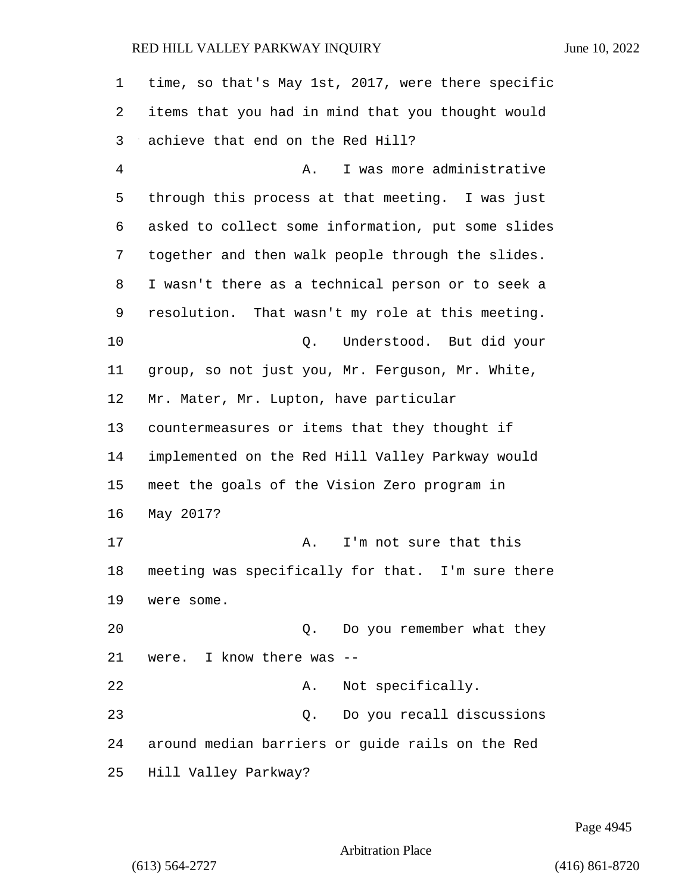| 1  | time, so that's May 1st, 2017, were there specific |
|----|----------------------------------------------------|
| 2  | items that you had in mind that you thought would  |
| 3  | achieve that end on the Red Hill?                  |
| 4  | I was more administrative<br>Α.                    |
| 5  | through this process at that meeting. I was just   |
| 6  | asked to collect some information, put some slides |
| 7  | together and then walk people through the slides.  |
| 8  | I wasn't there as a technical person or to seek a  |
| 9  | resolution. That wasn't my role at this meeting.   |
| 10 | Understood. But did your<br>Q.                     |
| 11 | group, so not just you, Mr. Ferguson, Mr. White,   |
| 12 | Mr. Mater, Mr. Lupton, have particular             |
| 13 | countermeasures or items that they thought if      |
| 14 | implemented on the Red Hill Valley Parkway would   |
| 15 | meet the goals of the Vision Zero program in       |
| 16 | May 2017?                                          |
| 17 | I'm not sure that this<br>Α.                       |
| 18 | meeting was specifically for that. I'm sure there  |
| 19 | were some.                                         |
| 20 | Do you remember what they<br>Q.                    |
| 21 | were. I know there was                             |
| 22 | Not specifically.<br>Α.                            |
| 23 | Do you recall discussions<br>Q.                    |
| 24 | around median barriers or guide rails on the Red   |
| 25 | Hill Valley Parkway?                               |

Page 4945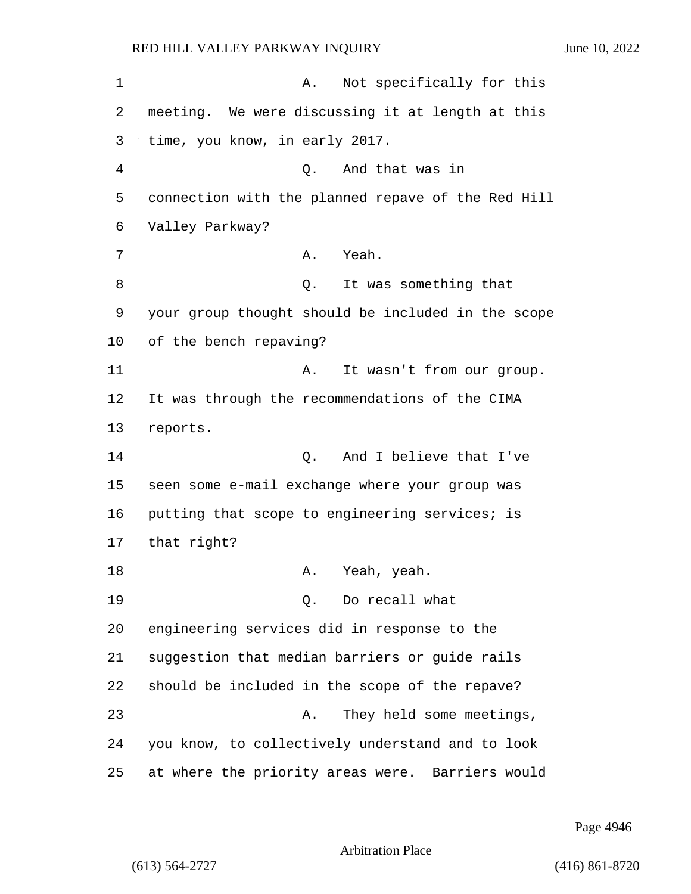1 A. Not specifically for this 2 meeting. We were discussing it at length at this 3 time, you know, in early 2017. 4 Q. And that was in 5 connection with the planned repave of the Red Hill 6 Valley Parkway? 7 A. Yeah. 8 a Q. It was something that 9 your group thought should be included in the scope 10 of the bench repaving? 11 A. It wasn't from our group. 12 It was through the recommendations of the CIMA 13 reports. 14 O. And I believe that I've 15 seen some e-mail exchange where your group was 16 putting that scope to engineering services; is 17 that right? 18 A. Yeah, yeah. 19 Q. Do recall what 20 engineering services did in response to the 21 suggestion that median barriers or guide rails 22 should be included in the scope of the repave? 23 A. They held some meetings, 24 you know, to collectively understand and to look 25 at where the priority areas were. Barriers would

Page 4946

Arbitration Place

(613) 564-2727 (416) 861-8720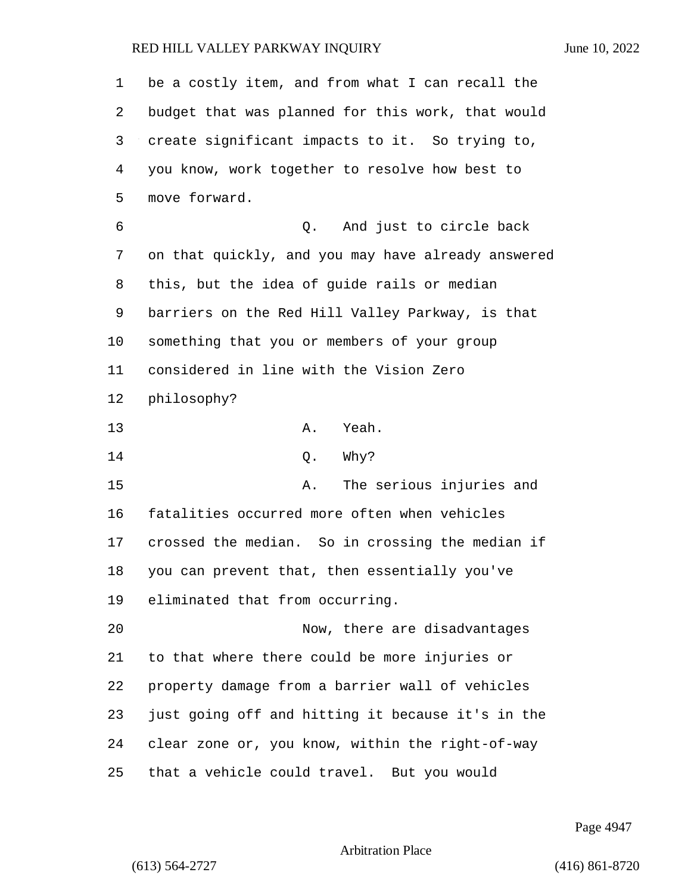| 1  | be a costly item, and from what I can recall the   |
|----|----------------------------------------------------|
| 2  | budget that was planned for this work, that would  |
| 3  | create significant impacts to it. So trying to,    |
| 4  | you know, work together to resolve how best to     |
| 5  | move forward.                                      |
| 6  | And just to circle back<br>Q.                      |
| 7  | on that quickly, and you may have already answered |
| 8  | this, but the idea of guide rails or median        |
| 9  | barriers on the Red Hill Valley Parkway, is that   |
| 10 | something that you or members of your group        |
| 11 | considered in line with the Vision Zero            |
| 12 | philosophy?                                        |
| 13 | Yeah.<br>Α.                                        |
| 14 | Why?<br>Q.                                         |
| 15 | The serious injuries and<br>Α.                     |
| 16 | fatalities occurred more often when vehicles       |
| 17 | crossed the median. So in crossing the median if   |
| 18 | you can prevent that, then essentially you've      |
| 19 | eliminated that from occurring.                    |
| 20 | Now, there are disadvantages                       |
| 21 | to that where there could be more injuries or      |
| 22 | property damage from a barrier wall of vehicles    |
| 23 | just going off and hitting it because it's in the  |
| 24 | clear zone or, you know, within the right-of-way   |
| 25 | that a vehicle could travel. But you would         |

Page 4947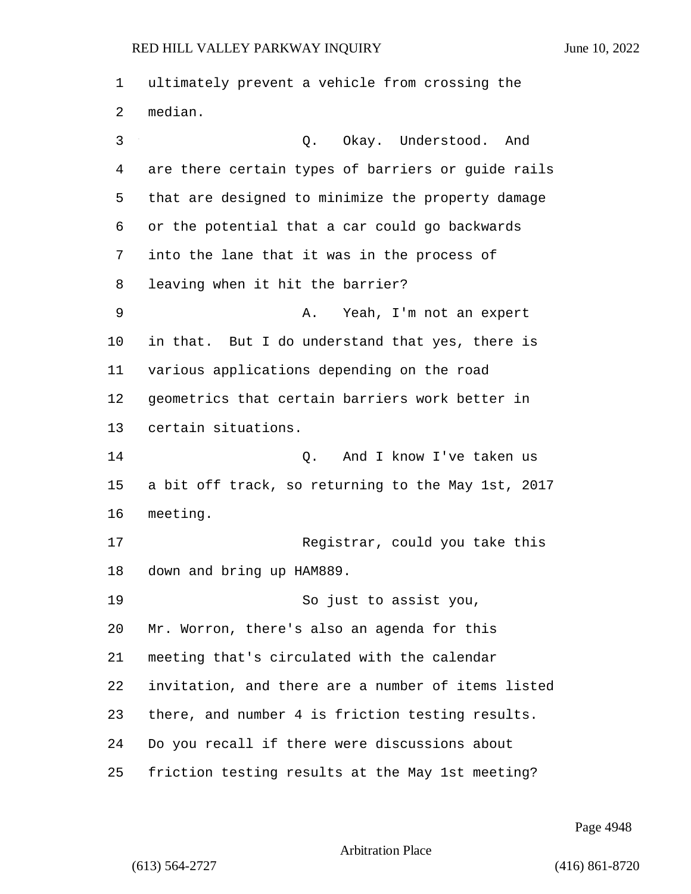ultimately prevent a vehicle from crossing the median. 3 Q. Okay. Understood. And are there certain types of barriers or guide rails that are designed to minimize the property damage or the potential that a car could go backwards into the lane that it was in the process of leaving when it hit the barrier? 9 A. Yeah, I'm not an expert in that. But I do understand that yes, there is various applications depending on the road geometrics that certain barriers work better in certain situations. 14 Q. And I know I've taken us a bit off track, so returning to the May 1st, 2017 meeting. 17 Registrar, could you take this down and bring up HAM889. 19 So just to assist you, Mr. Worron, there's also an agenda for this meeting that's circulated with the calendar invitation, and there are a number of items listed there, and number 4 is friction testing results. Do you recall if there were discussions about friction testing results at the May 1st meeting?

Page 4948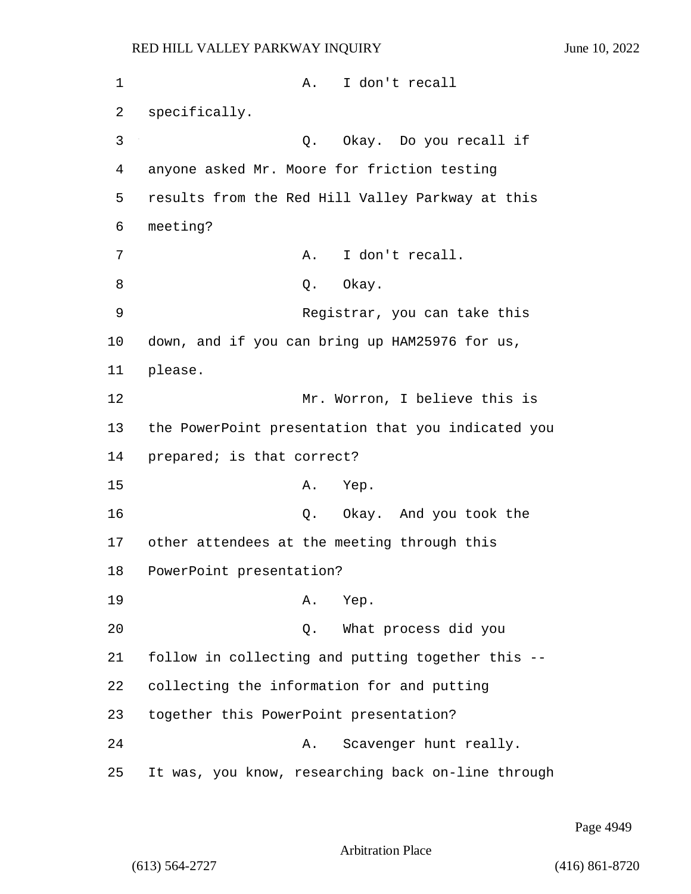1 A. I don't recall 2 specifically. 3 Q. Okay. Do you recall if 4 anyone asked Mr. Moore for friction testing 5 results from the Red Hill Valley Parkway at this 6 meeting? 7 A. I don't recall. 8 Q. Okay. 9 Registrar, you can take this 10 down, and if you can bring up HAM25976 for us, 11 please. 12 Mr. Worron, I believe this is 13 the PowerPoint presentation that you indicated you 14 prepared; is that correct? 15 A. Yep. 16 Q. Okay. And you took the 17 other attendees at the meeting through this 18 PowerPoint presentation? 19 A. Yep. 20 Q. What process did you 21 follow in collecting and putting together this -- 22 collecting the information for and putting 23 together this PowerPoint presentation? 24 A. Scavenger hunt really. 25 It was, you know, researching back on-line through

Page 4949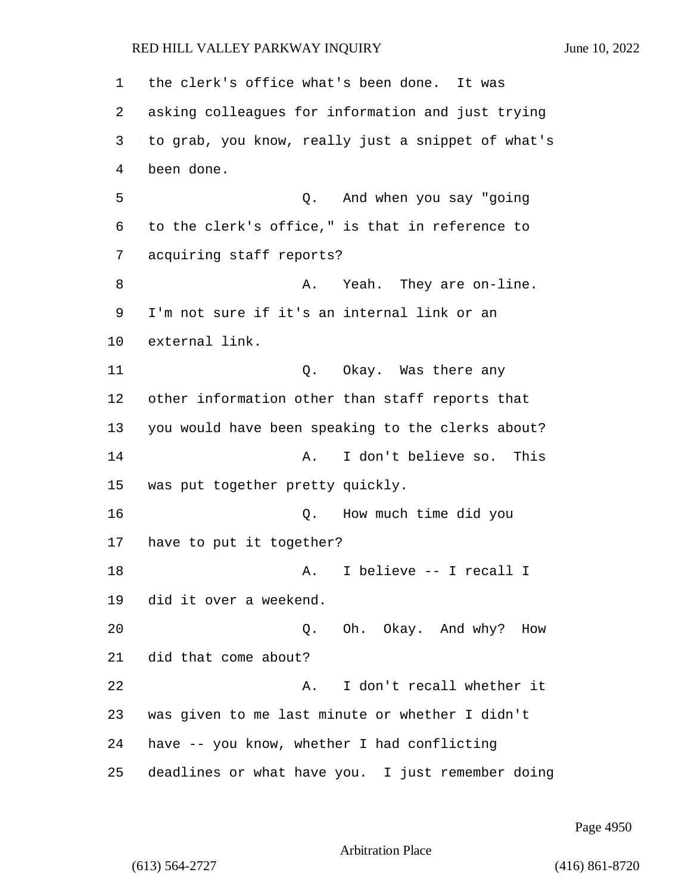the clerk's office what's been done. It was asking colleagues for information and just trying to grab, you know, really just a snippet of what's been done. 5 Q. And when you say "going to the clerk's office," is that in reference to acquiring staff reports? 8 A. Yeah. They are on-line. I'm not sure if it's an internal link or an external link. 11 Q. Okay. Was there any other information other than staff reports that you would have been speaking to the clerks about? 14 A. I don't believe so. This was put together pretty quickly. 16 Q. How much time did you have to put it together? 18 A. I believe -- I recall I did it over a weekend. 20 Q. Oh. Okay. And why? How did that come about? 22 A. I don't recall whether it was given to me last minute or whether I didn't have -- you know, whether I had conflicting deadlines or what have you. I just remember doing

Page 4950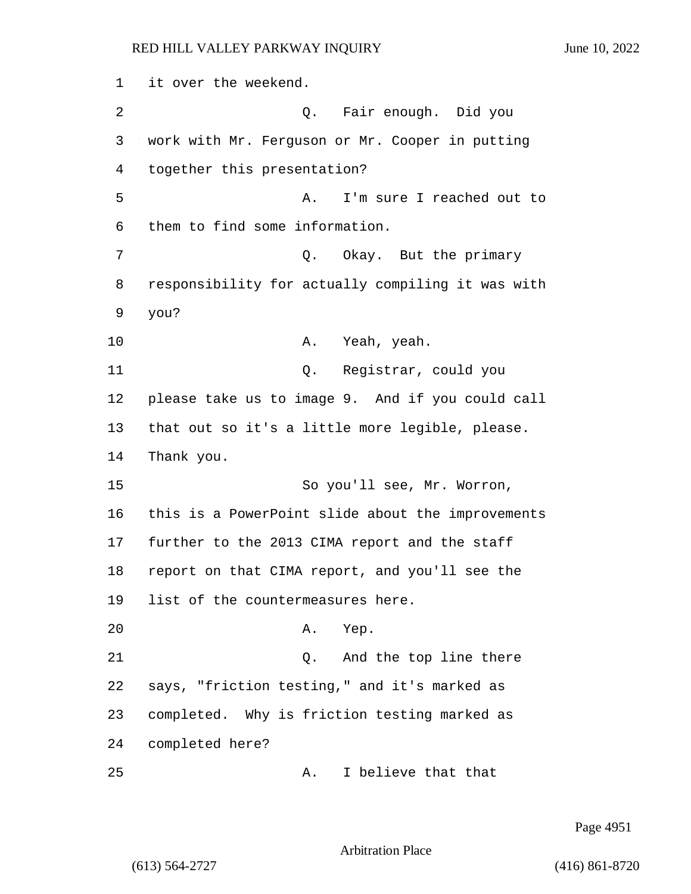1 it over the weekend. 2 Q. Fair enough. Did you 3 work with Mr. Ferguson or Mr. Cooper in putting 4 together this presentation? 5 A. I'm sure I reached out to 6 them to find some information. 7 C. Okay. But the primary 8 responsibility for actually compiling it was with 9 you? 10 A. Yeah, yeah. 11 Q. Registrar, could you 12 please take us to image 9. And if you could call 13 that out so it's a little more legible, please. 14 Thank you. 15 So you'll see, Mr. Worron, 16 this is a PowerPoint slide about the improvements 17 further to the 2013 CIMA report and the staff 18 report on that CIMA report, and you'll see the 19 list of the countermeasures here. 20 A. Yep. 21 Q. And the top line there 22 says, "friction testing," and it's marked as 23 completed. Why is friction testing marked as 24 completed here? 25 A. I believe that that

Page 4951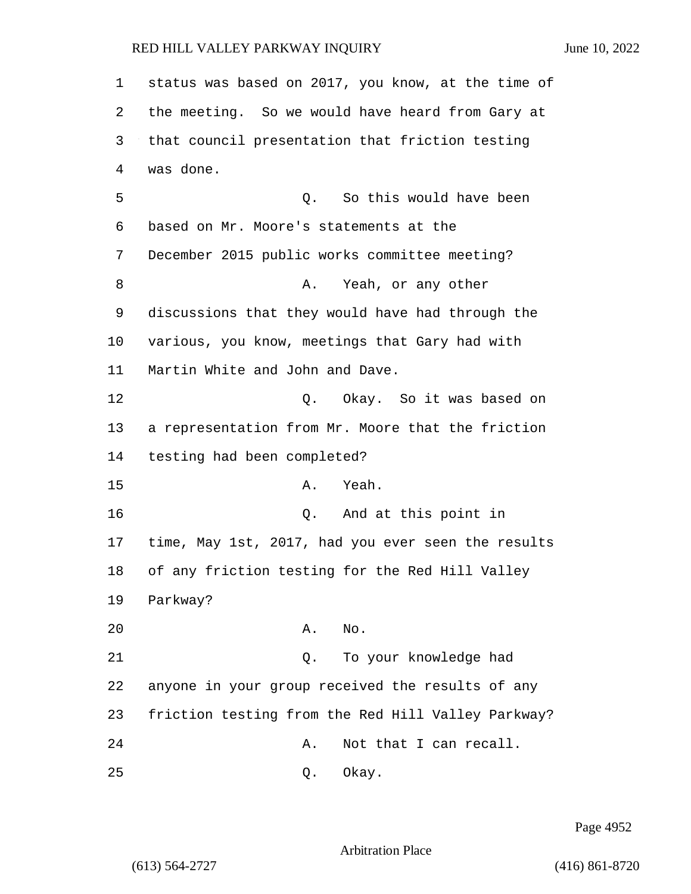1 status was based on 2017, you know, at the time of 2 the meeting. So we would have heard from Gary at 3 that council presentation that friction testing 4 was done. 5 Q. So this would have been 6 based on Mr. Moore's statements at the 7 December 2015 public works committee meeting? 8 A. Yeah, or any other 9 discussions that they would have had through the 10 various, you know, meetings that Gary had with 11 Martin White and John and Dave. 12 C. Okay. So it was based on 13 a representation from Mr. Moore that the friction 14 testing had been completed? 15 A. Yeah. 16 Q. And at this point in 17 time, May 1st, 2017, had you ever seen the results 18 of any friction testing for the Red Hill Valley 19 Parkway? 20 A. No. 21 Q. To your knowledge had 22 anyone in your group received the results of any 23 friction testing from the Red Hill Valley Parkway? 24 A. Not that I can recall. 25 Q. Okay.

Page 4952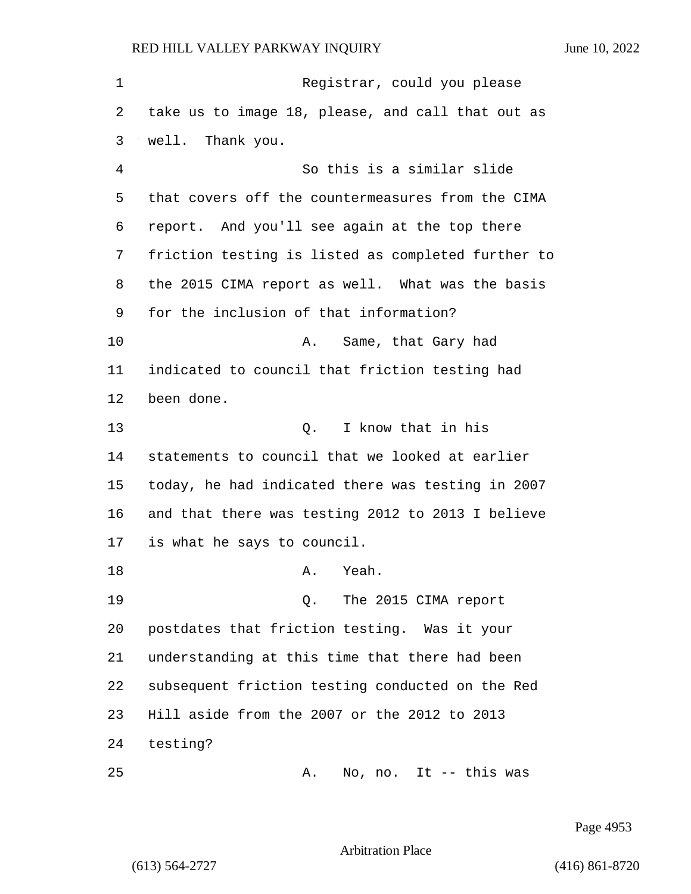1 Registrar, could you please take us to image 18, please, and call that out as well. Thank you. 4 So this is a similar slide that covers off the countermeasures from the CIMA report. And you'll see again at the top there friction testing is listed as completed further to the 2015 CIMA report as well. What was the basis for the inclusion of that information? 10 A. Same, that Gary had indicated to council that friction testing had been done. 13 O. I know that in his statements to council that we looked at earlier today, he had indicated there was testing in 2007 and that there was testing 2012 to 2013 I believe is what he says to council. 18 A. Yeah. 19 Q. The 2015 CIMA report postdates that friction testing. Was it your understanding at this time that there had been subsequent friction testing conducted on the Red Hill aside from the 2007 or the 2012 to 2013 testing? 25 A. No, no. It -- this was

Page 4953

Arbitration Place

(613) 564-2727 (416) 861-8720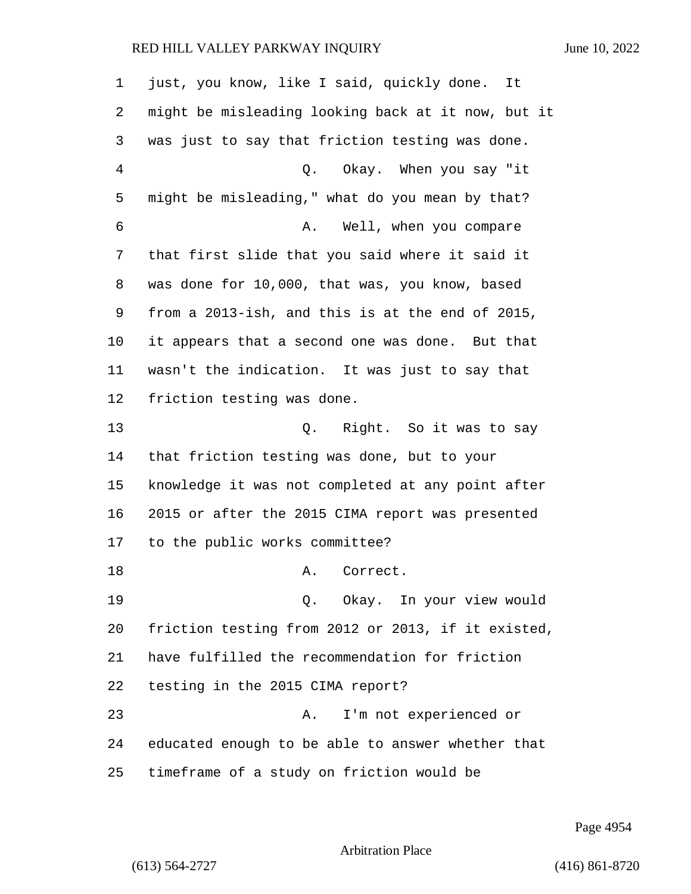just, you know, like I said, quickly done. It might be misleading looking back at it now, but it was just to say that friction testing was done. 4 Q. Okay. When you say "it might be misleading," what do you mean by that? 6 A. Well, when you compare that first slide that you said where it said it was done for 10,000, that was, you know, based from a 2013-ish, and this is at the end of 2015, it appears that a second one was done. But that wasn't the indication. It was just to say that friction testing was done. 13 Q. Right. So it was to say that friction testing was done, but to your knowledge it was not completed at any point after 2015 or after the 2015 CIMA report was presented to the public works committee? 18 A. Correct. 19 Q. Okay. In your view would friction testing from 2012 or 2013, if it existed, have fulfilled the recommendation for friction testing in the 2015 CIMA report? 23 A. I'm not experienced or educated enough to be able to answer whether that timeframe of a study on friction would be

Page 4954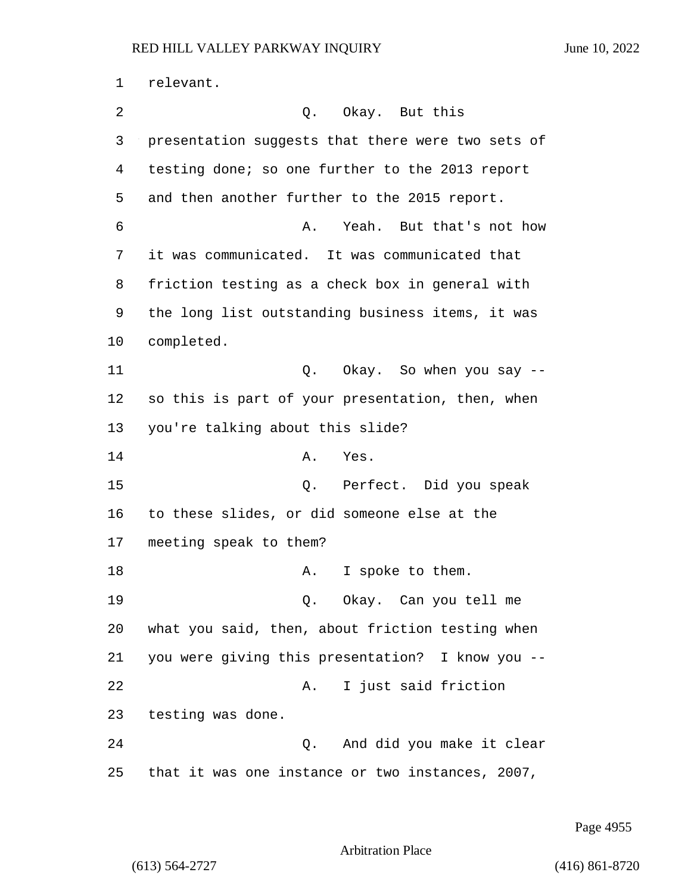relevant. 2 Q. Okay. But this presentation suggests that there were two sets of testing done; so one further to the 2013 report and then another further to the 2015 report. 6 A. Yeah. But that's not how it was communicated. It was communicated that friction testing as a check box in general with the long list outstanding business items, it was completed. 11 Q. Okay. So when you say -- so this is part of your presentation, then, when you're talking about this slide? 14 A. Yes. 15 Q. Perfect. Did you speak to these slides, or did someone else at the meeting speak to them? 18 A. I spoke to them. 19 Q. Okay. Can you tell me what you said, then, about friction testing when you were giving this presentation? I know you -- 22 A. I just said friction testing was done. 24 Q. And did you make it clear that it was one instance or two instances, 2007,

Page 4955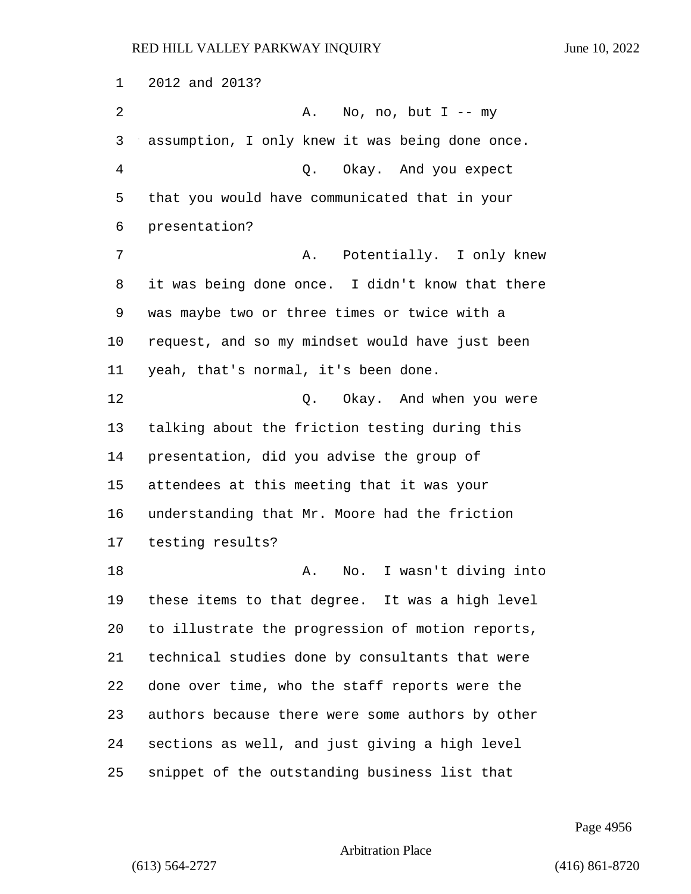2012 and 2013? 2 A. No, no, but I -- my assumption, I only knew it was being done once. 4 Q. Okay. And you expect that you would have communicated that in your presentation? 7 A. Potentially. I only knew it was being done once. I didn't know that there was maybe two or three times or twice with a request, and so my mindset would have just been yeah, that's normal, it's been done. 12 C. Okay. And when you were talking about the friction testing during this presentation, did you advise the group of attendees at this meeting that it was your understanding that Mr. Moore had the friction testing results? 18 A. No. I wasn't diving into these items to that degree. It was a high level to illustrate the progression of motion reports, technical studies done by consultants that were done over time, who the staff reports were the authors because there were some authors by other sections as well, and just giving a high level snippet of the outstanding business list that

Page 4956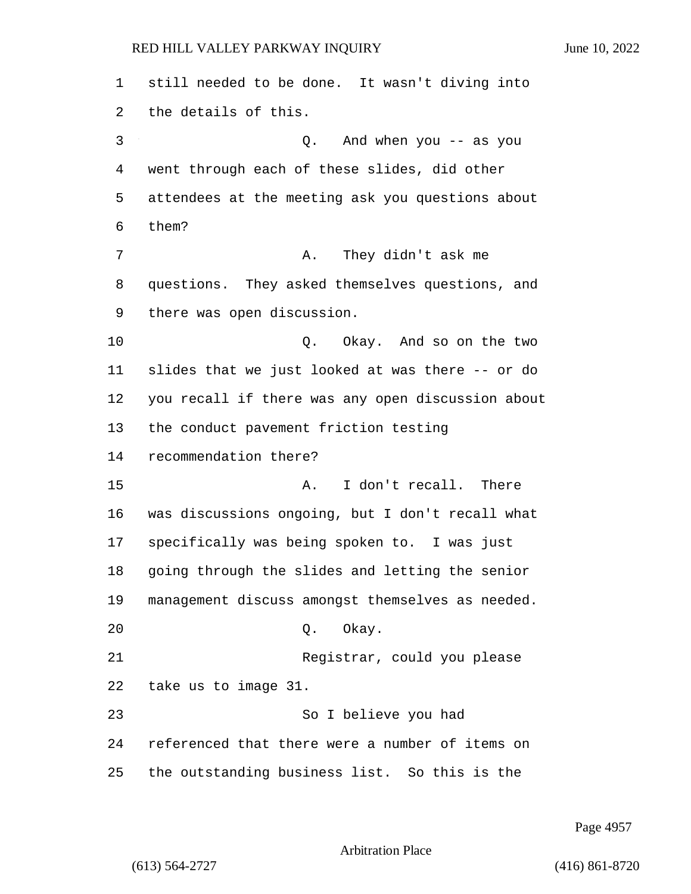still needed to be done. It wasn't diving into the details of this. 3 Q. And when you -- as you went through each of these slides, did other attendees at the meeting ask you questions about them? 7 A. They didn't ask me questions. They asked themselves questions, and there was open discussion. 10 Q. Okay. And so on the two slides that we just looked at was there -- or do you recall if there was any open discussion about the conduct pavement friction testing recommendation there? 15 A. I don't recall. There was discussions ongoing, but I don't recall what specifically was being spoken to. I was just going through the slides and letting the senior management discuss amongst themselves as needed. 20 Q. Okay. 21 Registrar, could you please take us to image 31. 23 So I believe you had referenced that there were a number of items on the outstanding business list. So this is the

Page 4957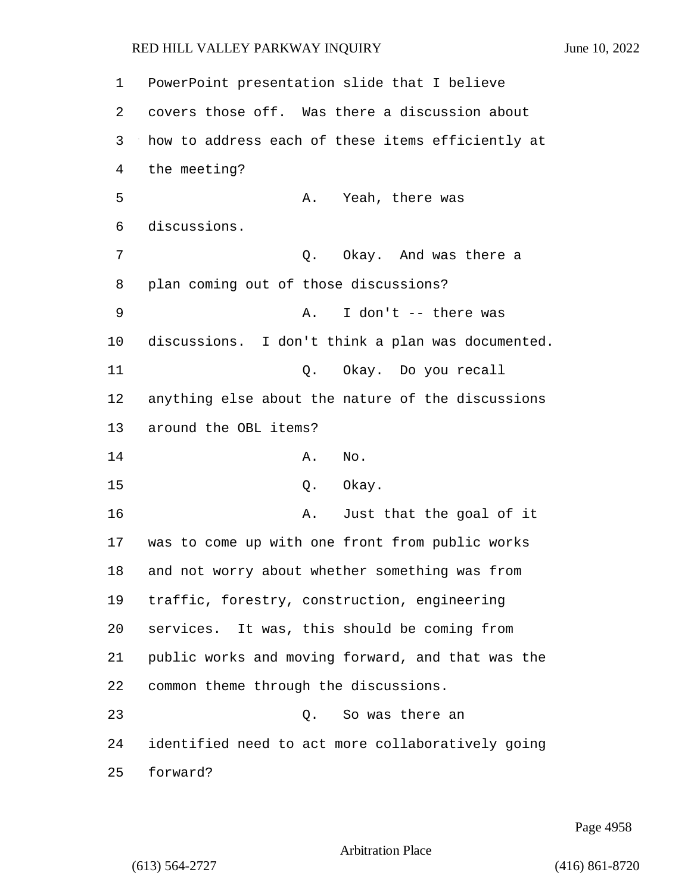PowerPoint presentation slide that I believe covers those off. Was there a discussion about how to address each of these items efficiently at the meeting? 5 A. Yeah, there was discussions. 7 C. Okay. And was there a plan coming out of those discussions? 9 A. I don't -- there was discussions. I don't think a plan was documented. 11 Q. Okay. Do you recall anything else about the nature of the discussions around the OBL items? 14 A. No. 15 0. Okay. 16 A. Just that the goal of it was to come up with one front from public works and not worry about whether something was from traffic, forestry, construction, engineering services. It was, this should be coming from public works and moving forward, and that was the common theme through the discussions. 23 Q. So was there an identified need to act more collaboratively going 25 forward?

Page 4958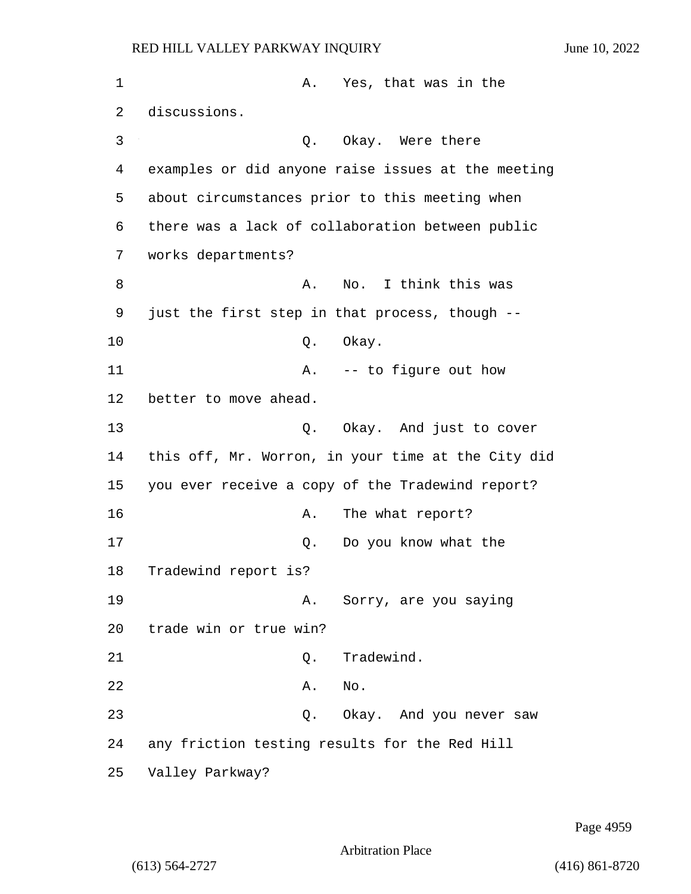| 1  | Yes, that was in the<br>Α.                         |
|----|----------------------------------------------------|
| 2  | discussions.                                       |
| 3  | Okay. Were there<br>Q.                             |
| 4  | examples or did anyone raise issues at the meeting |
| 5  | about circumstances prior to this meeting when     |
| 6  | there was a lack of collaboration between public   |
| 7  | works departments?                                 |
| 8  | I think this was<br>Α.<br>No.                      |
| 9  | just the first step in that process, though --     |
| 10 | Q.<br>Okay.                                        |
| 11 | -- to figure out how<br>Α.                         |
| 12 | better to move ahead.                              |
| 13 | Okay. And just to cover<br>Q.                      |
| 14 | this off, Mr. Worron, in your time at the City did |
| 15 | you ever receive a copy of the Tradewind report?   |
| 16 | The what report?<br>Α.                             |
| 17 | Do you know what the<br>Q.                         |
| 18 | Tradewind report is?                               |
| 19 | Sorry, are you saying<br>Α.                        |
| 20 | trade win or true win?                             |
| 21 | Tradewind.<br>Q.                                   |
| 22 | No.<br>Α.                                          |
| 23 | Okay. And you never saw<br>Q.                      |
| 24 | any friction testing results for the Red Hill      |
| 25 | Valley Parkway?                                    |

Page 4959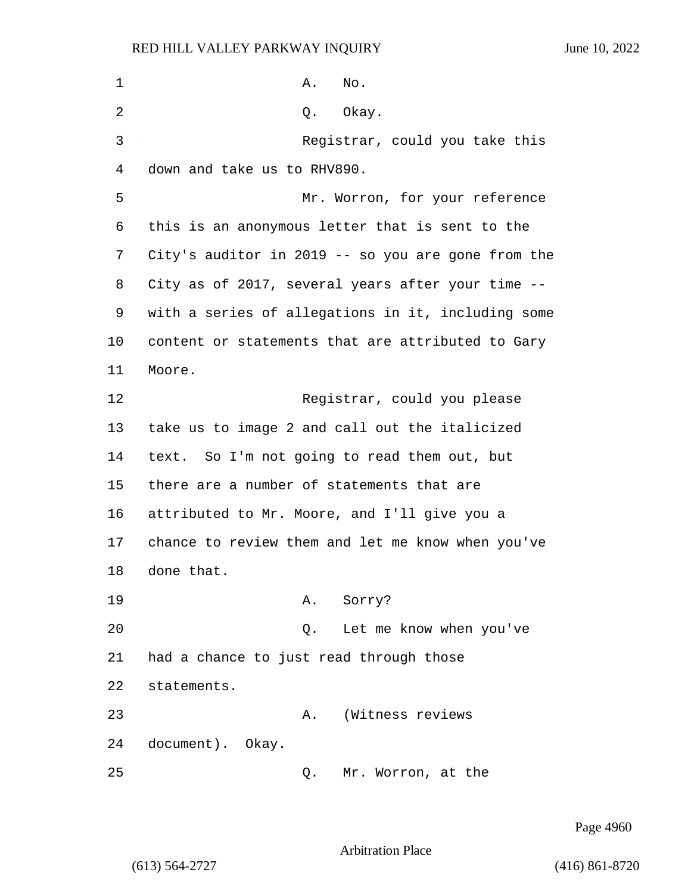1 **A.** No. 2 Q. Okay. 3 Registrar, could you take this 4 down and take us to RHV890. 5 Mr. Worron, for your reference 6 this is an anonymous letter that is sent to the 7 City's auditor in 2019 -- so you are gone from the 8 City as of 2017, several years after your time -- 9 with a series of allegations in it, including some 10 content or statements that are attributed to Gary 11 Moore. 12 Registrar, could you please 13 take us to image 2 and call out the italicized 14 text. So I'm not going to read them out, but 15 there are a number of statements that are 16 attributed to Mr. Moore, and I'll give you a 17 chance to review them and let me know when you've 18 done that. 19 A. Sorry? 20 Q. Let me know when you've 21 had a chance to just read through those 22 statements. 23 A. (Witness reviews 24 document). Okay. 25 Q. Mr. Worron, at the

Page 4960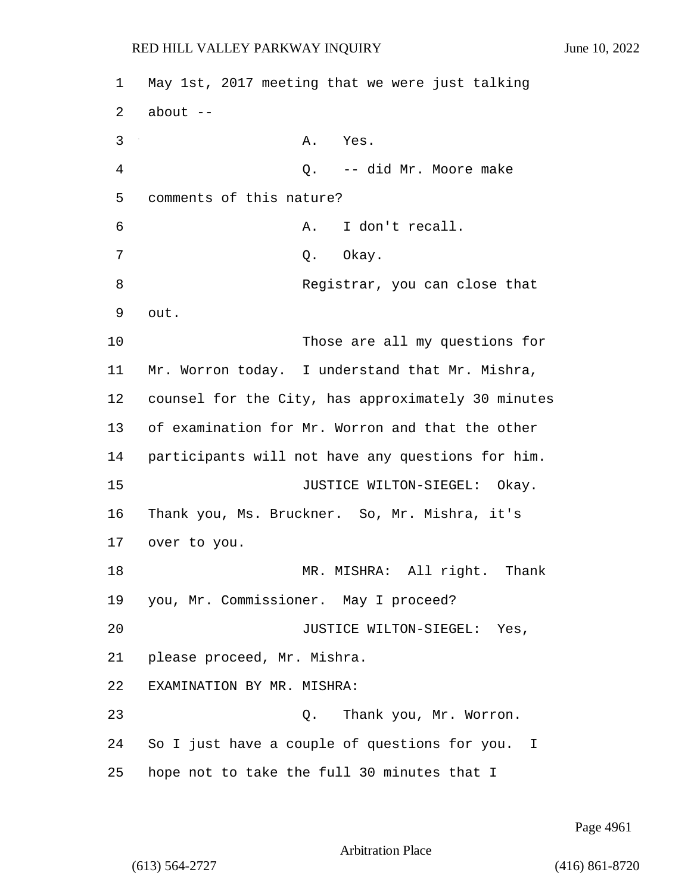| 1  | May 1st, 2017 meeting that we were just talking    |
|----|----------------------------------------------------|
| 2  | $about$ --                                         |
| 3  | A. Yes.                                            |
| 4  | Q. -- did Mr. Moore make                           |
| 5  | comments of this nature?                           |
| 6  | I don't recall.<br>Α.                              |
| 7  | Q. Okay.                                           |
| 8  | Registrar, you can close that                      |
| 9  | out.                                               |
| 10 | Those are all my questions for                     |
| 11 | Mr. Worron today. I understand that Mr. Mishra,    |
| 12 | counsel for the City, has approximately 30 minutes |
| 13 | of examination for Mr. Worron and that the other   |
| 14 | participants will not have any questions for him.  |
| 15 | JUSTICE WILTON-SIEGEL: Okay.                       |
| 16 | Thank you, Ms. Bruckner. So, Mr. Mishra, it's      |
| 17 | over to you.                                       |
| 18 | MR. MISHRA: All right.<br>Thank                    |
|    | 19 you, Mr. Commissioner. May I proceed?           |
| 20 | JUSTICE WILTON-SIEGEL: Yes,                        |
| 21 | please proceed, Mr. Mishra.                        |
| 22 | EXAMINATION BY MR. MISHRA:                         |
| 23 | Q. Thank you, Mr. Worron.                          |
| 24 | So I just have a couple of questions for you.<br>I |
| 25 | hope not to take the full 30 minutes that I        |

Page 4961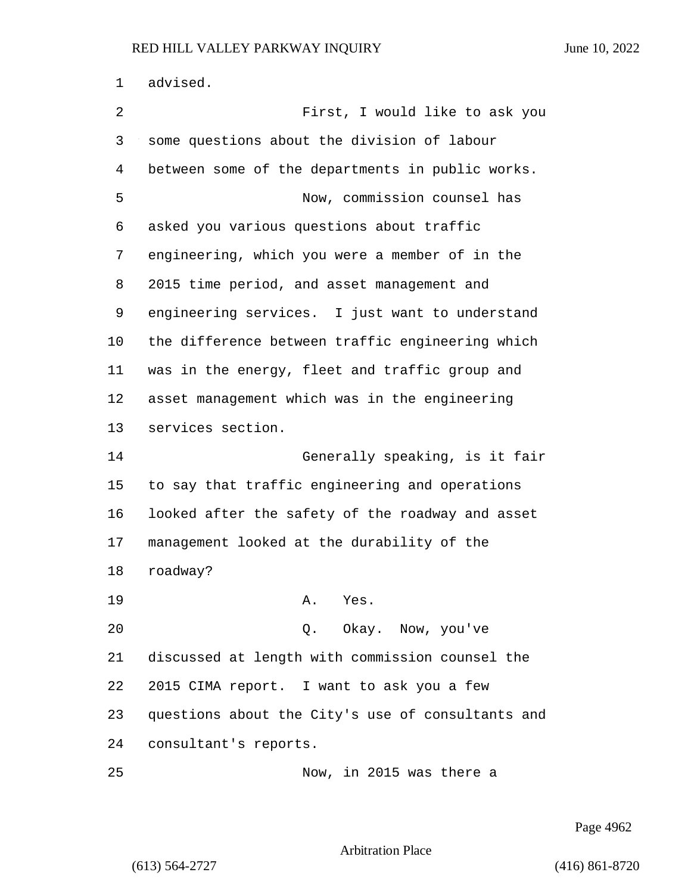advised.

| 2  | First, I would like to ask you                    |
|----|---------------------------------------------------|
| 3  | some questions about the division of labour       |
| 4  | between some of the departments in public works.  |
| 5  | Now, commission counsel has                       |
| 6  | asked you various questions about traffic         |
| 7  | engineering, which you were a member of in the    |
| 8  | 2015 time period, and asset management and        |
| 9  | engineering services. I just want to understand   |
| 10 | the difference between traffic engineering which  |
| 11 | was in the energy, fleet and traffic group and    |
| 12 | asset management which was in the engineering     |
| 13 | services section.                                 |
|    |                                                   |
| 14 | Generally speaking, is it fair                    |
| 15 | to say that traffic engineering and operations    |
| 16 | looked after the safety of the roadway and asset  |
| 17 | management looked at the durability of the        |
| 18 | roadway?                                          |
| 19 | Yes.<br>Α.                                        |
| 20 | Q. Okay. Now, you've                              |
| 21 | discussed at length with commission counsel the   |
| 22 | 2015 CIMA report. I want to ask you a few         |
| 23 | questions about the City's use of consultants and |
| 24 | consultant's reports.                             |

Page 4962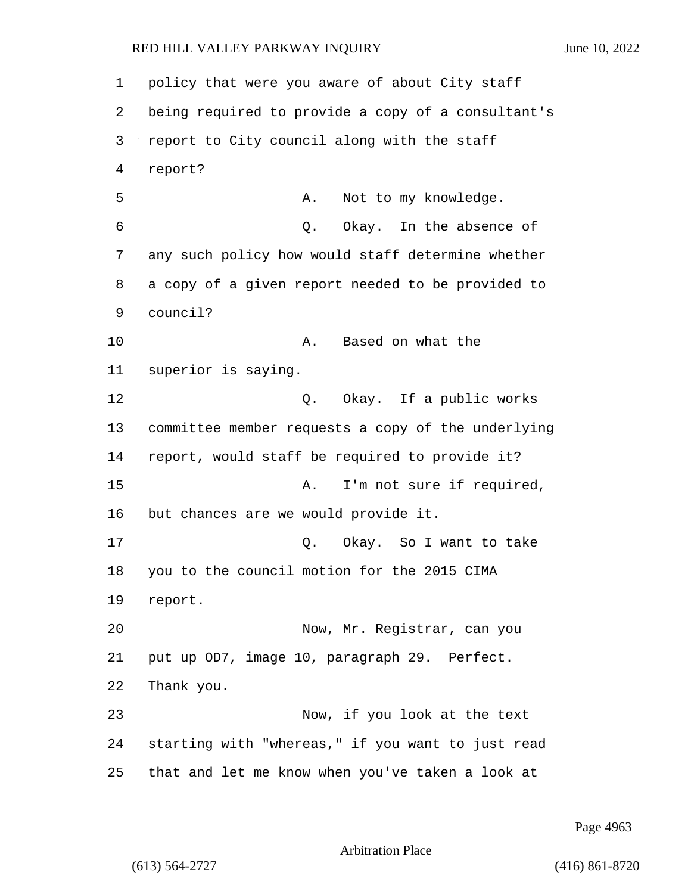1 policy that were you aware of about City staff 2 being required to provide a copy of a consultant's 3 report to City council along with the staff 4 report? 5 A. Not to my knowledge. 6 Q. Okay. In the absence of 7 any such policy how would staff determine whether 8 a copy of a given report needed to be provided to 9 council? 10 A. Based on what the 11 superior is saying. 12 O. Okay. If a public works 13 committee member requests a copy of the underlying 14 report, would staff be required to provide it? 15 A. I'm not sure if required, 16 but chances are we would provide it. 17 C. Okay. So I want to take 18 you to the council motion for the 2015 CIMA 19 report. 20 Now, Mr. Registrar, can you 21 put up OD7, image 10, paragraph 29. Perfect. 22 Thank you. 23 Now, if you look at the text 24 starting with "whereas," if you want to just read 25 that and let me know when you've taken a look at

Page 4963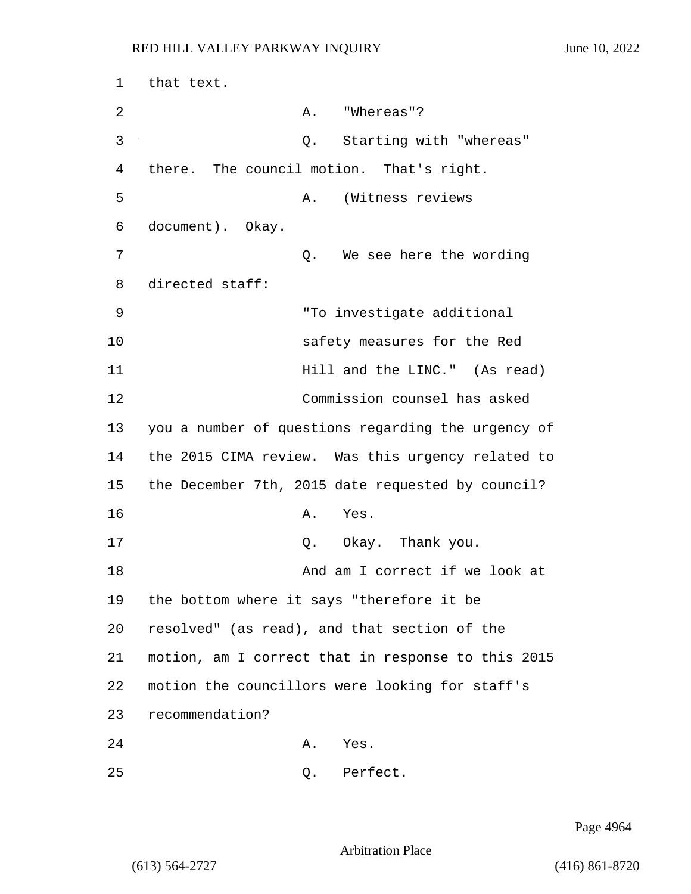1 that text. 2 A. "Whereas"? 3 Q. Starting with "whereas" 4 there. The council motion. That's right. 5 A. (Witness reviews 6 document). Okay. 7 Q. We see here the wording 8 directed staff: 9 "To investigate additional 10 safety measures for the Red 11 **Hill** and the LINC." (As read) 12 Commission counsel has asked 13 you a number of questions regarding the urgency of 14 the 2015 CIMA review. Was this urgency related to 15 the December 7th, 2015 date requested by council? 16 A. Yes. 17 Q. Okay. Thank you. 18 And am I correct if we look at 19 the bottom where it says "therefore it be 20 resolved" (as read), and that section of the 21 motion, am I correct that in response to this 2015 22 motion the councillors were looking for staff's 23 recommendation? 24 A. Yes.

25 Q. Perfect.

Page 4964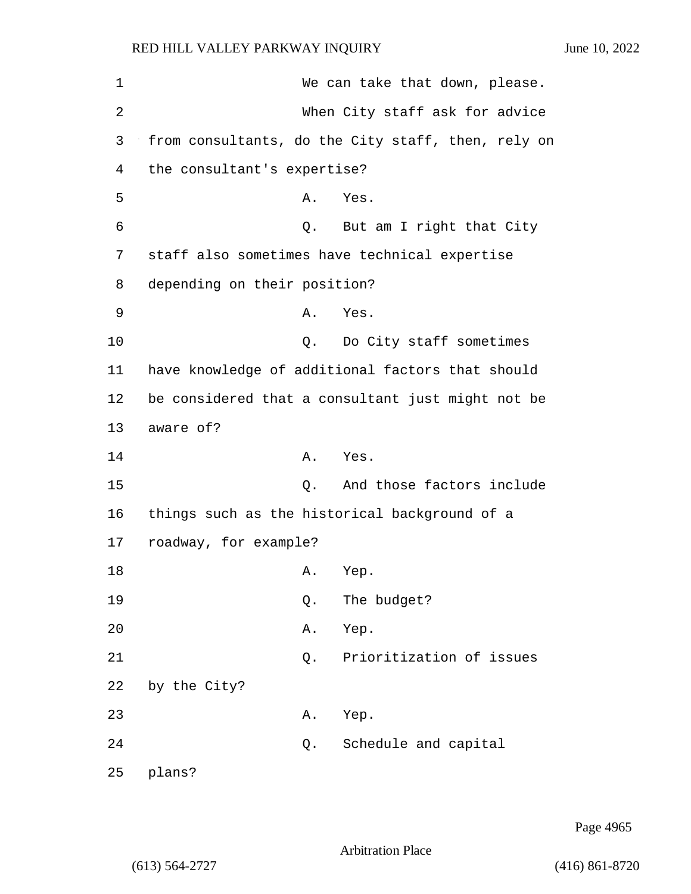| 1  |                                               | We can take that down, please.                     |
|----|-----------------------------------------------|----------------------------------------------------|
| 2  |                                               | When City staff ask for advice                     |
| 3  |                                               | from consultants, do the City staff, then, rely on |
| 4  | the consultant's expertise?                   |                                                    |
| 5  | Α.                                            | Yes.                                               |
| 6  |                                               | Q. But am I right that City                        |
| 7  | staff also sometimes have technical expertise |                                                    |
| 8  | depending on their position?                  |                                                    |
| 9  | Α.                                            | Yes.                                               |
| 10 |                                               | Q. Do City staff sometimes                         |
| 11 |                                               | have knowledge of additional factors that should   |
| 12 |                                               | be considered that a consultant just might not be  |
| 13 | aware of?                                     |                                                    |
| 14 |                                               | A. Yes.                                            |
| 15 |                                               | Q. And those factors include                       |
| 16 | things such as the historical background of a |                                                    |
| 17 | roadway, for example?                         |                                                    |
| 18 | A.                                            | Yep.                                               |
| 19 | Q.                                            | The budget?                                        |
| 20 | Α.                                            | Yep.                                               |
| 21 | Q.                                            | Prioritization of issues                           |
| 22 | by the City?                                  |                                                    |
| 23 | Α.                                            | Yep.                                               |
| 24 | Q.                                            | Schedule and capital                               |
| 25 | plans?                                        |                                                    |

Page 4965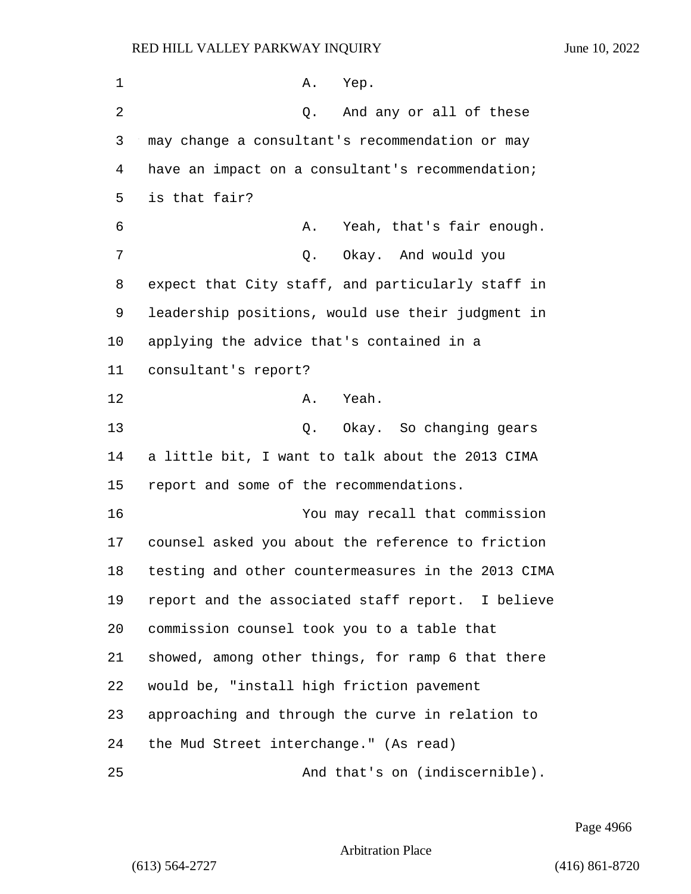| 1  | Α.<br>Yep.                                         |
|----|----------------------------------------------------|
| 2  | And any or all of these<br>Q.                      |
| 3  | may change a consultant's recommendation or may    |
| 4  | have an impact on a consultant's recommendation;   |
| 5  | is that fair?                                      |
| 6  | Yeah, that's fair enough.<br>Α.                    |
| 7  | Q. Okay. And would you                             |
| 8  | expect that City staff, and particularly staff in  |
| 9  | leadership positions, would use their judgment in  |
| 10 | applying the advice that's contained in a          |
| 11 | consultant's report?                               |
| 12 | A. Yeah.                                           |
| 13 | Q. Okay. So changing gears                         |
| 14 | a little bit, I want to talk about the 2013 CIMA   |
| 15 | report and some of the recommendations.            |
| 16 | You may recall that commission                     |
| 17 | counsel asked you about the reference to friction  |
| 18 | testing and other countermeasures in the 2013 CIMA |
| 19 | report and the associated staff report. I believe  |
| 20 | commission counsel took you to a table that        |
| 21 | showed, among other things, for ramp 6 that there  |
| 22 | would be, "install high friction pavement          |
| 23 | approaching and through the curve in relation to   |
| 24 | the Mud Street interchange." (As read)             |
| 25 | And that's on (indiscernible).                     |

Page 4966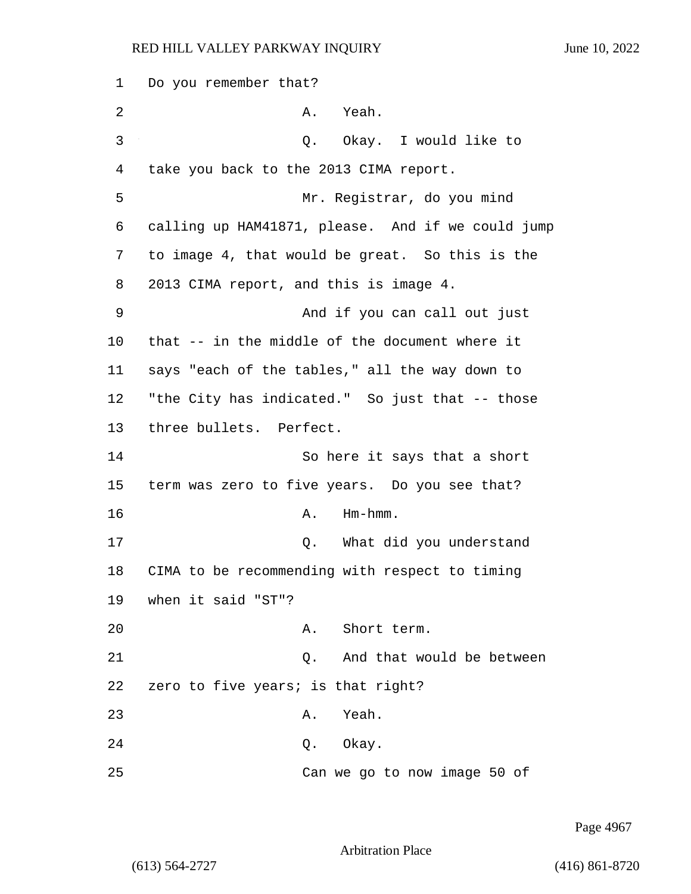1 Do you remember that? 2 A. Yeah. 3 Q. Okay. I would like to 4 take you back to the 2013 CIMA report. 5 Mr. Registrar, do you mind 6 calling up HAM41871, please. And if we could jump 7 to image 4, that would be great. So this is the 8 2013 CIMA report, and this is image 4. 9 And if you can call out just 10 that -- in the middle of the document where it 11 says "each of the tables," all the way down to 12 "the City has indicated." So just that -- those 13 three bullets. Perfect. 14 So here it says that a short 15 term was zero to five years. Do you see that? 16 A. Hm-hmm. 17 and 17 Q. What did you understand 18 CIMA to be recommending with respect to timing 19 when it said "ST"? 20 A. Short term. 21 C. And that would be between 22 zero to five years; is that right? 23 A. Yeah. 24 Q. Okay. 25 Can we go to now image 50 of

Page 4967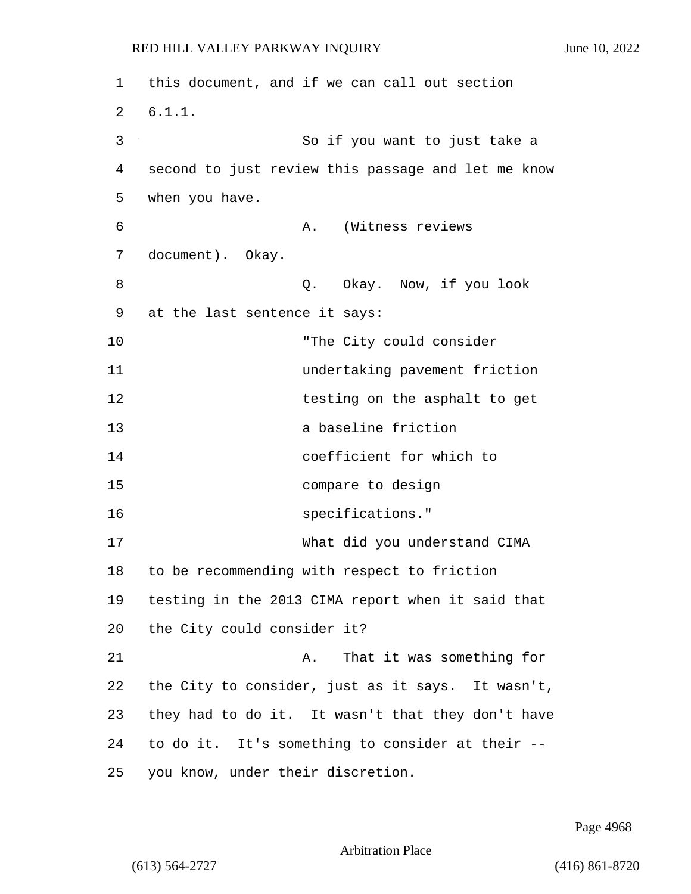1 this document, and if we can call out section 2 6.1.1. 3 So if you want to just take a 4 second to just review this passage and let me know 5 when you have. 6 A. (Witness reviews 7 document). Okay. 8 Q. Okay. Now, if you look 9 at the last sentence it says: 10 "The City could consider 11 undertaking pavement friction 12 testing on the asphalt to get 13 a baseline friction 14 coefficient for which to 15 compare to design 16 specifications." 17 What did you understand CIMA 18 to be recommending with respect to friction 19 testing in the 2013 CIMA report when it said that 20 the City could consider it? 21 A. That it was something for 22 the City to consider, just as it says. It wasn't, 23 they had to do it. It wasn't that they don't have 24 to do it. It's something to consider at their -- 25 you know, under their discretion.

Page 4968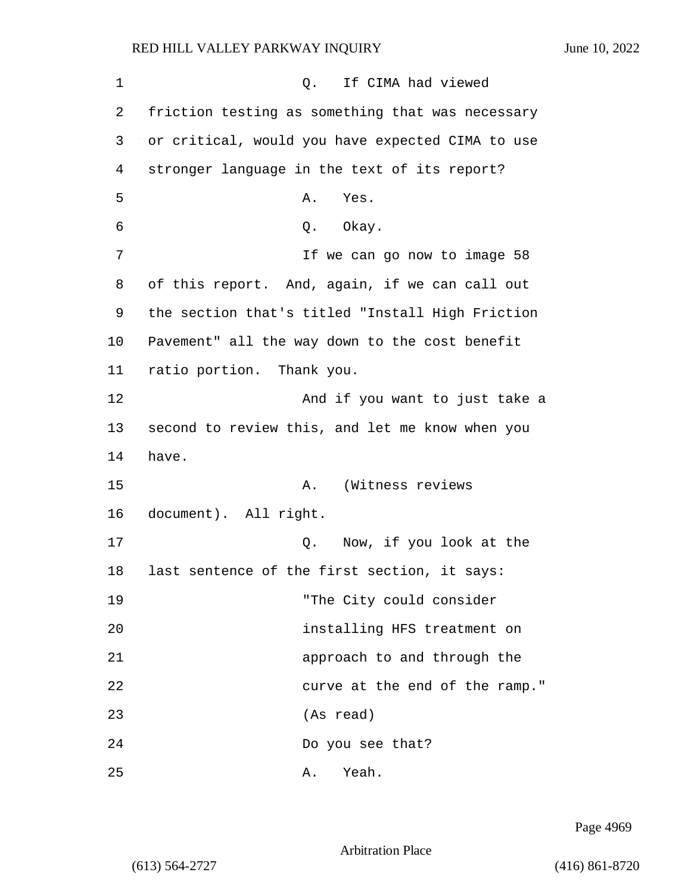1 Q. If CIMA had viewed 2 friction testing as something that was necessary 3 or critical, would you have expected CIMA to use 4 stronger language in the text of its report? 5 A. Yes. 6 0. Okay. 7 The can go now to image 58 8 of this report. And, again, if we can call out 9 the section that's titled "Install High Friction 10 Pavement" all the way down to the cost benefit 11 ratio portion. Thank you. 12 And if you want to just take a 13 second to review this, and let me know when you 14 have. 15 A. (Witness reviews 16 document). All right. 17 Q. Now, if you look at the 18 last sentence of the first section, it says: 19 "The City could consider 20 installing HFS treatment on 21 approach to and through the 22 curve at the end of the ramp." 23 (As read) 24 Do you see that? 25 A. Yeah.

Page 4969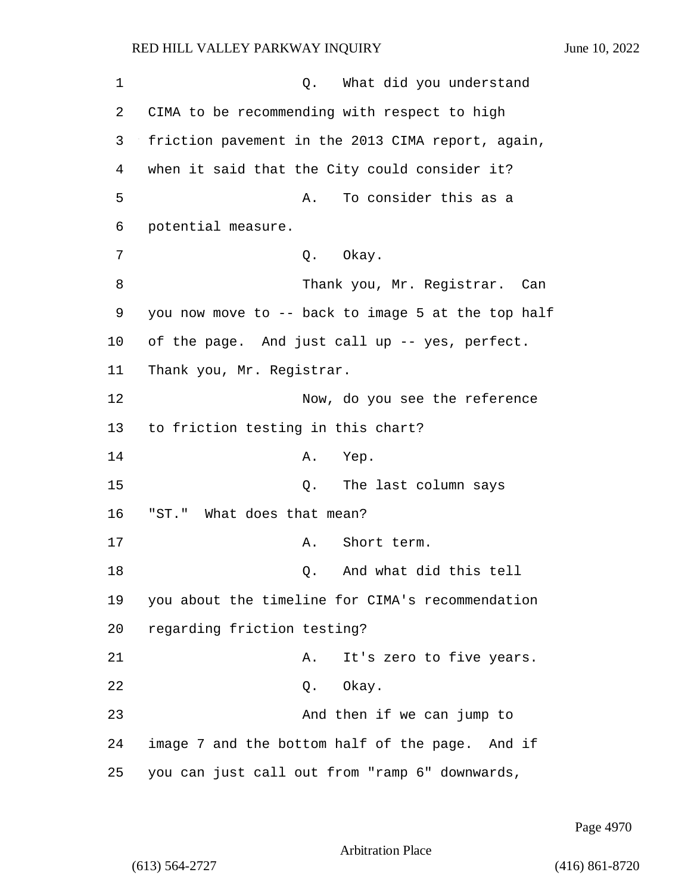| 1  | What did you understand<br>Q.                      |
|----|----------------------------------------------------|
| 2  | CIMA to be recommending with respect to high       |
| 3  | friction pavement in the 2013 CIMA report, again,  |
| 4  | when it said that the City could consider it?      |
| 5  | To consider this as a<br>Α.                        |
| 6  | potential measure.                                 |
| 7  | Q. Okay.                                           |
| 8  | Thank you, Mr. Registrar. Can                      |
| 9  | you now move to -- back to image 5 at the top half |
| 10 | of the page. And just call up -- yes, perfect.     |
| 11 | Thank you, Mr. Registrar.                          |
| 12 | Now, do you see the reference                      |
| 13 | to friction testing in this chart?                 |
| 14 | Α.<br>Yep.                                         |
| 15 | The last column says<br>Q.                         |
| 16 | "ST." What does that mean?                         |
| 17 | Short term.<br>Α.                                  |
| 18 | And what did this tell<br>Q.                       |
| 19 | you about the timeline for CIMA's recommendation   |
| 20 | regarding friction testing?                        |
| 21 | It's zero to five years.<br>Α.                     |
| 22 | Q. Okay.                                           |
| 23 | And then if we can jump to                         |
| 24 | image 7 and the bottom half of the page. And if    |
| 25 | you can just call out from "ramp 6" downwards,     |

Page 4970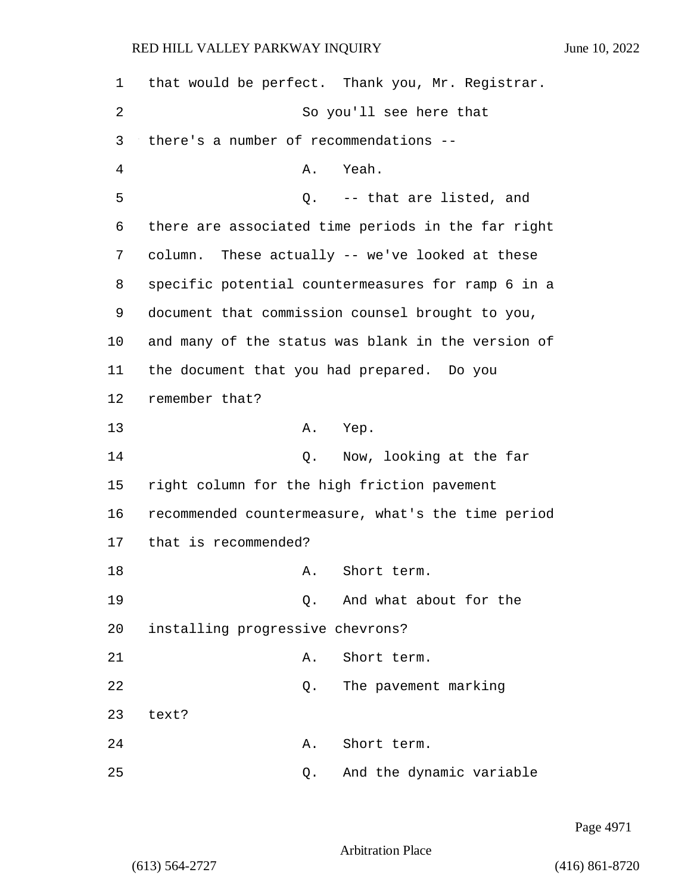| $\mathbf 1$ | that would be perfect. Thank you, Mr. Registrar.   |
|-------------|----------------------------------------------------|
| 2           | So you'll see here that                            |
| 3           | there's a number of recommendations --             |
| 4           | Yeah.<br>Α.                                        |
| 5           | Q. -- that are listed, and                         |
| 6           | there are associated time periods in the far right |
| 7           | column. These actually -- we've looked at these    |
| 8           | specific potential countermeasures for ramp 6 in a |
| 9           | document that commission counsel brought to you,   |
| $10 \,$     | and many of the status was blank in the version of |
| 11          | the document that you had prepared. Do you         |
| 12          | remember that?                                     |
| 13          | Yep.<br>Α.                                         |
| 14          | Q. Now, looking at the far                         |
| 15          | right column for the high friction pavement        |
| 16          | recommended countermeasure, what's the time period |
| 17          | that is recommended?                               |
| 18          | Short term.<br>Α.                                  |
| 19          | And what about for the<br>$\circ$ .                |
| 20          | installing progressive chevrons?                   |
| 21          | Short term.<br>Α.                                  |
| 22          | The pavement marking<br>Q.                         |
| 23          | text?                                              |
| 24          | Short term.<br>Α.                                  |
| 25          | And the dynamic variable<br>Q.                     |

Page 4971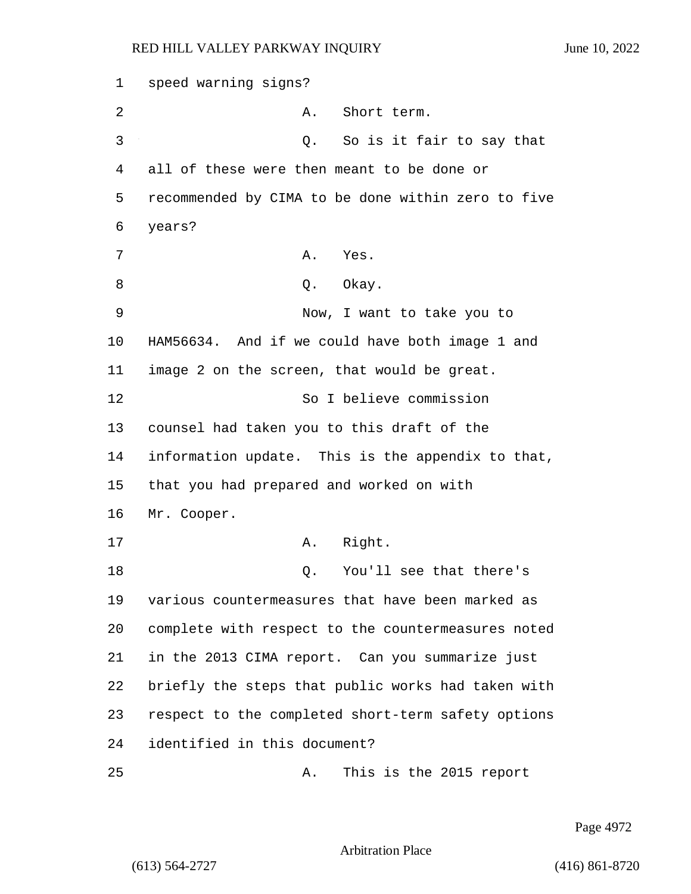1 speed warning signs? 2 A. Short term. 3 Q. So is it fair to say that 4 all of these were then meant to be done or 5 recommended by CIMA to be done within zero to five 6 years? 7 A. Yes. 8 Q. Okay. 9 Now, I want to take you to 10 HAM56634. And if we could have both image 1 and 11 image 2 on the screen, that would be great. 12 So I believe commission 13 counsel had taken you to this draft of the 14 information update. This is the appendix to that, 15 that you had prepared and worked on with 16 Mr. Cooper. 17 A. Right. 18 C. You'll see that there's 19 various countermeasures that have been marked as 20 complete with respect to the countermeasures noted 21 in the 2013 CIMA report. Can you summarize just 22 briefly the steps that public works had taken with 23 respect to the completed short-term safety options 24 identified in this document? 25 A. This is the 2015 report

Page 4972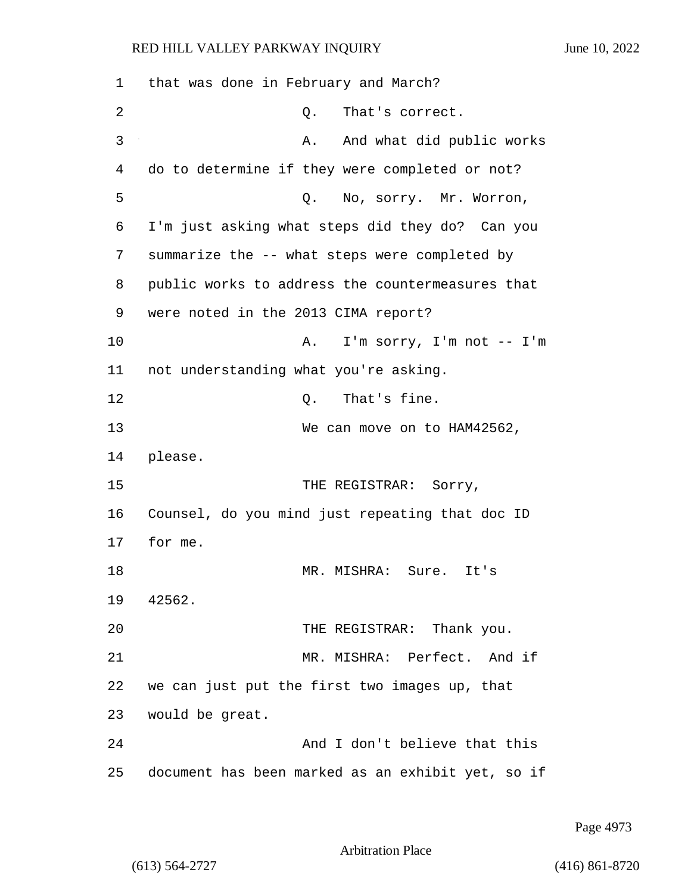1 that was done in February and March? 2 Q. That's correct. 3 A. And what did public works 4 do to determine if they were completed or not? 5 Q. No, sorry. Mr. Worron, 6 I'm just asking what steps did they do? Can you 7 summarize the -- what steps were completed by 8 public works to address the countermeasures that 9 were noted in the 2013 CIMA report? 10 A. I'm sorry, I'm not -- I'm 11 not understanding what you're asking. 12 C. That's fine. 13 We can move on to HAM42562, 14 please. 15 THE REGISTRAR: Sorry, 16 Counsel, do you mind just repeating that doc ID 17 for me. 18 MR. MISHRA: Sure. It's 19 42562. 20 THE REGISTRAR: Thank you. 21 MR. MISHRA: Perfect. And if 22 we can just put the first two images up, that 23 would be great. 24 And I don't believe that this 25 document has been marked as an exhibit yet, so if

Page 4973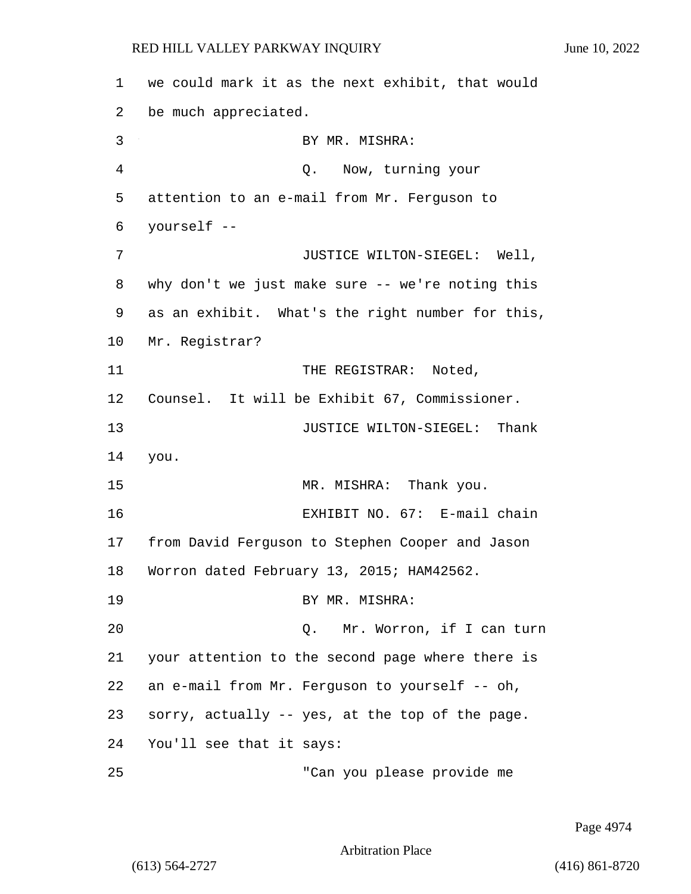1 we could mark it as the next exhibit, that would 2 be much appreciated. 3 BY MR. MISHRA: 4 Q. Now, turning your 5 attention to an e-mail from Mr. Ferguson to 6 yourself -- 7 JUSTICE WILTON-SIEGEL: Well, 8 why don't we just make sure -- we're noting this 9 as an exhibit. What's the right number for this, 10 Mr. Registrar? 11 THE REGISTRAR: Noted, 12 Counsel. It will be Exhibit 67, Commissioner. 13 **13** JUSTICE WILTON-SIEGEL: Thank 14 you. 15 MR. MISHRA: Thank you. 16 EXHIBIT NO. 67: E-mail chain 17 from David Ferguson to Stephen Cooper and Jason 18 Worron dated February 13, 2015; HAM42562. 19 BY MR. MISHRA: 20 Q. Mr. Worron, if I can turn 21 your attention to the second page where there is 22 an e-mail from Mr. Ferguson to yourself -- oh, 23 sorry, actually -- yes, at the top of the page. 24 You'll see that it says: 25 "Can you please provide me

Page 4974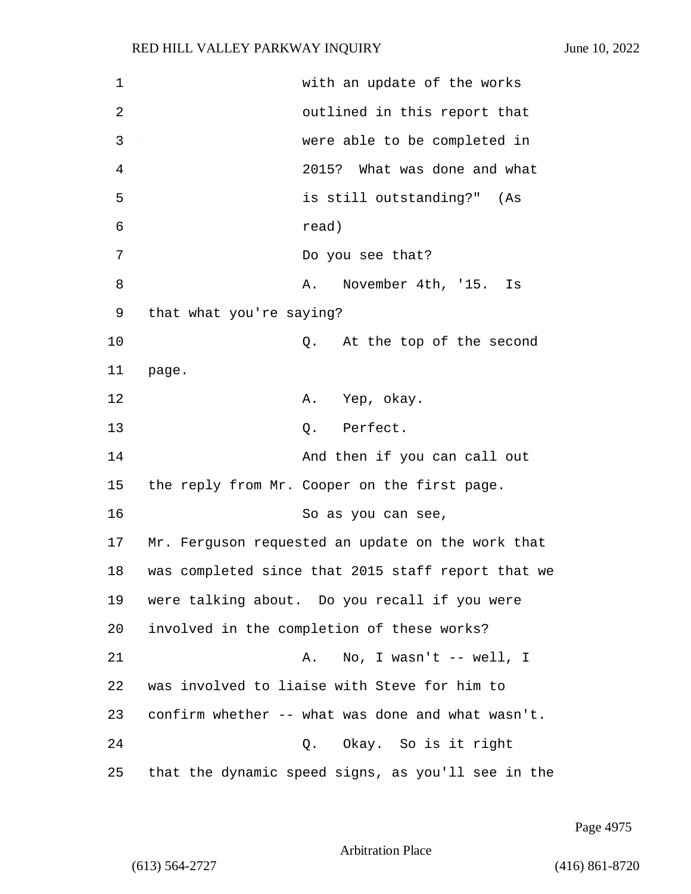| $\mathbf 1$    | with an update of the works                        |
|----------------|----------------------------------------------------|
| $\overline{2}$ | outlined in this report that                       |
| 3              | were able to be completed in                       |
| $\overline{4}$ | 2015? What was done and what                       |
| 5              | is still outstanding?" (As                         |
| 6              | read)                                              |
| 7              | Do you see that?                                   |
| 8              | November 4th, '15.<br>Α.<br>Is                     |
| 9              | that what you're saying?                           |
| 10             | At the top of the second<br>Q.                     |
| 11             | page.                                              |
| 12             | A. Yep, okay.                                      |
| 13             | Q. Perfect.                                        |
| 14             | And then if you can call out                       |
| 15             | the reply from Mr. Cooper on the first page.       |
| 16             | So as you can see,                                 |
| 17             | Mr. Ferguson requested an update on the work that  |
| 18             | was completed since that 2015 staff report that we |
| 19             | were talking about. Do you recall if you were      |
| 20             | involved in the completion of these works?         |
| 21             | No, I wasn't $--$ well, I<br>Α.                    |
| 22             | was involved to liaise with Steve for him to       |
| 23             | confirm whether -- what was done and what wasn't.  |
| 24             | Okay. So is it right<br>Q.                         |
| 25             | that the dynamic speed signs, as you'll see in the |

Page 4975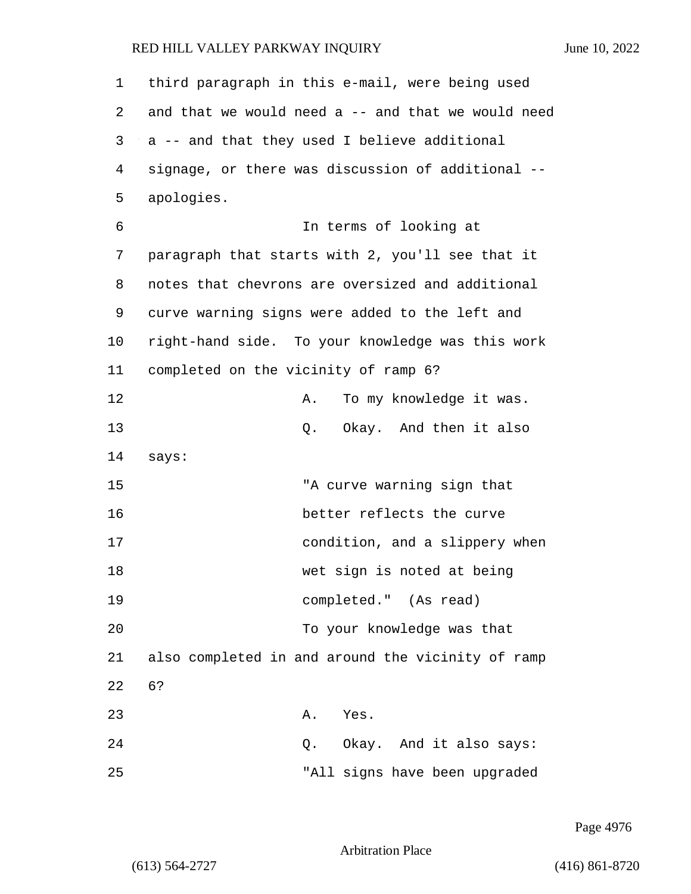| $\mathbf 1$ | third paragraph in this e-mail, were being used    |
|-------------|----------------------------------------------------|
| 2           | and that we would need a -- and that we would need |
| 3           | a -- and that they used I believe additional       |
| 4           | signage, or there was discussion of additional --  |
| 5           | apologies.                                         |
| 6           | In terms of looking at                             |
| 7           | paragraph that starts with 2, you'll see that it   |
| 8           | notes that chevrons are oversized and additional   |
| 9           | curve warning signs were added to the left and     |
| 10          | right-hand side. To your knowledge was this work   |
| 11          | completed on the vicinity of ramp 6?               |
| 12          | To my knowledge it was.<br>Α.                      |
| 13          | Okay. And then it also<br>Q.                       |
| 14          | says:                                              |
| 15          | "A curve warning sign that                         |
| 16          | better reflects the curve                          |
| 17          | condition, and a slippery when                     |
| 18          | wet sign is noted at being                         |
| 19          | completed." (As read)                              |
| 20          | To your knowledge was that                         |
| 21          | also completed in and around the vicinity of ramp  |
| 22          | 6?                                                 |
| 23          | A. Yes.                                            |
| 24          | Q. Okay. And it also says:                         |
| 25          | "All signs have been upgraded                      |

Page 4976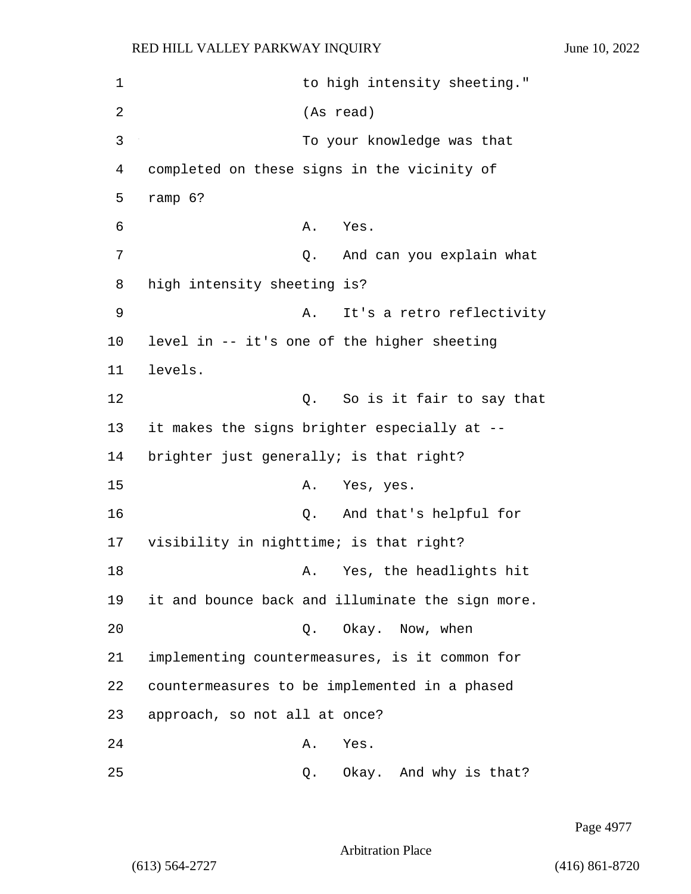1 to high intensity sheeting." 2 (As read) 3 To your knowledge was that 4 completed on these signs in the vicinity of 5 ramp 6? 6 A. Yes. 7 Q. And can you explain what 8 high intensity sheeting is? 9 A. It's a retro reflectivity 10 level in -- it's one of the higher sheeting 11 levels. 12 Q. So is it fair to say that 13 it makes the signs brighter especially at -- 14 brighter just generally; is that right? 15 A. Yes, yes. 16 Q. And that's helpful for 17 visibility in nighttime; is that right? 18 A. Yes, the headlights hit 19 it and bounce back and illuminate the sign more. 20 Q. Okay. Now, when 21 implementing countermeasures, is it common for 22 countermeasures to be implemented in a phased 23 approach, so not all at once? 24 A. Yes. 25 Q. Okay. And why is that?

Page 4977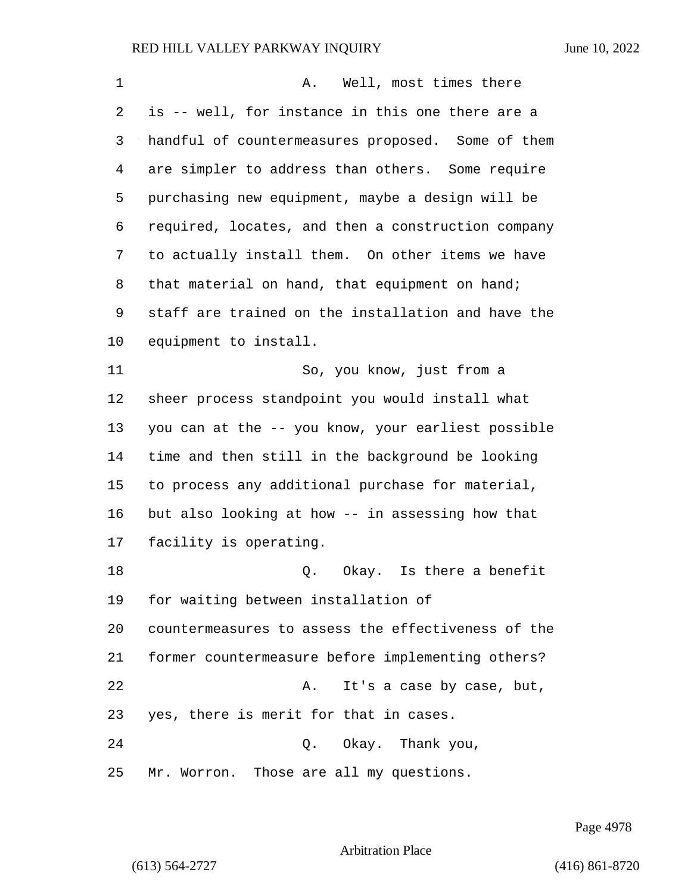| 1       | A. Well, most times there                          |
|---------|----------------------------------------------------|
| 2       | is -- well, for instance in this one there are a   |
| 3       | handful of countermeasures proposed. Some of them  |
| 4       | are simpler to address than others. Some require   |
| 5       | purchasing new equipment, maybe a design will be   |
| 6       | required, locates, and then a construction company |
| 7       | to actually install them. On other items we have   |
| 8       | that material on hand, that equipment on hand;     |
| 9       | staff are trained on the installation and have the |
| $10 \,$ | equipment to install.                              |
| 11      | So, you know, just from a                          |
| 12      | sheer process standpoint you would install what    |
| 13      | you can at the -- you know, your earliest possible |
| 14      | time and then still in the background be looking   |
| 15      | to process any additional purchase for material,   |
| 16      | but also looking at how -- in assessing how that   |
| 17      | facility is operating.                             |
| 18      | Okay. Is there a benefit<br>Q.                     |
| 19      | for waiting between installation of                |
| 20      | countermeasures to assess the effectiveness of the |
| 21      | former countermeasure before implementing others?  |
| 22      | It's a case by case, but,<br>Α.                    |
| 23      | yes, there is merit for that in cases.             |
| 24      | Okay. Thank you,<br>Q.                             |
| 25      | Mr. Worron. Those are all my questions.            |

Page 4978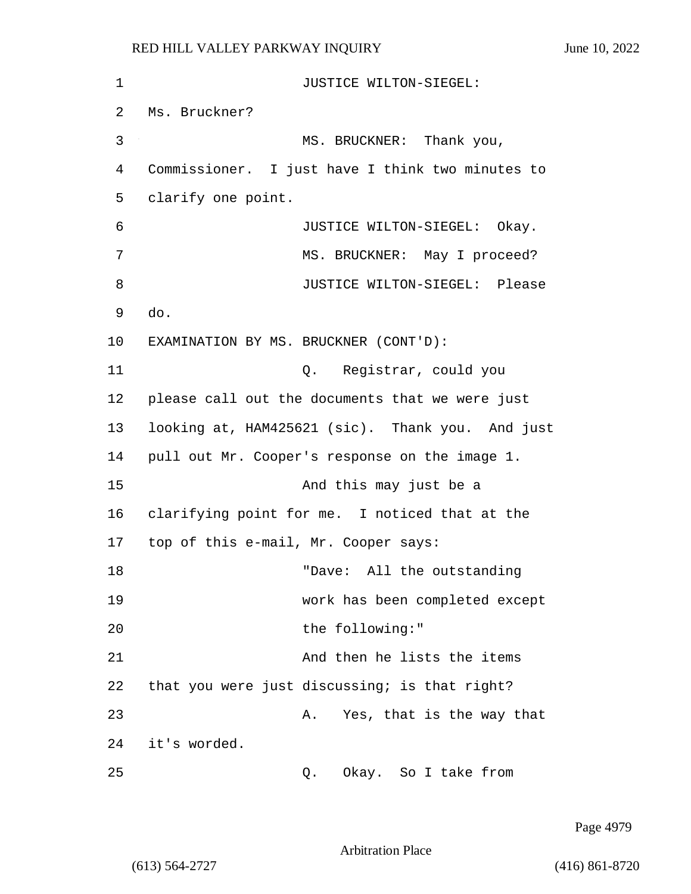| 1  | JUSTICE WILTON-SIEGEL:                           |
|----|--------------------------------------------------|
| 2  | Ms. Bruckner?                                    |
| 3  | MS. BRUCKNER: Thank you,                         |
| 4  | Commissioner. I just have I think two minutes to |
| 5  | clarify one point.                               |
| 6  | JUSTICE WILTON-SIEGEL: Okay.                     |
| 7  | MS. BRUCKNER: May I proceed?                     |
| 8  | JUSTICE WILTON-SIEGEL: Please                    |
| 9  | do.                                              |
| 10 | EXAMINATION BY MS. BRUCKNER (CONT'D):            |
| 11 | Q. Registrar, could you                          |
| 12 | please call out the documents that we were just  |
| 13 | looking at, HAM425621 (sic). Thank you. And just |
| 14 | pull out Mr. Cooper's response on the image 1.   |
| 15 | And this may just be a                           |
| 16 | clarifying point for me. I noticed that at the   |
| 17 | top of this e-mail, Mr. Cooper says:             |
| 18 | "Dave: All the outstanding                       |
| 19 | work has been completed except                   |
| 20 | the following:"                                  |
| 21 | And then he lists the items                      |
| 22 | that you were just discussing; is that right?    |
| 23 | Yes, that is the way that<br>Α.                  |
| 24 | it's worded.                                     |
| 25 | Okay. So I take from<br>Q.                       |

Page 4979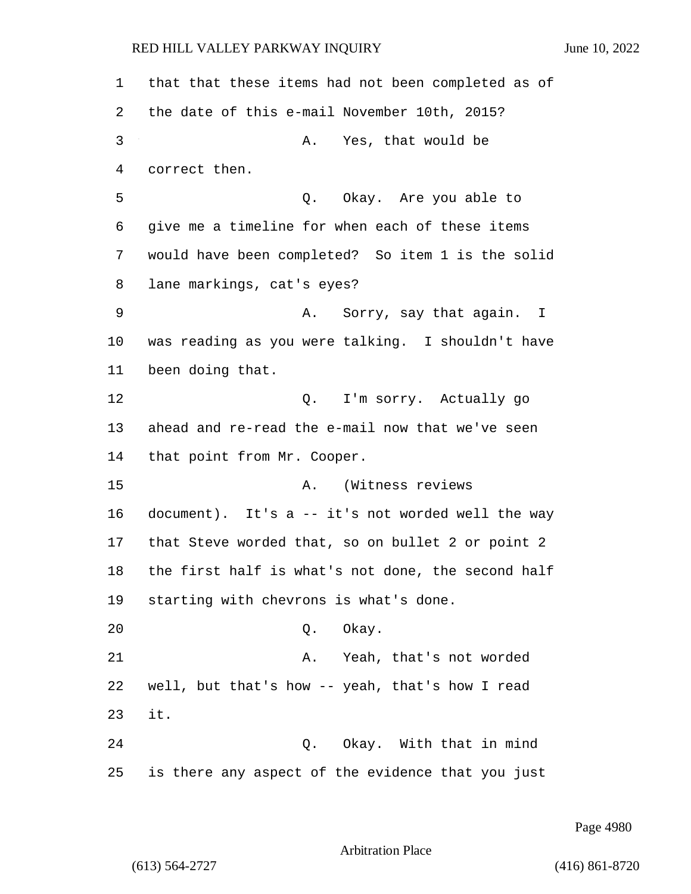that that these items had not been completed as of the date of this e-mail November 10th, 2015? 3 A. Yes, that would be correct then. 5 Q. Okay. Are you able to give me a timeline for when each of these items would have been completed? So item 1 is the solid lane markings, cat's eyes? 9 A. Sorry, say that again. I was reading as you were talking. I shouldn't have been doing that. 12 C. I'm sorry. Actually go ahead and re-read the e-mail now that we've seen that point from Mr. Cooper. 15 A. (Witness reviews document). It's a -- it's not worded well the way that Steve worded that, so on bullet 2 or point 2 the first half is what's not done, the second half starting with chevrons is what's done. 20 Q. Okay. 21 A. Yeah, that's not worded well, but that's how -- yeah, that's how I read 23 it. 24 Q. Okay. With that in mind is there any aspect of the evidence that you just

Page 4980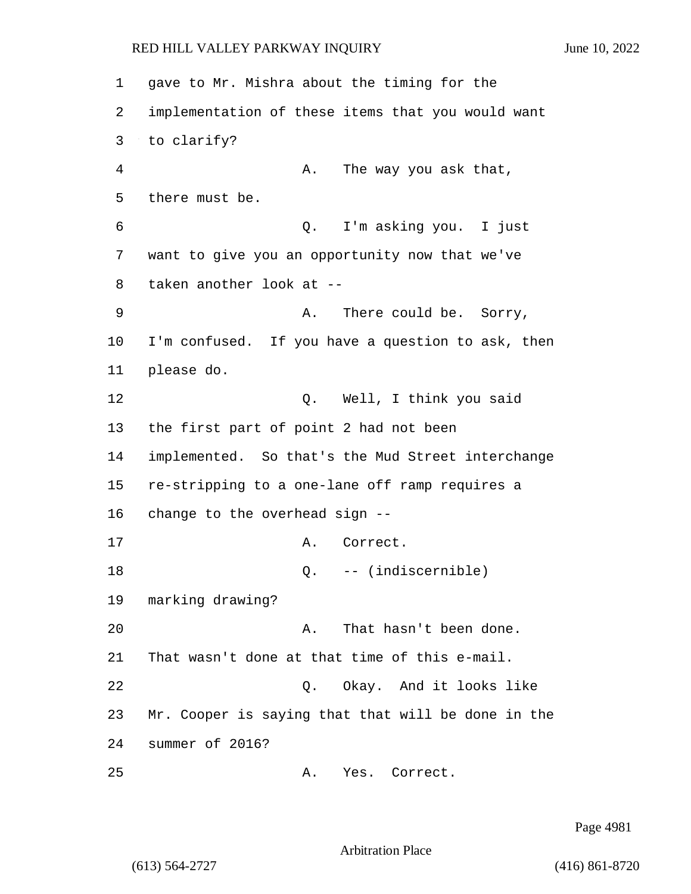gave to Mr. Mishra about the timing for the implementation of these items that you would want to clarify? 4 A. The way you ask that, there must be. 6 Q. I'm asking you. I just want to give you an opportunity now that we've taken another look at -- 9 A. There could be. Sorry, I'm confused. If you have a question to ask, then please do. 12 O. Well, I think you said the first part of point 2 had not been implemented. So that's the Mud Street interchange re-stripping to a one-lane off ramp requires a change to the overhead sign -- 17 A. Correct. 18 Q. -- (indiscernible) marking drawing? 20 A. That hasn't been done. That wasn't done at that time of this e-mail. 22 Q. Okay. And it looks like Mr. Cooper is saying that that will be done in the summer of 2016? 25 A. Yes. Correct.

Page 4981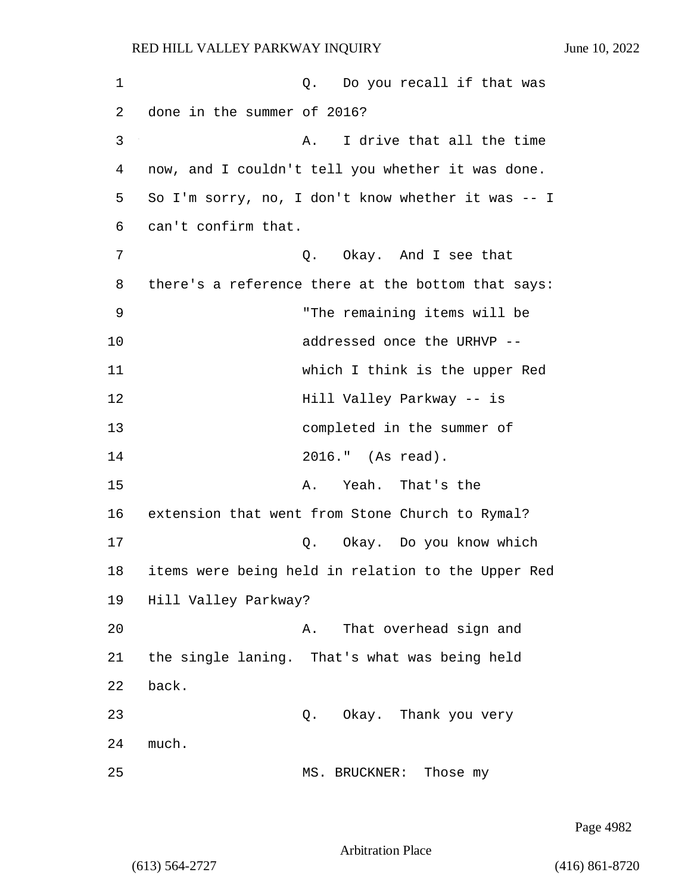1 and 1 Q. Do you recall if that was 2 done in the summer of 2016? 3 A. I drive that all the time 4 now, and I couldn't tell you whether it was done. 5 So I'm sorry, no, I don't know whether it was -- I 6 can't confirm that. 7 C. Okay. And I see that 8 there's a reference there at the bottom that says: 9 "The remaining items will be 10 addressed once the URHVP -- 11 which I think is the upper Red 12 **Hill Valley Parkway -- is** 13 completed in the summer of 14 2016." (As read). 15 A. Yeah. That's the 16 extension that went from Stone Church to Rymal? 17 Q. Okay. Do you know which 18 items were being held in relation to the Upper Red 19 Hill Valley Parkway? 20 A. That overhead sign and 21 the single laning. That's what was being held 22 back. 23 Q. Okay. Thank you very 24 much. 25 MS. BRUCKNER: Those my

Page 4982

Arbitration Place

(613) 564-2727 (416) 861-8720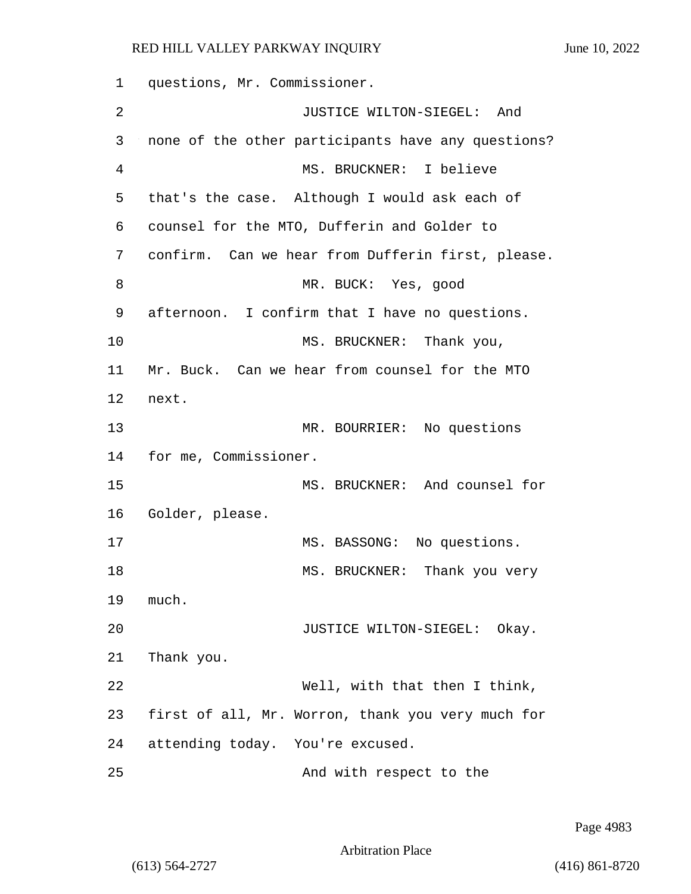1 questions, Mr. Commissioner. 2 JUSTICE WILTON-SIEGEL: And 3 none of the other participants have any questions? 4 MS. BRUCKNER: I believe 5 that's the case. Although I would ask each of 6 counsel for the MTO, Dufferin and Golder to 7 confirm. Can we hear from Dufferin first, please. 8 MR. BUCK: Yes, good 9 afternoon. I confirm that I have no questions. 10 MS. BRUCKNER: Thank you, 11 Mr. Buck. Can we hear from counsel for the MTO 12 next. 13 MR. BOURRIER: No questions 14 for me, Commissioner. 15 MS. BRUCKNER: And counsel for 16 Golder, please. 17 MS. BASSONG: No questions. 18 MS. BRUCKNER: Thank you very 19 much. 20 JUSTICE WILTON-SIEGEL: Okay. 21 Thank you. 22 Well, with that then I think, 23 first of all, Mr. Worron, thank you very much for 24 attending today. You're excused. 25 And with respect to the

Page 4983